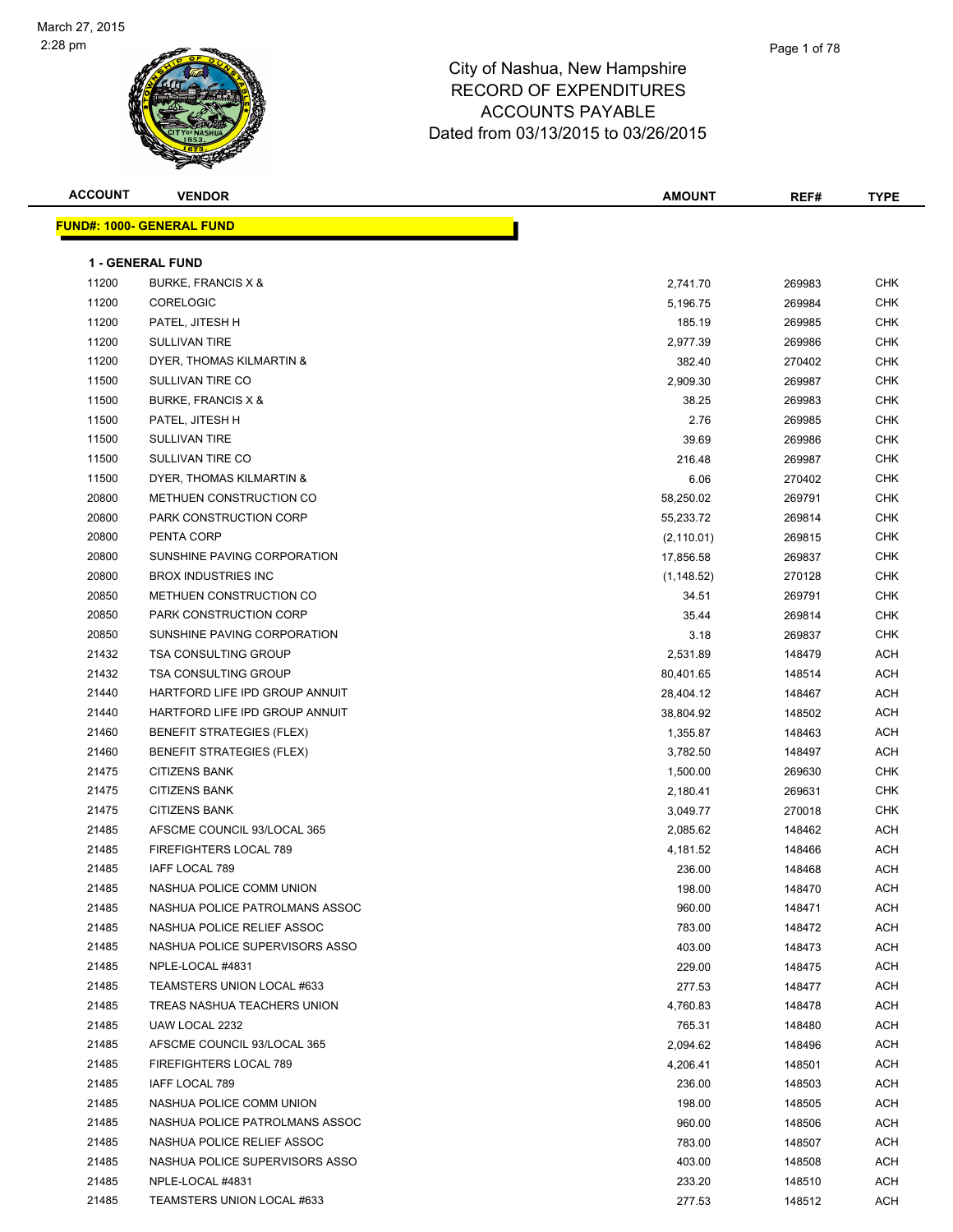

| <b>ACCOUNT</b> | <b>VENDOR</b>                     | <b>AMOUNT</b> | REF#   | <b>TYPE</b> |
|----------------|-----------------------------------|---------------|--------|-------------|
|                | <u> FUND#: 1000- GENERAL FUND</u> |               |        |             |
|                |                                   |               |        |             |
|                | <b>1 - GENERAL FUND</b>           |               |        |             |
| 11200          | BURKE, FRANCIS X &                | 2,741.70      | 269983 | <b>CHK</b>  |
| 11200          | <b>CORELOGIC</b>                  | 5,196.75      | 269984 | <b>CHK</b>  |
| 11200          | PATEL, JITESH H                   | 185.19        | 269985 | <b>CHK</b>  |
| 11200          | <b>SULLIVAN TIRE</b>              | 2,977.39      | 269986 | <b>CHK</b>  |
| 11200          | DYER, THOMAS KILMARTIN &          | 382.40        | 270402 | <b>CHK</b>  |
| 11500          | SULLIVAN TIRE CO                  | 2,909.30      | 269987 | <b>CHK</b>  |
| 11500          | BURKE, FRANCIS X &                | 38.25         | 269983 | <b>CHK</b>  |
| 11500          | PATEL, JITESH H                   | 2.76          | 269985 | CHK         |
| 11500          | <b>SULLIVAN TIRE</b>              | 39.69         | 269986 | <b>CHK</b>  |
| 11500          | SULLIVAN TIRE CO                  | 216.48        | 269987 | <b>CHK</b>  |
| 11500          | DYER, THOMAS KILMARTIN &          | 6.06          | 270402 | <b>CHK</b>  |
| 20800          | METHUEN CONSTRUCTION CO           | 58,250.02     | 269791 | <b>CHK</b>  |
| 20800          | PARK CONSTRUCTION CORP            | 55,233.72     | 269814 | CHK         |
| 20800          | PENTA CORP                        | (2, 110.01)   | 269815 | <b>CHK</b>  |
| 20800          | SUNSHINE PAVING CORPORATION       | 17,856.58     | 269837 | <b>CHK</b>  |
| 20800          | <b>BROX INDUSTRIES INC</b>        | (1, 148.52)   | 270128 | CHK         |
| 20850          | METHUEN CONSTRUCTION CO           | 34.51         | 269791 | <b>CHK</b>  |
| 20850          | PARK CONSTRUCTION CORP            | 35.44         | 269814 | <b>CHK</b>  |
| 20850          | SUNSHINE PAVING CORPORATION       | 3.18          | 269837 | CHK         |
| 21432          | <b>TSA CONSULTING GROUP</b>       | 2,531.89      | 148479 | ACH         |
| 21432          | <b>TSA CONSULTING GROUP</b>       | 80,401.65     | 148514 | ACH         |
| 21440          | HARTFORD LIFE IPD GROUP ANNUIT    | 28,404.12     | 148467 | ACH         |
| 21440          | HARTFORD LIFE IPD GROUP ANNUIT    | 38,804.92     | 148502 | ACH         |
| 21460          | <b>BENEFIT STRATEGIES (FLEX)</b>  | 1,355.87      | 148463 | ACH         |
| 21460          | <b>BENEFIT STRATEGIES (FLEX)</b>  | 3,782.50      | 148497 | ACH         |
| 21475          | <b>CITIZENS BANK</b>              | 1,500.00      | 269630 | CHK         |
| 21475          | <b>CITIZENS BANK</b>              | 2,180.41      | 269631 | <b>CHK</b>  |
| 21475          | <b>CITIZENS BANK</b>              | 3,049.77      | 270018 | CHK         |
| 21485          | AFSCME COUNCIL 93/LOCAL 365       | 2,085.62      | 148462 | ACH         |
| 21485          | FIREFIGHTERS LOCAL 789            | 4,181.52      | 148466 | ACH         |
| 21485          | IAFF LOCAL 789                    | 236.00        | 148468 | ACH         |
| 21485          | NASHUA POLICE COMM UNION          | 198.00        | 148470 | ACH         |
| 21485          | NASHUA POLICE PATROLMANS ASSOC    | 960.00        | 148471 | ACH         |
| 21485          | NASHUA POLICE RELIEF ASSOC        | 783.00        | 148472 | ACH         |
| 21485          | NASHUA POLICE SUPERVISORS ASSO    | 403.00        | 148473 | ACH         |
| 21485          | NPLE-LOCAL #4831                  | 229.00        | 148475 | ACH         |
| 21485          | TEAMSTERS UNION LOCAL #633        | 277.53        | 148477 | ACH         |
| 21485          | TREAS NASHUA TEACHERS UNION       | 4,760.83      | 148478 | ACH         |
| 21485          | UAW LOCAL 2232                    | 765.31        | 148480 | ACH         |
| 21485          | AFSCME COUNCIL 93/LOCAL 365       | 2,094.62      | 148496 | ACH         |
| 21485          | FIREFIGHTERS LOCAL 789            | 4,206.41      | 148501 | ACH         |
| 21485          | IAFF LOCAL 789                    | 236.00        | 148503 | ACH         |
| 21485          | NASHUA POLICE COMM UNION          | 198.00        | 148505 | ACH         |
| 21485          | NASHUA POLICE PATROLMANS ASSOC    | 960.00        | 148506 | ACH         |
| 21485          | NASHUA POLICE RELIEF ASSOC        | 783.00        | 148507 | ACH         |
| 21485          | NASHUA POLICE SUPERVISORS ASSO    | 403.00        | 148508 | ACH         |
| 21485          | NPLE-LOCAL #4831                  | 233.20        | 148510 | ACH         |
| 21485          | TEAMSTERS UNION LOCAL #633        | 277.53        | 148512 | ACH         |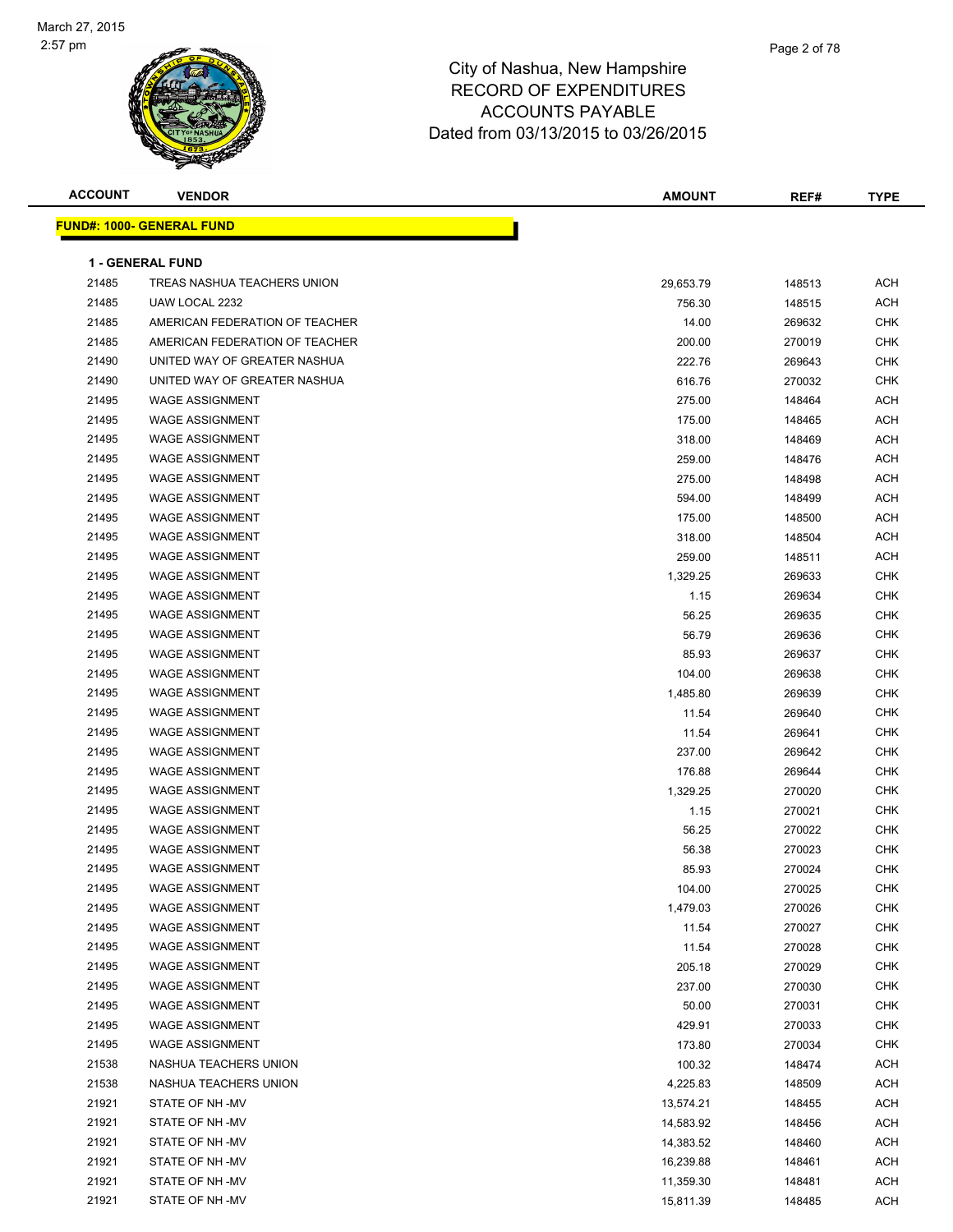

| <b>ACCOUNT</b> | <b>VENDOR</b>                    | <b>AMOUNT</b> | REF#   | <b>TYPE</b> |
|----------------|----------------------------------|---------------|--------|-------------|
|                | <b>FUND#: 1000- GENERAL FUND</b> |               |        |             |
|                |                                  |               |        |             |
|                | <b>1 - GENERAL FUND</b>          |               |        |             |
| 21485          | TREAS NASHUA TEACHERS UNION      | 29,653.79     | 148513 | <b>ACH</b>  |
| 21485          | UAW LOCAL 2232                   | 756.30        | 148515 | <b>ACH</b>  |
| 21485          | AMERICAN FEDERATION OF TEACHER   | 14.00         | 269632 | <b>CHK</b>  |
| 21485          | AMERICAN FEDERATION OF TEACHER   | 200.00        | 270019 | <b>CHK</b>  |
| 21490          | UNITED WAY OF GREATER NASHUA     | 222.76        | 269643 | <b>CHK</b>  |
| 21490          | UNITED WAY OF GREATER NASHUA     | 616.76        | 270032 | <b>CHK</b>  |
| 21495          | <b>WAGE ASSIGNMENT</b>           | 275.00        | 148464 | <b>ACH</b>  |
| 21495          | <b>WAGE ASSIGNMENT</b>           | 175.00        | 148465 | <b>ACH</b>  |
| 21495          | <b>WAGE ASSIGNMENT</b>           | 318.00        | 148469 | <b>ACH</b>  |
| 21495          | <b>WAGE ASSIGNMENT</b>           | 259.00        | 148476 | <b>ACH</b>  |
| 21495          | <b>WAGE ASSIGNMENT</b>           | 275.00        | 148498 | <b>ACH</b>  |
| 21495          | <b>WAGE ASSIGNMENT</b>           | 594.00        | 148499 | <b>ACH</b>  |
| 21495          | <b>WAGE ASSIGNMENT</b>           | 175.00        | 148500 | <b>ACH</b>  |
| 21495          | <b>WAGE ASSIGNMENT</b>           | 318.00        | 148504 | ACH         |
| 21495          | <b>WAGE ASSIGNMENT</b>           | 259.00        | 148511 | <b>ACH</b>  |
| 21495          | <b>WAGE ASSIGNMENT</b>           | 1,329.25      | 269633 | <b>CHK</b>  |
| 21495          | <b>WAGE ASSIGNMENT</b>           | 1.15          | 269634 | <b>CHK</b>  |
| 21495          | <b>WAGE ASSIGNMENT</b>           | 56.25         | 269635 | <b>CHK</b>  |
| 21495          | <b>WAGE ASSIGNMENT</b>           | 56.79         | 269636 | <b>CHK</b>  |
| 21495          | <b>WAGE ASSIGNMENT</b>           | 85.93         | 269637 | <b>CHK</b>  |
| 21495          | <b>WAGE ASSIGNMENT</b>           | 104.00        | 269638 | <b>CHK</b>  |
| 21495          | <b>WAGE ASSIGNMENT</b>           | 1,485.80      | 269639 | <b>CHK</b>  |
| 21495          | <b>WAGE ASSIGNMENT</b>           | 11.54         | 269640 | <b>CHK</b>  |
| 21495          | <b>WAGE ASSIGNMENT</b>           | 11.54         | 269641 | <b>CHK</b>  |
| 21495          | <b>WAGE ASSIGNMENT</b>           | 237.00        | 269642 | <b>CHK</b>  |
| 21495          | <b>WAGE ASSIGNMENT</b>           | 176.88        | 269644 | <b>CHK</b>  |
| 21495          | <b>WAGE ASSIGNMENT</b>           | 1,329.25      | 270020 | <b>CHK</b>  |
| 21495          | <b>WAGE ASSIGNMENT</b>           | 1.15          | 270021 | <b>CHK</b>  |
| 21495          | <b>WAGE ASSIGNMENT</b>           | 56.25         | 270022 | <b>CHK</b>  |
| 21495          | <b>WAGE ASSIGNMENT</b>           | 56.38         | 270023 | <b>CHK</b>  |
| 21495          | <b>WAGE ASSIGNMENT</b>           | 85.93         | 270024 | <b>CHK</b>  |
| 21495          | WAGE ASSIGNMENT                  | 104.00        | 270025 | <b>CHK</b>  |
| 21495          | <b>WAGE ASSIGNMENT</b>           | 1,479.03      | 270026 | <b>CHK</b>  |
| 21495          | <b>WAGE ASSIGNMENT</b>           | 11.54         | 270027 | <b>CHK</b>  |
| 21495          | <b>WAGE ASSIGNMENT</b>           | 11.54         | 270028 | <b>CHK</b>  |
| 21495          | <b>WAGE ASSIGNMENT</b>           | 205.18        | 270029 | <b>CHK</b>  |
| 21495          | <b>WAGE ASSIGNMENT</b>           | 237.00        | 270030 | CHK         |
| 21495          | <b>WAGE ASSIGNMENT</b>           | 50.00         | 270031 | CHK         |
| 21495          | <b>WAGE ASSIGNMENT</b>           | 429.91        | 270033 | <b>CHK</b>  |
| 21495          | <b>WAGE ASSIGNMENT</b>           | 173.80        | 270034 | <b>CHK</b>  |
| 21538          | NASHUA TEACHERS UNION            | 100.32        | 148474 | ACH         |
| 21538          | NASHUA TEACHERS UNION            | 4,225.83      | 148509 | <b>ACH</b>  |
| 21921          | STATE OF NH-MV                   | 13,574.21     | 148455 | <b>ACH</b>  |
| 21921          | STATE OF NH-MV                   | 14,583.92     | 148456 | <b>ACH</b>  |
| 21921          | STATE OF NH-MV                   | 14,383.52     | 148460 | <b>ACH</b>  |
| 21921          | STATE OF NH-MV                   | 16,239.88     | 148461 | ACH         |
| 21921          | STATE OF NH-MV                   | 11,359.30     | 148481 | <b>ACH</b>  |
| 21921          | STATE OF NH-MV                   | 15,811.39     | 148485 | <b>ACH</b>  |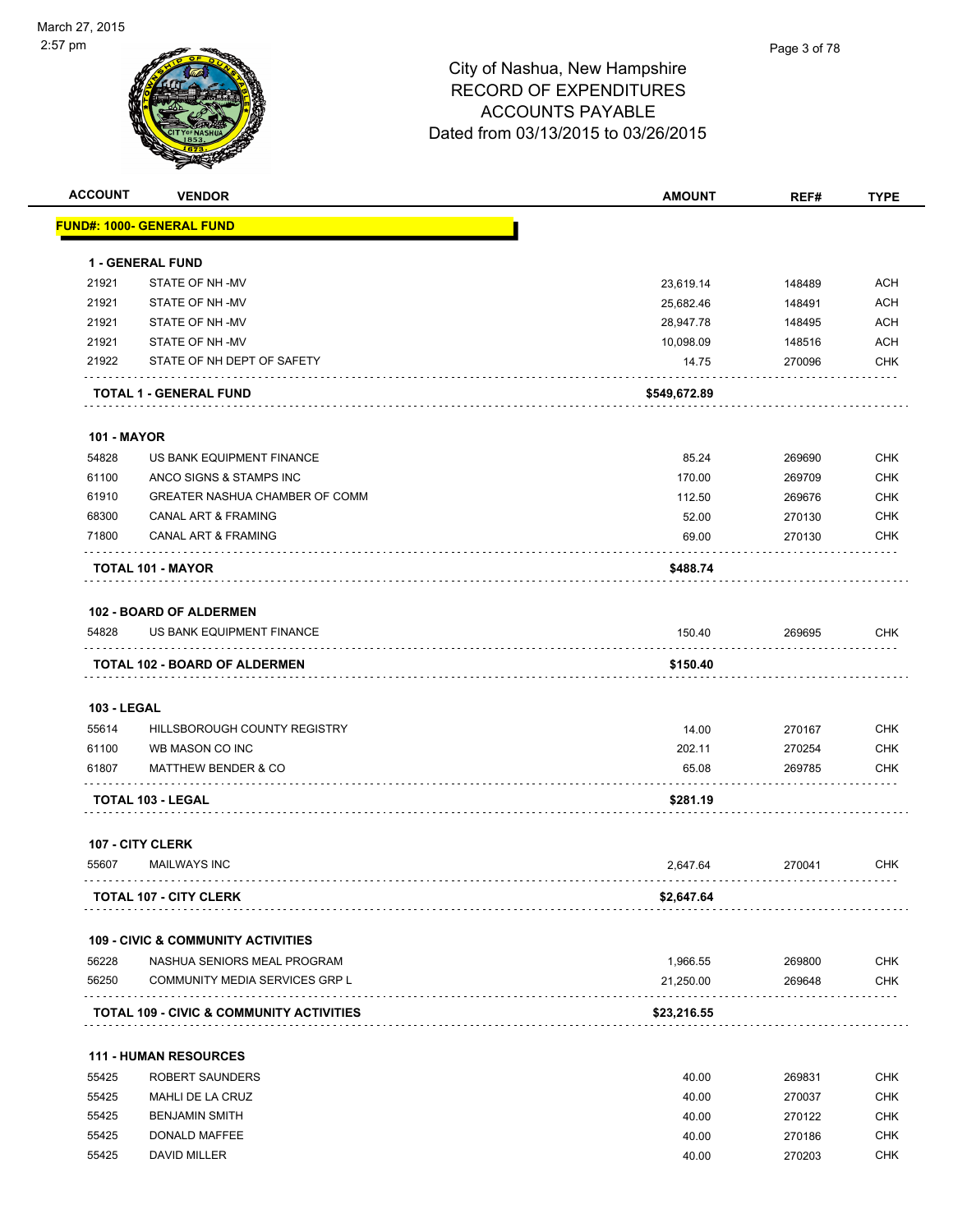| <b>ACCOUNT</b>     | <b>VENDOR</b>                                     | <b>AMOUNT</b>   | REF#             | <b>TYPE</b>              |
|--------------------|---------------------------------------------------|-----------------|------------------|--------------------------|
|                    | <b>FUND#: 1000- GENERAL FUND</b>                  |                 |                  |                          |
|                    | <b>1 - GENERAL FUND</b>                           |                 |                  |                          |
| 21921              | STATE OF NH-MV                                    | 23,619.14       | 148489           | <b>ACH</b>               |
| 21921              | STATE OF NH-MV                                    | 25,682.46       | 148491           | <b>ACH</b>               |
| 21921              | STATE OF NH -MV                                   | 28,947.78       | 148495           | <b>ACH</b>               |
| 21921              | STATE OF NH-MV                                    | 10,098.09       | 148516           | <b>ACH</b>               |
| 21922              | STATE OF NH DEPT OF SAFETY                        | 14.75           | 270096           | <b>CHK</b>               |
|                    | <b>TOTAL 1 - GENERAL FUND</b>                     | \$549,672.89    |                  |                          |
| <b>101 - MAYOR</b> |                                                   |                 |                  |                          |
| 54828              | US BANK EQUIPMENT FINANCE                         | 85.24           | 269690           | <b>CHK</b>               |
| 61100              | ANCO SIGNS & STAMPS INC                           | 170.00          | 269709           | <b>CHK</b>               |
| 61910              | GREATER NASHUA CHAMBER OF COMM                    | 112.50          | 269676           | <b>CHK</b>               |
| 68300              | <b>CANAL ART &amp; FRAMING</b>                    | 52.00           | 270130           | <b>CHK</b>               |
| 71800              | <b>CANAL ART &amp; FRAMING</b>                    | 69.00           | 270130           | <b>CHK</b>               |
|                    | <b>TOTAL 101 - MAYOR</b>                          | \$488.74        |                  |                          |
|                    | <b>102 - BOARD OF ALDERMEN</b>                    |                 |                  |                          |
| 54828              | US BANK EQUIPMENT FINANCE                         | 150.40          | 269695           | <b>CHK</b>               |
|                    | <b>TOTAL 102 - BOARD OF ALDERMEN</b>              | \$150.40        |                  |                          |
|                    |                                                   |                 |                  |                          |
| <b>103 - LEGAL</b> |                                                   |                 |                  |                          |
| 55614              | HILLSBOROUGH COUNTY REGISTRY                      | 14.00           | 270167           | <b>CHK</b>               |
| 61100<br>61807     | WB MASON CO INC<br><b>MATTHEW BENDER &amp; CO</b> | 202.11<br>65.08 | 270254<br>269785 | <b>CHK</b><br><b>CHK</b> |
|                    |                                                   |                 |                  |                          |
|                    | <b>TOTAL 103 - LEGAL</b>                          | \$281.19        |                  |                          |
|                    | 107 - CITY CLERK                                  |                 |                  |                          |
| 55607              | <b>MAILWAYS INC</b>                               | 2,647.64        | 270041           | <b>CHK</b>               |
|                    | <b>TOTAL 107 - CITY CLERK</b>                     | \$2,647.64      |                  |                          |
|                    | <b>109 - CIVIC &amp; COMMUNITY ACTIVITIES</b>     |                 |                  |                          |
| 56228              | NASHUA SENIORS MEAL PROGRAM                       | 1,966.55        | 269800           | <b>CHK</b>               |
| 56250              | COMMUNITY MEDIA SERVICES GRP L                    | 21,250.00       | 269648           | <b>CHK</b>               |
|                    | TOTAL 109 - CIVIC & COMMUNITY ACTIVITIES          | \$23,216.55     |                  |                          |
|                    | 111 - HUMAN RESOURCES                             |                 |                  |                          |
| 55425              | <b>ROBERT SAUNDERS</b>                            | 40.00           | 269831           | <b>CHK</b>               |
| 55425              | MAHLI DE LA CRUZ                                  | 40.00           | 270037           | <b>CHK</b>               |
| 55425              | <b>BENJAMIN SMITH</b>                             | 40.00           | 270122           | <b>CHK</b>               |
| 55425              | DONALD MAFFEE                                     | 40.00           | 270186           | <b>CHK</b>               |

55425 DAVID MILLER 270203 CHK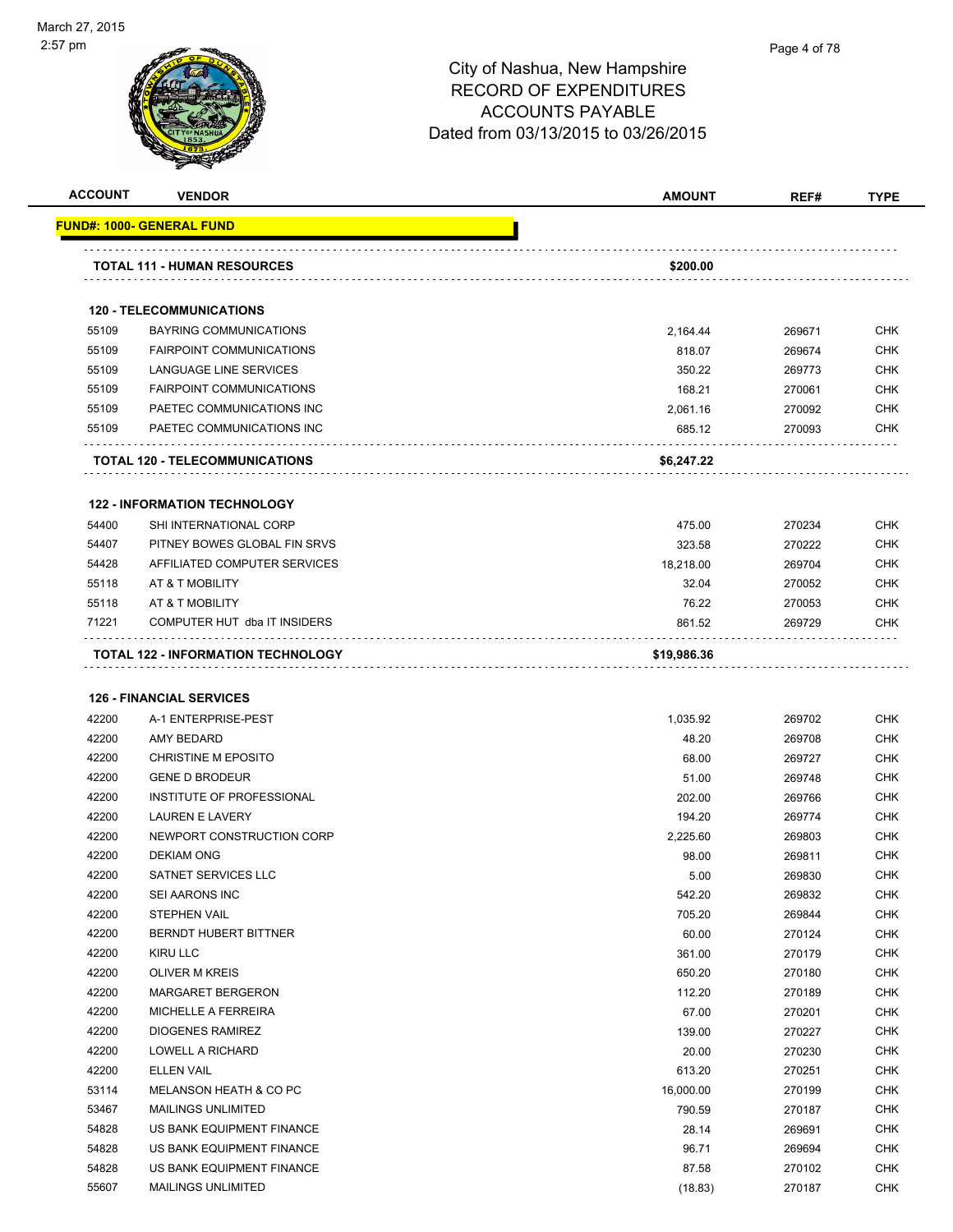

| <b>ACCOUNT</b> | <b>VENDOR</b>                       | <b>AMOUNT</b> | REF#   | <b>TYPE</b> |
|----------------|-------------------------------------|---------------|--------|-------------|
|                | <b>FUND#: 1000- GENERAL FUND</b>    |               |        |             |
|                | <b>TOTAL 111 - HUMAN RESOURCES</b>  | \$200.00      |        |             |
|                | <b>120 - TELECOMMUNICATIONS</b>     |               |        |             |
| 55109          | <b>BAYRING COMMUNICATIONS</b>       | 2,164.44      | 269671 | <b>CHK</b>  |
| 55109          | <b>FAIRPOINT COMMUNICATIONS</b>     | 818.07        | 269674 | <b>CHK</b>  |
| 55109          | LANGUAGE LINE SERVICES              | 350.22        | 269773 | <b>CHK</b>  |
| 55109          | <b>FAIRPOINT COMMUNICATIONS</b>     | 168.21        | 270061 | <b>CHK</b>  |
| 55109          | PAETEC COMMUNICATIONS INC           | 2,061.16      | 270092 | <b>CHK</b>  |
| 55109          | PAETEC COMMUNICATIONS INC           | 685.12        | 270093 | <b>CHK</b>  |
|                | TOTAL 120 - TELECOMMUNICATIONS      | \$6,247.22    |        |             |
|                | <b>122 - INFORMATION TECHNOLOGY</b> |               |        |             |
| 54400          | SHI INTERNATIONAL CORP              | 475.00        | 270234 | <b>CHK</b>  |
| 54407          | PITNEY BOWES GLOBAL FIN SRVS        | 323.58        | 270222 | <b>CHK</b>  |
| 54428          | AFFILIATED COMPUTER SERVICES        | 18,218.00     | 269704 | <b>CHK</b>  |
| 55118          | AT & T MOBILITY                     | 32.04         | 270052 | <b>CHK</b>  |
| 55118          | AT & T MOBILITY                     | 76.22         | 270053 | <b>CHK</b>  |
| 71221          | COMPUTER HUT dba IT INSIDERS        | 861.52        | 269729 | <b>CHK</b>  |
|                | TOTAL 122 - INFORMATION TECHNOLOGY  | \$19,986.36   |        |             |
|                | <b>126 - FINANCIAL SERVICES</b>     |               |        |             |
| 42200          | A-1 ENTERPRISE-PEST                 | 1,035.92      | 269702 | <b>CHK</b>  |
| 42200          | AMY BEDARD                          | 48.20         | 269708 | <b>CHK</b>  |
| 42200          | <b>CHRISTINE M EPOSITO</b>          | 68.00         | 269727 | <b>CHK</b>  |
| 42200          | <b>GENE D BRODEUR</b>               | 51.00         | 269748 | <b>CHK</b>  |
| 42200          | INSTITUTE OF PROFESSIONAL           | 202.00        | 269766 | <b>CHK</b>  |
| 42200          | <b>LAUREN E LAVERY</b>              | 194.20        | 269774 | <b>CHK</b>  |
| 42200          | NEWPORT CONSTRUCTION CORP           | 2,225.60      | 269803 | <b>CHK</b>  |
| 42200          | <b>DEKIAM ONG</b>                   | 98.00         | 269811 | <b>CHK</b>  |
| 42200          | <b>SATNET SERVICES LLC</b>          | 5.00          | 269830 | <b>CHK</b>  |
| 42200          | SEI AARONS INC                      | 542.20        | 269832 | <b>CHK</b>  |
| 42200          | <b>STEPHEN VAIL</b>                 | 705.20        | 269844 | <b>CHK</b>  |
| 42200          | BERNDT HUBERT BITTNER               | 60.00         | 270124 | <b>CHK</b>  |
| 42200          | <b>KIRU LLC</b>                     | 361.00        | 270179 | <b>CHK</b>  |
| 42200          | <b>OLIVER M KREIS</b>               | 650.20        | 270180 | <b>CHK</b>  |

| 42200 | SEI AARONS INC               | 542.20    | 269832 | <b>CHK</b> |
|-------|------------------------------|-----------|--------|------------|
| 42200 | <b>STEPHEN VAIL</b>          | 705.20    | 269844 | <b>CHK</b> |
| 42200 | <b>BERNDT HUBERT BITTNER</b> | 60.00     | 270124 | <b>CHK</b> |
| 42200 | KIRU LLC                     | 361.00    | 270179 | <b>CHK</b> |
| 42200 | <b>OLIVER M KREIS</b>        | 650.20    | 270180 | <b>CHK</b> |
| 42200 | <b>MARGARET BERGERON</b>     | 112.20    | 270189 | <b>CHK</b> |
| 42200 | MICHELLE A FERREIRA          | 67.00     | 270201 | <b>CHK</b> |
| 42200 | <b>DIOGENES RAMIREZ</b>      | 139.00    | 270227 | <b>CHK</b> |
| 42200 | <b>LOWELL A RICHARD</b>      | 20.00     | 270230 | <b>CHK</b> |
| 42200 | <b>ELLEN VAIL</b>            | 613.20    | 270251 | <b>CHK</b> |
| 53114 | MELANSON HEATH & CO PC       | 16,000.00 | 270199 | <b>CHK</b> |
| 53467 | <b>MAILINGS UNLIMITED</b>    | 790.59    | 270187 | <b>CHK</b> |
| 54828 | US BANK EQUIPMENT FINANCE    | 28.14     | 269691 | <b>CHK</b> |
| 54828 | US BANK EQUIPMENT FINANCE    | 96.71     | 269694 | <b>CHK</b> |
| 54828 | US BANK EQUIPMENT FINANCE    | 87.58     | 270102 | <b>CHK</b> |
| 55607 | <b>MAILINGS UNLIMITED</b>    | (18.83)   | 270187 | <b>CHK</b> |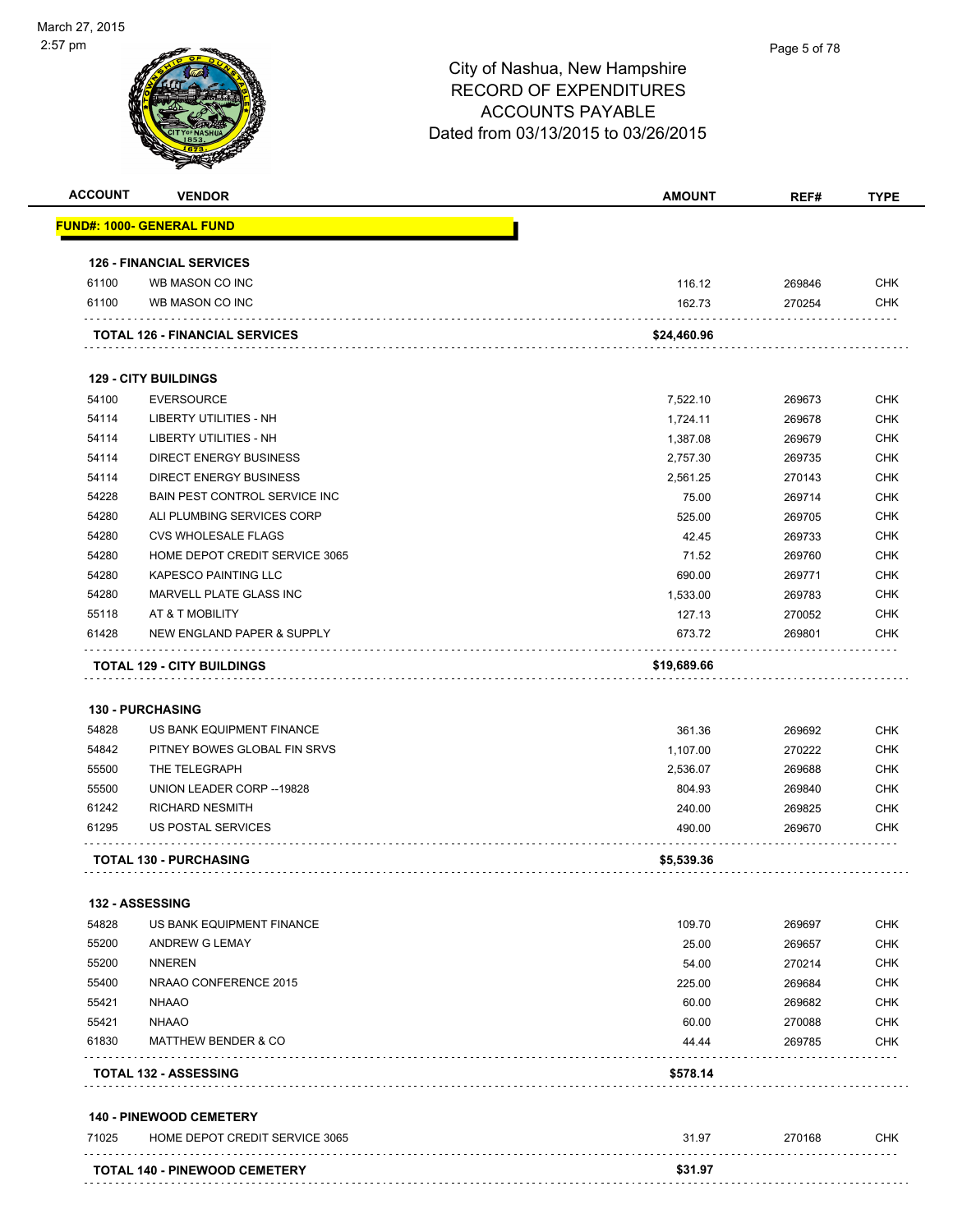| <b>ACCOUNT</b> | <b>VENDOR</b>                         | <b>AMOUNT</b> | REF#   | <b>TYPE</b> |
|----------------|---------------------------------------|---------------|--------|-------------|
|                | <u> FUND#: 1000- GENERAL FUND</u>     |               |        |             |
|                | <b>126 - FINANCIAL SERVICES</b>       |               |        |             |
| 61100          | WB MASON CO INC                       | 116.12        | 269846 | <b>CHK</b>  |
| 61100          | WB MASON CO INC                       | 162.73        | 270254 | <b>CHK</b>  |
|                | <b>TOTAL 126 - FINANCIAL SERVICES</b> | \$24,460.96   |        |             |
|                | <b>129 - CITY BUILDINGS</b>           |               |        |             |
| 54100          | <b>EVERSOURCE</b>                     | 7,522.10      | 269673 | <b>CHK</b>  |
| 54114          | <b>LIBERTY UTILITIES - NH</b>         | 1,724.11      | 269678 | <b>CHK</b>  |
| 54114          | <b>LIBERTY UTILITIES - NH</b>         | 1,387.08      | 269679 | <b>CHK</b>  |
| 54114          | <b>DIRECT ENERGY BUSINESS</b>         | 2,757.30      | 269735 | <b>CHK</b>  |
| 54114          | <b>DIRECT ENERGY BUSINESS</b>         | 2,561.25      | 270143 | <b>CHK</b>  |
| 54228          | <b>BAIN PEST CONTROL SERVICE INC.</b> | 75.00         | 269714 | <b>CHK</b>  |
| 54280          | ALI PLUMBING SERVICES CORP            | 525.00        | 269705 | <b>CHK</b>  |
| 54280          | <b>CVS WHOLESALE FLAGS</b>            | 42.45         | 269733 | <b>CHK</b>  |
| 54280          | HOME DEPOT CREDIT SERVICE 3065        | 71.52         | 269760 | <b>CHK</b>  |
| 54280          | <b>KAPESCO PAINTING LLC</b>           | 690.00        | 269771 | <b>CHK</b>  |
| 54280          | MARVELL PLATE GLASS INC               | 1,533.00      | 269783 | <b>CHK</b>  |
| 55118          | AT & T MOBILITY                       | 127.13        | 270052 | <b>CHK</b>  |
| 61428          | NEW ENGLAND PAPER & SUPPLY            | 673.72        | 269801 | <b>CHK</b>  |
|                | <b>TOTAL 129 - CITY BUILDINGS</b>     | \$19,689.66   |        |             |
|                |                                       |               |        |             |
|                | <b>130 - PURCHASING</b>               |               |        |             |
| 54828          | US BANK EQUIPMENT FINANCE             | 361.36        | 269692 | <b>CHK</b>  |
| 54842          | PITNEY BOWES GLOBAL FIN SRVS          | 1,107.00      | 270222 | <b>CHK</b>  |
| 55500          | THE TELEGRAPH                         | 2,536.07      | 269688 | <b>CHK</b>  |
| 55500          | UNION LEADER CORP -- 19828            | 804.93        | 269840 | <b>CHK</b>  |
| 61242          | <b>RICHARD NESMITH</b>                | 240.00        | 269825 | <b>CHK</b>  |
| 61295          | <b>US POSTAL SERVICES</b>             | 490.00        | 269670 | <b>CHK</b>  |
|                | <b>TOTAL 130 - PURCHASING</b>         | \$5,539.36    |        |             |
|                | <b>132 - ASSESSING</b>                |               |        |             |
| 54828          | US BANK EQUIPMENT FINANCE             | 109.70        | 269697 | <b>CHK</b>  |
| 55200          | ANDREW G LEMAY                        | 25.00         | 269657 | <b>CHK</b>  |
| 55200          | NNEREN                                | 54.00         | 270214 | <b>CHK</b>  |
| 55400          | NRAAO CONFERENCE 2015                 | 225.00        | 269684 | <b>CHK</b>  |
| 55421          | <b>NHAAO</b>                          | 60.00         | 269682 | <b>CHK</b>  |
| 55421          | <b>NHAAO</b>                          | 60.00         | 270088 | <b>CHK</b>  |
| 61830          | <b>MATTHEW BENDER &amp; CO</b>        | 44.44         | 269785 | <b>CHK</b>  |
|                | <b>TOTAL 132 - ASSESSING</b>          | \$578.14      |        |             |
|                | <b>140 - PINEWOOD CEMETERY</b>        |               |        |             |
| 71025          | HOME DEPOT CREDIT SERVICE 3065        | 31.97         | 270168 | <b>CHK</b>  |
|                |                                       |               |        |             |
|                | TOTAL 140 - PINEWOOD CEMETERY         | \$31.97       |        |             |
|                |                                       |               |        |             |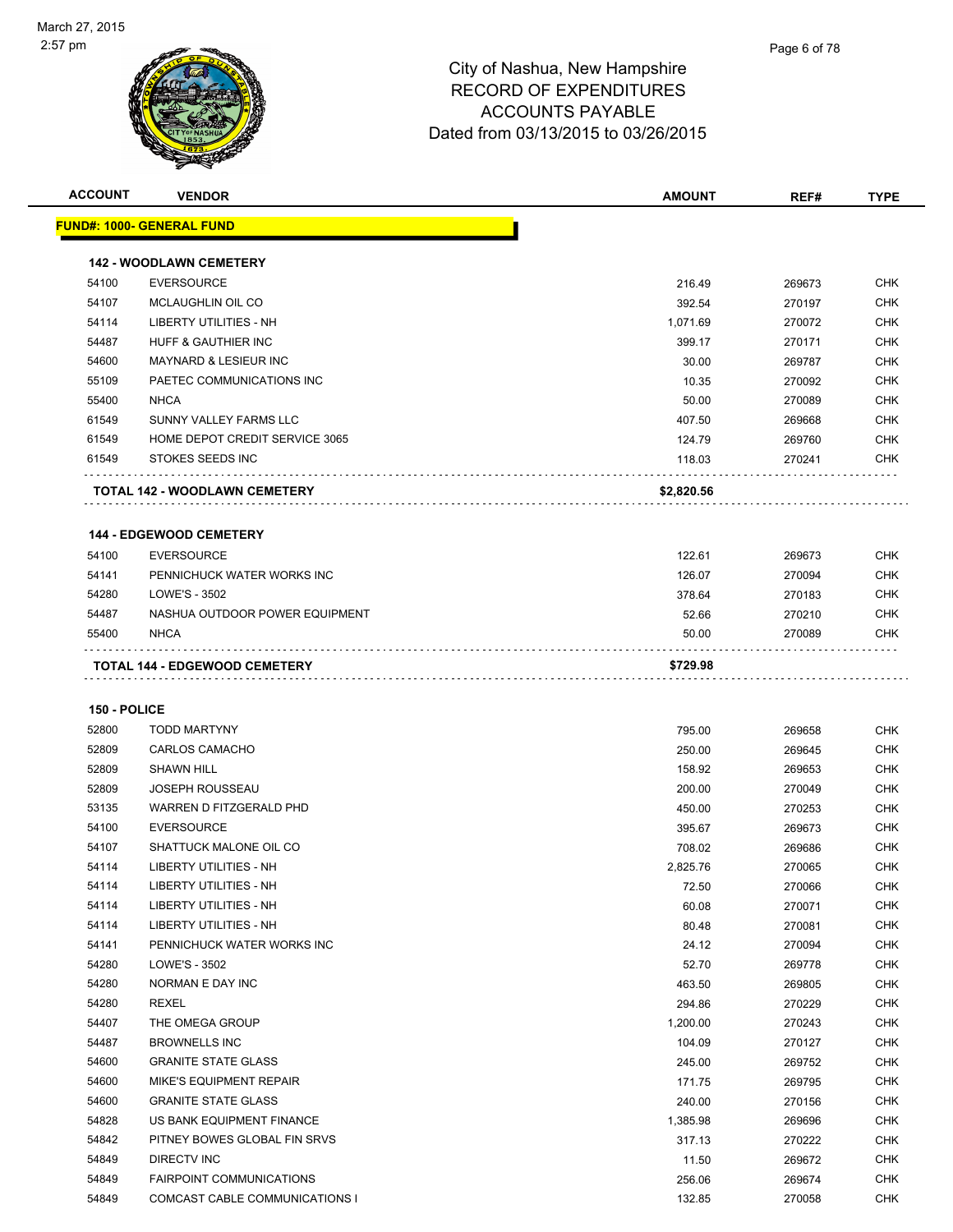

**ACCOUNT VENDOR AMOUNT REF# TYPE**

| 54100          |                                                |                 |                  |                   |
|----------------|------------------------------------------------|-----------------|------------------|-------------------|
|                | <b>142 - WOODLAWN CEMETERY</b>                 |                 |                  |                   |
|                | <b>EVERSOURCE</b>                              | 216.49          | 269673           | <b>CHK</b>        |
| 54107          | MCLAUGHLIN OIL CO                              | 392.54          | 270197           | <b>CHK</b>        |
| 54114          | LIBERTY UTILITIES - NH                         | 1,071.69        | 270072           | CHK               |
| 54487          | HUFF & GAUTHIER INC                            | 399.17          | 270171           | <b>CHK</b>        |
| 54600          | <b>MAYNARD &amp; LESIEUR INC</b>               | 30.00           | 269787           | <b>CHK</b>        |
| 55109          | PAETEC COMMUNICATIONS INC                      | 10.35           | 270092           | CHK               |
| 55400          | <b>NHCA</b>                                    | 50.00           | 270089           | <b>CHK</b>        |
| 61549          | SUNNY VALLEY FARMS LLC                         | 407.50          | 269668           | <b>CHK</b>        |
| 61549          | HOME DEPOT CREDIT SERVICE 3065                 | 124.79          | 269760           | CHK               |
| 61549          | STOKES SEEDS INC<br>.                          | 118.03          | 270241           | CHK               |
|                | TOTAL 142 - WOODLAWN CEMETERY                  | \$2,820.56      |                  |                   |
|                | <b>144 - EDGEWOOD CEMETERY</b>                 |                 |                  |                   |
| 54100          | <b>EVERSOURCE</b>                              | 122.61          | 269673           | CHK               |
| 54141          | PENNICHUCK WATER WORKS INC                     | 126.07          | 270094           | <b>CHK</b>        |
| 54280          | LOWE'S - 3502                                  | 378.64          | 270183           | <b>CHK</b>        |
| 54487          | NASHUA OUTDOOR POWER EQUIPMENT                 | 52.66           | 270210           | CHK               |
| 55400          | <b>NHCA</b>                                    | 50.00           | 270089           | CHK               |
|                | TOTAL 144 - EDGEWOOD CEMETERY                  | \$729.98        |                  |                   |
| 150 - POLICE   |                                                |                 |                  |                   |
| 52800          | <b>TODD MARTYNY</b>                            | 795.00          | 269658           | <b>CHK</b>        |
| 52809          | <b>CARLOS CAMACHO</b>                          | 250.00          | 269645           | <b>CHK</b>        |
| 52809          | <b>SHAWN HILL</b>                              | 158.92          | 269653           | <b>CHK</b>        |
| 52809          | <b>JOSEPH ROUSSEAU</b>                         | 200.00          | 270049           | <b>CHK</b>        |
| 53135          | WARREN D FITZGERALD PHD                        | 450.00          | 270253           | <b>CHK</b>        |
| 54100          | <b>EVERSOURCE</b>                              | 395.67          | 269673           | <b>CHK</b>        |
| 54107          | SHATTUCK MALONE OIL CO                         | 708.02          | 269686           | CHK               |
| 54114          | LIBERTY UTILITIES - NH                         | 2,825.76        | 270065           | CHK               |
| 54114          | <b>LIBERTY UTILITIES - NH</b>                  | 72.50           | 270066           | CHK               |
| 54114          | LIBERTY UTILITIES - NH                         | 60.08           | 270071           | <b>CHK</b>        |
| 54114          | LIBERTY UTILITIES - NH                         | 80.48           | 270081           | <b>CHK</b>        |
| 54141          | PENNICHUCK WATER WORKS INC                     | 24.12           | 270094           | <b>CHK</b>        |
| 54280          | LOWE'S - 3502                                  | 52.70           | 269778           | <b>CHK</b>        |
| 54280          | NORMAN E DAY INC                               | 463.50          | 269805           | <b>CHK</b>        |
| 54280          | <b>REXEL</b>                                   | 294.86          | 270229           | <b>CHK</b>        |
| 54407          | THE OMEGA GROUP                                | 1,200.00        | 270243           | <b>CHK</b>        |
| 54487          | <b>BROWNELLS INC</b>                           | 104.09          | 270127           | <b>CHK</b>        |
| 54600          | <b>GRANITE STATE GLASS</b>                     | 245.00          | 269752           | <b>CHK</b>        |
| 54600          | <b>MIKE'S EQUIPMENT REPAIR</b>                 | 171.75          | 269795           | <b>CHK</b>        |
| 54600          | <b>GRANITE STATE GLASS</b>                     | 240.00          | 270156           | <b>CHK</b>        |
| 54828          | US BANK EQUIPMENT FINANCE                      | 1,385.98        | 269696           | <b>CHK</b>        |
|                | PITNEY BOWES GLOBAL FIN SRVS                   | 317.13          |                  | <b>CHK</b>        |
|                |                                                |                 | 270222           |                   |
| 54842          |                                                |                 |                  |                   |
| 54849<br>54849 | DIRECTV INC<br><b>FAIRPOINT COMMUNICATIONS</b> | 11.50<br>256.06 | 269672<br>269674 | CHK<br><b>CHK</b> |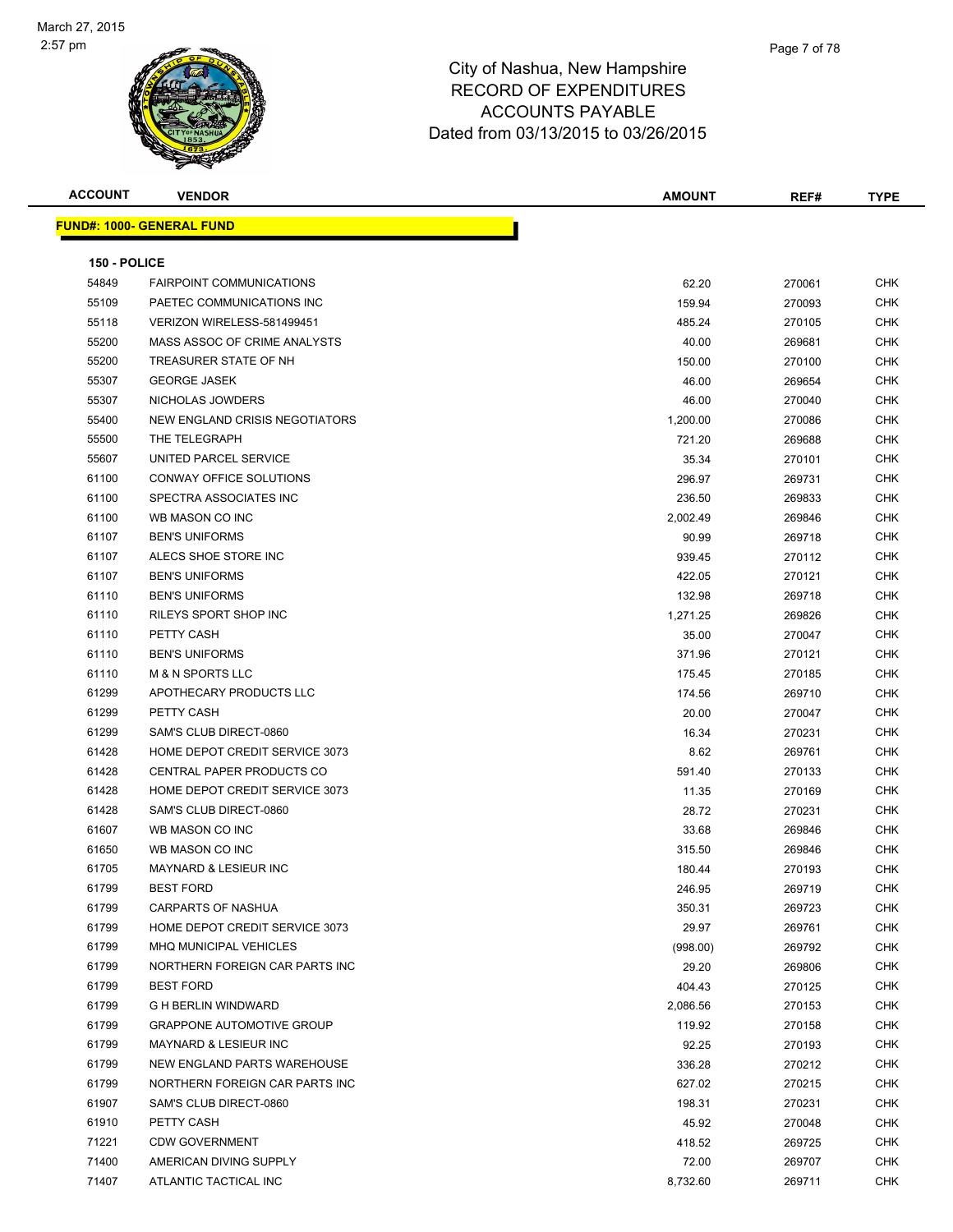

| <b>ACCOUNT</b> | <b>VENDOR</b>                     | <b>AMOUNT</b> | REF#   | <b>TYPE</b> |
|----------------|-----------------------------------|---------------|--------|-------------|
|                | <u> FUND#: 1000- GENERAL FUND</u> |               |        |             |
|                |                                   |               |        |             |
| 150 - POLICE   |                                   |               |        |             |
| 54849          | <b>FAIRPOINT COMMUNICATIONS</b>   | 62.20         | 270061 | <b>CHK</b>  |
| 55109          | PAETEC COMMUNICATIONS INC         | 159.94        | 270093 | CHK         |
| 55118          | VERIZON WIRELESS-581499451        | 485.24        | 270105 | CHK         |
| 55200          | MASS ASSOC OF CRIME ANALYSTS      | 40.00         | 269681 | CHK         |
| 55200          | TREASURER STATE OF NH             | 150.00        | 270100 | CHK         |
| 55307          | <b>GEORGE JASEK</b>               | 46.00         | 269654 | CHK         |
| 55307          | NICHOLAS JOWDERS                  | 46.00         | 270040 | CHK         |
| 55400          | NEW ENGLAND CRISIS NEGOTIATORS    | 1,200.00      | 270086 | CHK         |
| 55500          | THE TELEGRAPH                     | 721.20        | 269688 | CHK         |
| 55607          | UNITED PARCEL SERVICE             | 35.34         | 270101 | CHK         |
| 61100          | CONWAY OFFICE SOLUTIONS           | 296.97        | 269731 | <b>CHK</b>  |
| 61100          | SPECTRA ASSOCIATES INC            | 236.50        | 269833 | CHK         |
| 61100          | WB MASON CO INC                   | 2,002.49      | 269846 | CHK         |
| 61107          | <b>BEN'S UNIFORMS</b>             | 90.99         | 269718 | CHK         |
| 61107          | ALECS SHOE STORE INC              | 939.45        | 270112 | CHK         |
| 61107          | <b>BEN'S UNIFORMS</b>             | 422.05        | 270121 | CHK         |
| 61110          | <b>BEN'S UNIFORMS</b>             | 132.98        | 269718 | CHK         |
| 61110          | RILEYS SPORT SHOP INC             | 1,271.25      | 269826 | CHK         |
| 61110          | PETTY CASH                        | 35.00         | 270047 | CHK         |
| 61110          | <b>BEN'S UNIFORMS</b>             | 371.96        | 270121 | CHK         |
| 61110          | <b>M &amp; N SPORTS LLC</b>       | 175.45        | 270185 | CHK         |
| 61299          | APOTHECARY PRODUCTS LLC           | 174.56        | 269710 | CHK         |
| 61299          | PETTY CASH                        | 20.00         | 270047 | CHK         |
| 61299          | SAM'S CLUB DIRECT-0860            | 16.34         | 270231 | CHK         |
| 61428          | HOME DEPOT CREDIT SERVICE 3073    | 8.62          | 269761 | CHK         |
| 61428          | CENTRAL PAPER PRODUCTS CO         | 591.40        | 270133 | CHK         |
| 61428          | HOME DEPOT CREDIT SERVICE 3073    | 11.35         | 270169 | CHK         |
| 61428          | SAM'S CLUB DIRECT-0860            | 28.72         | 270231 | CHK         |
| 61607          | WB MASON CO INC                   | 33.68         | 269846 | CHK         |
| 61650          | WB MASON CO INC                   | 315.50        | 269846 | CHK         |
| 61705          | <b>MAYNARD &amp; LESIEUR INC</b>  | 180.44        | 270193 | CHK         |
| 61799          | <b>BEST FORD</b>                  | 246.95        | 269719 | <b>CHK</b>  |
| 61799          | CARPARTS OF NASHUA                | 350.31        | 269723 | <b>CHK</b>  |
| 61799          | HOME DEPOT CREDIT SERVICE 3073    | 29.97         | 269761 | <b>CHK</b>  |
| 61799          | MHQ MUNICIPAL VEHICLES            | (998.00)      | 269792 | CHK         |
| 61799          | NORTHERN FOREIGN CAR PARTS INC    | 29.20         | 269806 | <b>CHK</b>  |
| 61799          | <b>BEST FORD</b>                  | 404.43        | 270125 | CHK         |
| 61799          | <b>G H BERLIN WINDWARD</b>        | 2,086.56      | 270153 | <b>CHK</b>  |
| 61799          | <b>GRAPPONE AUTOMOTIVE GROUP</b>  | 119.92        | 270158 | <b>CHK</b>  |
| 61799          | <b>MAYNARD &amp; LESIEUR INC</b>  | 92.25         | 270193 | <b>CHK</b>  |
| 61799          | NEW ENGLAND PARTS WAREHOUSE       | 336.28        | 270212 | CHK         |
| 61799          | NORTHERN FOREIGN CAR PARTS INC    | 627.02        | 270215 | <b>CHK</b>  |
| 61907          | SAM'S CLUB DIRECT-0860            | 198.31        | 270231 | CHK         |
| 61910          | PETTY CASH                        | 45.92         | 270048 | <b>CHK</b>  |
| 71221          | <b>CDW GOVERNMENT</b>             | 418.52        | 269725 | <b>CHK</b>  |
| 71400          | AMERICAN DIVING SUPPLY            | 72.00         | 269707 | CHK         |
| 71407          | ATLANTIC TACTICAL INC             | 8,732.60      | 269711 | <b>CHK</b>  |
|                |                                   |               |        |             |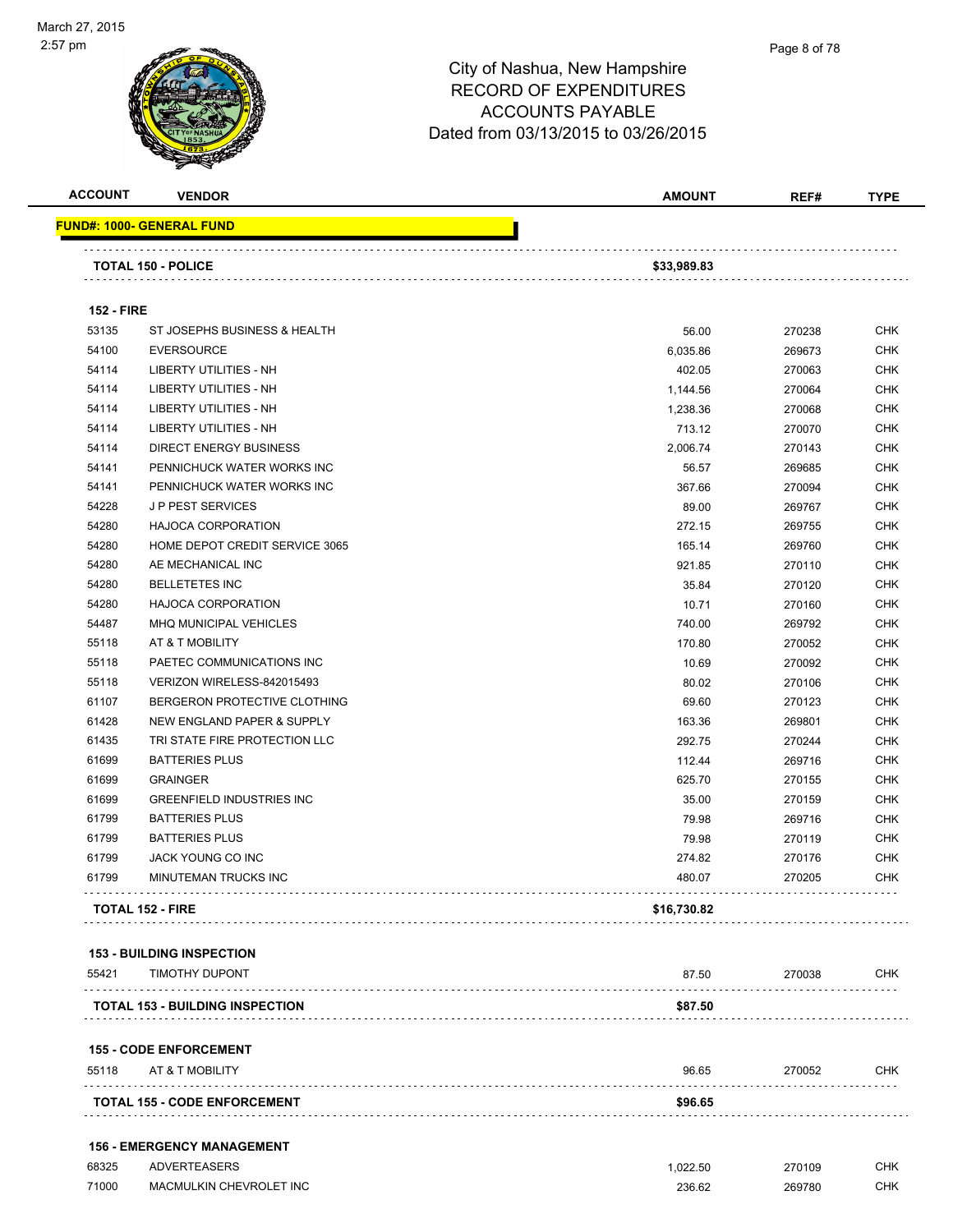

| <b>ACCOUNT</b>    | <b>VENDOR</b>                                             | <b>AMOUNT</b> | REF#   | <b>TYPE</b> |
|-------------------|-----------------------------------------------------------|---------------|--------|-------------|
|                   | <b>FUND#: 1000- GENERAL FUND</b>                          |               |        |             |
|                   | <b>TOTAL 150 - POLICE</b>                                 | \$33,989.83   |        |             |
| <b>152 - FIRE</b> |                                                           |               |        |             |
| 53135             | ST JOSEPHS BUSINESS & HEALTH                              | 56.00         | 270238 | <b>CHK</b>  |
| 54100             | <b>EVERSOURCE</b>                                         | 6,035.86      | 269673 | CHK         |
| 54114             | LIBERTY UTILITIES - NH                                    | 402.05        | 270063 | CHK         |
| 54114             | LIBERTY UTILITIES - NH                                    | 1,144.56      | 270064 | <b>CHK</b>  |
| 54114             | <b>LIBERTY UTILITIES - NH</b>                             | 1,238.36      | 270068 | CHK         |
| 54114             | LIBERTY UTILITIES - NH                                    | 713.12        | 270070 | <b>CHK</b>  |
| 54114             | <b>DIRECT ENERGY BUSINESS</b>                             | 2,006.74      | 270143 | <b>CHK</b>  |
| 54141             | PENNICHUCK WATER WORKS INC                                | 56.57         | 269685 | <b>CHK</b>  |
| 54141             | PENNICHUCK WATER WORKS INC                                | 367.66        | 270094 | <b>CHK</b>  |
| 54228             | J P PEST SERVICES                                         | 89.00         | 269767 | CHK         |
| 54280             | <b>HAJOCA CORPORATION</b>                                 | 272.15        | 269755 | <b>CHK</b>  |
| 54280             | HOME DEPOT CREDIT SERVICE 3065                            | 165.14        | 269760 | <b>CHK</b>  |
| 54280             | AE MECHANICAL INC                                         | 921.85        | 270110 | CHK         |
| 54280             | <b>BELLETETES INC</b>                                     | 35.84         | 270120 | CHK         |
| 54280             | <b>HAJOCA CORPORATION</b>                                 | 10.71         | 270160 | <b>CHK</b>  |
| 54487             | MHQ MUNICIPAL VEHICLES                                    | 740.00        | 269792 | CHK         |
| 55118             | AT & T MOBILITY                                           | 170.80        | 270052 | <b>CHK</b>  |
| 55118             | PAETEC COMMUNICATIONS INC                                 | 10.69         | 270092 | CHK         |
| 55118             | VERIZON WIRELESS-842015493                                | 80.02         | 270106 | CHK         |
| 61107             | BERGERON PROTECTIVE CLOTHING                              | 69.60         | 270123 | <b>CHK</b>  |
| 61428             | NEW ENGLAND PAPER & SUPPLY                                | 163.36        | 269801 | CHK         |
| 61435             | TRI STATE FIRE PROTECTION LLC                             | 292.75        | 270244 | CHK         |
| 61699             | <b>BATTERIES PLUS</b>                                     | 112.44        | 269716 | CHK         |
| 61699             | <b>GRAINGER</b>                                           | 625.70        | 270155 | CHK         |
| 61699             | <b>GREENFIELD INDUSTRIES INC</b>                          | 35.00         | 270159 | CHK         |
| 61799             | <b>BATTERIES PLUS</b>                                     | 79.98         | 269716 | <b>CHK</b>  |
| 61799             | <b>BATTERIES PLUS</b>                                     | 79.98         | 270119 | <b>CHK</b>  |
| 61799             | <b>JACK YOUNG CO INC</b>                                  | 274.82        | 270176 | <b>CHK</b>  |
| 61799             | MINUTEMAN TRUCKS INC                                      | 480.07        | 270205 | CHK         |
|                   | <b>TOTAL 152 - FIRE</b>                                   | \$16,730.82   |        |             |
|                   |                                                           |               |        |             |
| 55421             | <b>153 - BUILDING INSPECTION</b><br><b>TIMOTHY DUPONT</b> | 87.50         | 270038 | <b>CHK</b>  |
|                   | <b>TOTAL 153 - BUILDING INSPECTION</b>                    | \$87.50       |        |             |
|                   |                                                           |               |        |             |
| 55118             | <b>155 - CODE ENFORCEMENT</b><br>AT & T MOBILITY          | 96.65         | 270052 | CHK         |
|                   |                                                           |               |        |             |
|                   | <b>TOTAL 155 - CODE ENFORCEMENT</b>                       | \$96.65       |        |             |

#### **156 - EMERGENCY MANAGEMENT**

| 68325 | <b>ADVERTEASERS</b>     | .022.50 | 270109 | CHK        |
|-------|-------------------------|---------|--------|------------|
| 71000 | MACMULKIN CHEVROLET INC | 236.62  | 269780 | <b>CHK</b> |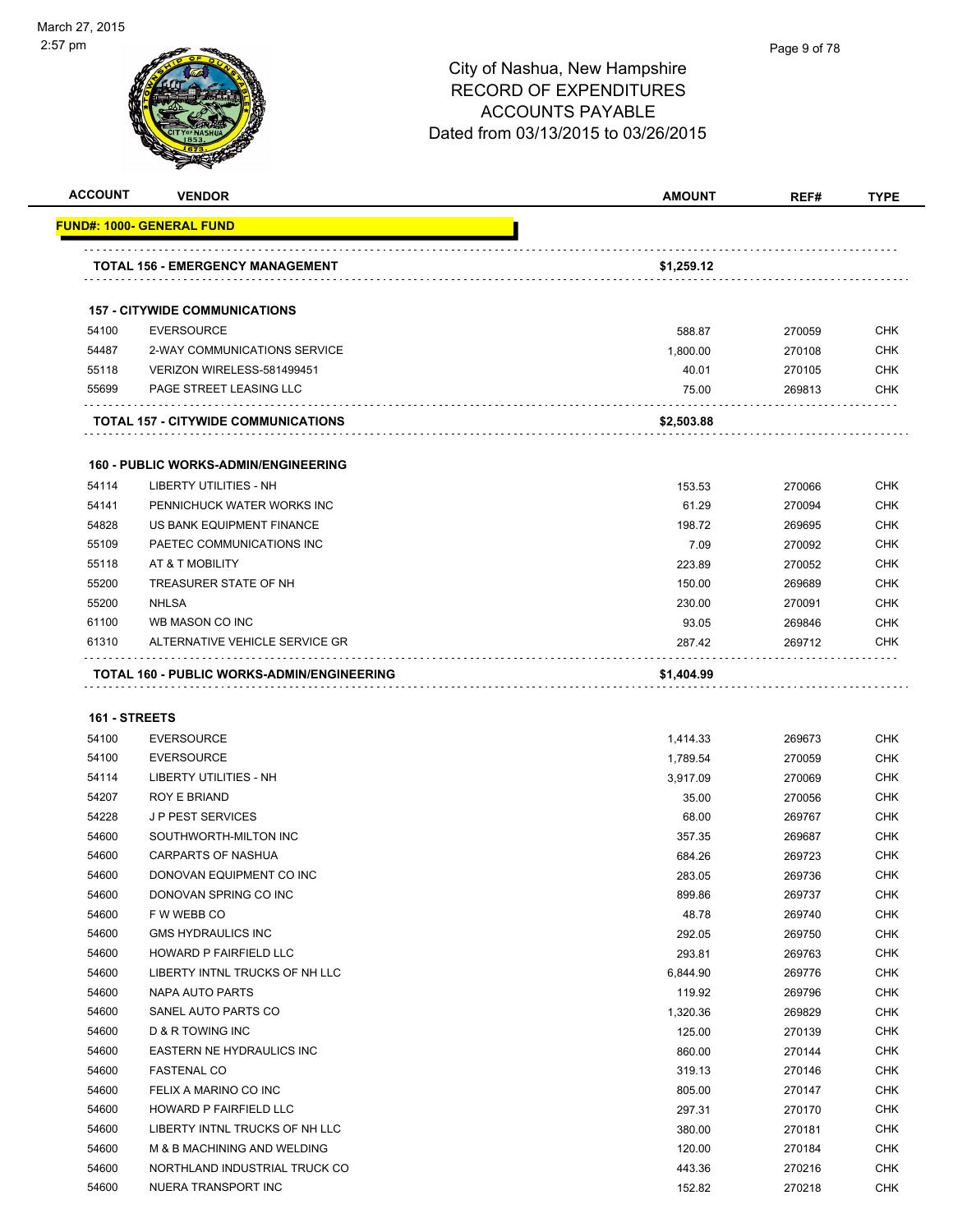

| <b>ACCOUNT</b> | <b>VENDOR</b>                               | <b>AMOUNT</b> | REF#   | <b>TYPE</b> |
|----------------|---------------------------------------------|---------------|--------|-------------|
|                | FUND#: 1000- GENERAL FUND                   |               |        |             |
|                | TOTAL 156 - EMERGENCY MANAGEMENT            | \$1,259.12    |        |             |
|                | <b>157 - CITYWIDE COMMUNICATIONS</b>        |               |        |             |
| 54100          | <b>EVERSOURCE</b>                           | 588.87        | 270059 | CHK         |
| 54487          | 2-WAY COMMUNICATIONS SERVICE                | 1,800.00      | 270108 | <b>CHK</b>  |
| 55118          | VERIZON WIRELESS-581499451                  | 40.01         | 270105 | <b>CHK</b>  |
| 55699          | <b>PAGE STREET LEASING LLC</b>              | 75.00         | 269813 | <b>CHK</b>  |
|                | TOTAL 157 - CITYWIDE COMMUNICATIONS         | \$2,503.88    |        |             |
|                | <b>160 - PUBLIC WORKS-ADMIN/ENGINEERING</b> |               |        |             |
| 54114          | <b>LIBERTY UTILITIES - NH</b>               | 153.53        | 270066 | <b>CHK</b>  |
| 54141          | PENNICHUCK WATER WORKS INC                  | 61.29         | 270094 | <b>CHK</b>  |
| 54828          | US BANK EQUIPMENT FINANCE                   | 198.72        | 269695 | CHK         |
| 55109          | PAETEC COMMUNICATIONS INC                   | 7.09          | 270092 | <b>CHK</b>  |
| 55118          | AT & T MOBILITY                             | 223.89        | 270052 | CHK         |
| 55200          | TREASURER STATE OF NH                       | 150.00        | 269689 | CHK         |
| 55200          | <b>NHLSA</b>                                | 230.00        | 270091 | <b>CHK</b>  |
| 61100          | WB MASON CO INC                             | 93.05         | 269846 | CHK         |
| 61310          | ALTERNATIVE VEHICLE SERVICE GR              | 287.42        | 269712 | <b>CHK</b>  |
| 161 - STREETS  |                                             |               |        |             |
| 54100          | <b>EVERSOURCE</b>                           | 1,414.33      | 269673 | <b>CHK</b>  |
| 54100          | <b>EVERSOURCE</b>                           | 1,789.54      | 270059 | CHK         |
| 54114          | LIBERTY UTILITIES - NH                      | 3,917.09      | 270069 | CHK         |
| 54207          | ROY E BRIAND                                | 35.00         | 270056 | <b>CHK</b>  |
| 54228          | <b>JP PEST SERVICES</b>                     | 68.00         | 269767 | CHK         |
| 54600          | SOUTHWORTH-MILTON INC                       | 357.35        | 269687 | <b>CHK</b>  |
| 54600          | CARPARTS OF NASHUA                          | 684.26        | 269723 | CHK         |
| 54600          | DONOVAN EQUIPMENT CO INC                    | 283.05        | 269736 | <b>CHK</b>  |
| 54600          | DONOVAN SPRING CO INC                       | 899.86        | 269737 | <b>CHK</b>  |
| 54600          | F W WEBB CO                                 | 48.78         | 269740 | CHK         |
| 54600          | <b>GMS HYDRAULICS INC</b>                   | 292.05        | 269750 | <b>CHK</b>  |
| 54600          | HOWARD P FAIRFIELD LLC                      | 293.81        | 269763 | <b>CHK</b>  |
| 54600          | LIBERTY INTNL TRUCKS OF NH LLC              | 6,844.90      | 269776 | CHK         |
| 54600          | <b>NAPA AUTO PARTS</b>                      | 119.92        | 269796 | CHK         |
| 54600          | SANEL AUTO PARTS CO                         | 1,320.36      | 269829 | <b>CHK</b>  |
| 54600          | D & R TOWING INC                            | 125.00        | 270139 | <b>CHK</b>  |
| 54600          | EASTERN NE HYDRAULICS INC                   | 860.00        | 270144 | <b>CHK</b>  |
| 54600          | <b>FASTENAL CO</b>                          | 319.13        | 270146 | <b>CHK</b>  |
| 54600          | FELIX A MARINO CO INC                       | 805.00        | 270147 | <b>CHK</b>  |
| 54600          | HOWARD P FAIRFIELD LLC                      | 297.31        | 270170 | <b>CHK</b>  |
| 54600          | LIBERTY INTNL TRUCKS OF NH LLC              | 380.00        | 270181 | <b>CHK</b>  |
| 54600          | M & B MACHINING AND WELDING                 | 120.00        | 270184 | <b>CHK</b>  |
| 54600          | NORTHLAND INDUSTRIAL TRUCK CO               | 443.36        | 270216 | <b>CHK</b>  |
| 54600          | NUERA TRANSPORT INC                         | 152.82        | 270218 | <b>CHK</b>  |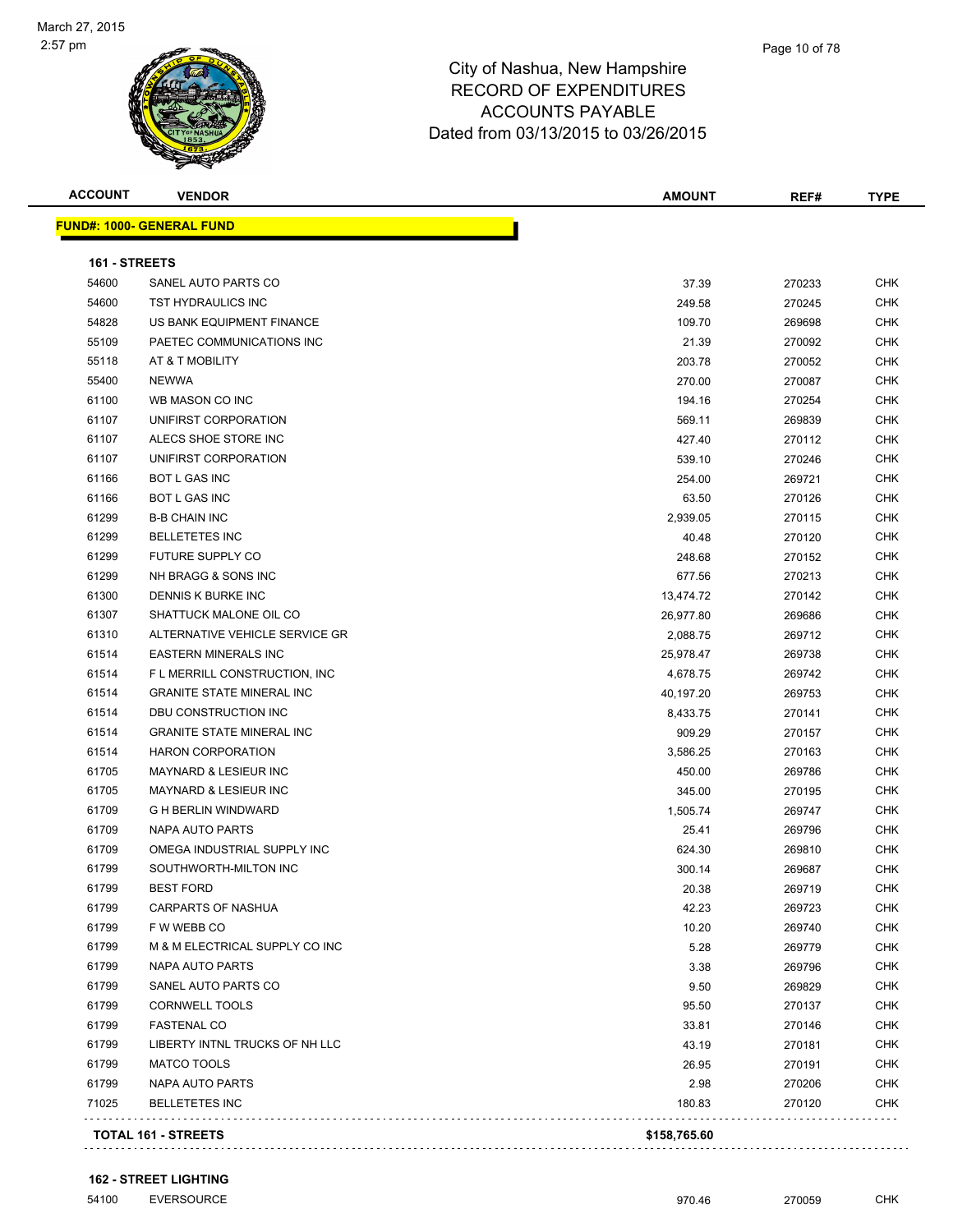#### Page 10 of 78

| <b>ACCOUNT</b> | <b>VENDOR</b>                    | <b>AMOUNT</b> | REF#   | <b>TYPE</b> |
|----------------|----------------------------------|---------------|--------|-------------|
|                | <b>FUND#: 1000- GENERAL FUND</b> |               |        |             |
|                |                                  |               |        |             |
| 161 - STREETS  |                                  |               |        |             |
| 54600          | SANEL AUTO PARTS CO              | 37.39         | 270233 | <b>CHK</b>  |
| 54600          | TST HYDRAULICS INC               | 249.58        | 270245 | <b>CHK</b>  |
| 54828          | US BANK EQUIPMENT FINANCE        | 109.70        | 269698 | <b>CHK</b>  |
| 55109          | PAETEC COMMUNICATIONS INC        | 21.39         | 270092 | <b>CHK</b>  |
| 55118          | AT & T MOBILITY                  | 203.78        | 270052 | <b>CHK</b>  |
| 55400          | <b>NEWWA</b>                     | 270.00        | 270087 | <b>CHK</b>  |
| 61100          | WB MASON CO INC                  | 194.16        | 270254 | <b>CHK</b>  |
| 61107          | UNIFIRST CORPORATION             | 569.11        | 269839 | <b>CHK</b>  |
| 61107          | ALECS SHOE STORE INC             | 427.40        | 270112 | <b>CHK</b>  |
| 61107          | UNIFIRST CORPORATION             | 539.10        | 270246 | <b>CHK</b>  |
| 61166          | BOT L GAS INC                    | 254.00        | 269721 | <b>CHK</b>  |
| 61166          | BOT L GAS INC                    | 63.50         | 270126 | <b>CHK</b>  |
| 61299          | <b>B-B CHAIN INC</b>             | 2,939.05      | 270115 | <b>CHK</b>  |
| 61299          | <b>BELLETETES INC</b>            | 40.48         | 270120 | <b>CHK</b>  |
| 61299          | FUTURE SUPPLY CO                 | 248.68        | 270152 | <b>CHK</b>  |
| 61299          | NH BRAGG & SONS INC              | 677.56        | 270213 | <b>CHK</b>  |
| 61300          | DENNIS K BURKE INC               | 13,474.72     | 270142 | <b>CHK</b>  |
| 61307          | SHATTUCK MALONE OIL CO           | 26,977.80     | 269686 | <b>CHK</b>  |
| 61310          | ALTERNATIVE VEHICLE SERVICE GR   | 2,088.75      | 269712 | <b>CHK</b>  |
| 61514          | <b>EASTERN MINERALS INC</b>      | 25,978.47     | 269738 | <b>CHK</b>  |
| 61514          | F L MERRILL CONSTRUCTION, INC    | 4,678.75      | 269742 | <b>CHK</b>  |
| 61514          | <b>GRANITE STATE MINERAL INC</b> | 40,197.20     | 269753 | <b>CHK</b>  |
| 61514          | DBU CONSTRUCTION INC             | 8,433.75      | 270141 | <b>CHK</b>  |
| 61514          | <b>GRANITE STATE MINERAL INC</b> | 909.29        | 270157 | <b>CHK</b>  |
| 61514          | <b>HARON CORPORATION</b>         | 3,586.25      | 270163 | <b>CHK</b>  |
| 61705          | <b>MAYNARD &amp; LESIEUR INC</b> | 450.00        | 269786 | <b>CHK</b>  |
| 61705          | <b>MAYNARD &amp; LESIEUR INC</b> | 345.00        | 270195 | <b>CHK</b>  |
| 61709          | <b>G H BERLIN WINDWARD</b>       | 1,505.74      | 269747 | <b>CHK</b>  |
| 61709          | <b>NAPA AUTO PARTS</b>           | 25.41         | 269796 | <b>CHK</b>  |
| 61709          | OMEGA INDUSTRIAL SUPPLY INC      | 624.30        | 269810 | CHK         |
| 61799          | SOUTHWORTH-MILTON INC            | 300.14        | 269687 | <b>CHK</b>  |
| 61799          | <b>BEST FORD</b>                 | 20.38         | 269719 | <b>CHK</b>  |
| 61799          | <b>CARPARTS OF NASHUA</b>        | 42.23         | 269723 | <b>CHK</b>  |
| 61799          | F W WEBB CO                      | 10.20         | 269740 | <b>CHK</b>  |
| 61799          | M & M ELECTRICAL SUPPLY CO INC   | 5.28          | 269779 | <b>CHK</b>  |
| 61799          | <b>NAPA AUTO PARTS</b>           | 3.38          | 269796 | <b>CHK</b>  |
| 61799          | SANEL AUTO PARTS CO              | 9.50          | 269829 | <b>CHK</b>  |
| 61799          | <b>CORNWELL TOOLS</b>            | 95.50         | 270137 | <b>CHK</b>  |
| 61799          | <b>FASTENAL CO</b>               | 33.81         | 270146 | <b>CHK</b>  |
| 61799          | LIBERTY INTNL TRUCKS OF NH LLC   | 43.19         | 270181 | <b>CHK</b>  |
| 61799          | <b>MATCO TOOLS</b>               | 26.95         | 270191 | <b>CHK</b>  |
| 61799          | <b>NAPA AUTO PARTS</b>           | 2.98          | 270206 | <b>CHK</b>  |
| 71025          | <b>BELLETETES INC</b>            | 180.83        | 270120 | <b>CHK</b>  |
|                | <b>TOTAL 161 - STREETS</b>       | \$158,765.60  |        |             |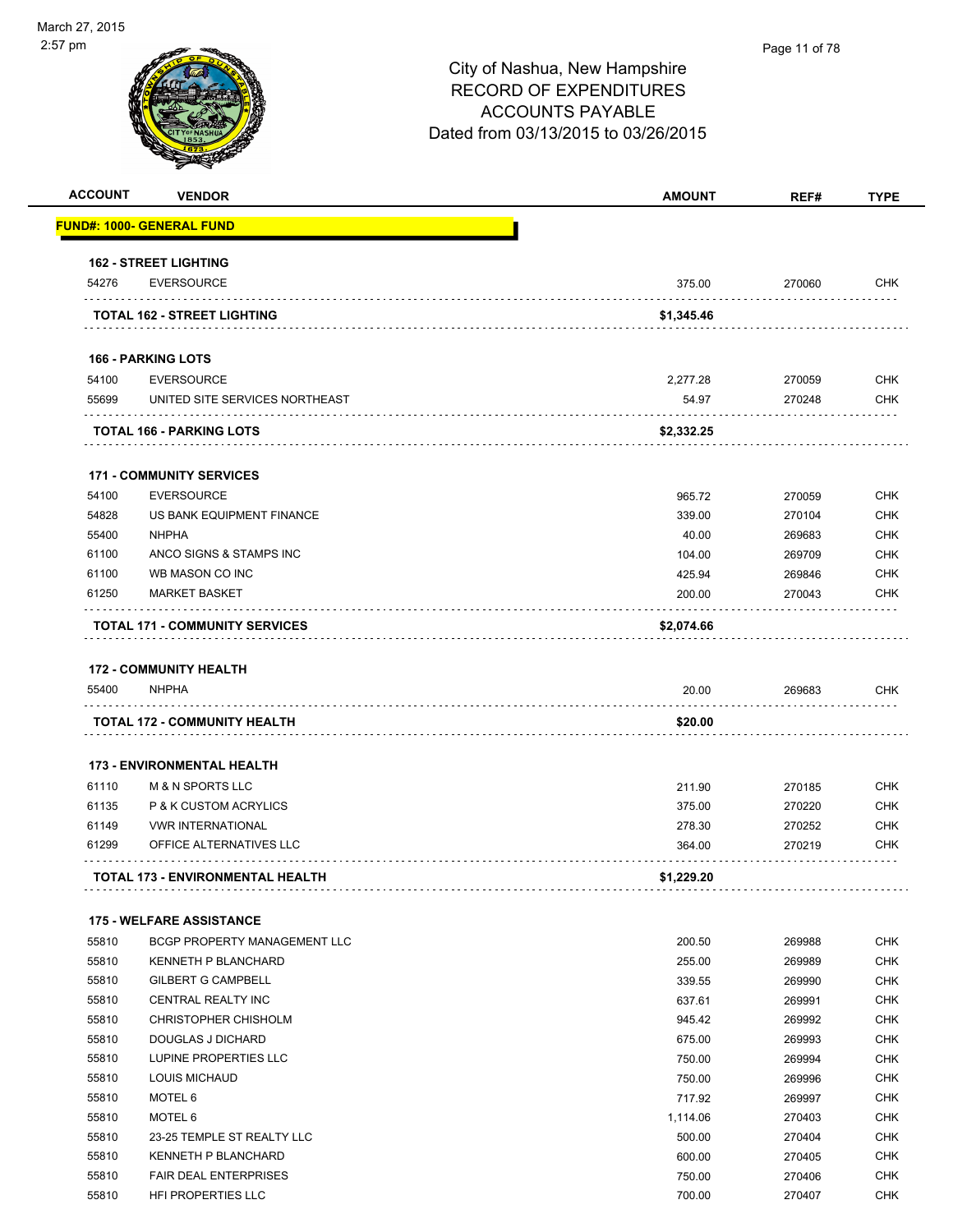

#### Page 11 of 78

| <b>ACCOUNT</b> | <b>VENDOR</b>                                       | <b>AMOUNT</b>     | REF#             | <b>TYPE</b>              |
|----------------|-----------------------------------------------------|-------------------|------------------|--------------------------|
|                | <u> FUND#: 1000- GENERAL FUND</u>                   |                   |                  |                          |
|                | <b>162 - STREET LIGHTING</b>                        |                   |                  |                          |
| 54276          | <b>EVERSOURCE</b>                                   | 375.00            | 270060           | CHK                      |
|                | <b>TOTAL 162 - STREET LIGHTING</b>                  | \$1,345.46        |                  |                          |
|                | <b>166 - PARKING LOTS</b>                           |                   |                  |                          |
|                |                                                     |                   |                  |                          |
| 54100<br>55699 | <b>EVERSOURCE</b><br>UNITED SITE SERVICES NORTHEAST | 2,277.28<br>54.97 | 270059<br>270248 | <b>CHK</b><br><b>CHK</b> |
|                | TOTAL 166 - PARKING LOTS                            | \$2,332.25        |                  |                          |
|                | <b>171 - COMMUNITY SERVICES</b>                     |                   |                  |                          |
| 54100          | <b>EVERSOURCE</b>                                   | 965.72            | 270059           | <b>CHK</b>               |
| 54828          | US BANK EQUIPMENT FINANCE                           | 339.00            | 270104           | <b>CHK</b>               |
| 55400          | <b>NHPHA</b>                                        | 40.00             | 269683           | <b>CHK</b>               |
| 61100          | ANCO SIGNS & STAMPS INC                             | 104.00            | 269709           | <b>CHK</b>               |
| 61100          | WB MASON CO INC                                     | 425.94            | 269846           | <b>CHK</b>               |
| 61250          | <b>MARKET BASKET</b>                                | 200.00            | 270043           | <b>CHK</b>               |
|                | <b>TOTAL 171 - COMMUNITY SERVICES</b>               | \$2,074.66        |                  |                          |
|                | <b>172 - COMMUNITY HEALTH</b>                       |                   |                  |                          |
| 55400          | <b>NHPHA</b>                                        | 20.00             | 269683           | CHK                      |
|                | TOTAL 172 - COMMUNITY HEALTH                        | \$20.00           |                  |                          |
|                |                                                     |                   |                  |                          |
|                | <b>173 - ENVIRONMENTAL HEALTH</b>                   |                   |                  |                          |
| 61110          | <b>M &amp; N SPORTS LLC</b>                         | 211.90            | 270185           | <b>CHK</b>               |
| 61135          | P & K CUSTOM ACRYLICS                               | 375.00            | 270220           | <b>CHK</b>               |
| 61149          | <b>VWR INTERNATIONAL</b>                            | 278.30            | 270252           | <b>CHK</b>               |
| 61299          | OFFICE ALTERNATIVES LLC                             | 364.00            | 270219           | <b>CHK</b>               |
|                | <b>TOTAL 173 - ENVIRONMENTAL HEALTH</b>             | \$1,229.20        |                  |                          |
|                | <b>175 - WELFARE ASSISTANCE</b>                     |                   |                  |                          |
| 55810          | BCGP PROPERTY MANAGEMENT LLC                        | 200.50            | 269988           | <b>CHK</b>               |
| 55810          | KENNETH P BLANCHARD                                 | 255.00            | 269989           | <b>CHK</b>               |
| 55810          | <b>GILBERT G CAMPBELL</b>                           | 339.55            | 269990           | <b>CHK</b>               |
| 55810          | CENTRAL REALTY INC                                  | 637.61            | 269991           | <b>CHK</b>               |
| 55810          | CHRISTOPHER CHISHOLM                                | 945.42            | 269992           | <b>CHK</b>               |
| 55810          | DOUGLAS J DICHARD                                   | 675.00            | 269993           | <b>CHK</b>               |
| 55810          | LUPINE PROPERTIES LLC                               | 750.00            | 269994           | <b>CHK</b>               |
| 55810          | <b>LOUIS MICHAUD</b>                                | 750.00            | 269996           | CHK                      |
| 55810          | MOTEL 6                                             | 717.92            | 269997           | <b>CHK</b>               |
| 55810          | MOTEL 6                                             | 1,114.06          | 270403           | <b>CHK</b>               |
| 55810          | 23-25 TEMPLE ST REALTY LLC                          | 500.00            | 270404           | <b>CHK</b>               |
| 55810          | KENNETH P BLANCHARD                                 | 600.00            | 270405           | <b>CHK</b>               |
| 55810          | <b>FAIR DEAL ENTERPRISES</b>                        | 750.00            | 270406           | <b>CHK</b>               |
| 55810          | HFI PROPERTIES LLC                                  | 700.00            | 270407           | <b>CHK</b>               |
|                |                                                     |                   |                  |                          |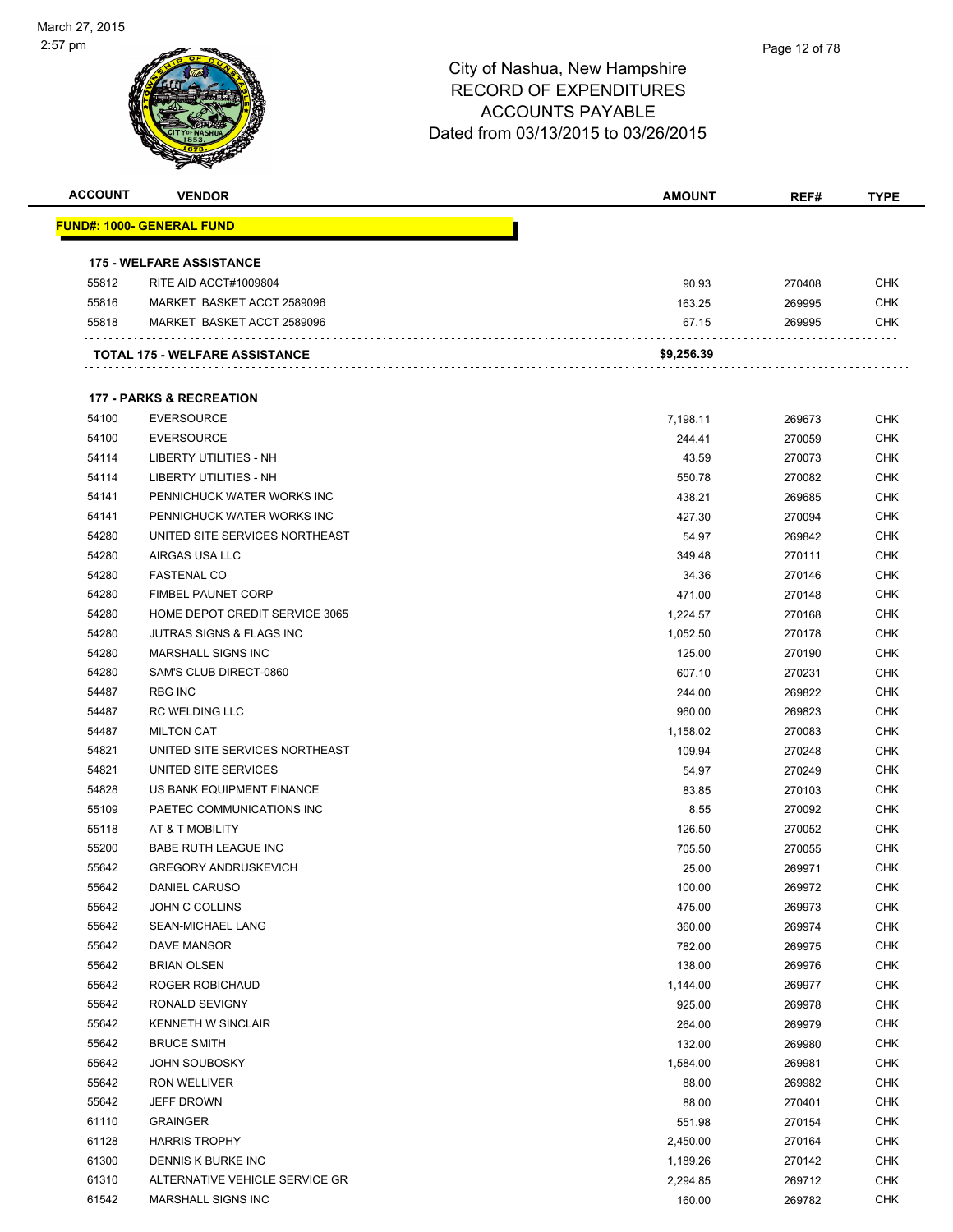| <b>ACCOUNT</b> | <b>VENDOR</b>                                       | <b>AMOUNT</b> | REF#             | <b>TYPE</b> |
|----------------|-----------------------------------------------------|---------------|------------------|-------------|
|                | <u> FUND#: 1000- GENERAL FUND</u>                   |               |                  |             |
|                | <b>175 - WELFARE ASSISTANCE</b>                     |               |                  |             |
| 55812          | RITE AID ACCT#1009804                               | 90.93         | 270408           | CHK         |
| 55816          | MARKET BASKET ACCT 2589096                          | 163.25        | 269995           | <b>CHK</b>  |
| 55818          | MARKET BASKET ACCT 2589096                          | 67.15         | 269995           | CHK         |
|                | TOTAL 175 - WELFARE ASSISTANCE                      | \$9,256.39    |                  |             |
|                |                                                     |               |                  |             |
|                | <b>177 - PARKS &amp; RECREATION</b>                 |               |                  |             |
| 54100          | <b>EVERSOURCE</b>                                   | 7,198.11      | 269673           | CHK         |
| 54100          | <b>EVERSOURCE</b>                                   | 244.41        | 270059           | <b>CHK</b>  |
| 54114          | LIBERTY UTILITIES - NH                              | 43.59         | 270073           | CHK         |
| 54114          | LIBERTY UTILITIES - NH                              | 550.78        | 270082           | CHK         |
| 54141          | PENNICHUCK WATER WORKS INC                          | 438.21        | 269685           | <b>CHK</b>  |
| 54141          | PENNICHUCK WATER WORKS INC                          | 427.30        | 270094           | CHK         |
| 54280          | UNITED SITE SERVICES NORTHEAST                      | 54.97         | 269842           | <b>CHK</b>  |
| 54280          | AIRGAS USA LLC                                      | 349.48        | 270111           | <b>CHK</b>  |
| 54280          | <b>FASTENAL CO</b>                                  | 34.36         | 270146           | CHK         |
| 54280          | <b>FIMBEL PAUNET CORP</b>                           | 471.00        | 270148           | CHK         |
| 54280          | HOME DEPOT CREDIT SERVICE 3065                      | 1,224.57      | 270168           | CHK         |
| 54280          | JUTRAS SIGNS & FLAGS INC                            | 1,052.50      | 270178           | CHK         |
| 54280          | MARSHALL SIGNS INC                                  | 125.00        | 270190           | <b>CHK</b>  |
| 54280          | SAM'S CLUB DIRECT-0860                              | 607.10        | 270231           | CHK         |
| 54487          | <b>RBG INC</b>                                      | 244.00        | 269822           | CHK         |
| 54487          | <b>RC WELDING LLC</b>                               | 960.00        | 269823           | <b>CHK</b>  |
| 54487<br>54821 | <b>MILTON CAT</b><br>UNITED SITE SERVICES NORTHEAST | 1,158.02      | 270083           | CHK<br>CHK  |
| 54821          | UNITED SITE SERVICES                                | 109.94        | 270248           |             |
| 54828          | US BANK EQUIPMENT FINANCE                           | 54.97         | 270249           | CHK<br>CHK  |
| 55109          | PAETEC COMMUNICATIONS INC                           | 83.85<br>8.55 | 270103<br>270092 | CHK         |
| 55118          | AT & T MOBILITY                                     | 126.50        |                  | CHK         |
| 55200          | <b>BABE RUTH LEAGUE INC</b>                         | 705.50        | 270052<br>270055 | CHK         |
| 55642          | <b>GREGORY ANDRUSKEVICH</b>                         | 25.00         | 269971           | <b>CHK</b>  |
| 55642          | DANIEL CARUSO                                       | 100.00        | 269972           | <b>CHK</b>  |
| 55642          | <b>JOHN C COLLINS</b>                               | 475.00        | 269973           | <b>CHK</b>  |
| 55642          | SEAN-MICHAEL LANG                                   | 360.00        | 269974           | <b>CHK</b>  |
| 55642          | <b>DAVE MANSOR</b>                                  | 782.00        | 269975           | <b>CHK</b>  |
| 55642          | <b>BRIAN OLSEN</b>                                  | 138.00        | 269976           | <b>CHK</b>  |
| 55642          | ROGER ROBICHAUD                                     | 1,144.00      | 269977           | CHK         |
| 55642          | RONALD SEVIGNY                                      | 925.00        | 269978           | CHK         |
| 55642          | KENNETH W SINCLAIR                                  | 264.00        | 269979           | CHK         |
| 55642          | <b>BRUCE SMITH</b>                                  | 132.00        | 269980           | CHK         |
| 55642          | <b>JOHN SOUBOSKY</b>                                | 1,584.00      | 269981           | CHK         |
| 55642          | RON WELLIVER                                        | 88.00         | 269982           | <b>CHK</b>  |
| 55642          | JEFF DROWN                                          | 88.00         | 270401           | <b>CHK</b>  |
| 61110          | <b>GRAINGER</b>                                     | 551.98        | 270154           | <b>CHK</b>  |
| 61128          | <b>HARRIS TROPHY</b>                                | 2,450.00      | 270164           | <b>CHK</b>  |
| 61300          | DENNIS K BURKE INC                                  | 1,189.26      | 270142           | <b>CHK</b>  |
| 61310          | ALTERNATIVE VEHICLE SERVICE GR                      | 2,294.85      | 269712           | <b>CHK</b>  |
| 61542          | MARSHALL SIGNS INC                                  | 160.00        | 269782           | <b>CHK</b>  |
|                |                                                     |               |                  |             |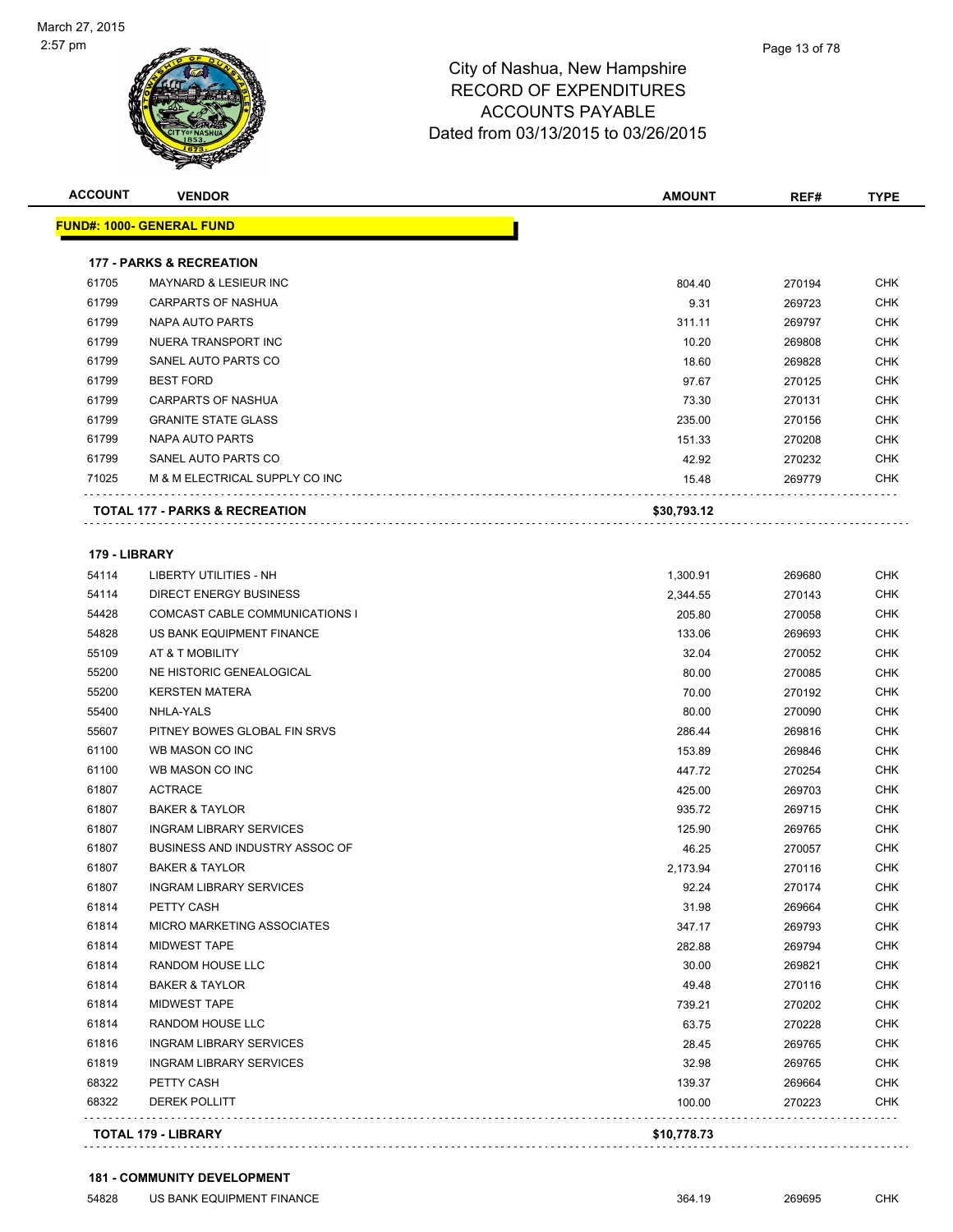| <b>ACCOUNT</b> | <b>VENDOR</b>                             | <b>AMOUNT</b> | REF#   | <b>TYPE</b> |
|----------------|-------------------------------------------|---------------|--------|-------------|
|                | <u> FUND#: 1000- GENERAL FUND</u>         |               |        |             |
|                | <b>177 - PARKS &amp; RECREATION</b>       |               |        |             |
| 61705          | <b>MAYNARD &amp; LESIEUR INC</b>          | 804.40        | 270194 | <b>CHK</b>  |
| 61799          | <b>CARPARTS OF NASHUA</b>                 | 9.31          | 269723 | <b>CHK</b>  |
| 61799          | NAPA AUTO PARTS                           | 311.11        | 269797 | <b>CHK</b>  |
| 61799          | NUERA TRANSPORT INC                       | 10.20         | 269808 | <b>CHK</b>  |
| 61799          | SANEL AUTO PARTS CO                       | 18.60         | 269828 | <b>CHK</b>  |
| 61799          | <b>BEST FORD</b>                          | 97.67         | 270125 | <b>CHK</b>  |
| 61799          | CARPARTS OF NASHUA                        | 73.30         | 270131 | <b>CHK</b>  |
| 61799          | <b>GRANITE STATE GLASS</b>                | 235.00        | 270156 | <b>CHK</b>  |
| 61799          | NAPA AUTO PARTS                           | 151.33        | 270208 | <b>CHK</b>  |
| 61799          | SANEL AUTO PARTS CO                       | 42.92         | 270232 | <b>CHK</b>  |
| 71025          | M & M ELECTRICAL SUPPLY CO INC            | 15.48         | 269779 | <b>CHK</b>  |
|                | <b>TOTAL 177 - PARKS &amp; RECREATION</b> | \$30,793.12   |        |             |
| 179 - LIBRARY  |                                           |               |        |             |
| 54114          | LIBERTY UTILITIES - NH                    | 1,300.91      | 269680 | <b>CHK</b>  |
| 54114          | DIRECT ENERGY BUSINESS                    | 2,344.55      | 270143 | <b>CHK</b>  |
| 54428          | COMCAST CABLE COMMUNICATIONS I            | 205.80        | 270058 | <b>CHK</b>  |
| 54828          | US BANK EQUIPMENT FINANCE                 | 133.06        | 269693 | <b>CHK</b>  |
| 55109          | AT & T MOBILITY                           | 32.04         | 270052 | <b>CHK</b>  |
| 55200          | NE HISTORIC GENEALOGICAL                  | 80.00         | 270085 | <b>CHK</b>  |
| 55200          | <b>KERSTEN MATERA</b>                     | 70.00         | 270192 | <b>CHK</b>  |
| 55400          | NHLA-YALS                                 | 80.00         | 270090 | <b>CHK</b>  |
| 55607          | PITNEY BOWES GLOBAL FIN SRVS              | 286.44        | 269816 | <b>CHK</b>  |
| 61100          | WB MASON CO INC                           | 153.89        | 269846 | <b>CHK</b>  |
| 61100          | WB MASON CO INC                           | 447.72        | 270254 | <b>CHK</b>  |
| 61807          | <b>ACTRACE</b>                            | 425.00        | 269703 | <b>CHK</b>  |
| 61807          | <b>BAKER &amp; TAYLOR</b>                 | 935.72        | 269715 | <b>CHK</b>  |
| 61807          | <b>INGRAM LIBRARY SERVICES</b>            | 125.90        | 269765 | <b>CHK</b>  |
| 61807          | BUSINESS AND INDUSTRY ASSOC OF            | 46.25         | 270057 | <b>CHK</b>  |
| 61807          | <b>BAKER &amp; TAYLOR</b>                 | 2,173.94      | 270116 | <b>CHK</b>  |
| 61807          | <b>INGRAM LIBRARY SERVICES</b>            | 92.24         | 270174 | <b>CHK</b>  |
| 61814          | PETTY CASH                                | 31.98         | 269664 | CHK         |
| 61814          | MICRO MARKETING ASSOCIATES                | 347.17        | 269793 | <b>CHK</b>  |
| 61814          | MIDWEST TAPE                              | 282.88        | 269794 | <b>CHK</b>  |
| 61814          | RANDOM HOUSE LLC                          | 30.00         | 269821 | <b>CHK</b>  |
| 61814          | <b>BAKER &amp; TAYLOR</b>                 | 49.48         | 270116 | CHK         |
| 61814          | MIDWEST TAPE                              | 739.21        | 270202 | <b>CHK</b>  |
| 61814          | RANDOM HOUSE LLC                          | 63.75         | 270228 | <b>CHK</b>  |
| 61816          | <b>INGRAM LIBRARY SERVICES</b>            | 28.45         | 269765 | CHK         |
| 61819          | <b>INGRAM LIBRARY SERVICES</b>            | 32.98         | 269765 | <b>CHK</b>  |
| 68322          | PETTY CASH                                | 139.37        | 269664 | <b>CHK</b>  |
| 68322          | <b>DEREK POLLITT</b>                      | 100.00        | 270223 | <b>CHK</b>  |
|                | <b>TOTAL 179 - LIBRARY</b>                | \$10,778.73   |        |             |
|                |                                           |               |        |             |

#### **181 - COMMUNITY DEVELOPMENT**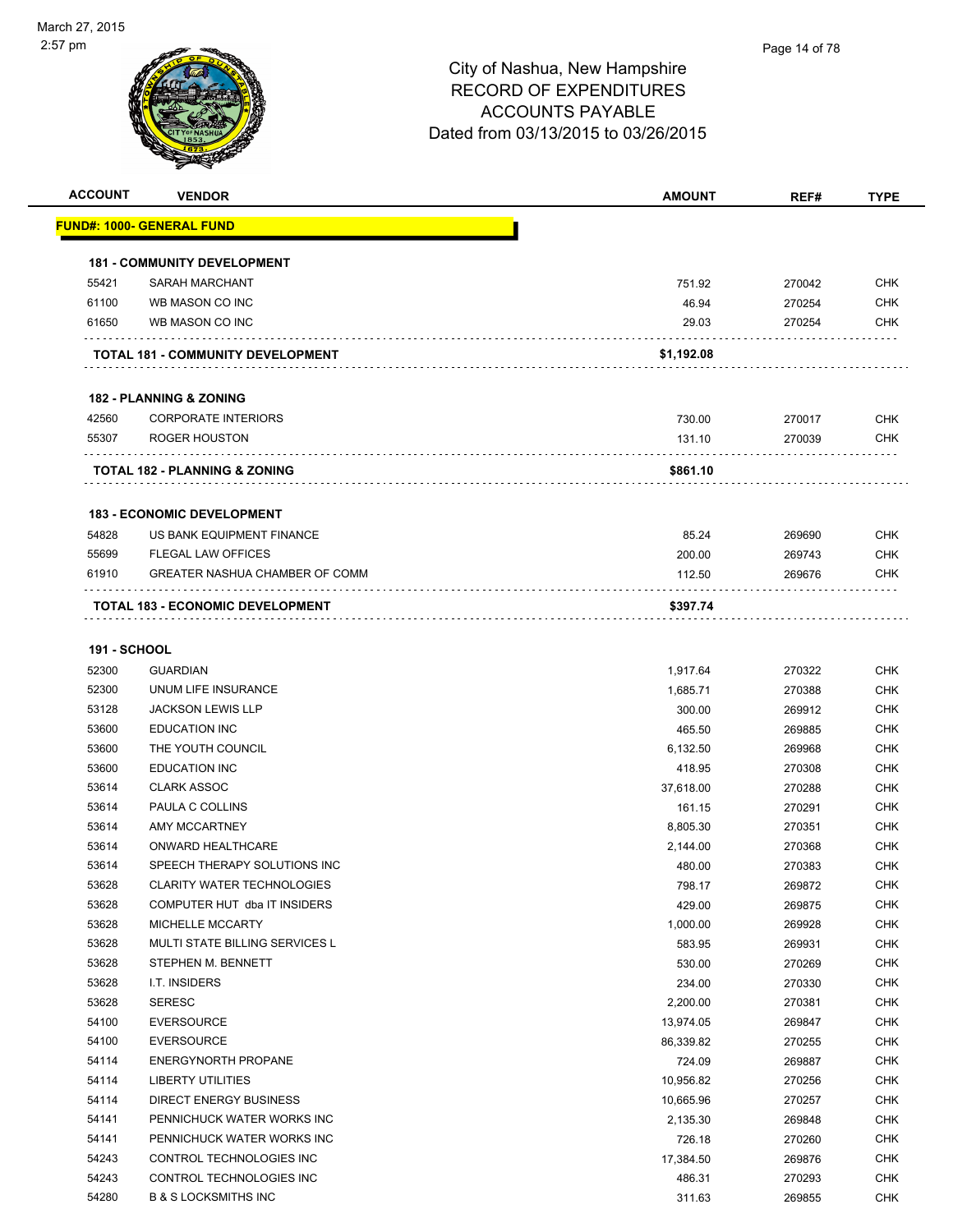| <b>ACCOUNT</b>      | <b>VENDOR</b>                            | <b>AMOUNT</b> | REF#   | <b>TYPE</b> |
|---------------------|------------------------------------------|---------------|--------|-------------|
|                     | <u> FUND#: 1000- GENERAL FUND</u>        |               |        |             |
|                     | <b>181 - COMMUNITY DEVELOPMENT</b>       |               |        |             |
| 55421               | <b>SARAH MARCHANT</b>                    | 751.92        | 270042 | <b>CHK</b>  |
| 61100               | WB MASON CO INC                          | 46.94         | 270254 | <b>CHK</b>  |
| 61650               | WB MASON CO INC                          | 29.03         | 270254 | <b>CHK</b>  |
|                     | TOTAL 181 - COMMUNITY DEVELOPMENT        | \$1,192.08    |        |             |
|                     |                                          |               |        |             |
|                     | <b>182 - PLANNING &amp; ZONING</b>       |               |        |             |
| 42560               | <b>CORPORATE INTERIORS</b>               | 730.00        | 270017 | <b>CHK</b>  |
| 55307               | ROGER HOUSTON                            | 131.10        | 270039 | <b>CHK</b>  |
|                     | <b>TOTAL 182 - PLANNING &amp; ZONING</b> | \$861.10      |        |             |
|                     | <b>183 - ECONOMIC DEVELOPMENT</b>        |               |        |             |
| 54828               | US BANK EQUIPMENT FINANCE                | 85.24         | 269690 | <b>CHK</b>  |
| 55699               | <b>FLEGAL LAW OFFICES</b>                | 200.00        | 269743 | <b>CHK</b>  |
| 61910               | GREATER NASHUA CHAMBER OF COMM           | 112.50        | 269676 | <b>CHK</b>  |
|                     | <b>TOTAL 183 - ECONOMIC DEVELOPMENT</b>  | \$397.74      |        |             |
| <b>191 - SCHOOL</b> |                                          |               |        |             |
| 52300               | <b>GUARDIAN</b>                          | 1,917.64      | 270322 | <b>CHK</b>  |
| 52300               | UNUM LIFE INSURANCE                      | 1,685.71      | 270388 | <b>CHK</b>  |
| 53128               | <b>JACKSON LEWIS LLP</b>                 | 300.00        | 269912 | <b>CHK</b>  |
| 53600               | <b>EDUCATION INC</b>                     | 465.50        | 269885 | <b>CHK</b>  |
| 53600               | THE YOUTH COUNCIL                        | 6,132.50      | 269968 | <b>CHK</b>  |
| 53600               | <b>EDUCATION INC</b>                     | 418.95        | 270308 | <b>CHK</b>  |
| 53614               | <b>CLARK ASSOC</b>                       | 37,618.00     | 270288 | <b>CHK</b>  |
| 53614               | PAULA C COLLINS                          | 161.15        | 270291 | <b>CHK</b>  |
| 53614               | <b>AMY MCCARTNEY</b>                     | 8,805.30      | 270351 | <b>CHK</b>  |
| 53614               | ONWARD HEALTHCARE                        | 2,144.00      | 270368 | <b>CHK</b>  |
| 53614               | SPEECH THERAPY SOLUTIONS INC             | 480.00        | 270383 | <b>CHK</b>  |
| 53628               | <b>CLARITY WATER TECHNOLOGIES</b>        | 798.17        | 269872 | CHK         |
| 53628               | COMPUTER HUT dba IT INSIDERS             | 429.00        | 269875 | <b>CHK</b>  |
| 53628               | MICHELLE MCCARTY                         | 1,000.00      | 269928 | <b>CHK</b>  |
| 53628               | MULTI STATE BILLING SERVICES L           | 583.95        | 269931 | <b>CHK</b>  |
| 53628               | STEPHEN M. BENNETT                       | 530.00        | 270269 | <b>CHK</b>  |
| 53628               | I.T. INSIDERS                            | 234.00        | 270330 | <b>CHK</b>  |
| 53628               | <b>SERESC</b>                            | 2,200.00      | 270381 | <b>CHK</b>  |
| 54100               | <b>EVERSOURCE</b>                        | 13,974.05     | 269847 | <b>CHK</b>  |
| 54100               | <b>EVERSOURCE</b>                        | 86,339.82     | 270255 | <b>CHK</b>  |
| 54114               | <b>ENERGYNORTH PROPANE</b>               | 724.09        | 269887 | <b>CHK</b>  |
| 54114               | LIBERTY UTILITIES                        | 10,956.82     | 270256 | <b>CHK</b>  |
| 54114               | DIRECT ENERGY BUSINESS                   | 10,665.96     | 270257 | <b>CHK</b>  |
| 54141               | PENNICHUCK WATER WORKS INC               | 2,135.30      | 269848 | <b>CHK</b>  |
| 54141               | PENNICHUCK WATER WORKS INC               | 726.18        | 270260 | <b>CHK</b>  |
| 54243               | CONTROL TECHNOLOGIES INC                 | 17,384.50     | 269876 | <b>CHK</b>  |
| 54243               | CONTROL TECHNOLOGIES INC                 | 486.31        | 270293 | <b>CHK</b>  |
| 54280               | <b>B &amp; S LOCKSMITHS INC</b>          | 311.63        | 269855 | <b>CHK</b>  |
|                     |                                          |               |        |             |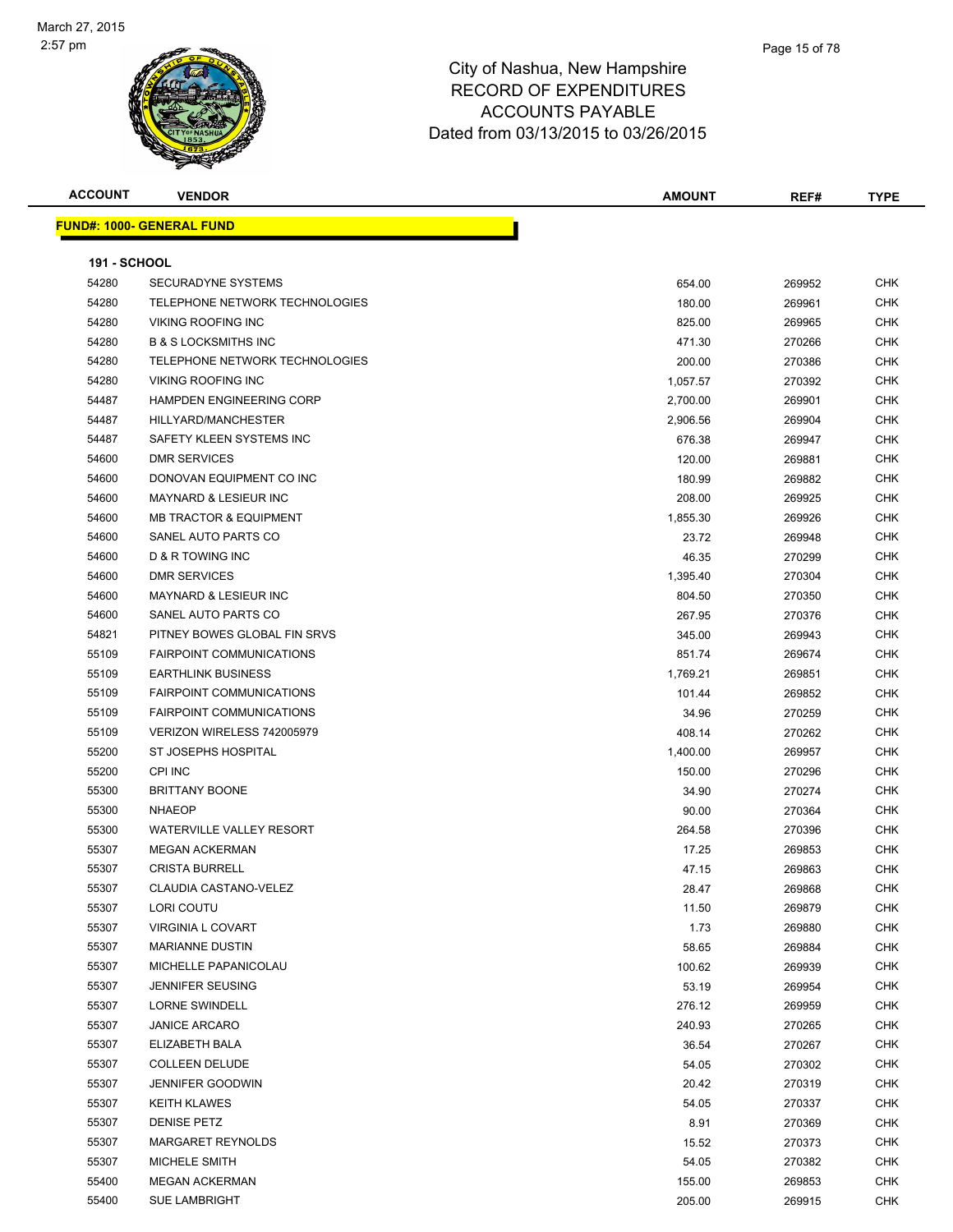

| <b>ACCOUNT</b>      | <b>VENDOR</b>                     | AMOUNT             | REF#             | <b>TYPE</b>        |
|---------------------|-----------------------------------|--------------------|------------------|--------------------|
|                     | <u> FUND#: 1000- GENERAL FUND</u> |                    |                  |                    |
|                     |                                   |                    |                  |                    |
| <b>191 - SCHOOL</b> |                                   |                    |                  |                    |
| 54280               | <b>SECURADYNE SYSTEMS</b>         | 654.00             | 269952           | <b>CHK</b>         |
| 54280               | TELEPHONE NETWORK TECHNOLOGIES    | 180.00             | 269961           | <b>CHK</b>         |
| 54280               | <b>VIKING ROOFING INC</b>         | 825.00             | 269965           | <b>CHK</b>         |
| 54280               | <b>B &amp; S LOCKSMITHS INC</b>   | 471.30             | 270266           | <b>CHK</b>         |
| 54280               | TELEPHONE NETWORK TECHNOLOGIES    | 200.00             | 270386           | CHK                |
| 54280               | <b>VIKING ROOFING INC</b>         | 1,057.57           | 270392           | <b>CHK</b>         |
| 54487               | <b>HAMPDEN ENGINEERING CORP</b>   | 2,700.00           | 269901           | CHK                |
| 54487               | HILLYARD/MANCHESTER               | 2,906.56           | 269904           | CHK                |
| 54487               | SAFETY KLEEN SYSTEMS INC          | 676.38             | 269947           | CHK                |
| 54600               | <b>DMR SERVICES</b>               | 120.00             | 269881           | CHK                |
| 54600               | DONOVAN EQUIPMENT CO INC          | 180.99             | 269882           | CHK                |
| 54600               | <b>MAYNARD &amp; LESIEUR INC</b>  | 208.00             | 269925           | <b>CHK</b>         |
| 54600               | <b>MB TRACTOR &amp; EQUIPMENT</b> | 1,855.30           | 269926           | CHK                |
| 54600               | SANEL AUTO PARTS CO               | 23.72              | 269948           | CHK                |
| 54600               | <b>D &amp; R TOWING INC</b>       | 46.35              | 270299           | CHK                |
| 54600               | <b>DMR SERVICES</b>               | 1,395.40           | 270304           | CHK                |
| 54600               | <b>MAYNARD &amp; LESIEUR INC</b>  | 804.50             | 270350           | CHK                |
| 54600               | SANEL AUTO PARTS CO               | 267.95             | 270376           | CHK                |
| 54821               | PITNEY BOWES GLOBAL FIN SRVS      | 345.00             | 269943           | CHK                |
| 55109               | <b>FAIRPOINT COMMUNICATIONS</b>   | 851.74             | 269674           | CHK                |
| 55109               | <b>EARTHLINK BUSINESS</b>         |                    |                  | CHK                |
| 55109               | <b>FAIRPOINT COMMUNICATIONS</b>   | 1,769.21<br>101.44 | 269851           | <b>CHK</b>         |
| 55109               | <b>FAIRPOINT COMMUNICATIONS</b>   |                    | 269852           | <b>CHK</b>         |
| 55109               | VERIZON WIRELESS 742005979        | 34.96              | 270259           |                    |
|                     | ST JOSEPHS HOSPITAL               | 408.14             | 270262           | CHK<br><b>CHK</b>  |
| 55200<br>55200      | <b>CPI INC</b>                    | 1,400.00           | 269957           | <b>CHK</b>         |
|                     | <b>BRITTANY BOONE</b>             | 150.00             | 270296           | CHK                |
| 55300               | <b>NHAEOP</b>                     | 34.90              | 270274           | <b>CHK</b>         |
| 55300               | <b>WATERVILLE VALLEY RESORT</b>   | 90.00              | 270364           | CHK                |
| 55300<br>55307      | <b>MEGAN ACKERMAN</b>             | 264.58             | 270396           | CHK                |
| 55307               | <b>CRISTA BURRELL</b>             | 17.25              | 269853<br>269863 | <b>CHK</b>         |
|                     | CLAUDIA CASTANO-VELEZ             | 47.15              |                  |                    |
| 55307<br>55307      | LORI COUTU                        | 28.47              | 269868           | CHK.<br><b>CHK</b> |
| 55307               | <b>VIRGINIA L COVART</b>          | 11.50              | 269879           | <b>CHK</b>         |
| 55307               |                                   | 1.73               | 269880           |                    |
|                     | <b>MARIANNE DUSTIN</b>            | 58.65              | 269884           | <b>CHK</b>         |
| 55307               | MICHELLE PAPANICOLAU              | 100.62             | 269939           | <b>CHK</b>         |
| 55307               | <b>JENNIFER SEUSING</b>           | 53.19              | 269954           | <b>CHK</b>         |
| 55307               | <b>LORNE SWINDELL</b>             | 276.12             | 269959           | <b>CHK</b>         |
| 55307               | <b>JANICE ARCARO</b>              | 240.93             | 270265           | <b>CHK</b>         |
| 55307               | ELIZABETH BALA                    | 36.54              | 270267           | CHK                |
| 55307               | <b>COLLEEN DELUDE</b>             | 54.05              | 270302           | CHK                |
| 55307               | <b>JENNIFER GOODWIN</b>           | 20.42              | 270319           | <b>CHK</b>         |
| 55307               | <b>KEITH KLAWES</b>               | 54.05              | 270337           | <b>CHK</b>         |
| 55307               | <b>DENISE PETZ</b>                | 8.91               | 270369           | <b>CHK</b>         |
| 55307               | MARGARET REYNOLDS                 | 15.52              | 270373           | <b>CHK</b>         |
| 55307               | MICHELE SMITH                     | 54.05              | 270382           | CHK                |
| 55400               | <b>MEGAN ACKERMAN</b>             | 155.00             | 269853           | <b>CHK</b>         |
| 55400               | <b>SUE LAMBRIGHT</b>              | 205.00             | 269915           | <b>CHK</b>         |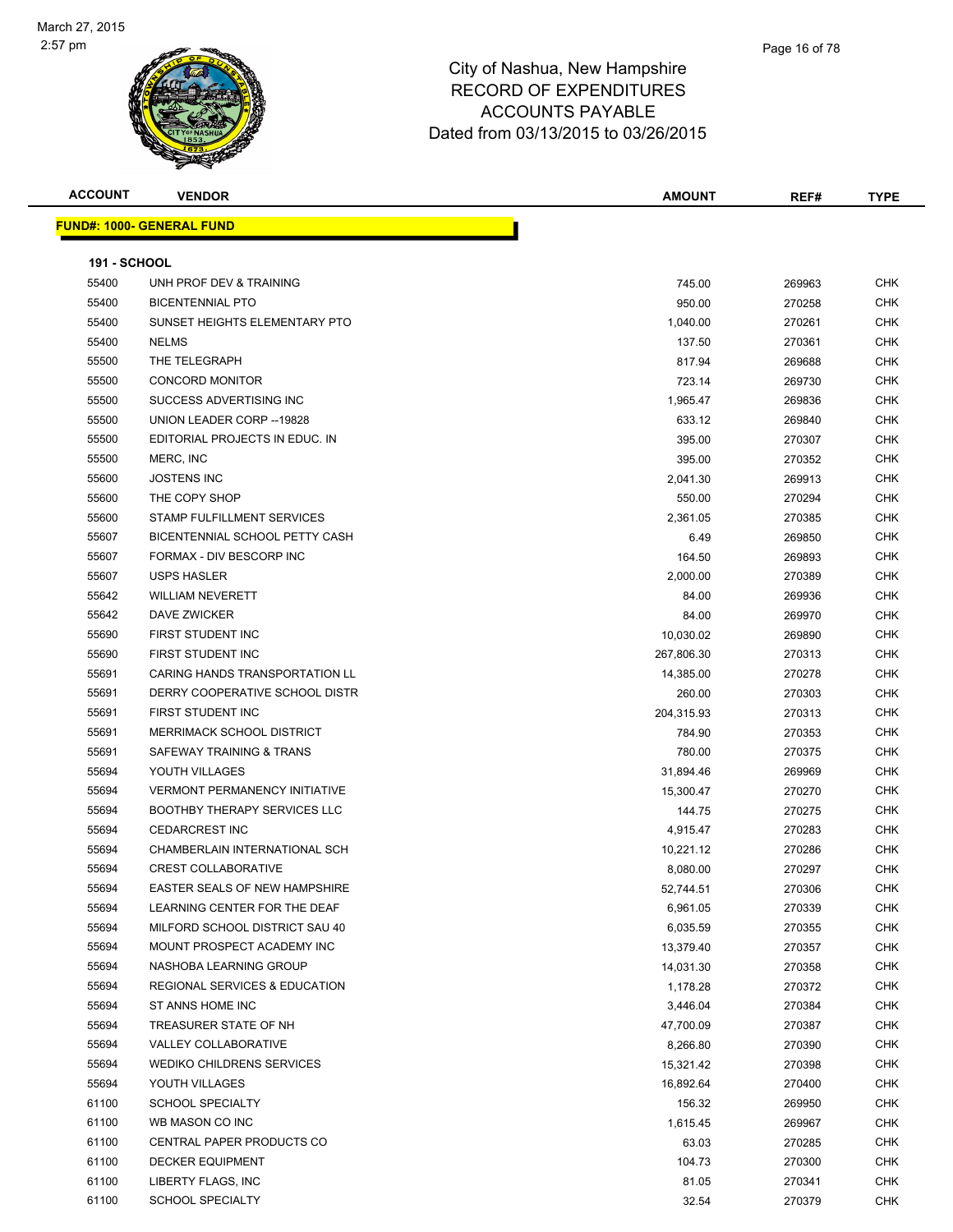

| <b>ACCOUNT</b>      | <b>VENDOR</b>                            | <b>AMOUNT</b> | REF#   | <b>TYPE</b> |
|---------------------|------------------------------------------|---------------|--------|-------------|
|                     | <u> FUND#: 1000- GENERAL FUND</u>        |               |        |             |
|                     |                                          |               |        |             |
| <b>191 - SCHOOL</b> |                                          |               |        |             |
| 55400               | UNH PROF DEV & TRAINING                  | 745.00        | 269963 | <b>CHK</b>  |
| 55400               | <b>BICENTENNIAL PTO</b>                  | 950.00        | 270258 | <b>CHK</b>  |
| 55400               | SUNSET HEIGHTS ELEMENTARY PTO            | 1,040.00      | 270261 | CHK         |
| 55400               | <b>NELMS</b>                             | 137.50        | 270361 | CHK         |
| 55500               | THE TELEGRAPH                            | 817.94        | 269688 | CHK         |
| 55500               | <b>CONCORD MONITOR</b>                   | 723.14        | 269730 | CHK         |
| 55500               | SUCCESS ADVERTISING INC                  | 1,965.47      | 269836 | <b>CHK</b>  |
| 55500               | UNION LEADER CORP -- 19828               | 633.12        | 269840 | <b>CHK</b>  |
| 55500               | EDITORIAL PROJECTS IN EDUC. IN           | 395.00        | 270307 | CHK         |
| 55500               | MERC, INC                                | 395.00        | 270352 | <b>CHK</b>  |
| 55600               | <b>JOSTENS INC</b>                       | 2,041.30      | 269913 | CHK         |
| 55600               | THE COPY SHOP                            | 550.00        | 270294 | CHK         |
| 55600               | STAMP FULFILLMENT SERVICES               | 2,361.05      | 270385 | <b>CHK</b>  |
| 55607               | BICENTENNIAL SCHOOL PETTY CASH           | 6.49          | 269850 | CHK         |
| 55607               | FORMAX - DIV BESCORP INC                 | 164.50        | 269893 | CHK         |
| 55607               | <b>USPS HASLER</b>                       | 2,000.00      | 270389 | CHK         |
| 55642               | <b>WILLIAM NEVERETT</b>                  | 84.00         | 269936 | CHK         |
| 55642               | DAVE ZWICKER                             | 84.00         | 269970 | <b>CHK</b>  |
| 55690               | FIRST STUDENT INC                        | 10,030.02     | 269890 | CHK         |
| 55690               | FIRST STUDENT INC                        | 267,806.30    | 270313 | <b>CHK</b>  |
| 55691               | CARING HANDS TRANSPORTATION LL           | 14,385.00     | 270278 | <b>CHK</b>  |
| 55691               | DERRY COOPERATIVE SCHOOL DISTR           | 260.00        | 270303 | CHK         |
| 55691               | FIRST STUDENT INC                        | 204,315.93    | 270313 | <b>CHK</b>  |
| 55691               | MERRIMACK SCHOOL DISTRICT                | 784.90        | 270353 | <b>CHK</b>  |
| 55691               | SAFEWAY TRAINING & TRANS                 | 780.00        | 270375 | CHK         |
| 55694               | YOUTH VILLAGES                           | 31,894.46     | 269969 | CHK         |
| 55694               | <b>VERMONT PERMANENCY INITIATIVE</b>     | 15,300.47     | 270270 | <b>CHK</b>  |
| 55694               | <b>BOOTHBY THERAPY SERVICES LLC</b>      | 144.75        | 270275 | <b>CHK</b>  |
| 55694               | <b>CEDARCREST INC</b>                    | 4,915.47      | 270283 | <b>CHK</b>  |
| 55694               | CHAMBERLAIN INTERNATIONAL SCH            | 10,221.12     | 270286 | <b>CHK</b>  |
| 55694               | <b>CREST COLLABORATIVE</b>               | 8,080.00      | 270297 | CHK         |
| 55694               | EASTER SEALS OF NEW HAMPSHIRE            | 52,744.51     | 270306 | <b>CHK</b>  |
| 55694               | LEARNING CENTER FOR THE DEAF             | 6,961.05      | 270339 | CHK         |
| 55694               | MILFORD SCHOOL DISTRICT SAU 40           | 6,035.59      | 270355 | <b>CHK</b>  |
| 55694               | MOUNT PROSPECT ACADEMY INC               | 13,379.40     | 270357 | <b>CHK</b>  |
| 55694               | NASHOBA LEARNING GROUP                   | 14,031.30     | 270358 | <b>CHK</b>  |
| 55694               | <b>REGIONAL SERVICES &amp; EDUCATION</b> | 1,178.28      | 270372 | <b>CHK</b>  |
| 55694               | ST ANNS HOME INC                         | 3,446.04      | 270384 | <b>CHK</b>  |
| 55694               | TREASURER STATE OF NH                    | 47,700.09     | 270387 | <b>CHK</b>  |
| 55694               | <b>VALLEY COLLABORATIVE</b>              | 8,266.80      | 270390 | <b>CHK</b>  |
| 55694               | <b>WEDIKO CHILDRENS SERVICES</b>         | 15,321.42     | 270398 | CHK         |
| 55694               | YOUTH VILLAGES                           | 16,892.64     | 270400 | CHK         |
| 61100               | <b>SCHOOL SPECIALTY</b>                  | 156.32        | 269950 | <b>CHK</b>  |
| 61100               | WB MASON CO INC                          | 1,615.45      | 269967 | <b>CHK</b>  |
| 61100               | CENTRAL PAPER PRODUCTS CO                | 63.03         | 270285 | <b>CHK</b>  |
| 61100               | <b>DECKER EQUIPMENT</b>                  | 104.73        | 270300 | CHK         |
| 61100               | LIBERTY FLAGS, INC                       | 81.05         | 270341 | CHK         |
| 61100               | <b>SCHOOL SPECIALTY</b>                  | 32.54         | 270379 | <b>CHK</b>  |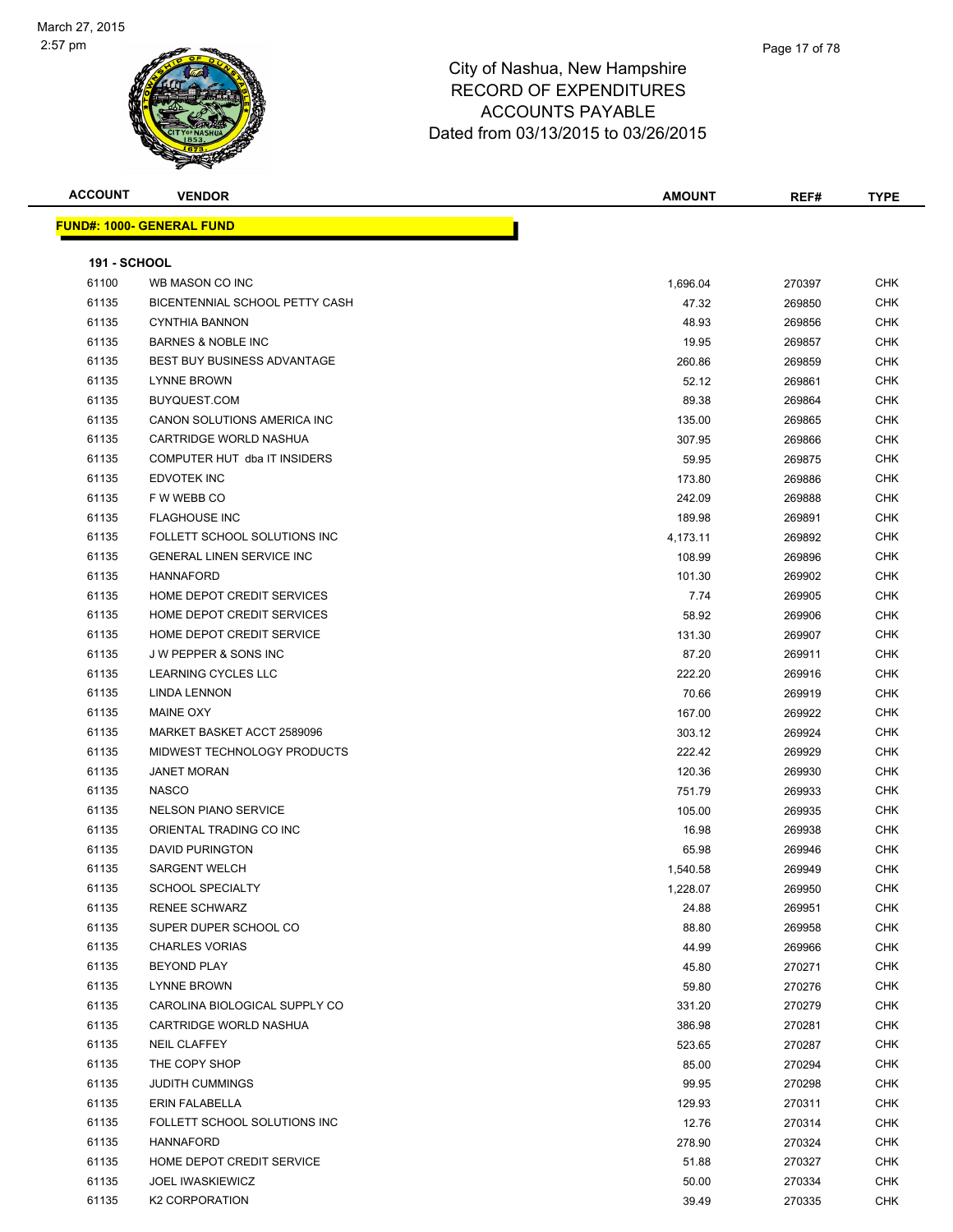

| <b>ACCOUNT</b>      | <b>VENDOR</b>                      | <b>AMOUNT</b> | REF#   | <b>TYPE</b> |
|---------------------|------------------------------------|---------------|--------|-------------|
|                     | <b>FUND#: 1000- GENERAL FUND</b>   |               |        |             |
|                     |                                    |               |        |             |
| <b>191 - SCHOOL</b> |                                    |               |        |             |
| 61100               | WB MASON CO INC                    | 1,696.04      | 270397 | <b>CHK</b>  |
| 61135               | BICENTENNIAL SCHOOL PETTY CASH     | 47.32         | 269850 | <b>CHK</b>  |
| 61135               | <b>CYNTHIA BANNON</b>              | 48.93         | 269856 | <b>CHK</b>  |
| 61135               | <b>BARNES &amp; NOBLE INC</b>      | 19.95         | 269857 | CHK         |
| 61135               | <b>BEST BUY BUSINESS ADVANTAGE</b> | 260.86        | 269859 | <b>CHK</b>  |
| 61135               | <b>LYNNE BROWN</b>                 | 52.12         | 269861 | CHK         |
| 61135               | BUYQUEST.COM                       | 89.38         | 269864 | <b>CHK</b>  |
| 61135               | CANON SOLUTIONS AMERICA INC        | 135.00        | 269865 | <b>CHK</b>  |
| 61135               | CARTRIDGE WORLD NASHUA             | 307.95        | 269866 | <b>CHK</b>  |
| 61135               | COMPUTER HUT dba IT INSIDERS       | 59.95         | 269875 | <b>CHK</b>  |
| 61135               | <b>EDVOTEK INC</b>                 | 173.80        | 269886 | <b>CHK</b>  |
| 61135               | F W WEBB CO                        | 242.09        | 269888 | <b>CHK</b>  |
| 61135               | <b>FLAGHOUSE INC</b>               | 189.98        | 269891 | <b>CHK</b>  |
| 61135               | FOLLETT SCHOOL SOLUTIONS INC       | 4,173.11      | 269892 | <b>CHK</b>  |
| 61135               | <b>GENERAL LINEN SERVICE INC</b>   | 108.99        | 269896 | <b>CHK</b>  |
| 61135               | <b>HANNAFORD</b>                   | 101.30        | 269902 | <b>CHK</b>  |
| 61135               | HOME DEPOT CREDIT SERVICES         | 7.74          | 269905 | CHK         |
| 61135               | HOME DEPOT CREDIT SERVICES         | 58.92         | 269906 | CHK         |
| 61135               | HOME DEPOT CREDIT SERVICE          | 131.30        | 269907 | CHK         |
| 61135               | <b>JW PEPPER &amp; SONS INC</b>    | 87.20         | 269911 | CHK         |
| 61135               | LEARNING CYCLES LLC                | 222.20        | 269916 | <b>CHK</b>  |
| 61135               | <b>LINDA LENNON</b>                | 70.66         | 269919 | <b>CHK</b>  |
| 61135               | <b>MAINE OXY</b>                   | 167.00        | 269922 | CHK         |
| 61135               | MARKET BASKET ACCT 2589096         | 303.12        | 269924 | <b>CHK</b>  |
| 61135               | MIDWEST TECHNOLOGY PRODUCTS        | 222.42        | 269929 | <b>CHK</b>  |
| 61135               | <b>JANET MORAN</b>                 | 120.36        | 269930 | <b>CHK</b>  |
| 61135               | <b>NASCO</b>                       | 751.79        | 269933 | <b>CHK</b>  |
| 61135               | <b>NELSON PIANO SERVICE</b>        | 105.00        | 269935 | CHK         |
| 61135               | ORIENTAL TRADING CO INC            | 16.98         | 269938 | <b>CHK</b>  |
| 61135               | <b>DAVID PURINGTON</b>             | 65.98         | 269946 | CHK         |
| 61135               | <b>SARGENT WELCH</b>               | 1,540.58      | 269949 | <b>CHK</b>  |
| 61135               | <b>SCHOOL SPECIALTY</b>            | 1,228.07      | 269950 | <b>CHK</b>  |
| 61135               | <b>RENEE SCHWARZ</b>               | 24.88         | 269951 | <b>CHK</b>  |
| 61135               | SUPER DUPER SCHOOL CO              | 88.80         | 269958 | <b>CHK</b>  |
| 61135               | <b>CHARLES VORIAS</b>              | 44.99         | 269966 | <b>CHK</b>  |
| 61135               | <b>BEYOND PLAY</b>                 | 45.80         | 270271 | <b>CHK</b>  |
| 61135               | <b>LYNNE BROWN</b>                 | 59.80         | 270276 | <b>CHK</b>  |
| 61135               | CAROLINA BIOLOGICAL SUPPLY CO      | 331.20        | 270279 | <b>CHK</b>  |
| 61135               | CARTRIDGE WORLD NASHUA             | 386.98        | 270281 | <b>CHK</b>  |
| 61135               | <b>NEIL CLAFFEY</b>                | 523.65        | 270287 | <b>CHK</b>  |
| 61135               | THE COPY SHOP                      | 85.00         | 270294 | <b>CHK</b>  |
| 61135               | <b>JUDITH CUMMINGS</b>             | 99.95         | 270298 | <b>CHK</b>  |
| 61135               | ERIN FALABELLA                     | 129.93        | 270311 | <b>CHK</b>  |
| 61135               | FOLLETT SCHOOL SOLUTIONS INC       | 12.76         | 270314 | <b>CHK</b>  |
| 61135               | <b>HANNAFORD</b>                   | 278.90        | 270324 | CHK         |
| 61135               | HOME DEPOT CREDIT SERVICE          | 51.88         | 270327 | <b>CHK</b>  |
| 61135               | <b>JOEL IWASKIEWICZ</b>            | 50.00         | 270334 | CHK         |
| 61135               | <b>K2 CORPORATION</b>              | 39.49         | 270335 | <b>CHK</b>  |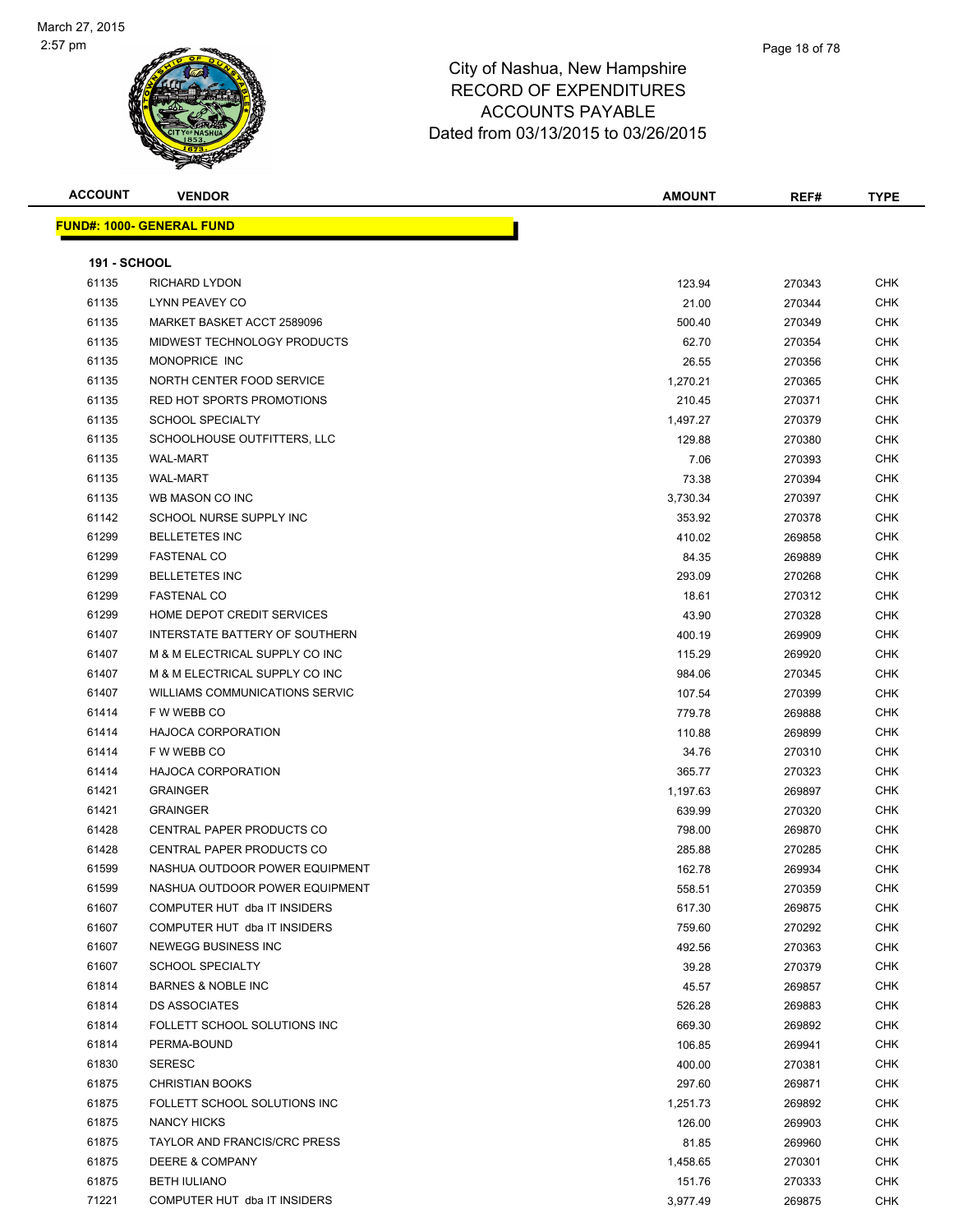

| <b>ACCOUNT</b>      | <b>VENDOR</b>                       | <b>AMOUNT</b>    | REF#             | <b>TYPE</b> |
|---------------------|-------------------------------------|------------------|------------------|-------------|
|                     | <b>FUND#: 1000- GENERAL FUND</b>    |                  |                  |             |
|                     |                                     |                  |                  |             |
| <b>191 - SCHOOL</b> |                                     |                  |                  |             |
| 61135               | <b>RICHARD LYDON</b>                | 123.94           | 270343           | <b>CHK</b>  |
| 61135               | LYNN PEAVEY CO                      | 21.00            | 270344           | <b>CHK</b>  |
| 61135               | MARKET BASKET ACCT 2589096          | 500.40           | 270349           | CHK         |
| 61135               | MIDWEST TECHNOLOGY PRODUCTS         | 62.70            | 270354           | <b>CHK</b>  |
| 61135               | MONOPRICE INC                       | 26.55            | 270356           | CHK         |
| 61135               | NORTH CENTER FOOD SERVICE           | 1,270.21         | 270365           | CHK         |
| 61135               | RED HOT SPORTS PROMOTIONS           | 210.45           | 270371           | <b>CHK</b>  |
| 61135               | <b>SCHOOL SPECIALTY</b>             | 1,497.27         | 270379           | <b>CHK</b>  |
| 61135               | SCHOOLHOUSE OUTFITTERS, LLC         | 129.88           | 270380           | CHK         |
| 61135               | <b>WAL-MART</b>                     | 7.06             | 270393           | <b>CHK</b>  |
| 61135               | <b>WAL-MART</b>                     | 73.38            | 270394           | CHK         |
| 61135               | WB MASON CO INC                     | 3,730.34         | 270397           | <b>CHK</b>  |
| 61142               | SCHOOL NURSE SUPPLY INC             | 353.92           | 270378           | <b>CHK</b>  |
| 61299               | <b>BELLETETES INC</b>               | 410.02           | 269858           | CHK         |
| 61299               | <b>FASTENAL CO</b>                  | 84.35            | 269889           | CHK         |
| 61299               | <b>BELLETETES INC</b>               | 293.09           | 270268           | <b>CHK</b>  |
| 61299               | <b>FASTENAL CO</b>                  | 18.61            | 270312           | <b>CHK</b>  |
| 61299               | HOME DEPOT CREDIT SERVICES          | 43.90            | 270328           | CHK         |
| 61407               | INTERSTATE BATTERY OF SOUTHERN      | 400.19           | 269909           | <b>CHK</b>  |
| 61407               | M & M ELECTRICAL SUPPLY CO INC      | 115.29           | 269920           | <b>CHK</b>  |
| 61407               | M & M ELECTRICAL SUPPLY CO INC      | 984.06           | 270345           | <b>CHK</b>  |
| 61407               | WILLIAMS COMMUNICATIONS SERVIC      | 107.54           | 270399           | CHK         |
| 61414               | F W WEBB CO                         | 779.78           | 269888           | <b>CHK</b>  |
| 61414               | <b>HAJOCA CORPORATION</b>           | 110.88           | 269899           | CHK         |
| 61414               | F W WEBB CO                         | 34.76            | 270310           | CHK         |
| 61414               | <b>HAJOCA CORPORATION</b>           | 365.77           | 270323           | CHK         |
| 61421               | <b>GRAINGER</b>                     | 1,197.63         | 269897           | CHK         |
| 61421               | <b>GRAINGER</b>                     | 639.99           | 270320           | CHK         |
| 61428               | CENTRAL PAPER PRODUCTS CO           | 798.00           | 269870           | <b>CHK</b>  |
| 61428               | <b>CENTRAL PAPER PRODUCTS CO</b>    | 285.88           | 270285           | <b>CHK</b>  |
| 61599               | NASHUA OUTDOOR POWER EQUIPMENT      | 162.78           | 269934           | <b>CHK</b>  |
| 61599               | NASHUA OUTDOOR POWER EQUIPMENT      |                  |                  | <b>CHK</b>  |
| 61607               | COMPUTER HUT dba IT INSIDERS        | 558.51<br>617.30 | 270359<br>269875 | CHK         |
| 61607               | COMPUTER HUT dba IT INSIDERS        |                  |                  | <b>CHK</b>  |
| 61607               |                                     | 759.60           | 270292           |             |
|                     | NEWEGG BUSINESS INC                 | 492.56           | 270363           | <b>CHK</b>  |
| 61607               | <b>SCHOOL SPECIALTY</b>             | 39.28            | 270379           | CHK         |
| 61814               | <b>BARNES &amp; NOBLE INC</b>       | 45.57            | 269857           | <b>CHK</b>  |
| 61814               | <b>DS ASSOCIATES</b>                | 526.28           | 269883           | CHK         |
| 61814               | FOLLETT SCHOOL SOLUTIONS INC        | 669.30           | 269892           | <b>CHK</b>  |
| 61814               | PERMA-BOUND                         | 106.85           | 269941           | <b>CHK</b>  |
| 61830               | <b>SERESC</b>                       | 400.00           | 270381           | CHK         |
| 61875               | <b>CHRISTIAN BOOKS</b>              | 297.60           | 269871           | <b>CHK</b>  |
| 61875               | FOLLETT SCHOOL SOLUTIONS INC        | 1,251.73         | 269892           | <b>CHK</b>  |
| 61875               | NANCY HICKS                         | 126.00           | 269903           | CHK         |
| 61875               | <b>TAYLOR AND FRANCIS/CRC PRESS</b> | 81.85            | 269960           | CHK         |
| 61875               | <b>DEERE &amp; COMPANY</b>          | 1,458.65         | 270301           | CHK         |
| 61875               | <b>BETH IULIANO</b>                 | 151.76           | 270333           | CHK         |
| 71221               | COMPUTER HUT dba IT INSIDERS        | 3,977.49         | 269875           | <b>CHK</b>  |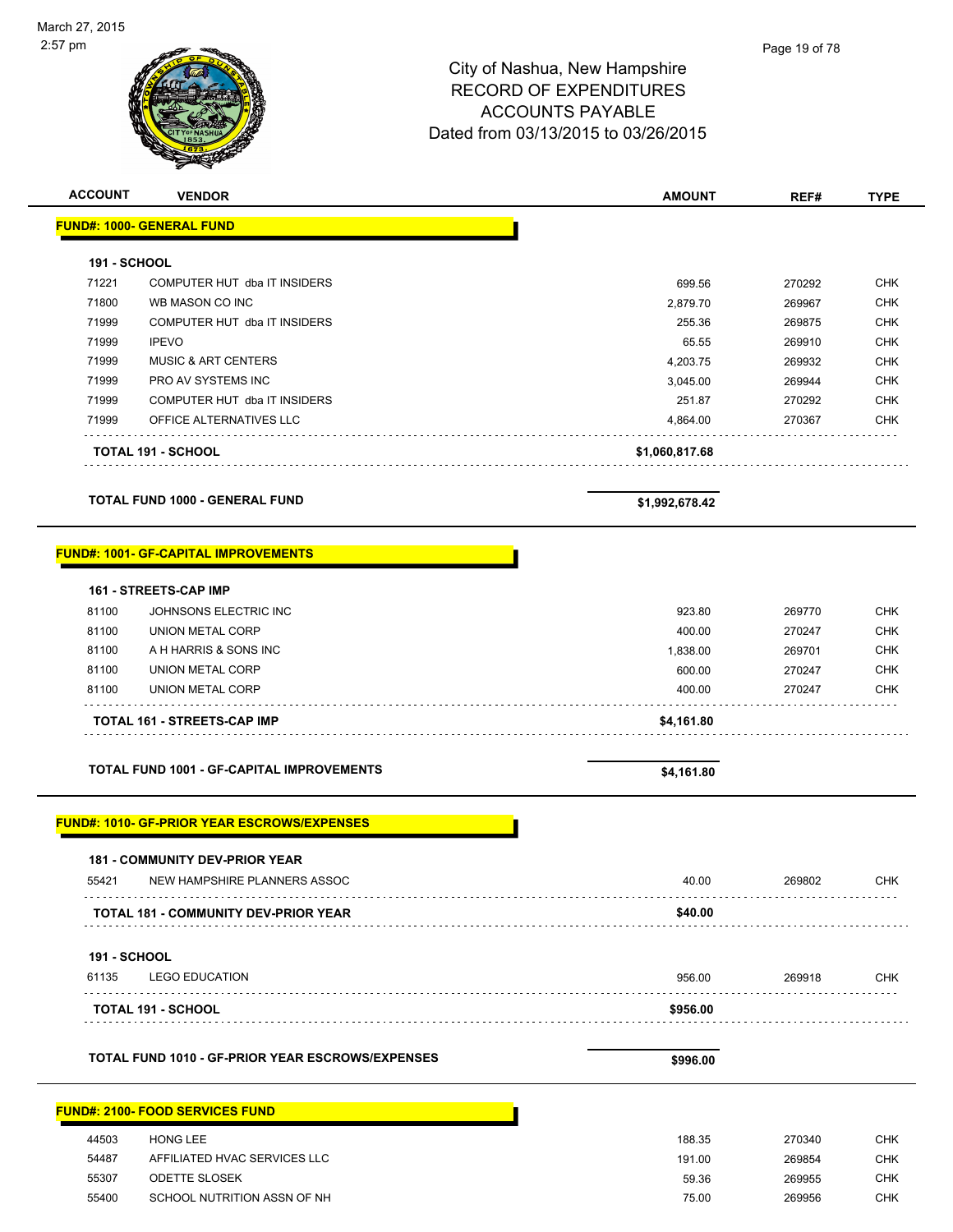

|                              | <b>Andre</b>                                       |                |        |             |
|------------------------------|----------------------------------------------------|----------------|--------|-------------|
| <b>ACCOUNT</b>               | <b>VENDOR</b>                                      | <b>AMOUNT</b>  | REF#   | <b>TYPE</b> |
|                              | <b>FUND#: 1000- GENERAL FUND</b>                   |                |        |             |
| 191 - SCHOOL                 |                                                    |                |        |             |
| 71221                        | COMPUTER HUT dba IT INSIDERS                       | 699.56         | 270292 | <b>CHK</b>  |
| 71800                        | WB MASON CO INC                                    | 2,879.70       | 269967 | <b>CHK</b>  |
| 71999                        | COMPUTER HUT dba IT INSIDERS                       | 255.36         | 269875 | <b>CHK</b>  |
| 71999                        | <b>IPEVO</b>                                       | 65.55          | 269910 | <b>CHK</b>  |
| 71999                        | <b>MUSIC &amp; ART CENTERS</b>                     | 4,203.75       | 269932 | <b>CHK</b>  |
| 71999                        | PRO AV SYSTEMS INC                                 | 3,045.00       | 269944 | <b>CHK</b>  |
| 71999                        | COMPUTER HUT dba IT INSIDERS                       | 251.87         | 270292 | <b>CHK</b>  |
| 71999                        | OFFICE ALTERNATIVES LLC                            | 4,864.00       | 270367 | <b>CHK</b>  |
|                              | TOTAL 191 - SCHOOL                                 |                |        |             |
|                              |                                                    | \$1,060,817.68 |        |             |
|                              | <b>TOTAL FUND 1000 - GENERAL FUND</b>              | \$1,992,678.42 |        |             |
|                              |                                                    |                |        |             |
|                              | <b>FUND#: 1001- GF-CAPITAL IMPROVEMENTS</b>        |                |        |             |
|                              | 161 - STREETS-CAP IMP                              |                |        |             |
| 81100                        | JOHNSONS ELECTRIC INC                              | 923.80         | 269770 | <b>CHK</b>  |
| 81100                        | <b>UNION METAL CORP</b>                            | 400.00         | 270247 | <b>CHK</b>  |
| 81100                        | A H HARRIS & SONS INC                              | 1,838.00       | 269701 | <b>CHK</b>  |
| 81100                        | <b>UNION METAL CORP</b>                            | 600.00         | 270247 | <b>CHK</b>  |
| 81100                        | UNION METAL CORP                                   | 400.00         | 270247 | CHK         |
|                              | TOTAL 161 - STREETS-CAP IMP                        | \$4,161.80     |        |             |
|                              |                                                    |                |        |             |
|                              | <b>TOTAL FUND 1001 - GF-CAPITAL IMPROVEMENTS</b>   | \$4,161.80     |        |             |
|                              | <b>FUND#: 1010- GF-PRIOR YEAR ESCROWS/EXPENSES</b> |                |        |             |
|                              |                                                    |                |        |             |
|                              | 181 - COMMUNITY DEV-PRIOR YEAR                     |                |        |             |
| 55421                        | NEW HAMPSHIRE PLANNERS ASSOC                       | 40.00          | 269802 | CHK         |
|                              | <b>TOTAL 181 - COMMUNITY DEV-PRIOR YEAR</b>        | \$40.00        |        |             |
|                              |                                                    |                |        |             |
| <b>191 - SCHOOL</b><br>61135 | <b>LEGO EDUCATION</b>                              |                |        |             |
|                              |                                                    | 956.00         | 269918 | <b>CHK</b>  |
|                              | <b>TOTAL 191 - SCHOOL</b>                          | \$956.00       |        |             |
|                              | TOTAL FUND 1010 - GF-PRIOR YEAR ESCROWS/EXPENSES   |                |        |             |
|                              |                                                    | \$996.00       |        |             |
|                              | <b>FUND#: 2100- FOOD SERVICES FUND</b>             |                |        |             |
|                              |                                                    |                |        |             |
| 44503                        | HONG LEE                                           | 188.35         | 270340 | <b>CHK</b>  |
| 54487                        | AFFILIATED HVAC SERVICES LLC                       | 191.00         | 269854 | CHK         |

 55307 ODETTE SLOSEK 59.36 269955 CHK 55400 SCHOOL NUTRITION ASSN OF NH<br>
CHK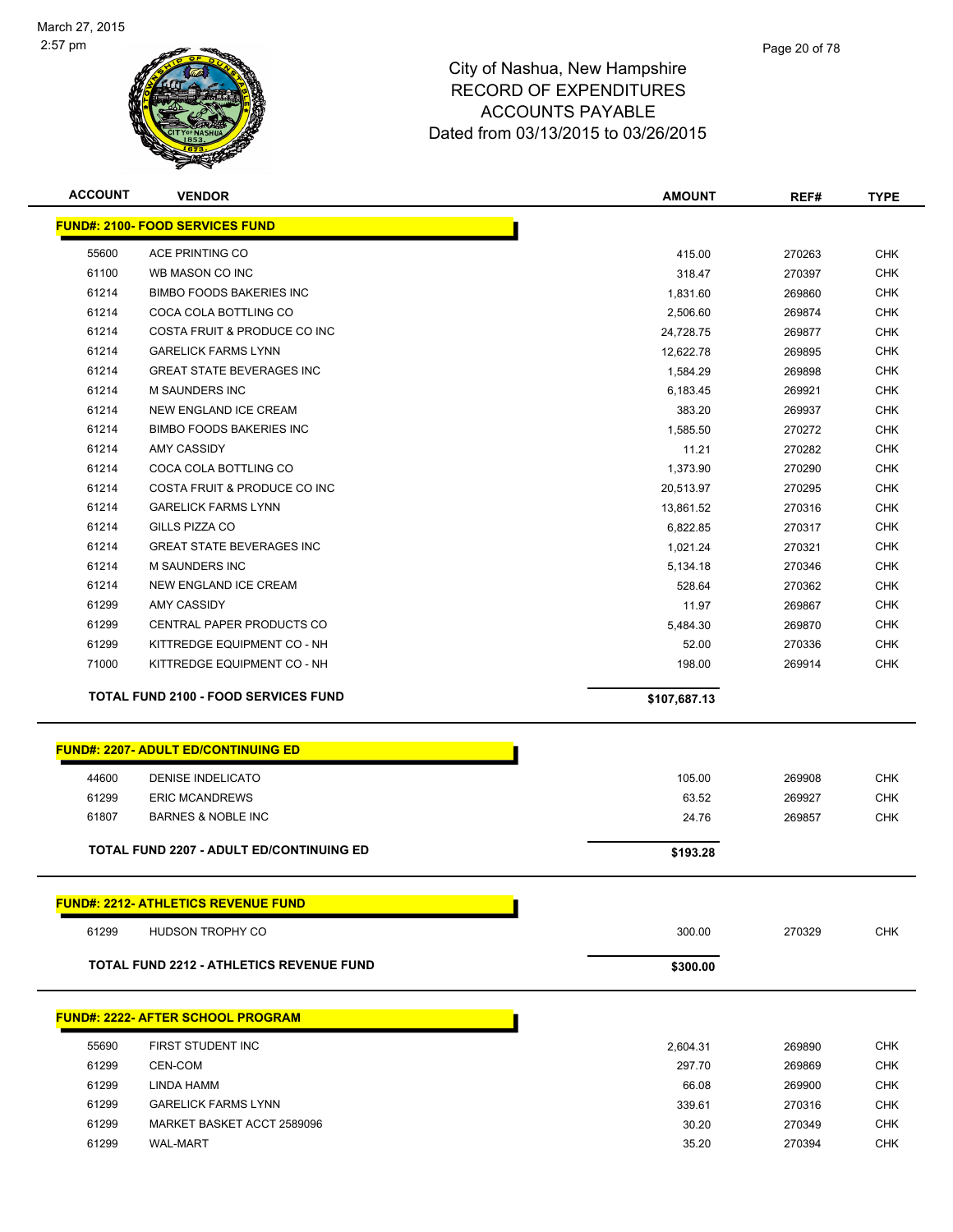

| <b>ACCOUNT</b> | <b>VENDOR</b>                                   | <b>AMOUNT</b> | REF#   | <b>TYPE</b> |
|----------------|-------------------------------------------------|---------------|--------|-------------|
|                | <b>FUND#: 2100- FOOD SERVICES FUND</b>          |               |        |             |
| 55600          | <b>ACE PRINTING CO</b>                          | 415.00        | 270263 | <b>CHK</b>  |
| 61100          | WB MASON CO INC                                 | 318.47        | 270397 | <b>CHK</b>  |
| 61214          | <b>BIMBO FOODS BAKERIES INC</b>                 | 1,831.60      | 269860 | <b>CHK</b>  |
| 61214          | COCA COLA BOTTLING CO                           | 2,506.60      | 269874 | <b>CHK</b>  |
| 61214          | COSTA FRUIT & PRODUCE CO INC                    | 24,728.75     | 269877 | <b>CHK</b>  |
| 61214          | <b>GARELICK FARMS LYNN</b>                      | 12,622.78     | 269895 | <b>CHK</b>  |
| 61214          | <b>GREAT STATE BEVERAGES INC</b>                | 1,584.29      | 269898 | <b>CHK</b>  |
| 61214          | <b>M SAUNDERS INC</b>                           | 6,183.45      | 269921 | <b>CHK</b>  |
| 61214          | <b>NEW ENGLAND ICE CREAM</b>                    | 383.20        | 269937 | <b>CHK</b>  |
| 61214          | <b>BIMBO FOODS BAKERIES INC</b>                 | 1,585.50      | 270272 | <b>CHK</b>  |
| 61214          | AMY CASSIDY                                     | 11.21         | 270282 | <b>CHK</b>  |
| 61214          | COCA COLA BOTTLING CO                           | 1,373.90      | 270290 | <b>CHK</b>  |
| 61214          | COSTA FRUIT & PRODUCE CO INC                    | 20,513.97     | 270295 | CHK         |
| 61214          | <b>GARELICK FARMS LYNN</b>                      | 13,861.52     | 270316 | CHK         |
| 61214          | GILLS PIZZA CO                                  | 6,822.85      | 270317 | <b>CHK</b>  |
| 61214          | <b>GREAT STATE BEVERAGES INC</b>                | 1,021.24      | 270321 | <b>CHK</b>  |
| 61214          | <b>M SAUNDERS INC</b>                           | 5,134.18      | 270346 | <b>CHK</b>  |
| 61214          | <b>NEW ENGLAND ICE CREAM</b>                    | 528.64        | 270362 | <b>CHK</b>  |
| 61299          | <b>AMY CASSIDY</b>                              | 11.97         | 269867 | <b>CHK</b>  |
| 61299          | CENTRAL PAPER PRODUCTS CO                       | 5,484.30      | 269870 | <b>CHK</b>  |
| 61299          | KITTREDGE EQUIPMENT CO - NH                     | 52.00         | 270336 | <b>CHK</b>  |
| 71000          | KITTREDGE EQUIPMENT CO - NH                     | 198.00        | 269914 | CHK         |
|                |                                                 |               |        |             |
|                | <b>TOTAL FUND 2100 - FOOD SERVICES FUND</b>     | \$107,687.13  |        |             |
|                |                                                 |               |        |             |
|                | <b>FUND#: 2207- ADULT ED/CONTINUING ED</b>      |               |        |             |
| 44600          | <b>DENISE INDELICATO</b>                        | 105.00        | 269908 | <b>CHK</b>  |
| 61299          | <b>ERIC MCANDREWS</b>                           | 63.52         | 269927 | <b>CHK</b>  |
| 61807          | <b>BARNES &amp; NOBLE INC</b>                   | 24.76         | 269857 | CHK         |
|                | <b>TOTAL FUND 2207 - ADULT ED/CONTINUING ED</b> | \$193.28      |        |             |
|                |                                                 |               |        |             |
|                | <b>FUND#: 2212- ATHLETICS REVENUE FUND</b>      |               |        |             |
| 61299          | HUDSON TROPHY CO                                | 300.00        | 270329 | <b>CHK</b>  |
|                | <b>TOTAL FUND 2212 - ATHLETICS REVENUE FUND</b> | \$300.00      |        |             |
|                |                                                 |               |        |             |
|                | <b>FUND#: 2222- AFTER SCHOOL PROGRAM</b>        |               |        |             |
| 55690          | FIRST STUDENT INC                               | 2,604.31      | 269890 | <b>CHK</b>  |
| 61299          | CEN-COM                                         | 297.70        | 269869 | <b>CHK</b>  |
| 61299          | LINDA HAMM                                      | 66.08         | 269900 | CHK         |
| 61299          | <b>GARELICK FARMS LYNN</b>                      | 339.61        | 270316 | CHK         |
| 61299          | MARKET BASKET ACCT 2589096                      | 30.20         | 270349 | <b>CHK</b>  |
|                |                                                 |               |        |             |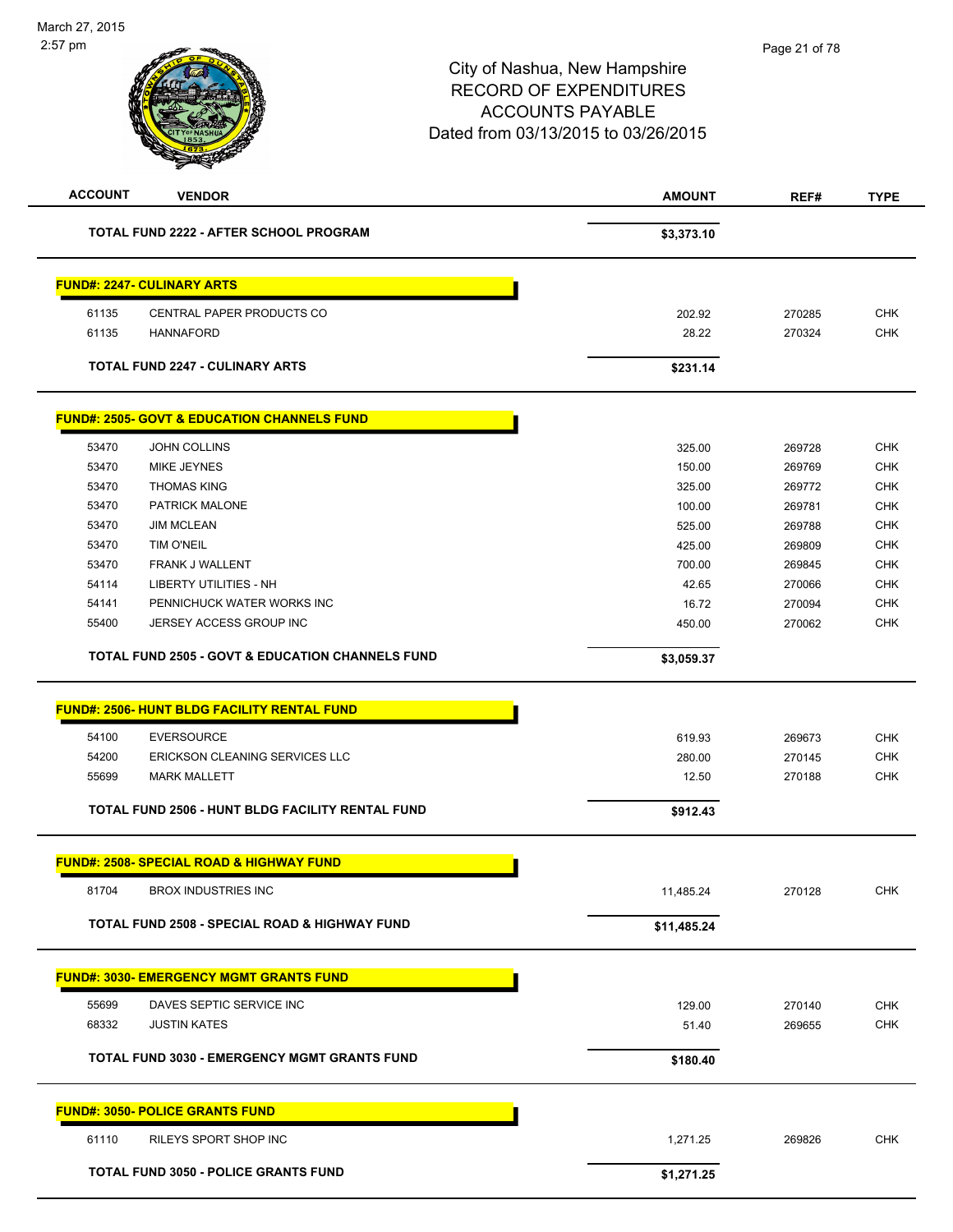| <b>TOTAL FUND 2222 - AFTER SCHOOL PROGRAM</b><br>\$3,373.10<br><b>FUND#: 2247- CULINARY ARTS</b><br>CENTRAL PAPER PRODUCTS CO<br>61135<br>202.92<br>270285<br>61135<br><b>HANNAFORD</b><br>28.22<br>270324<br><b>TOTAL FUND 2247 - CULINARY ARTS</b><br>\$231.14 | <b>CHK</b><br><b>CHK</b><br><b>CHK</b> |
|------------------------------------------------------------------------------------------------------------------------------------------------------------------------------------------------------------------------------------------------------------------|----------------------------------------|
|                                                                                                                                                                                                                                                                  |                                        |
|                                                                                                                                                                                                                                                                  |                                        |
|                                                                                                                                                                                                                                                                  |                                        |
|                                                                                                                                                                                                                                                                  |                                        |
|                                                                                                                                                                                                                                                                  |                                        |
| <b>FUND#: 2505- GOVT &amp; EDUCATION CHANNELS FUND</b>                                                                                                                                                                                                           |                                        |
| 53470<br><b>JOHN COLLINS</b><br>325.00<br>269728                                                                                                                                                                                                                 |                                        |
| 53470<br><b>MIKE JEYNES</b><br>150.00<br>269769                                                                                                                                                                                                                  | <b>CHK</b>                             |
| <b>THOMAS KING</b><br>53470<br>325.00<br>269772                                                                                                                                                                                                                  | <b>CHK</b>                             |
| 53470<br>PATRICK MALONE<br>100.00<br>269781                                                                                                                                                                                                                      | <b>CHK</b>                             |
| 53470<br><b>JIM MCLEAN</b><br>525.00<br>269788                                                                                                                                                                                                                   | <b>CHK</b>                             |
| 53470<br>TIM O'NEIL<br>425.00<br>269809                                                                                                                                                                                                                          | <b>CHK</b>                             |
| 700.00<br>53470<br>FRANK J WALLENT<br>269845                                                                                                                                                                                                                     | CHK                                    |
| 54114<br><b>LIBERTY UTILITIES - NH</b><br>42.65<br>270066                                                                                                                                                                                                        | <b>CHK</b>                             |
| PENNICHUCK WATER WORKS INC<br>16.72<br>270094<br>54141                                                                                                                                                                                                           | <b>CHK</b>                             |
| JERSEY ACCESS GROUP INC<br>55400<br>450.00<br>270062                                                                                                                                                                                                             | <b>CHK</b>                             |
| TOTAL FUND 2505 - GOVT & EDUCATION CHANNELS FUND<br>\$3,059.37                                                                                                                                                                                                   |                                        |
| <b>FUND#: 2506- HUNT BLDG FACILITY RENTAL FUND</b>                                                                                                                                                                                                               |                                        |
| <b>EVERSOURCE</b><br>54100<br>619.93<br>269673                                                                                                                                                                                                                   | <b>CHK</b>                             |
| 54200<br>ERICKSON CLEANING SERVICES LLC<br>270145<br>280.00                                                                                                                                                                                                      | <b>CHK</b>                             |
| 55699<br><b>MARK MALLETT</b><br>12.50<br>270188                                                                                                                                                                                                                  | <b>CHK</b>                             |
| TOTAL FUND 2506 - HUNT BLDG FACILITY RENTAL FUND<br>\$912.43                                                                                                                                                                                                     |                                        |
|                                                                                                                                                                                                                                                                  |                                        |
| <b>FUND#: 2508- SPECIAL ROAD &amp; HIGHWAY FUND</b>                                                                                                                                                                                                              |                                        |
| 81704<br><b>BROX INDUSTRIES INC</b><br>11,485.24<br>270128                                                                                                                                                                                                       | <b>CHK</b>                             |
| <b>TOTAL FUND 2508 - SPECIAL ROAD &amp; HIGHWAY FUND</b><br>\$11,485.24                                                                                                                                                                                          |                                        |
| <b>FUND#: 3030- EMERGENCY MGMT GRANTS FUND</b>                                                                                                                                                                                                                   |                                        |
| 55699<br>DAVES SEPTIC SERVICE INC<br>129.00<br>270140                                                                                                                                                                                                            | <b>CHK</b>                             |
| 68332<br><b>JUSTIN KATES</b><br>51.40<br>269655                                                                                                                                                                                                                  | <b>CHK</b>                             |
|                                                                                                                                                                                                                                                                  |                                        |
| TOTAL FUND 3030 - EMERGENCY MGMT GRANTS FUND<br>\$180.40                                                                                                                                                                                                         |                                        |
| <b>FUND#: 3050- POLICE GRANTS FUND</b>                                                                                                                                                                                                                           |                                        |
| 61110<br>RILEYS SPORT SHOP INC<br>1,271.25<br>269826                                                                                                                                                                                                             | <b>CHK</b>                             |
| <b>TOTAL FUND 3050 - POLICE GRANTS FUND</b><br>\$1,271.25                                                                                                                                                                                                        |                                        |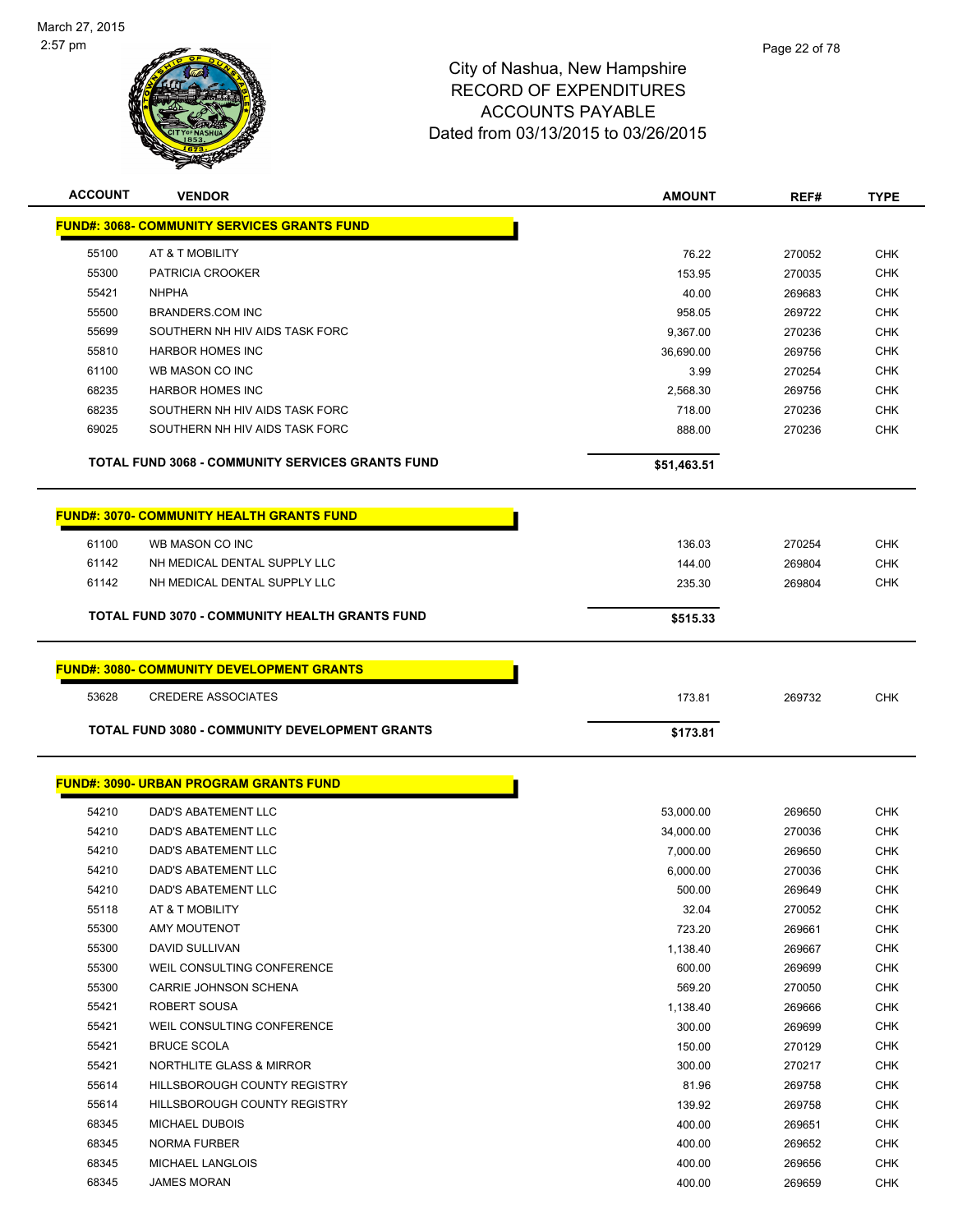

| <b>ACCOUNT</b> | <b>VENDOR</b>                                       | <b>AMOUNT</b> | REF#   | <b>TYPE</b> |
|----------------|-----------------------------------------------------|---------------|--------|-------------|
|                | <u> FUND#: 3068- COMMUNITY SERVICES GRANTS FUND</u> |               |        |             |
| 55100          | AT & T MOBILITY                                     | 76.22         | 270052 | <b>CHK</b>  |
| 55300          | PATRICIA CROOKER                                    | 153.95        | 270035 | <b>CHK</b>  |
| 55421          | <b>NHPHA</b>                                        | 40.00         | 269683 | <b>CHK</b>  |
| 55500          | <b>BRANDERS.COM INC</b>                             | 958.05        | 269722 | <b>CHK</b>  |
| 55699          | SOUTHERN NH HIV AIDS TASK FORC                      | 9,367.00      | 270236 | <b>CHK</b>  |
| 55810          | <b>HARBOR HOMES INC</b>                             | 36,690.00     | 269756 | <b>CHK</b>  |
| 61100          | WB MASON CO INC                                     | 3.99          | 270254 | <b>CHK</b>  |
| 68235          | <b>HARBOR HOMES INC</b>                             | 2,568.30      | 269756 | <b>CHK</b>  |
| 68235          | SOUTHERN NH HIV AIDS TASK FORC                      | 718.00        | 270236 | <b>CHK</b>  |
| 69025          | SOUTHERN NH HIV AIDS TASK FORC                      | 888.00        | 270236 | <b>CHK</b>  |
|                | TOTAL FUND 3068 - COMMUNITY SERVICES GRANTS FUND    | \$51,463.51   |        |             |
|                | <b>FUND#: 3070- COMMUNITY HEALTH GRANTS FUND</b>    |               |        |             |
|                |                                                     |               |        |             |
| 61100          | WB MASON CO INC                                     | 136.03        | 270254 | <b>CHK</b>  |
| 61142          | NH MEDICAL DENTAL SUPPLY LLC                        | 144.00        | 269804 | <b>CHK</b>  |
| 61142          | NH MEDICAL DENTAL SUPPLY LLC                        | 235.30        | 269804 | <b>CHK</b>  |
|                | TOTAL FUND 3070 - COMMUNITY HEALTH GRANTS FUND      | \$515.33      |        |             |
|                | <b>FUND#: 3080- COMMUNITY DEVELOPMENT GRANTS</b>    |               |        |             |
| 53628          | <b>CREDERE ASSOCIATES</b>                           | 173.81        | 269732 | <b>CHK</b>  |
|                |                                                     |               |        |             |
|                | TOTAL FUND 3080 - COMMUNITY DEVELOPMENT GRANTS      | \$173.81      |        |             |
|                | <b>FUND#: 3090- URBAN PROGRAM GRANTS FUND</b>       |               |        |             |
| 54210          | DAD'S ABATEMENT LLC                                 | 53,000.00     | 269650 | <b>CHK</b>  |
| 54210          | DAD'S ABATEMENT LLC                                 | 34,000.00     | 270036 | <b>CHK</b>  |
| 54210          | DAD'S ABATEMENT LLC                                 | 7,000.00      | 269650 | <b>CHK</b>  |
| 54210          | DAD'S ABATEMENT LLC                                 | 6,000.00      | 270036 | CHK         |
| 54210          | DAD'S ABATEMENT LLC                                 | 500.00        | 269649 | <b>CHK</b>  |
| 55118          | AT & T MOBILITY                                     | 32.04         | 270052 | <b>CHK</b>  |
| 55300          | <b>AMY MOUTENOT</b>                                 | 723.20        | 269661 | <b>CHK</b>  |
| 55300          | DAVID SULLIVAN                                      | 1,138.40      | 269667 | <b>CHK</b>  |
| 55300          | WEIL CONSULTING CONFERENCE                          | 600.00        | 269699 | CHK         |
| 55300          | CARRIE JOHNSON SCHENA                               | 569.20        | 270050 | <b>CHK</b>  |
| 55421          | ROBERT SOUSA                                        | 1,138.40      | 269666 | <b>CHK</b>  |
| 55421          | WEIL CONSULTING CONFERENCE                          | 300.00        | 269699 | <b>CHK</b>  |
| 55421          | <b>BRUCE SCOLA</b>                                  | 150.00        | 270129 | <b>CHK</b>  |
| 55421          | NORTHLITE GLASS & MIRROR                            | 300.00        | 270217 | <b>CHK</b>  |
| 55614          | HILLSBOROUGH COUNTY REGISTRY                        | 81.96         | 269758 | <b>CHK</b>  |
| 55614          | HILLSBOROUGH COUNTY REGISTRY                        | 139.92        | 269758 | <b>CHK</b>  |
| 68345          | <b>MICHAEL DUBOIS</b>                               | 400.00        | 269651 | <b>CHK</b>  |
| 68345          | <b>NORMA FURBER</b>                                 | 400.00        | 269652 | <b>CHK</b>  |
| 68345          | MICHAEL LANGLOIS                                    | 400.00        | 269656 | <b>CHK</b>  |
| 68345          | <b>JAMES MORAN</b>                                  | 400.00        | 269659 | <b>CHK</b>  |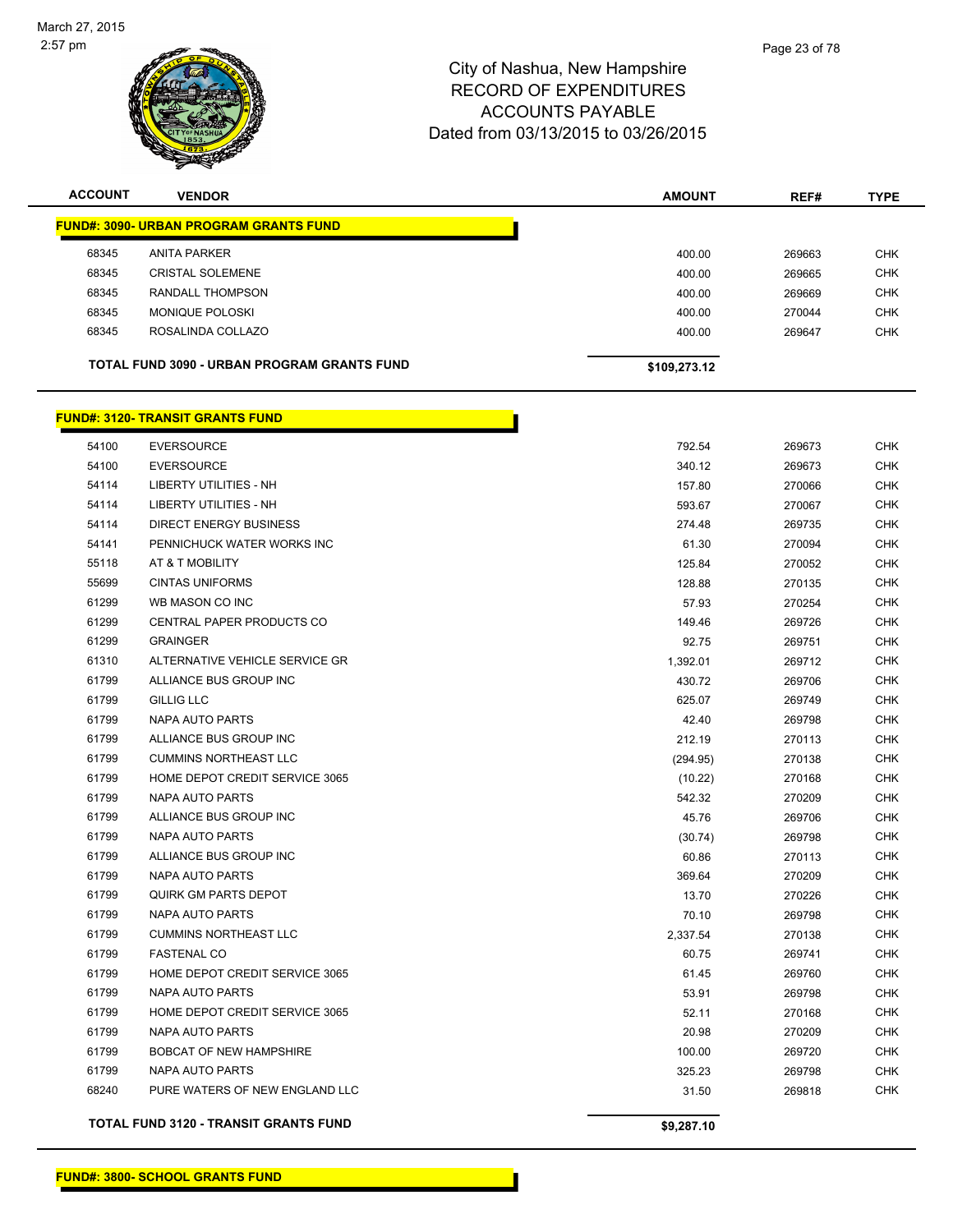

| <b>ACCOUNT</b> | <b>VENDOR</b>                                      | <b>AMOUNT</b> | REF#   | <b>TYPE</b> |
|----------------|----------------------------------------------------|---------------|--------|-------------|
|                | <b>FUND#: 3090- URBAN PROGRAM GRANTS FUND</b>      |               |        |             |
| 68345          | <b>ANITA PARKER</b>                                | 400.00        | 269663 | <b>CHK</b>  |
| 68345          | <b>CRISTAL SOLEMENE</b>                            | 400.00        | 269665 | <b>CHK</b>  |
| 68345          | RANDALL THOMPSON                                   | 400.00        | 269669 | <b>CHK</b>  |
| 68345          | MONIQUE POLOSKI                                    | 400.00        | 270044 | <b>CHK</b>  |
| 68345          | ROSALINDA COLLAZO                                  | 400.00        | 269647 | <b>CHK</b>  |
|                | <b>TOTAL FUND 3090 - URBAN PROGRAM GRANTS FUND</b> | \$109,273.12  |        |             |
|                | <b>FUND#: 3120- TRANSIT GRANTS FUND</b>            |               |        |             |
| 54100          | <b>EVERSOURCE</b>                                  | 792.54        | 269673 | <b>CHK</b>  |
| 54100          | <b>EVERSOURCE</b>                                  | 340.12        | 269673 | <b>CHK</b>  |
| 54114          | LIBERTY UTILITIES - NH                             | 157.80        | 270066 | <b>CHK</b>  |
| 54114          | LIBERTY UTILITIES - NH                             | 593.67        | 270067 | <b>CHK</b>  |
| 54114          | <b>DIRECT ENERGY BUSINESS</b>                      | 274.48        | 269735 | <b>CHK</b>  |
| 54141          | PENNICHUCK WATER WORKS INC                         | 61.30         | 270094 | <b>CHK</b>  |
| 55118          | AT & T MOBILITY                                    | 125.84        | 270052 | <b>CHK</b>  |
| 55699          | <b>CINTAS UNIFORMS</b>                             | 128.88        | 270135 | <b>CHK</b>  |
| 61299          | WB MASON CO INC                                    | 57.93         | 270254 | <b>CHK</b>  |
| 61299          | CENTRAL PAPER PRODUCTS CO                          | 149.46        | 269726 | <b>CHK</b>  |
| 61299          | <b>GRAINGER</b>                                    | 92.75         | 269751 | <b>CHK</b>  |
| 61310          | ALTERNATIVE VEHICLE SERVICE GR                     | 1,392.01      | 269712 | <b>CHK</b>  |
| 61799          | ALLIANCE BUS GROUP INC                             | 430.72        | 269706 | <b>CHK</b>  |
| 61799          | <b>GILLIG LLC</b>                                  | 625.07        | 269749 | <b>CHK</b>  |
| 61799          | <b>NAPA AUTO PARTS</b>                             | 42.40         | 269798 | <b>CHK</b>  |
| 61799          | ALLIANCE BUS GROUP INC                             | 212.19        | 270113 | <b>CHK</b>  |
| 61799          | <b>CUMMINS NORTHEAST LLC</b>                       | (294.95)      | 270138 | <b>CHK</b>  |
| 61799          | HOME DEPOT CREDIT SERVICE 3065                     | (10.22)       | 270168 | <b>CHK</b>  |
| 61799          | <b>NAPA AUTO PARTS</b>                             | 542.32        | 270209 | <b>CHK</b>  |
| 61799          | ALLIANCE BUS GROUP INC                             | 45.76         | 269706 | <b>CHK</b>  |
| 61799          | <b>NAPA AUTO PARTS</b>                             | (30.74)       | 269798 | <b>CHK</b>  |
| 61799          | ALLIANCE BUS GROUP INC                             | 60.86         | 270113 | <b>CHK</b>  |
| 61799          | NAPA AUTO PARTS                                    | 369.64        | 270209 | <b>CHK</b>  |
| 61799          | QUIRK GM PARTS DEPOT                               | 13.70         | 270226 | <b>CHK</b>  |
| 61799          | <b>NAPA AUTO PARTS</b>                             | 70.10         | 269798 | <b>CHK</b>  |

 CUMMINS NORTHEAST LLC 2,337.54 270138 CHK FASTENAL CO 60.75 269741 CHK HOME DEPOT CREDIT SERVICE 3065 61.45 269760 CHK NAPA AUTO PARTS 53.91 269798 CHK HOME DEPOT CREDIT SERVICE 3065 52.11 270168 CHK NAPA AUTO PARTS 20.98 270209 CHK et and the state of the state of the state of the state of the state of the state of the state of the state of the state of the state of the state of the state of the state of the state of the state of the state of the sta NAPA AUTO PARTS 325.23 269798 CHK PURE WATERS OF NEW ENGLAND LLC 31.50 269818 CHK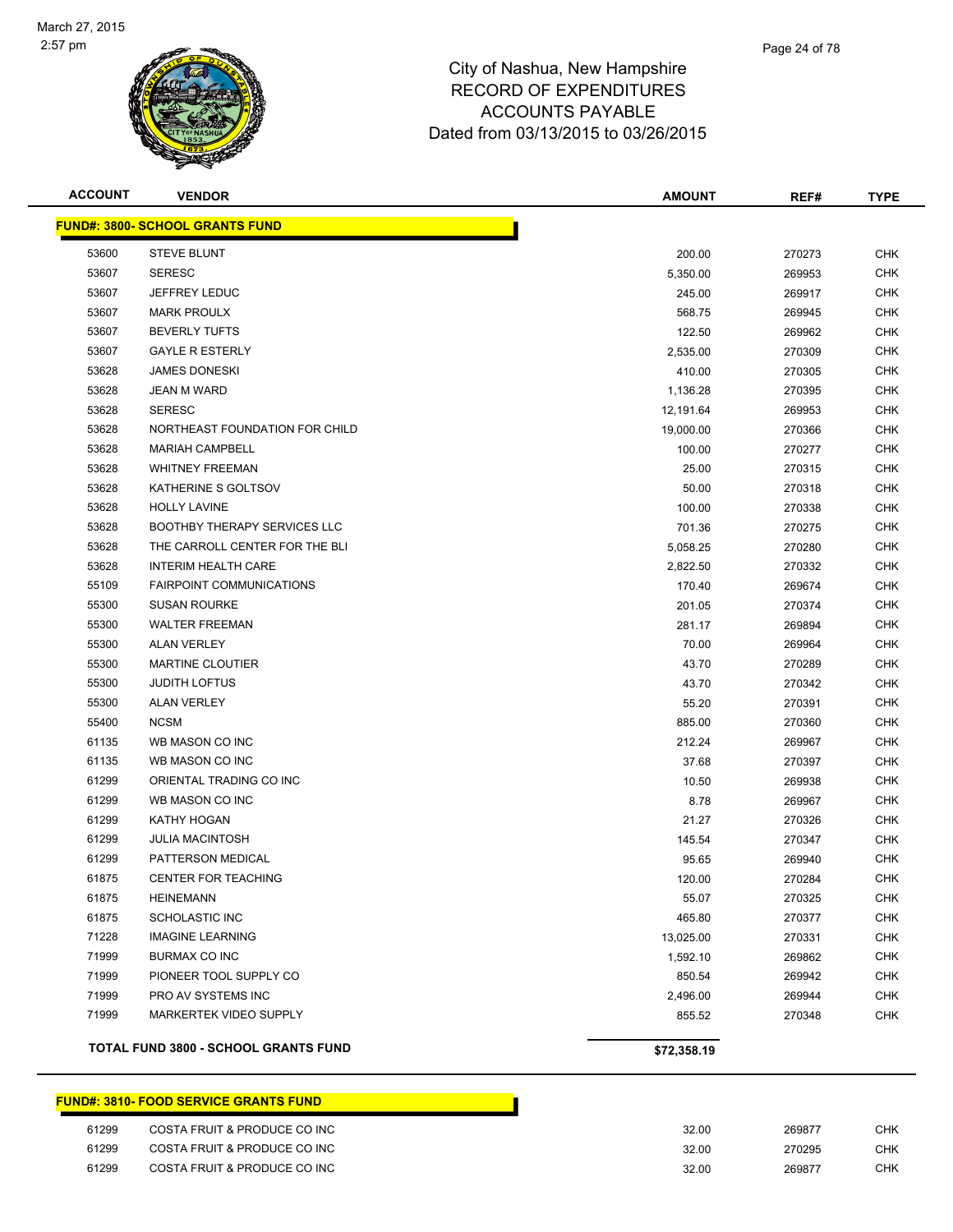

| <b>ACCOUNT</b> | <b>VENDOR</b>                               | <b>AMOUNT</b> | REF#   | <b>TYPE</b> |
|----------------|---------------------------------------------|---------------|--------|-------------|
|                | <b>FUND#: 3800- SCHOOL GRANTS FUND</b>      |               |        |             |
| 53600          | <b>STEVE BLUNT</b>                          | 200.00        | 270273 | <b>CHK</b>  |
| 53607          | <b>SERESC</b>                               | 5,350.00      | 269953 | <b>CHK</b>  |
| 53607          | JEFFREY LEDUC                               | 245.00        | 269917 | CHK         |
| 53607          | <b>MARK PROULX</b>                          | 568.75        | 269945 | <b>CHK</b>  |
| 53607          | <b>BEVERLY TUFTS</b>                        | 122.50        | 269962 | <b>CHK</b>  |
| 53607          | <b>GAYLE R ESTERLY</b>                      | 2,535.00      | 270309 | <b>CHK</b>  |
| 53628          | <b>JAMES DONESKI</b>                        | 410.00        | 270305 | CHK         |
| 53628          | <b>JEAN M WARD</b>                          | 1,136.28      | 270395 | <b>CHK</b>  |
| 53628          | <b>SERESC</b>                               | 12,191.64     | 269953 | <b>CHK</b>  |
| 53628          | NORTHEAST FOUNDATION FOR CHILD              | 19,000.00     | 270366 | CHK         |
| 53628          | <b>MARIAH CAMPBELL</b>                      | 100.00        | 270277 | CHK         |
| 53628          | <b>WHITNEY FREEMAN</b>                      | 25.00         | 270315 | CHK         |
| 53628          | KATHERINE S GOLTSOV                         | 50.00         | 270318 | <b>CHK</b>  |
| 53628          | <b>HOLLY LAVINE</b>                         | 100.00        | 270338 | CHK         |
| 53628          | <b>BOOTHBY THERAPY SERVICES LLC</b>         | 701.36        | 270275 | <b>CHK</b>  |
| 53628          | THE CARROLL CENTER FOR THE BLI              | 5,058.25      | 270280 | <b>CHK</b>  |
| 53628          | <b>INTERIM HEALTH CARE</b>                  | 2,822.50      | 270332 | <b>CHK</b>  |
| 55109          | <b>FAIRPOINT COMMUNICATIONS</b>             | 170.40        | 269674 | <b>CHK</b>  |
| 55300          | <b>SUSAN ROURKE</b>                         | 201.05        | 270374 | <b>CHK</b>  |
| 55300          | <b>WALTER FREEMAN</b>                       | 281.17        | 269894 | <b>CHK</b>  |
| 55300          | <b>ALAN VERLEY</b>                          | 70.00         | 269964 | CHK         |
| 55300          | <b>MARTINE CLOUTIER</b>                     | 43.70         | 270289 | <b>CHK</b>  |
| 55300          | <b>JUDITH LOFTUS</b>                        | 43.70         | 270342 | <b>CHK</b>  |
| 55300          | <b>ALAN VERLEY</b>                          | 55.20         | 270391 | <b>CHK</b>  |
| 55400          | <b>NCSM</b>                                 | 885.00        | 270360 | <b>CHK</b>  |
| 61135          | WB MASON CO INC                             | 212.24        | 269967 | <b>CHK</b>  |
| 61135          | WB MASON CO INC                             | 37.68         | 270397 | <b>CHK</b>  |
| 61299          | ORIENTAL TRADING CO INC                     | 10.50         | 269938 | <b>CHK</b>  |
| 61299          | WB MASON CO INC                             | 8.78          | 269967 | CHK         |
| 61299          | KATHY HOGAN                                 | 21.27         | 270326 | CHK         |
| 61299          | <b>JULIA MACINTOSH</b>                      | 145.54        | 270347 | CHK         |
| 61299          | PATTERSON MEDICAL                           | 95.65         | 269940 | CHK         |
| 61875          | <b>CENTER FOR TEACHING</b>                  | 120.00        | 270284 | <b>CHK</b>  |
| 61875          | <b>HEINEMANN</b>                            | 55.07         | 270325 | <b>CHK</b>  |
| 61875          | <b>SCHOLASTIC INC</b>                       | 465.80        | 270377 | <b>CHK</b>  |
| 71228          | <b>IMAGINE LEARNING</b>                     | 13,025.00     | 270331 | <b>CHK</b>  |
| 71999          | BURMAX CO INC                               | 1,592.10      | 269862 | <b>CHK</b>  |
| 71999          | PIONEER TOOL SUPPLY CO                      | 850.54        | 269942 | <b>CHK</b>  |
| 71999          | PRO AV SYSTEMS INC                          | 2,496.00      | 269944 | <b>CHK</b>  |
| 71999          | MARKERTEK VIDEO SUPPLY                      | 855.52        | 270348 | <b>CHK</b>  |
|                | <b>TOTAL FUND 3800 - SCHOOL GRANTS FUND</b> | \$72,358.19   |        |             |

#### **FUND#: 3810- FOOD SERVICE GRANTS FUND**

| 61299 | COSTA FRUIT & PRODUCE CO INC | 32.00 | 269877 | СНК |
|-------|------------------------------|-------|--------|-----|
| 61299 | COSTA FRUIT & PRODUCE CO INC | 32.00 | 270295 | снк |
| 61299 | COSTA FRUIT & PRODUCE CO INC | 32.00 | 269877 | CHK |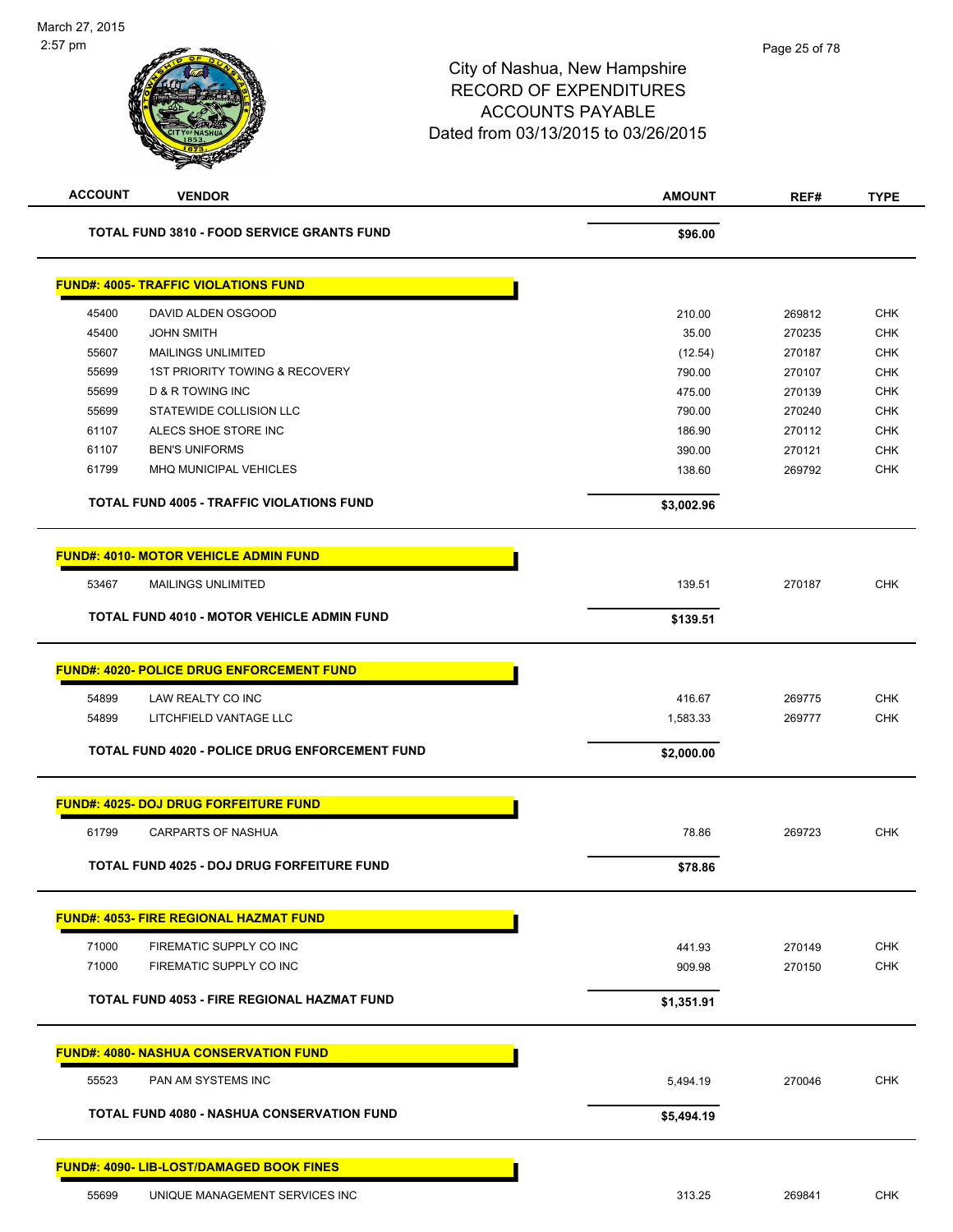| <b>ACCOUNT</b> | <b>VENDOR</b>                                      | <b>AMOUNT</b> | REF#   | <b>TYPE</b> |
|----------------|----------------------------------------------------|---------------|--------|-------------|
|                | <b>TOTAL FUND 3810 - FOOD SERVICE GRANTS FUND</b>  | \$96.00       |        |             |
|                | <b>FUND#: 4005- TRAFFIC VIOLATIONS FUND</b>        |               |        |             |
| 45400          | DAVID ALDEN OSGOOD                                 | 210.00        | 269812 | <b>CHK</b>  |
| 45400          | <b>JOHN SMITH</b>                                  | 35.00         | 270235 | <b>CHK</b>  |
| 55607          | <b>MAILINGS UNLIMITED</b>                          | (12.54)       | 270187 | <b>CHK</b>  |
| 55699          | 1ST PRIORITY TOWING & RECOVERY                     | 790.00        | 270107 | <b>CHK</b>  |
| 55699          | <b>D &amp; R TOWING INC</b>                        | 475.00        | 270139 | <b>CHK</b>  |
| 55699          | STATEWIDE COLLISION LLC                            | 790.00        | 270240 | <b>CHK</b>  |
| 61107          | ALECS SHOE STORE INC                               | 186.90        | 270112 | <b>CHK</b>  |
| 61107          | <b>BEN'S UNIFORMS</b>                              | 390.00        | 270121 | <b>CHK</b>  |
| 61799          | MHQ MUNICIPAL VEHICLES                             | 138.60        | 269792 | <b>CHK</b>  |
|                | <b>TOTAL FUND 4005 - TRAFFIC VIOLATIONS FUND</b>   | \$3,002.96    |        |             |
|                | <u> FUND#: 4010- MOTOR VEHICLE ADMIN FUND</u>      |               |        |             |
| 53467          | <b>MAILINGS UNLIMITED</b>                          | 139.51        | 270187 | <b>CHK</b>  |
|                | <b>TOTAL FUND 4010 - MOTOR VEHICLE ADMIN FUND</b>  | \$139.51      |        |             |
|                |                                                    |               |        |             |
|                | <b>FUND#: 4020- POLICE DRUG ENFORCEMENT FUND</b>   |               |        |             |
| 54899          | LAW REALTY CO INC                                  | 416.67        | 269775 | <b>CHK</b>  |
| 54899          | LITCHFIELD VANTAGE LLC                             | 1,583.33      | 269777 | <b>CHK</b>  |
|                | TOTAL FUND 4020 - POLICE DRUG ENFORCEMENT FUND     | \$2,000.00    |        |             |
|                | <u> FUND#: 4025- DOJ DRUG FORFEITURE FUND</u>      |               |        |             |
| 61799          | <b>CARPARTS OF NASHUA</b>                          | 78.86         | 269723 | <b>CHK</b>  |
|                | TOTAL FUND 4025 - DOJ DRUG FORFEITURE FUND         | \$78.86       |        |             |
|                | <b>FUND#: 4053- FIRE REGIONAL HAZMAT FUND</b>      |               |        |             |
| 71000          | FIREMATIC SUPPLY CO INC                            | 441.93        | 270149 | <b>CHK</b>  |
| 71000          | FIREMATIC SUPPLY CO INC                            | 909.98        | 270150 | <b>CHK</b>  |
|                | <b>TOTAL FUND 4053 - FIRE REGIONAL HAZMAT FUND</b> | \$1,351.91    |        |             |
|                | <b>FUND#: 4080- NASHUA CONSERVATION FUND</b>       |               |        |             |
|                |                                                    |               |        |             |
| 55523          | PAN AM SYSTEMS INC                                 | 5,494.19      | 270046 | <b>CHK</b>  |
|                | <b>TOTAL FUND 4080 - NASHUA CONSERVATION FUND</b>  | \$5,494.19    |        |             |
|                | <b>FUND#: 4090- LIB-LOST/DAMAGED BOOK FINES</b>    |               |        |             |
| 55699          | UNIQUE MANAGEMENT SERVICES INC                     | 313.25        | 269841 | <b>CHK</b>  |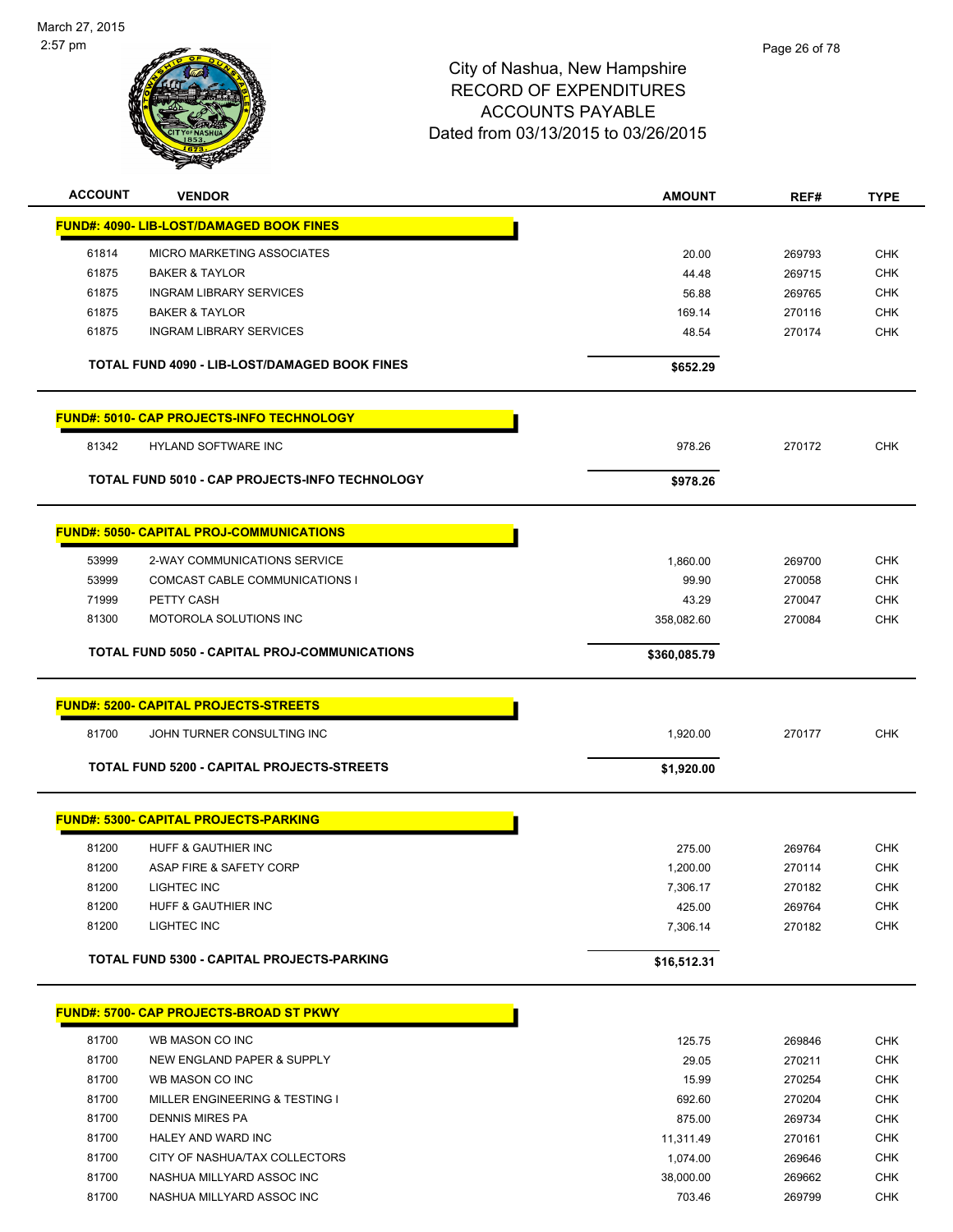

| <b>ACCOUNT</b> | <b>VENDOR</b>                                     | AMOUNT       | REF#   | <b>TYPE</b> |
|----------------|---------------------------------------------------|--------------|--------|-------------|
|                | <b>FUND#: 4090- LIB-LOST/DAMAGED BOOK FINES</b>   |              |        |             |
| 61814          | <b>MICRO MARKETING ASSOCIATES</b>                 | 20.00        | 269793 | <b>CHK</b>  |
| 61875          | <b>BAKER &amp; TAYLOR</b>                         | 44.48        | 269715 | <b>CHK</b>  |
| 61875          | <b>INGRAM LIBRARY SERVICES</b>                    | 56.88        | 269765 | CHK         |
| 61875          | <b>BAKER &amp; TAYLOR</b>                         | 169.14       | 270116 | <b>CHK</b>  |
| 61875          | <b>INGRAM LIBRARY SERVICES</b>                    | 48.54        | 270174 | <b>CHK</b>  |
|                | TOTAL FUND 4090 - LIB-LOST/DAMAGED BOOK FINES     | \$652.29     |        |             |
|                | <b>FUND#: 5010- CAP PROJECTS-INFO TECHNOLOGY</b>  |              |        |             |
| 81342          | <b>HYLAND SOFTWARE INC</b>                        | 978.26       | 270172 | <b>CHK</b>  |
|                | TOTAL FUND 5010 - CAP PROJECTS-INFO TECHNOLOGY    | \$978.26     |        |             |
|                | <b>FUND#: 5050- CAPITAL PROJ-COMMUNICATIONS</b>   |              |        |             |
| 53999          | 2-WAY COMMUNICATIONS SERVICE                      | 1,860.00     | 269700 | <b>CHK</b>  |
| 53999          | COMCAST CABLE COMMUNICATIONS I                    | 99.90        | 270058 | <b>CHK</b>  |
| 71999          | PETTY CASH                                        | 43.29        | 270047 | <b>CHK</b>  |
| 81300          | MOTOROLA SOLUTIONS INC                            | 358,082.60   | 270084 | <b>CHK</b>  |
|                | TOTAL FUND 5050 - CAPITAL PROJ-COMMUNICATIONS     | \$360,085.79 |        |             |
|                | <b>FUND#: 5200- CAPITAL PROJECTS-STREETS</b>      |              |        |             |
| 81700          | JOHN TURNER CONSULTING INC                        | 1,920.00     | 270177 | <b>CHK</b>  |
|                | TOTAL FUND 5200 - CAPITAL PROJECTS-STREETS        | \$1,920.00   |        |             |
|                | <b>FUND#: 5300- CAPITAL PROJECTS-PARKING</b>      |              |        |             |
| 81200          | HUFF & GAUTHIER INC                               | 275.00       | 269764 | <b>CHK</b>  |
| 81200          | ASAP FIRE & SAFETY CORP                           | 1,200.00     | 270114 | <b>CHK</b>  |
| 81200          | LIGHTEC INC                                       | 7,306.17     | 270182 | <b>CHK</b>  |
| 81200          | HUFF & GAUTHIER INC                               | 425.00       | 269764 | <b>CHK</b>  |
| 81200          | LIGHTEC INC                                       | 7,306.14     | 270182 | <b>CHK</b>  |
|                | <b>TOTAL FUND 5300 - CAPITAL PROJECTS-PARKING</b> | \$16,512.31  |        |             |
|                | <b>FUND#: 5700- CAP PROJECTS-BROAD ST PKWY</b>    |              |        |             |
| 81700          | WB MASON CO INC                                   | 125.75       | 269846 | <b>CHK</b>  |
| 81700          | NEW ENGLAND PAPER & SUPPLY                        | 29.05        | 270211 | <b>CHK</b>  |
| 81700          | WB MASON CO INC                                   | 15.99        | 270254 | <b>CHK</b>  |
| 81700          | MILLER ENGINEERING & TESTING I                    | 692.60       | 270204 | <b>CHK</b>  |
| 81700          | <b>DENNIS MIRES PA</b>                            | 875.00       | 269734 | <b>CHK</b>  |
| 81700          | HALEY AND WARD INC                                | 11,311.49    | 270161 | <b>CHK</b>  |
| 81700          | CITY OF NASHUA/TAX COLLECTORS                     | 1,074.00     | 269646 | <b>CHK</b>  |
| 81700          | NASHUA MILLYARD ASSOC INC                         | 38,000.00    | 269662 | <b>CHK</b>  |
| 81700          | NASHUA MILLYARD ASSOC INC                         | 703.46       | 269799 | <b>CHK</b>  |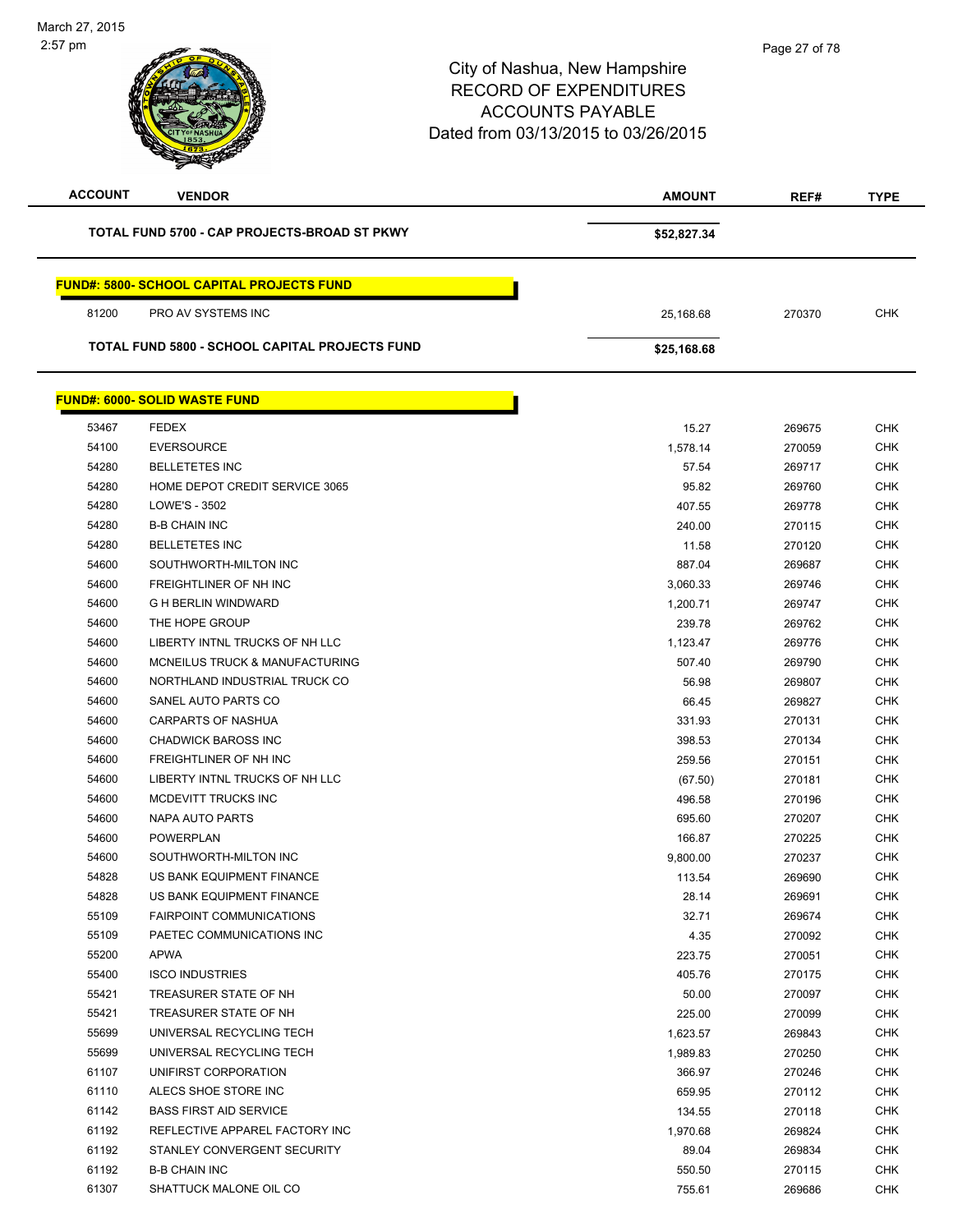| <b>ACCOUNT</b> | <b>VENDOR</b>                                    | <b>AMOUNT</b> | REF#   | <b>TYPE</b> |
|----------------|--------------------------------------------------|---------------|--------|-------------|
|                | TOTAL FUND 5700 - CAP PROJECTS-BROAD ST PKWY     | \$52,827.34   |        |             |
|                | <b>FUND#: 5800- SCHOOL CAPITAL PROJECTS FUND</b> |               |        |             |
| 81200          | PRO AV SYSTEMS INC                               | 25,168.68     | 270370 | <b>CHK</b>  |
|                | TOTAL FUND 5800 - SCHOOL CAPITAL PROJECTS FUND   | \$25,168.68   |        |             |
|                | <b>FUND#: 6000- SOLID WASTE FUND</b>             |               |        |             |
| 53467          | <b>FEDEX</b>                                     | 15.27         | 269675 | <b>CHK</b>  |
| 54100          | <b>EVERSOURCE</b>                                | 1,578.14      | 270059 | <b>CHK</b>  |
| 54280          | <b>BELLETETES INC</b>                            | 57.54         | 269717 | <b>CHK</b>  |
| 54280          | HOME DEPOT CREDIT SERVICE 3065                   | 95.82         | 269760 | <b>CHK</b>  |
| 54280          | LOWE'S - 3502                                    | 407.55        | 269778 | <b>CHK</b>  |
| 54280          | <b>B-B CHAIN INC</b>                             | 240.00        | 270115 | <b>CHK</b>  |
| 54280          | <b>BELLETETES INC</b>                            | 11.58         | 270120 | <b>CHK</b>  |
| 54600          | SOUTHWORTH-MILTON INC                            | 887.04        | 269687 | <b>CHK</b>  |
| 54600          | <b>FREIGHTLINER OF NH INC</b>                    | 3,060.33      | 269746 | <b>CHK</b>  |
| 54600          | <b>G H BERLIN WINDWARD</b>                       | 1,200.71      | 269747 | <b>CHK</b>  |
| 54600          | THE HOPE GROUP                                   | 239.78        | 269762 | <b>CHK</b>  |
| 54600          | LIBERTY INTNL TRUCKS OF NH LLC                   | 1,123.47      | 269776 | <b>CHK</b>  |
| 54600          | MCNEILUS TRUCK & MANUFACTURING                   | 507.40        | 269790 | <b>CHK</b>  |
| 54600          | NORTHLAND INDUSTRIAL TRUCK CO                    | 56.98         | 269807 | <b>CHK</b>  |
| 54600          | SANEL AUTO PARTS CO                              | 66.45         | 269827 | <b>CHK</b>  |
| 54600          | CARPARTS OF NASHUA                               | 331.93        | 270131 | <b>CHK</b>  |
| 54600          | <b>CHADWICK BAROSS INC</b>                       | 398.53        | 270134 | <b>CHK</b>  |
| 54600          | FREIGHTLINER OF NH INC                           | 259.56        | 270151 | <b>CHK</b>  |
| 54600          | LIBERTY INTNL TRUCKS OF NH LLC                   | (67.50)       | 270181 | <b>CHK</b>  |
| 54600          | MCDEVITT TRUCKS INC                              | 496.58        | 270196 | <b>CHK</b>  |
| 54600          | NAPA AUTO PARTS                                  | 695.60        | 270207 | <b>CHK</b>  |
| 54600          | <b>POWERPLAN</b>                                 | 166.87        | 270225 | <b>CHK</b>  |
| 54600          | SOUTHWORTH-MILTON INC                            | 9,800.00      | 270237 | <b>CHK</b>  |
| 54828          | US BANK EQUIPMENT FINANCE                        | 113.54        | 269690 | <b>CHK</b>  |
| 54828          | US BANK EQUIPMENT FINANCE                        | 28.14         | 269691 | <b>CHK</b>  |
| 55109          | <b>FAIRPOINT COMMUNICATIONS</b>                  | 32.71         | 269674 | <b>CHK</b>  |
| 55109          | PAETEC COMMUNICATIONS INC                        | 4.35          | 270092 | <b>CHK</b>  |
| 55200          | <b>APWA</b>                                      | 223.75        | 270051 | <b>CHK</b>  |
| 55400          | <b>ISCO INDUSTRIES</b>                           | 405.76        | 270175 | <b>CHK</b>  |
| 55421          | TREASURER STATE OF NH                            | 50.00         | 270097 | <b>CHK</b>  |
| 55421          | TREASURER STATE OF NH                            | 225.00        | 270099 | <b>CHK</b>  |
| 55699          | UNIVERSAL RECYCLING TECH                         | 1,623.57      | 269843 | <b>CHK</b>  |
| 55699          | UNIVERSAL RECYCLING TECH                         | 1,989.83      | 270250 | <b>CHK</b>  |
| 61107          | UNIFIRST CORPORATION                             | 366.97        | 270246 | <b>CHK</b>  |
| 61110          | ALECS SHOE STORE INC                             | 659.95        | 270112 | <b>CHK</b>  |
| 61142          | <b>BASS FIRST AID SERVICE</b>                    | 134.55        | 270118 | <b>CHK</b>  |
| 61192          | REFLECTIVE APPAREL FACTORY INC                   | 1,970.68      | 269824 | <b>CHK</b>  |
| 61192          | STANLEY CONVERGENT SECURITY                      | 89.04         | 269834 | <b>CHK</b>  |
| 61192          | <b>B-B CHAIN INC</b>                             | 550.50        | 270115 | <b>CHK</b>  |
| 61307          | SHATTUCK MALONE OIL CO                           | 755.61        | 269686 | <b>CHK</b>  |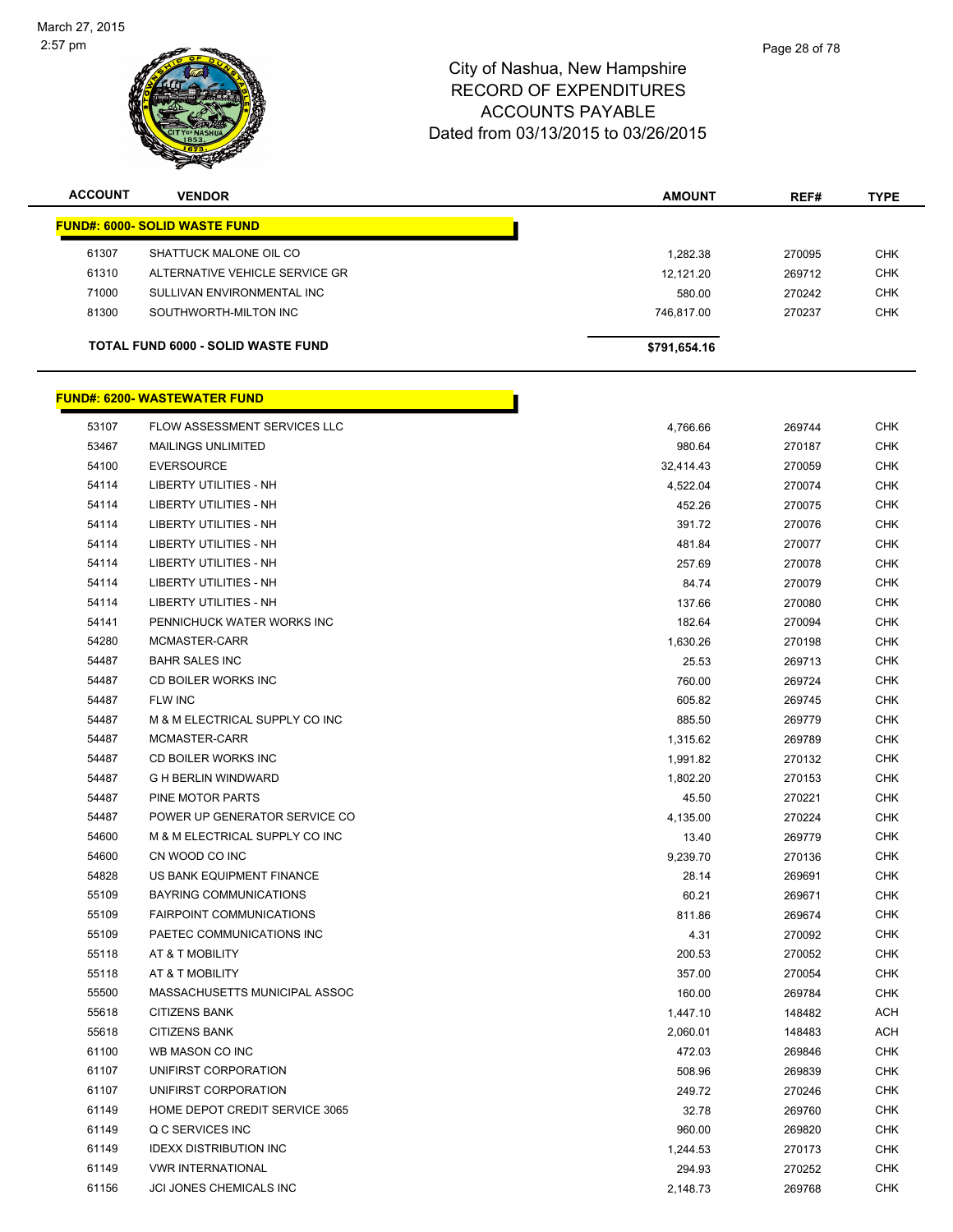

| <b>ACCOUNT</b> | <b>VENDOR</b>                             | <b>AMOUNT</b> | REF#   | <b>TYPE</b> |
|----------------|-------------------------------------------|---------------|--------|-------------|
|                | <b>FUND#: 6000- SOLID WASTE FUND</b>      |               |        |             |
| 61307          | SHATTUCK MALONE OIL CO                    | 1,282.38      | 270095 | <b>CHK</b>  |
| 61310          | ALTERNATIVE VEHICLE SERVICE GR            | 12,121.20     | 269712 | <b>CHK</b>  |
| 71000          | SULLIVAN ENVIRONMENTAL INC                | 580.00        | 270242 | <b>CHK</b>  |
| 81300          | SOUTHWORTH-MILTON INC                     | 746,817.00    | 270237 | <b>CHK</b>  |
|                | <b>TOTAL FUND 6000 - SOLID WASTE FUND</b> | \$791,654.16  |        |             |
|                | <b>FUND#: 6200- WASTEWATER FUND</b>       |               |        |             |
| 53107          | FLOW ASSESSMENT SERVICES LLC              | 4,766.66      | 269744 | <b>CHK</b>  |
| 53467          | <b>MAILINGS UNLIMITED</b>                 | 980.64        | 270187 | <b>CHK</b>  |
| 54100          | <b>EVERSOURCE</b>                         | 32,414.43     | 270059 | <b>CHK</b>  |
| 54114          | <b>LIBERTY UTILITIES - NH</b>             | 4,522.04      | 270074 | <b>CHK</b>  |
| 54114          | <b>LIBERTY UTILITIES - NH</b>             | 452.26        | 270075 | <b>CHK</b>  |
| 54114          | <b>LIBERTY UTILITIES - NH</b>             | 391.72        | 270076 | <b>CHK</b>  |
| 54114          | <b>LIBERTY UTILITIES - NH</b>             | 481.84        | 270077 | <b>CHK</b>  |
| 54114          | <b>LIBERTY UTILITIES - NH</b>             | 257.69        | 270078 | <b>CHK</b>  |
| 54114          | <b>LIBERTY UTILITIES - NH</b>             | 84.74         | 270079 | <b>CHK</b>  |

| ۱۱+۰ ت | LIDERIT UTILITIES - INTI        | 401.04   | 210011 | ◡⊓ℕ        |
|--------|---------------------------------|----------|--------|------------|
| 54114  | LIBERTY UTILITIES - NH          | 257.69   | 270078 | <b>CHK</b> |
| 54114  | <b>LIBERTY UTILITIES - NH</b>   | 84.74    | 270079 | <b>CHK</b> |
| 54114  | <b>LIBERTY UTILITIES - NH</b>   | 137.66   | 270080 | <b>CHK</b> |
| 54141  | PENNICHUCK WATER WORKS INC      | 182.64   | 270094 | <b>CHK</b> |
| 54280  | MCMASTER-CARR                   | 1,630.26 | 270198 | <b>CHK</b> |
| 54487  | <b>BAHR SALES INC</b>           | 25.53    | 269713 | <b>CHK</b> |
| 54487  | CD BOILER WORKS INC             | 760.00   | 269724 | <b>CHK</b> |
| 54487  | FLW INC                         | 605.82   | 269745 | <b>CHK</b> |
| 54487  | M & M ELECTRICAL SUPPLY CO INC  | 885.50   | 269779 | <b>CHK</b> |
| 54487  | MCMASTER-CARR                   | 1,315.62 | 269789 | <b>CHK</b> |
| 54487  | CD BOILER WORKS INC             | 1,991.82 | 270132 | <b>CHK</b> |
| 54487  | <b>G H BERLIN WINDWARD</b>      | 1,802.20 | 270153 | <b>CHK</b> |
| 54487  | PINE MOTOR PARTS                | 45.50    | 270221 | <b>CHK</b> |
| 54487  | POWER UP GENERATOR SERVICE CO   | 4,135.00 | 270224 | <b>CHK</b> |
| 54600  | M & M ELECTRICAL SUPPLY CO INC  | 13.40    | 269779 | <b>CHK</b> |
| 54600  | CN WOOD CO INC                  | 9,239.70 | 270136 | <b>CHK</b> |
| 54828  | US BANK EQUIPMENT FINANCE       | 28.14    | 269691 | <b>CHK</b> |
| 55109  | <b>BAYRING COMMUNICATIONS</b>   | 60.21    | 269671 | <b>CHK</b> |
| 55109  | <b>FAIRPOINT COMMUNICATIONS</b> | 811.86   | 269674 | <b>CHK</b> |
| 55109  | PAETEC COMMUNICATIONS INC       | 4.31     | 270092 | <b>CHK</b> |
| 55118  | AT & T MOBILITY                 | 200.53   | 270052 | <b>CHK</b> |
| 55118  | AT & T MOBILITY                 | 357.00   | 270054 | <b>CHK</b> |
| 55500  | MASSACHUSETTS MUNICIPAL ASSOC   | 160.00   | 269784 | <b>CHK</b> |
| 55618  | <b>CITIZENS BANK</b>            | 1,447.10 | 148482 | <b>ACH</b> |
| 55618  | <b>CITIZENS BANK</b>            | 2,060.01 | 148483 | <b>ACH</b> |
| 61100  | WB MASON CO INC                 | 472.03   | 269846 | <b>CHK</b> |
| 61107  | UNIFIRST CORPORATION            | 508.96   | 269839 | <b>CHK</b> |
| 61107  | UNIFIRST CORPORATION            | 249.72   | 270246 | <b>CHK</b> |
| 61149  | HOME DEPOT CREDIT SERVICE 3065  | 32.78    | 269760 | <b>CHK</b> |
| 61149  | Q C SERVICES INC                | 960.00   | 269820 | <b>CHK</b> |
| 61149  | <b>IDEXX DISTRIBUTION INC</b>   | 1,244.53 | 270173 | <b>CHK</b> |
| 61149  | <b>VWR INTERNATIONAL</b>        | 294.93   | 270252 | <b>CHK</b> |
| 61156  | <b>JCI JONES CHEMICALS INC</b>  | 2,148.73 | 269768 | <b>CHK</b> |
|        |                                 |          |        |            |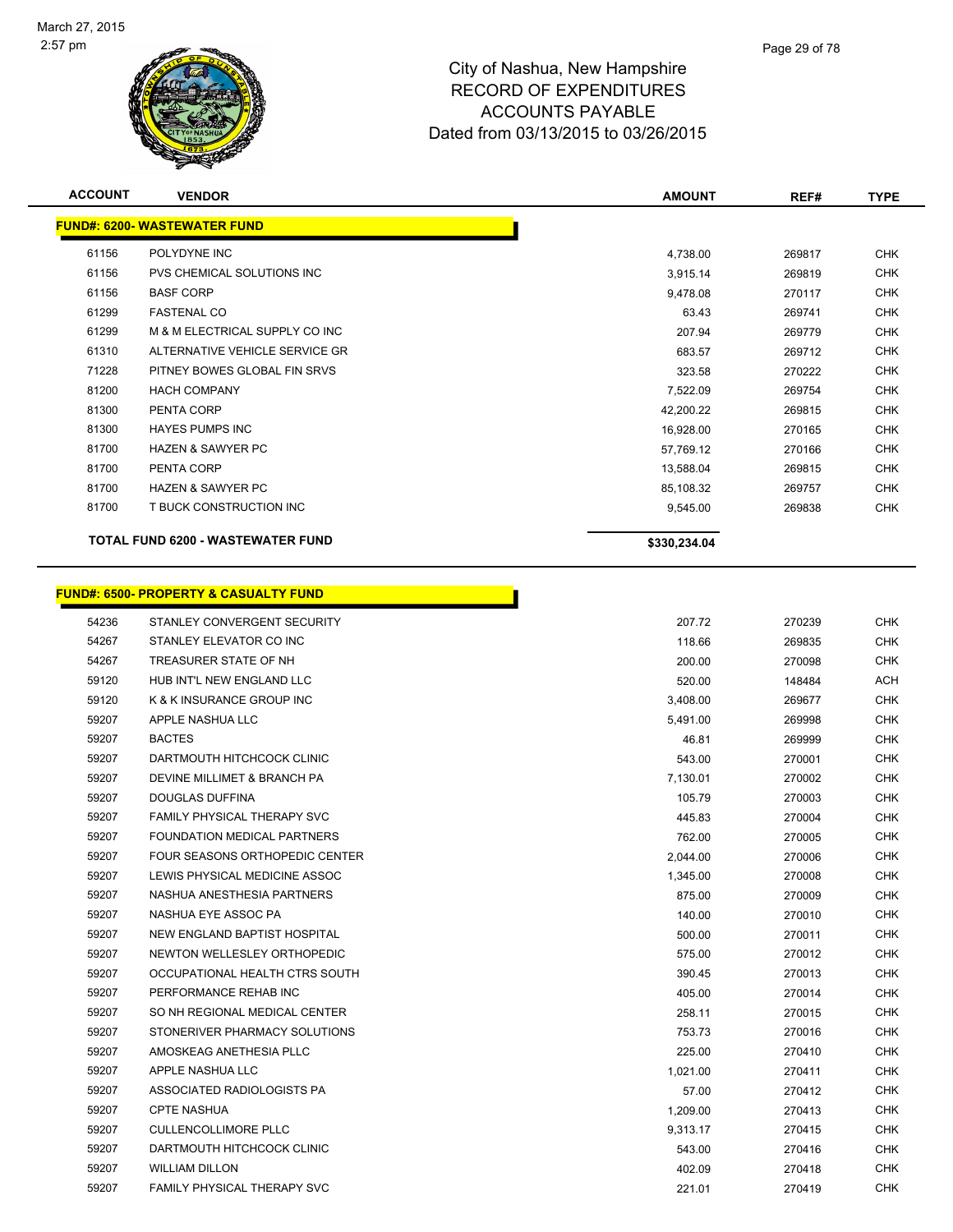

| <b>ACCOUNT</b> | <b>VENDOR</b>                            | <b>AMOUNT</b> | REF#   | <b>TYPE</b> |
|----------------|------------------------------------------|---------------|--------|-------------|
|                | <b>FUND#: 6200- WASTEWATER FUND</b>      |               |        |             |
| 61156          | POLYDYNE INC                             | 4,738.00      | 269817 | <b>CHK</b>  |
| 61156          | PVS CHEMICAL SOLUTIONS INC               | 3,915.14      | 269819 | <b>CHK</b>  |
| 61156          | <b>BASF CORP</b>                         | 9,478.08      | 270117 | <b>CHK</b>  |
| 61299          | <b>FASTENAL CO</b>                       | 63.43         | 269741 | <b>CHK</b>  |
| 61299          | M & M ELECTRICAL SUPPLY CO INC           | 207.94        | 269779 | <b>CHK</b>  |
| 61310          | ALTERNATIVE VEHICLE SERVICE GR           | 683.57        | 269712 | <b>CHK</b>  |
| 71228          | PITNEY BOWES GLOBAL FIN SRVS             | 323.58        | 270222 | <b>CHK</b>  |
| 81200          | <b>HACH COMPANY</b>                      | 7,522.09      | 269754 | <b>CHK</b>  |
| 81300          | PENTA CORP                               | 42,200.22     | 269815 | <b>CHK</b>  |
| 81300          | <b>HAYES PUMPS INC</b>                   | 16,928.00     | 270165 | <b>CHK</b>  |
| 81700          | <b>HAZEN &amp; SAWYER PC</b>             | 57,769.12     | 270166 | <b>CHK</b>  |
| 81700          | PENTA CORP                               | 13,588.04     | 269815 | <b>CHK</b>  |
| 81700          | <b>HAZEN &amp; SAWYER PC</b>             | 85,108.32     | 269757 | <b>CHK</b>  |
| 81700          | T BUCK CONSTRUCTION INC                  | 9,545.00      | 269838 | <b>CHK</b>  |
|                | <b>TOTAL FUND 6200 - WASTEWATER FUND</b> | \$330,234.04  |        |             |

h

# **FUND#: 6500- PROPERTY & CASUALTY FUND**

| 54236 | STANLEY CONVERGENT SECURITY        | 207.72   | 270239 | <b>CHK</b> |
|-------|------------------------------------|----------|--------|------------|
| 54267 | STANLEY ELEVATOR CO INC            | 118.66   | 269835 | <b>CHK</b> |
| 54267 | TREASURER STATE OF NH              | 200.00   | 270098 | <b>CHK</b> |
| 59120 | HUB INT'L NEW ENGLAND LLC          | 520.00   | 148484 | <b>ACH</b> |
| 59120 | K & K INSURANCE GROUP INC          | 3,408.00 | 269677 | <b>CHK</b> |
| 59207 | APPLE NASHUA LLC                   | 5,491.00 | 269998 | <b>CHK</b> |
| 59207 | <b>BACTES</b>                      | 46.81    | 269999 | <b>CHK</b> |
| 59207 | DARTMOUTH HITCHCOCK CLINIC         | 543.00   | 270001 | <b>CHK</b> |
| 59207 | DEVINE MILLIMET & BRANCH PA        | 7,130.01 | 270002 | <b>CHK</b> |
| 59207 | <b>DOUGLAS DUFFINA</b>             | 105.79   | 270003 | <b>CHK</b> |
| 59207 | FAMILY PHYSICAL THERAPY SVC        | 445.83   | 270004 | <b>CHK</b> |
| 59207 | FOUNDATION MEDICAL PARTNERS        | 762.00   | 270005 | <b>CHK</b> |
| 59207 | FOUR SEASONS ORTHOPEDIC CENTER     | 2,044.00 | 270006 | <b>CHK</b> |
| 59207 | LEWIS PHYSICAL MEDICINE ASSOC      | 1,345.00 | 270008 | <b>CHK</b> |
| 59207 | NASHUA ANESTHESIA PARTNERS         | 875.00   | 270009 | <b>CHK</b> |
| 59207 | NASHUA EYE ASSOC PA                | 140.00   | 270010 | <b>CHK</b> |
| 59207 | NEW ENGLAND BAPTIST HOSPITAL       | 500.00   | 270011 | <b>CHK</b> |
| 59207 | NEWTON WELLESLEY ORTHOPEDIC        | 575.00   | 270012 | <b>CHK</b> |
| 59207 | OCCUPATIONAL HEALTH CTRS SOUTH     | 390.45   | 270013 | <b>CHK</b> |
| 59207 | PERFORMANCE REHAB INC              | 405.00   | 270014 | <b>CHK</b> |
| 59207 | SO NH REGIONAL MEDICAL CENTER      | 258.11   | 270015 | <b>CHK</b> |
| 59207 | STONERIVER PHARMACY SOLUTIONS      | 753.73   | 270016 | <b>CHK</b> |
| 59207 | AMOSKEAG ANETHESIA PLLC            | 225.00   | 270410 | <b>CHK</b> |
| 59207 | APPLE NASHUA LLC                   | 1,021.00 | 270411 | <b>CHK</b> |
| 59207 | ASSOCIATED RADIOLOGISTS PA         | 57.00    | 270412 | <b>CHK</b> |
| 59207 | <b>CPTE NASHUA</b>                 | 1,209.00 | 270413 | <b>CHK</b> |
| 59207 | <b>CULLENCOLLIMORE PLLC</b>        | 9,313.17 | 270415 | <b>CHK</b> |
| 59207 | DARTMOUTH HITCHCOCK CLINIC         | 543.00   | 270416 | <b>CHK</b> |
| 59207 | <b>WILLIAM DILLON</b>              | 402.09   | 270418 | <b>CHK</b> |
| 59207 | <b>FAMILY PHYSICAL THERAPY SVC</b> | 221.01   | 270419 | <b>CHK</b> |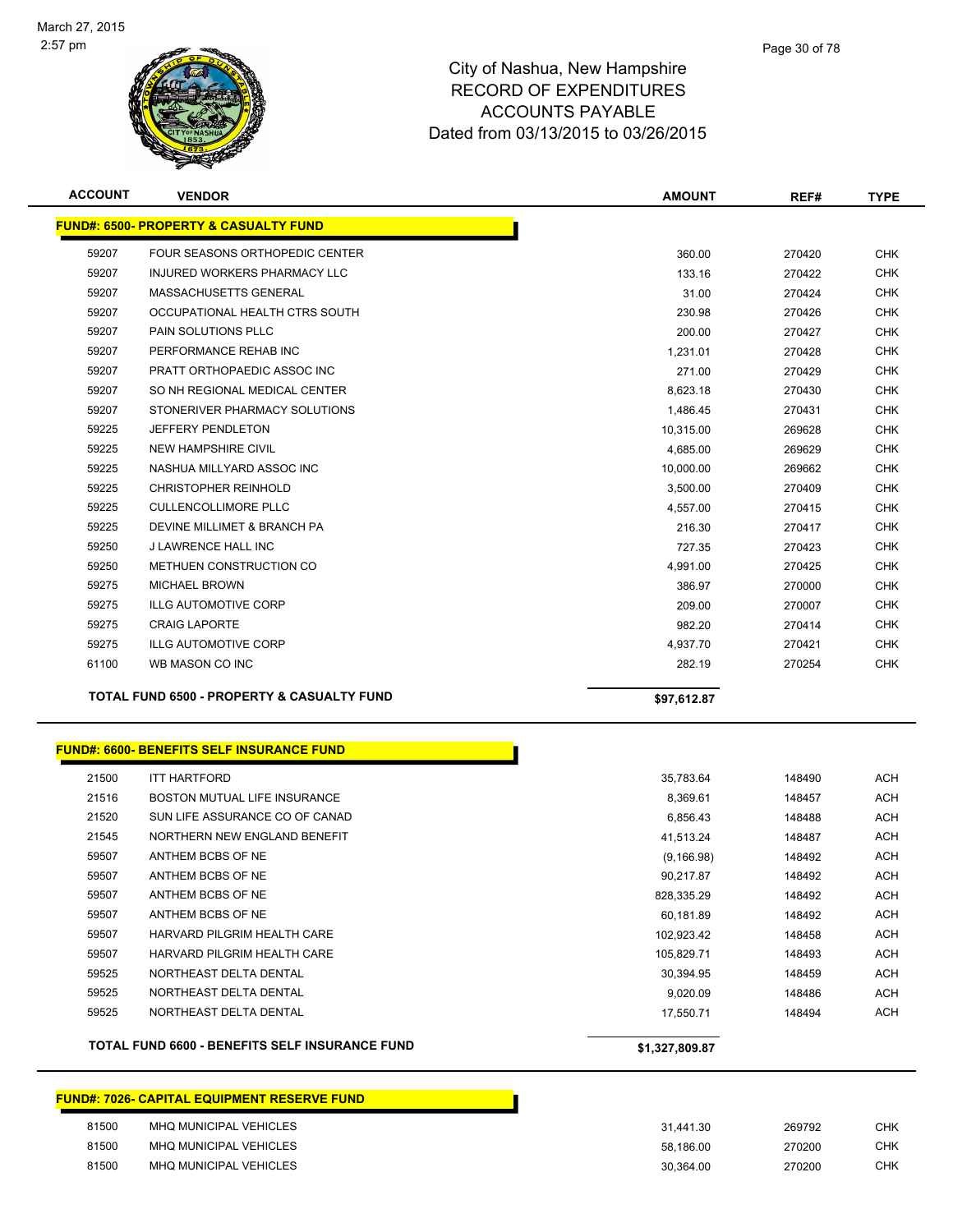

| <b>ACCOUNT</b> | <b>VENDOR</b>                                    | <b>AMOUNT</b>  | REF#   | TYPE       |
|----------------|--------------------------------------------------|----------------|--------|------------|
|                | <b>FUND#: 6500- PROPERTY &amp; CASUALTY FUND</b> |                |        |            |
| 59207          | FOUR SEASONS ORTHOPEDIC CENTER                   | 360.00         | 270420 | <b>CHK</b> |
| 59207          | <b>INJURED WORKERS PHARMACY LLC</b>              | 133.16         | 270422 | <b>CHK</b> |
| 59207          | MASSACHUSETTS GENERAL                            | 31.00          | 270424 | <b>CHK</b> |
| 59207          | OCCUPATIONAL HEALTH CTRS SOUTH                   | 230.98         | 270426 | <b>CHK</b> |
| 59207          | PAIN SOLUTIONS PLLC                              | 200.00         | 270427 | <b>CHK</b> |
| 59207          | PERFORMANCE REHAB INC                            | 1,231.01       | 270428 | <b>CHK</b> |
| 59207          | PRATT ORTHOPAEDIC ASSOC INC                      | 271.00         | 270429 | <b>CHK</b> |
| 59207          | SO NH REGIONAL MEDICAL CENTER                    | 8,623.18       | 270430 | <b>CHK</b> |
| 59207          | STONERIVER PHARMACY SOLUTIONS                    | 1,486.45       | 270431 | <b>CHK</b> |
| 59225          | JEFFERY PENDLETON                                | 10,315.00      | 269628 | <b>CHK</b> |
| 59225          | <b>NEW HAMPSHIRE CIVIL</b>                       | 4,685.00       | 269629 | <b>CHK</b> |
| 59225          | NASHUA MILLYARD ASSOC INC                        | 10,000.00      | 269662 | <b>CHK</b> |
| 59225          | <b>CHRISTOPHER REINHOLD</b>                      | 3,500.00       | 270409 | <b>CHK</b> |
| 59225          | <b>CULLENCOLLIMORE PLLC</b>                      | 4,557.00       | 270415 | <b>CHK</b> |
| 59225          | DEVINE MILLIMET & BRANCH PA                      | 216.30         | 270417 | <b>CHK</b> |
| 59250          | <b>J LAWRENCE HALL INC</b>                       | 727.35         | 270423 | <b>CHK</b> |
| 59250          | METHUEN CONSTRUCTION CO                          | 4,991.00       | 270425 | <b>CHK</b> |
| 59275          | <b>MICHAEL BROWN</b>                             | 386.97         | 270000 | <b>CHK</b> |
| 59275          | <b>ILLG AUTOMOTIVE CORP</b>                      | 209.00         | 270007 | <b>CHK</b> |
| 59275          | <b>CRAIG LAPORTE</b>                             | 982.20         | 270414 | <b>CHK</b> |
| 59275          | <b>ILLG AUTOMOTIVE CORP</b>                      | 4,937.70       | 270421 | <b>CHK</b> |
| 61100          | WB MASON CO INC                                  | 282.19         | 270254 | <b>CHK</b> |
|                | TOTAL FUND 6500 - PROPERTY & CASUALTY FUND       |                |        |            |
|                |                                                  | \$97,612.87    |        |            |
|                | <b>FUND#: 6600- BENEFITS SELF INSURANCE FUND</b> |                |        |            |
| 21500          | <b>ITT HARTFORD</b>                              | 35,783.64      | 148490 | <b>ACH</b> |
| 21516          | <b>BOSTON MUTUAL LIFE INSURANCE</b>              | 8,369.61       | 148457 | ACH        |
| 21520          | SUN LIFE ASSURANCE CO OF CANAD                   | 6,856.43       | 148488 | ACH        |
| 21545          | NORTHERN NEW ENGLAND BENEFIT                     | 41,513.24      | 148487 | ACH        |
| 59507          | ANTHEM BCBS OF NE                                | (9, 166.98)    | 148492 | ACH        |
| 59507          | ANTHEM BCBS OF NE                                | 90,217.87      | 148492 | ACH        |
| 59507          | ANTHEM BCBS OF NE                                | 828,335.29     | 148492 | <b>ACH</b> |
| 59507          | ANTHEM BCBS OF NE                                | 60,181.89      | 148492 | <b>ACH</b> |
| 59507          | HARVARD PILGRIM HEALTH CARE                      | 102,923.42     | 148458 | <b>ACH</b> |
| 59507          | HARVARD PILGRIM HEALTH CARE                      | 105,829.71     | 148493 | <b>ACH</b> |
| 59525          | NORTHEAST DELTA DENTAL                           | 30,394.95      | 148459 | <b>ACH</b> |
| 59525          | NORTHEAST DELTA DENTAL                           | 9,020.09       | 148486 | <b>ACH</b> |
| 59525          | NORTHEAST DELTA DENTAL                           | 17,550.71      | 148494 | <b>ACH</b> |
|                | TOTAL FUND 6600 - BENEFITS SELF INSURANCE FUND   | \$1,327,809.87 |        |            |

## **FUND#: 7026- CAPITAL EQUIPMENT RESERVE FUND**

| 81500 | MHQ MUNICIPAL VEHICLES | 31.441.30 | 269792 | CHK        |
|-------|------------------------|-----------|--------|------------|
| 81500 | MHQ MUNICIPAL VEHICLES | 58.186.00 | 270200 | <b>CHK</b> |
| 81500 | MHQ MUNICIPAL VEHICLES | 30.364.00 | 270200 | CHK        |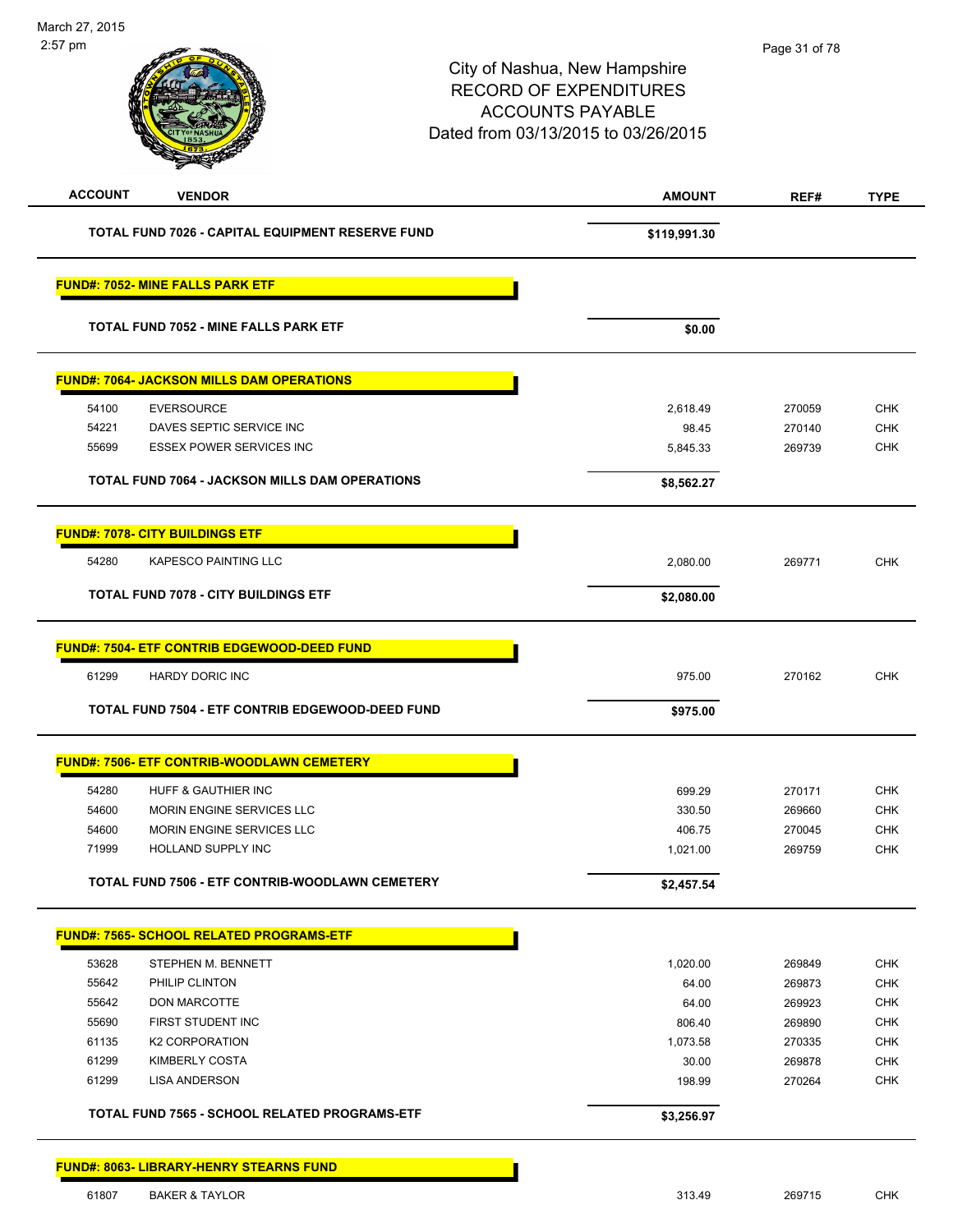| <b>ACCOUNT</b> | <b>VENDOR</b>                                      | <b>AMOUNT</b> | REF#   | <b>TYPE</b> |
|----------------|----------------------------------------------------|---------------|--------|-------------|
|                | TOTAL FUND 7026 - CAPITAL EQUIPMENT RESERVE FUND   | \$119,991.30  |        |             |
|                | <b>FUND#: 7052- MINE FALLS PARK ETF</b>            |               |        |             |
|                | <b>TOTAL FUND 7052 - MINE FALLS PARK ETF</b>       | \$0.00        |        |             |
|                | <b>FUND#: 7064- JACKSON MILLS DAM OPERATIONS</b>   |               |        |             |
| 54100          | <b>EVERSOURCE</b>                                  | 2,618.49      | 270059 | <b>CHK</b>  |
| 54221          | DAVES SEPTIC SERVICE INC                           | 98.45         | 270140 | <b>CHK</b>  |
| 55699          | <b>ESSEX POWER SERVICES INC</b>                    | 5,845.33      | 269739 | <b>CHK</b>  |
|                | TOTAL FUND 7064 - JACKSON MILLS DAM OPERATIONS     | \$8,562.27    |        |             |
|                | <b>FUND#: 7078- CITY BUILDINGS ETF</b>             |               |        |             |
| 54280          | <b>KAPESCO PAINTING LLC</b>                        | 2,080.00      | 269771 | <b>CHK</b>  |
|                | <b>TOTAL FUND 7078 - CITY BUILDINGS ETF</b>        | \$2,080.00    |        |             |
|                | <b>FUND#: 7504- ETF CONTRIB EDGEWOOD-DEED FUND</b> |               |        |             |
| 61299          | <b>HARDY DORIC INC</b>                             | 975.00        | 270162 | <b>CHK</b>  |
|                | TOTAL FUND 7504 - ETF CONTRIB EDGEWOOD-DEED FUND   | \$975.00      |        |             |
|                | <b>FUND#: 7506- ETF CONTRIB-WOODLAWN CEMETERY</b>  |               |        |             |
| 54280          | HUFF & GAUTHIER INC                                | 699.29        | 270171 | <b>CHK</b>  |
| 54600          | MORIN ENGINE SERVICES LLC                          | 330.50        | 269660 | <b>CHK</b>  |
| 54600          | MORIN ENGINE SERVICES LLC                          | 406.75        | 270045 | <b>CHK</b>  |
| 71999          | HOLLAND SUPPLY INC                                 | 1,021.00      | 269759 | <b>CHK</b>  |
|                | TOTAL FUND 7506 - ETF CONTRIB-WOODLAWN CEMETERY    | \$2,457.54    |        |             |
|                | <b>FUND#: 7565- SCHOOL RELATED PROGRAMS-ETF</b>    |               |        |             |
| 53628          | STEPHEN M. BENNETT                                 | 1,020.00      | 269849 | <b>CHK</b>  |
| 55642          | PHILIP CLINTON                                     | 64.00         | 269873 | <b>CHK</b>  |
| 55642          | DON MARCOTTE                                       | 64.00         | 269923 | <b>CHK</b>  |
| 55690          | FIRST STUDENT INC                                  | 806.40        | 269890 | <b>CHK</b>  |
| 61135          | <b>K2 CORPORATION</b>                              | 1,073.58      | 270335 | <b>CHK</b>  |
|                | KIMBERLY COSTA                                     | 30.00         | 269878 | <b>CHK</b>  |
| 61299          |                                                    | 198.99        | 270264 | <b>CHK</b>  |
| 61299          | <b>LISA ANDERSON</b>                               |               |        |             |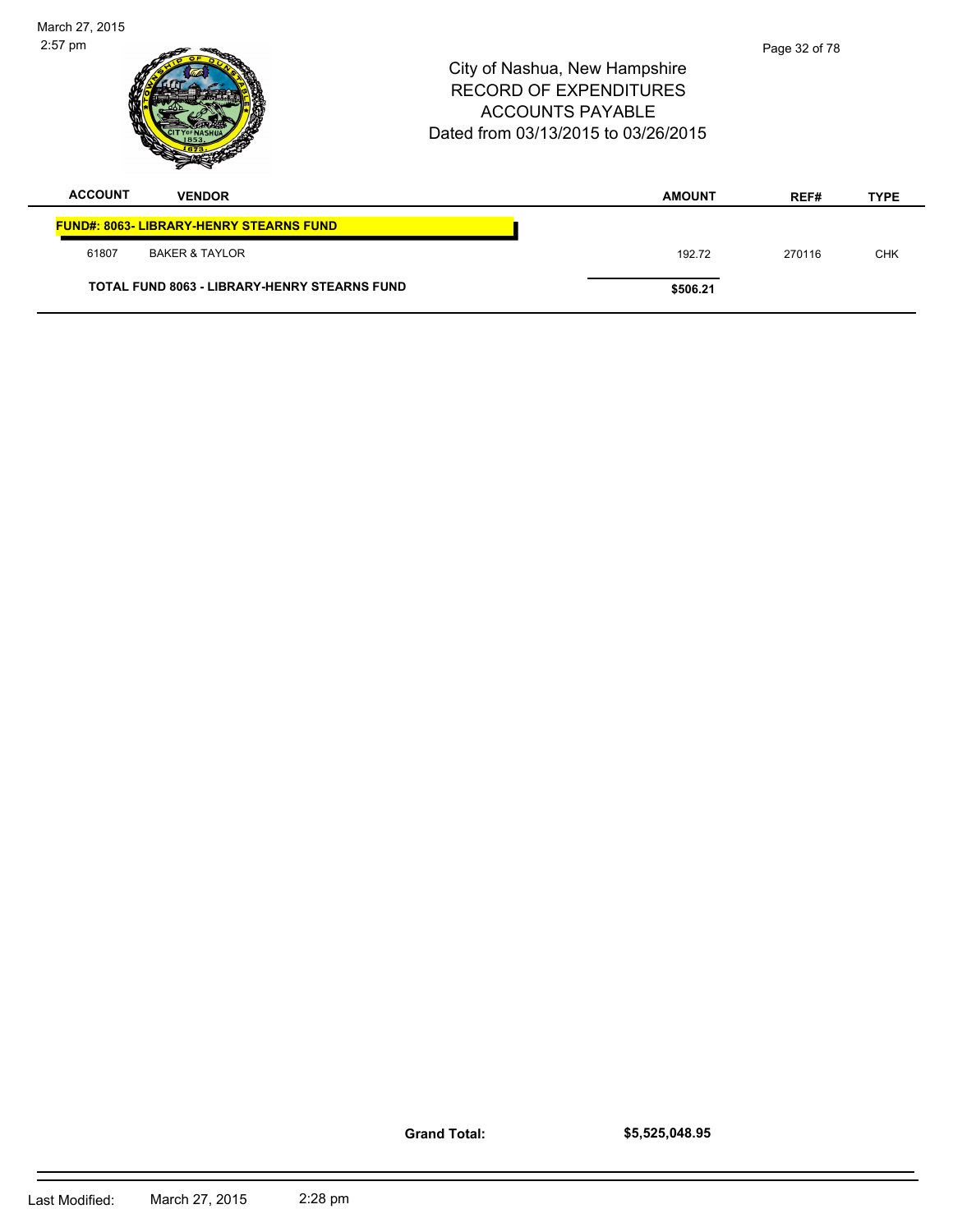| March 27, 2015<br>$2:57$ pm |                                                     | City of Nashua, New Hampshire<br><b>RECORD OF EXPENDITURES</b><br><b>ACCOUNTS PAYABLE</b><br>Dated from 03/13/2015 to 03/26/2015 |  |               | Page 32 of 78 |             |
|-----------------------------|-----------------------------------------------------|----------------------------------------------------------------------------------------------------------------------------------|--|---------------|---------------|-------------|
| <b>ACCOUNT</b>              | <b>VENDOR</b>                                       |                                                                                                                                  |  | <b>AMOUNT</b> | REF#          | <b>TYPE</b> |
|                             | <b>FUND#: 8063- LIBRARY-HENRY STEARNS FUND</b>      |                                                                                                                                  |  |               |               |             |
| 61807                       | <b>BAKER &amp; TAYLOR</b>                           |                                                                                                                                  |  | 192.72        | 270116        | <b>CHK</b>  |
|                             | <b>TOTAL FUND 8063 - LIBRARY-HENRY STEARNS FUND</b> |                                                                                                                                  |  | \$506.21      |               |             |

**Grand Total:**

**\$5,525,048.95**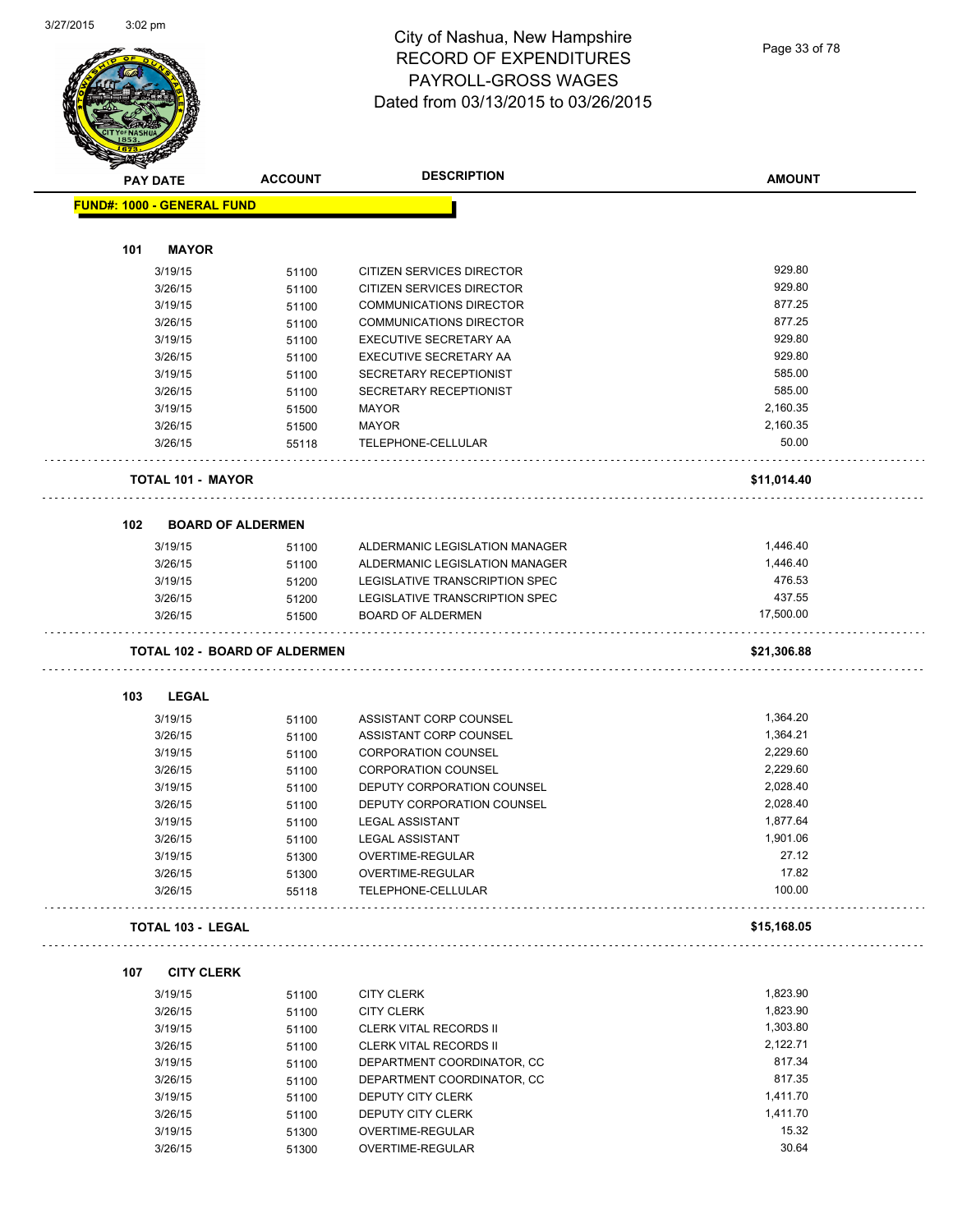## City of Nashua, New Hampshire RECORD OF EXPENDITURES PAYROLL-GROSS WAGES Dated from 03/13/2015 to 03/26/2015

Page 33 of 78

|                                   | <b>ACCOUNT</b>                       | <b>DESCRIPTION</b>                               | <b>AMOUNT</b>     |
|-----------------------------------|--------------------------------------|--------------------------------------------------|-------------------|
| <b>PAY DATE</b>                   |                                      |                                                  |                   |
| <b>FUND#: 1000 - GENERAL FUND</b> |                                      |                                                  |                   |
| <b>MAYOR</b><br>101               |                                      |                                                  |                   |
| 3/19/15                           | 51100                                | CITIZEN SERVICES DIRECTOR                        | 929.80            |
| 3/26/15                           | 51100                                | CITIZEN SERVICES DIRECTOR                        | 929.80            |
| 3/19/15                           |                                      | <b>COMMUNICATIONS DIRECTOR</b>                   | 877.25            |
| 3/26/15                           | 51100                                | <b>COMMUNICATIONS DIRECTOR</b>                   | 877.25            |
|                                   | 51100                                |                                                  | 929.80            |
| 3/19/15                           | 51100                                | EXECUTIVE SECRETARY AA<br>EXECUTIVE SECRETARY AA | 929.80            |
| 3/26/15                           | 51100                                |                                                  | 585.00            |
| 3/19/15                           | 51100                                | SECRETARY RECEPTIONIST                           | 585.00            |
| 3/26/15                           | 51100                                | SECRETARY RECEPTIONIST                           |                   |
| 3/19/15                           | 51500                                | MAYOR                                            | 2,160.35          |
| 3/26/15                           | 51500                                | <b>MAYOR</b>                                     | 2,160.35          |
| 3/26/15                           | 55118                                | TELEPHONE-CELLULAR                               | 50.00             |
| <b>TOTAL 101 - MAYOR</b>          |                                      |                                                  | \$11,014.40       |
| 102                               | <b>BOARD OF ALDERMEN</b>             |                                                  |                   |
| 3/19/15                           | 51100                                | ALDERMANIC LEGISLATION MANAGER                   | 1,446.40          |
| 3/26/15                           | 51100                                | ALDERMANIC LEGISLATION MANAGER                   | 1,446.40          |
| 3/19/15                           | 51200                                | LEGISLATIVE TRANSCRIPTION SPEC                   | 476.53            |
| 3/26/15                           | 51200                                | LEGISLATIVE TRANSCRIPTION SPEC                   | 437.55            |
| 3/26/15                           | 51500                                | <b>BOARD OF ALDERMEN</b>                         | 17,500.00         |
|                                   | <b>TOTAL 102 - BOARD OF ALDERMEN</b> |                                                  | \$21,306.88       |
| 103<br><b>LEGAL</b>               |                                      |                                                  |                   |
| 3/19/15                           | 51100                                | ASSISTANT CORP COUNSEL                           | 1,364.20          |
| 3/26/15                           | 51100                                | ASSISTANT CORP COUNSEL                           | 1,364.21          |
| 3/19/15                           | 51100                                | <b>CORPORATION COUNSEL</b>                       | 2,229.60          |
| 3/26/15                           | 51100                                | <b>CORPORATION COUNSEL</b>                       | 2,229.60          |
| 3/19/15                           | 51100                                | DEPUTY CORPORATION COUNSEL                       | 2,028.40          |
| 3/26/15                           | 51100                                | DEPUTY CORPORATION COUNSEL                       | 2,028.40          |
| 3/19/15                           | 51100                                | <b>LEGAL ASSISTANT</b>                           | 1,877.64          |
| 3/26/15                           | 51100                                | <b>LEGAL ASSISTANT</b>                           | 1,901.06          |
|                                   |                                      | OVERTIME-REGULAR                                 | 27.12             |
| 3/19/15<br>3/26/15                | 51300                                | OVERTIME-REGULAR                                 | 17.82             |
| 3/26/15                           | 51300<br>55118                       | TELEPHONE-CELLULAR                               | 100.00            |
| <b>TOTAL 103 - LEGAL</b>          |                                      |                                                  | \$15,168.05       |
| 107<br><b>CITY CLERK</b>          |                                      |                                                  |                   |
| 3/19/15                           | 51100                                | <b>CITY CLERK</b>                                | 1,823.90          |
| 3/26/15                           | 51100                                | <b>CITY CLERK</b>                                | 1,823.90          |
| 3/19/15                           | 51100                                | <b>CLERK VITAL RECORDS II</b>                    | 1,303.80          |
| 3/26/15                           | 51100                                | <b>CLERK VITAL RECORDS II</b>                    | 2,122.71          |
| 3/19/15                           | 51100                                | DEPARTMENT COORDINATOR, CC                       | 817.34            |
|                                   | 51100                                | DEPARTMENT COORDINATOR, CC                       | 817.35            |
|                                   |                                      |                                                  |                   |
| 3/26/15                           |                                      |                                                  |                   |
| 3/19/15                           | 51100                                | DEPUTY CITY CLERK                                | 1,411.70          |
| 3/26/15<br>3/19/15                | 51100<br>51300                       | DEPUTY CITY CLERK<br>OVERTIME-REGULAR            | 1,411.70<br>15.32 |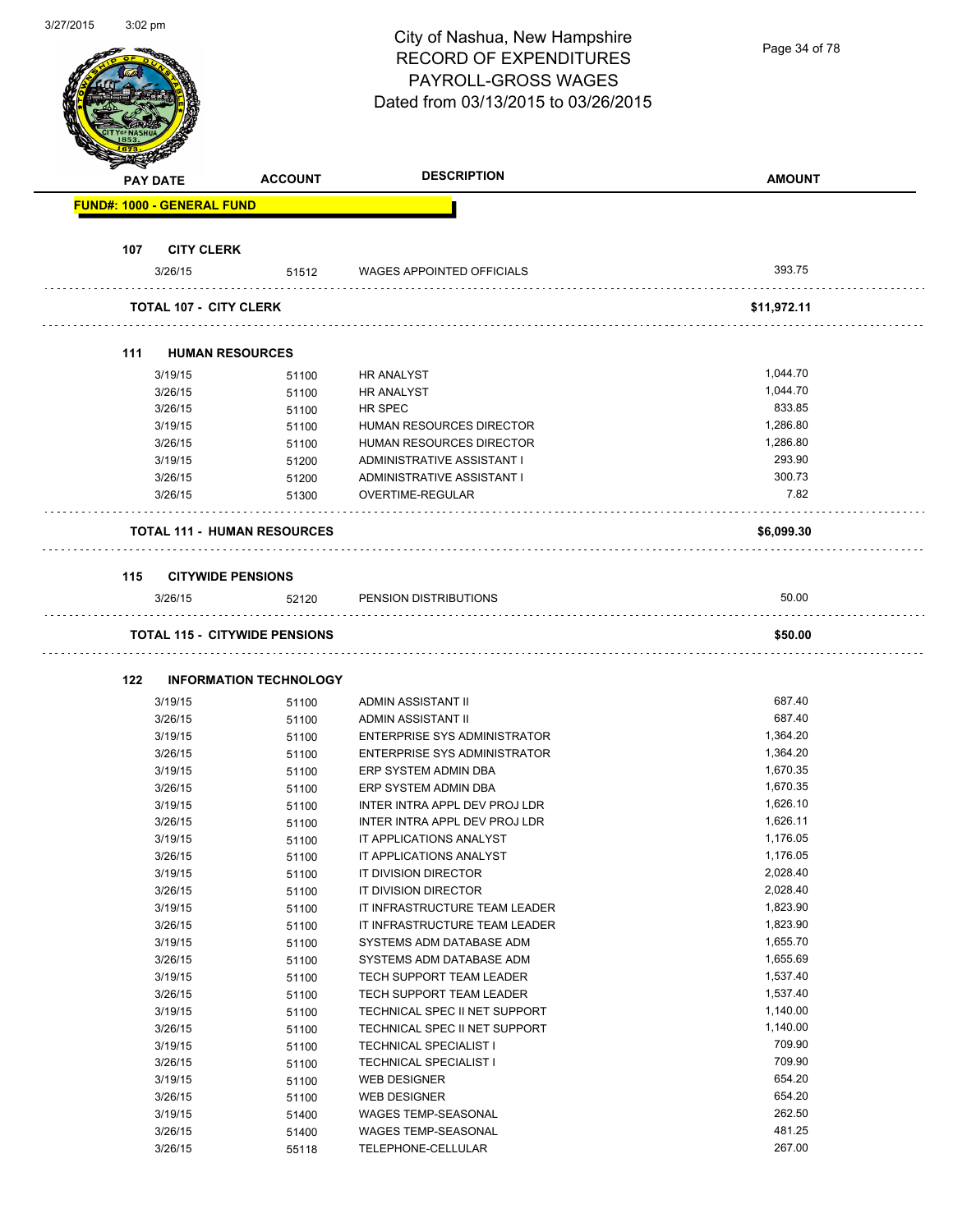| 3/27/2015 | $3:02$ pm |                 |                                      | City of Nashua, New Hampshire<br><b>RECORD OF EXPENDITURES</b><br>PAYROLL-GROSS WAGES<br>Dated from 03/13/2015 to 03/26/2015 | Page 34 of 78 |
|-----------|-----------|-----------------|--------------------------------------|------------------------------------------------------------------------------------------------------------------------------|---------------|
|           |           | <b>PAY DATE</b> | <b>ACCOUNT</b>                       | <b>DESCRIPTION</b>                                                                                                           | <b>AMOUNT</b> |
|           |           |                 | <b>FUND#: 1000 - GENERAL FUND</b>    |                                                                                                                              |               |
|           |           |                 |                                      |                                                                                                                              |               |
|           | 107       |                 | <b>CITY CLERK</b>                    |                                                                                                                              |               |
|           |           | 3/26/15         | 51512                                | <b>WAGES APPOINTED OFFICIALS</b>                                                                                             | 393.75        |
|           |           |                 | <b>TOTAL 107 - CITY CLERK</b>        |                                                                                                                              | \$11,972.11   |
|           |           |                 |                                      |                                                                                                                              |               |
|           | 111       |                 | <b>HUMAN RESOURCES</b>               |                                                                                                                              |               |
|           |           | 3/19/15         | 51100                                | <b>HR ANALYST</b>                                                                                                            | 1,044.70      |
|           |           | 3/26/15         | 51100                                | <b>HR ANALYST</b>                                                                                                            | 1,044.70      |
|           |           | 3/26/15         | 51100                                | HR SPEC                                                                                                                      | 833.85        |
|           |           | 3/19/15         | 51100                                | HUMAN RESOURCES DIRECTOR                                                                                                     | 1,286.80      |
|           |           | 3/26/15         | 51100                                | HUMAN RESOURCES DIRECTOR                                                                                                     | 1,286.80      |
|           |           | 3/19/15         | 51200                                | ADMINISTRATIVE ASSISTANT I                                                                                                   | 293.90        |
|           |           | 3/26/15         | 51200                                | ADMINISTRATIVE ASSISTANT I                                                                                                   | 300.73        |
|           |           | 3/26/15         | 51300                                | OVERTIME-REGULAR                                                                                                             | 7.82          |
|           |           |                 | <b>TOTAL 111 - HUMAN RESOURCES</b>   |                                                                                                                              | \$6,099.30    |
|           |           |                 |                                      |                                                                                                                              |               |
|           | 115       |                 | <b>CITYWIDE PENSIONS</b>             |                                                                                                                              |               |
|           |           | 3/26/15         | 52120                                | PENSION DISTRIBUTIONS                                                                                                        | 50.00         |
|           |           |                 |                                      |                                                                                                                              |               |
|           |           |                 | <b>TOTAL 115 - CITYWIDE PENSIONS</b> |                                                                                                                              | \$50.00       |
|           | 122       |                 | <b>INFORMATION TECHNOLOGY</b>        |                                                                                                                              |               |
|           |           | 3/19/15         | 51100                                | ADMIN ASSISTANT II                                                                                                           | 687.40        |
|           |           | 3/26/15         | 51100                                | ADMIN ASSISTANT II                                                                                                           | 687.40        |
|           |           | 3/19/15         | 51100                                | <b>ENTERPRISE SYS ADMINISTRATOR</b>                                                                                          | 1,364.20      |
|           |           | 3/26/15         | 51100                                | <b>ENTERPRISE SYS ADMINISTRATOR</b>                                                                                          | 1,364.20      |
|           |           | 3/19/15         | 51100                                | ERP SYSTEM ADMIN DBA                                                                                                         | 1,670.35      |
|           |           | 3/26/15         | 51100                                | ERP SYSTEM ADMIN DBA                                                                                                         | 1,670.35      |
|           |           | 3/19/15         | 51100                                | INTER INTRA APPL DEV PROJ LDR                                                                                                | 1,626.10      |
|           |           | 3/26/15         | 51100                                | INTER INTRA APPL DEV PROJ LDR                                                                                                | 1,626.11      |
|           |           | 3/19/15         | 51100                                | IT APPLICATIONS ANALYST                                                                                                      | 1,176.05      |
|           |           | 3/26/15         | 51100                                | IT APPLICATIONS ANALYST                                                                                                      | 1,176.05      |
|           |           | 3/19/15         | 51100                                | IT DIVISION DIRECTOR                                                                                                         | 2,028.40      |
|           |           | 3/26/15         | 51100                                | IT DIVISION DIRECTOR                                                                                                         | 2,028.40      |
|           |           | 3/19/15         | 51100                                | IT INFRASTRUCTURE TEAM LEADER                                                                                                | 1,823.90      |
|           |           | 3/26/15         | 51100                                | IT INFRASTRUCTURE TEAM LEADER                                                                                                | 1,823.90      |
|           |           | 3/19/15         | 51100                                | SYSTEMS ADM DATABASE ADM                                                                                                     | 1,655.70      |
|           |           | 3/26/15         | 51100                                | SYSTEMS ADM DATABASE ADM                                                                                                     | 1,655.69      |
|           |           | 3/19/15         | 51100                                | TECH SUPPORT TEAM LEADER                                                                                                     | 1,537.40      |
|           |           | 3/26/15         | 51100                                | TECH SUPPORT TEAM LEADER                                                                                                     | 1,537.40      |
|           |           | 3/19/15         | 51100                                | TECHNICAL SPEC II NET SUPPORT                                                                                                | 1,140.00      |
|           |           | 3/26/15         | 51100                                | TECHNICAL SPEC II NET SUPPORT                                                                                                | 1,140.00      |
|           |           | 3/19/15         | 51100                                | <b>TECHNICAL SPECIALIST I</b>                                                                                                | 709.90        |
|           |           | 3/26/15         | 51100                                | <b>TECHNICAL SPECIALIST I</b>                                                                                                | 709.90        |
|           |           | 3/19/15         | 51100                                | <b>WEB DESIGNER</b>                                                                                                          | 654.20        |
|           |           | 3/26/15         | 51100                                | <b>WEB DESIGNER</b>                                                                                                          | 654.20        |
|           |           | 3/19/15         | 51400                                | WAGES TEMP-SEASONAL                                                                                                          | 262.50        |
|           |           | 3/26/15         | 51400                                | WAGES TEMP-SEASONAL                                                                                                          | 481.25        |
|           |           | 3/26/15         | 55118                                | TELEPHONE-CELLULAR                                                                                                           | 267.00        |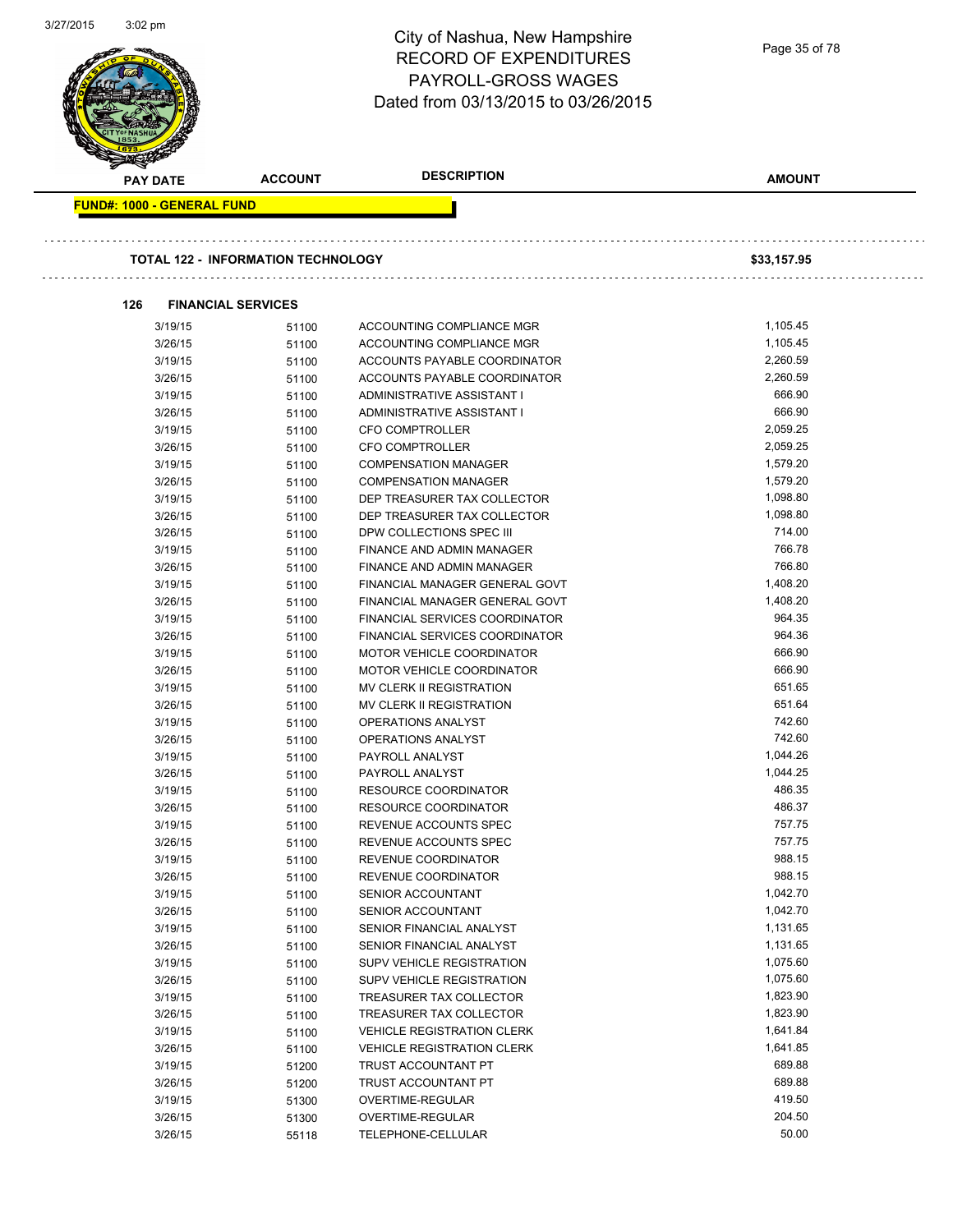| 3/2//2015 | 3:02 pm                           |                                           | City of Nashua, New Hampshire<br><b>RECORD OF EXPENDITURES</b><br>PAYROLL-GROSS WAGES<br>Dated from 03/13/2015 to 03/26/2015 | Page 35 of 78        |
|-----------|-----------------------------------|-------------------------------------------|------------------------------------------------------------------------------------------------------------------------------|----------------------|
|           | PAY DATE                          | <b>ACCOUNT</b>                            | <b>DESCRIPTION</b>                                                                                                           | <b>AMOUNT</b>        |
|           | <b>FUND#: 1000 - GENERAL FUND</b> |                                           |                                                                                                                              |                      |
|           |                                   |                                           |                                                                                                                              |                      |
|           |                                   | <b>TOTAL 122 - INFORMATION TECHNOLOGY</b> |                                                                                                                              | \$33,157.95          |
|           | 126                               | <b>FINANCIAL SERVICES</b>                 |                                                                                                                              |                      |
|           | 3/19/15                           | 51100                                     | ACCOUNTING COMPLIANCE MGR                                                                                                    | 1,105.45             |
|           | 3/26/15                           | 51100                                     | ACCOUNTING COMPLIANCE MGR                                                                                                    | 1,105.45             |
|           | 3/19/15                           | 51100                                     | ACCOUNTS PAYABLE COORDINATOR                                                                                                 | 2,260.59             |
|           | 3/26/15                           | 51100                                     | ACCOUNTS PAYABLE COORDINATOR                                                                                                 | 2,260.59             |
|           | 3/19/15                           | 51100                                     | ADMINISTRATIVE ASSISTANT I                                                                                                   | 666.90               |
|           | 3/26/15<br>3/19/15                | 51100                                     | ADMINISTRATIVE ASSISTANT I<br><b>CFO COMPTROLLER</b>                                                                         | 666.90<br>2,059.25   |
|           | 3/26/15                           | 51100<br>51100                            | <b>CFO COMPTROLLER</b>                                                                                                       | 2,059.25             |
|           | 3/19/15                           | 51100                                     | <b>COMPENSATION MANAGER</b>                                                                                                  | 1,579.20             |
|           | 3/26/15                           | 51100                                     | <b>COMPENSATION MANAGER</b>                                                                                                  | 1,579.20             |
|           | 3/19/15                           | 51100                                     | DEP TREASURER TAX COLLECTOR                                                                                                  | 1,098.80             |
|           | 3/26/15                           | 51100                                     | DEP TREASURER TAX COLLECTOR                                                                                                  | 1,098.80             |
|           | 3/26/15                           | 51100                                     | DPW COLLECTIONS SPEC III                                                                                                     | 714.00               |
|           | 3/19/15                           | 51100                                     | FINANCE AND ADMIN MANAGER                                                                                                    | 766.78               |
|           | 3/26/15                           | 51100                                     | FINANCE AND ADMIN MANAGER                                                                                                    | 766.80               |
|           | 3/19/15                           | 51100                                     | FINANCIAL MANAGER GENERAL GOVT                                                                                               | 1,408.20             |
|           | 3/26/15                           | 51100                                     | FINANCIAL MANAGER GENERAL GOVT                                                                                               | 1,408.20             |
|           | 3/19/15                           | 51100                                     | FINANCIAL SERVICES COORDINATOR                                                                                               | 964.35               |
|           | 3/26/15                           | 51100                                     | FINANCIAL SERVICES COORDINATOR                                                                                               | 964.36               |
|           | 3/19/15                           | 51100                                     | MOTOR VEHICLE COORDINATOR                                                                                                    | 666.90               |
|           | 3/26/15                           | 51100                                     | MOTOR VEHICLE COORDINATOR<br>MV CLERK II REGISTRATION                                                                        | 666.90<br>651.65     |
|           | 3/19/15<br>3/26/15                | 51100<br>51100                            | MV CLERK II REGISTRATION                                                                                                     | 651.64               |
|           | 3/19/15                           | 51100                                     | OPERATIONS ANALYST                                                                                                           | 742.60               |
|           | 3/26/15                           | 51100                                     | OPERATIONS ANALYST                                                                                                           | 742.60               |
|           | 3/19/15                           | 51100                                     | PAYROLL ANALYST                                                                                                              | 1,044.26             |
|           | 3/26/15                           | 51100                                     | PAYROLL ANALYST                                                                                                              | 1,044.25             |
|           | 3/19/15                           | 51100                                     | RESOURCE COORDINATOR                                                                                                         | 486.35               |
|           | 3/26/15                           | 51100                                     | <b>RESOURCE COORDINATOR</b>                                                                                                  | 486.37               |
|           | 3/19/15                           | 51100                                     | REVENUE ACCOUNTS SPEC                                                                                                        | 757.75               |
|           | 3/26/15                           | 51100                                     | REVENUE ACCOUNTS SPEC                                                                                                        | 757.75               |
|           | 3/19/15                           | 51100                                     | REVENUE COORDINATOR                                                                                                          | 988.15               |
|           | 3/26/15                           | 51100                                     | REVENUE COORDINATOR                                                                                                          | 988.15               |
|           | 3/19/15                           | 51100                                     | SENIOR ACCOUNTANT                                                                                                            | 1,042.70             |
|           | 3/26/15                           | 51100                                     | SENIOR ACCOUNTANT                                                                                                            | 1,042.70             |
|           | 3/19/15<br>3/26/15                | 51100                                     | SENIOR FINANCIAL ANALYST<br>SENIOR FINANCIAL ANALYST                                                                         | 1,131.65<br>1,131.65 |
|           | 3/19/15                           | 51100<br>51100                            | SUPV VEHICLE REGISTRATION                                                                                                    | 1,075.60             |
|           | 3/26/15                           | 51100                                     | SUPV VEHICLE REGISTRATION                                                                                                    | 1,075.60             |
|           | 3/19/15                           | 51100                                     | TREASURER TAX COLLECTOR                                                                                                      | 1,823.90             |
|           | 3/26/15                           | 51100                                     | TREASURER TAX COLLECTOR                                                                                                      | 1,823.90             |
|           | 3/19/15                           | 51100                                     | <b>VEHICLE REGISTRATION CLERK</b>                                                                                            | 1,641.84             |
|           | 3/26/15                           | 51100                                     | <b>VEHICLE REGISTRATION CLERK</b>                                                                                            | 1,641.85             |
|           | 3/19/15                           | 51200                                     | TRUST ACCOUNTANT PT                                                                                                          | 689.88               |
|           | 3/26/15                           | 51200                                     | TRUST ACCOUNTANT PT                                                                                                          | 689.88               |
|           | 3/19/15                           | 51300                                     | OVERTIME-REGULAR                                                                                                             | 419.50               |
|           | 3/26/15                           | 51300                                     | OVERTIME-REGULAR                                                                                                             | 204.50               |
|           | 3/26/15                           | 55118                                     | TELEPHONE-CELLULAR                                                                                                           | 50.00                |
|           |                                   |                                           |                                                                                                                              |                      |

3/27/2015 3:02 pm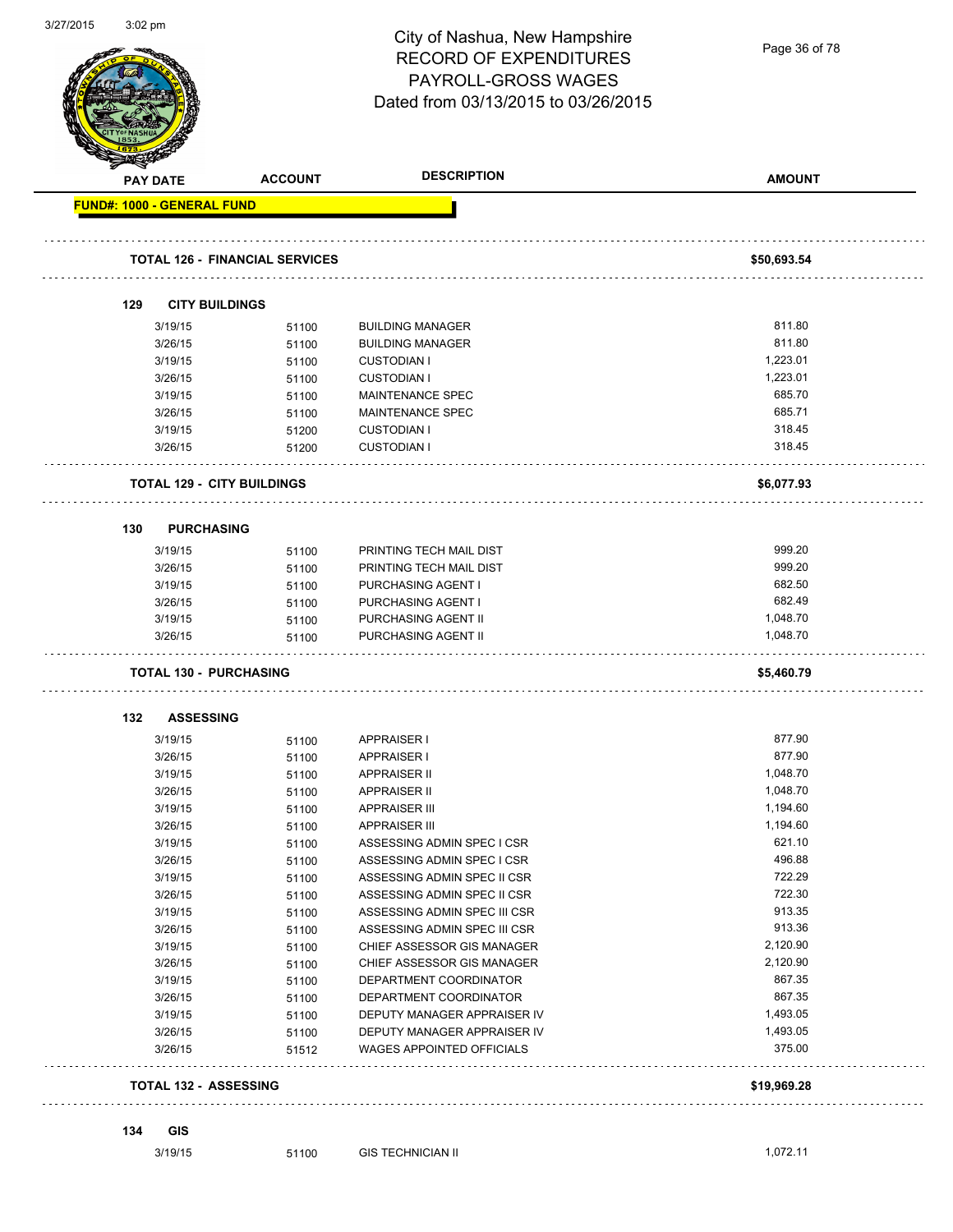|                                   |                                       | City of Nashua, New Hampshire<br><b>RECORD OF EXPENDITURES</b><br>PAYROLL-GROSS WAGES<br>Dated from 03/13/2015 to 03/26/2015 | Page 36 of 78        |  |
|-----------------------------------|---------------------------------------|------------------------------------------------------------------------------------------------------------------------------|----------------------|--|
| PAY DATE                          | <b>ACCOUNT</b>                        | <b>DESCRIPTION</b>                                                                                                           | <b>AMOUNT</b>        |  |
| <b>FUND#: 1000 - GENERAL FUND</b> |                                       |                                                                                                                              |                      |  |
|                                   | <b>TOTAL 126 - FINANCIAL SERVICES</b> |                                                                                                                              | \$50,693.54          |  |
| 129                               | <b>CITY BUILDINGS</b>                 |                                                                                                                              |                      |  |
| 3/19/15                           |                                       | <b>BUILDING MANAGER</b>                                                                                                      | 811.80               |  |
| 3/26/15                           | 51100<br>51100                        | <b>BUILDING MANAGER</b>                                                                                                      | 811.80               |  |
| 3/19/15                           | 51100                                 | <b>CUSTODIAN I</b>                                                                                                           | 1,223.01             |  |
| 3/26/15                           | 51100                                 | <b>CUSTODIAN I</b>                                                                                                           | 1,223.01             |  |
| 3/19/15                           | 51100                                 | <b>MAINTENANCE SPEC</b>                                                                                                      | 685.70               |  |
| 3/26/15                           | 51100                                 | MAINTENANCE SPEC                                                                                                             | 685.71               |  |
| 3/19/15                           | 51200                                 | <b>CUSTODIAN I</b>                                                                                                           | 318.45               |  |
| 3/26/15                           | 51200                                 | <b>CUSTODIAN I</b>                                                                                                           | 318.45               |  |
|                                   | <b>TOTAL 129 - CITY BUILDINGS</b>     |                                                                                                                              | \$6,077.93           |  |
| 130                               | <b>PURCHASING</b>                     |                                                                                                                              |                      |  |
|                                   |                                       |                                                                                                                              | 999.20               |  |
| 3/19/15                           | 51100                                 | PRINTING TECH MAIL DIST                                                                                                      | 999.20               |  |
| 3/26/15                           | 51100                                 | PRINTING TECH MAIL DIST                                                                                                      | 682.50               |  |
| 3/19/15<br>3/26/15                | 51100                                 | PURCHASING AGENT I                                                                                                           | 682.49               |  |
| 3/19/15                           | 51100                                 | PURCHASING AGENT I<br>PURCHASING AGENT II                                                                                    | 1,048.70             |  |
| 3/26/15                           | 51100<br>51100                        | PURCHASING AGENT II                                                                                                          | 1,048.70             |  |
|                                   | <b>TOTAL 130 - PURCHASING</b>         |                                                                                                                              | \$5,460.79           |  |
|                                   |                                       |                                                                                                                              |                      |  |
| 132                               | <b>ASSESSING</b>                      |                                                                                                                              |                      |  |
| 3/19/15                           | 51100                                 | <b>APPRAISER I</b>                                                                                                           | 877.90               |  |
| 3/26/15                           | 51100                                 | <b>APPRAISER I</b>                                                                                                           | 877.90               |  |
| 3/19/15                           | 51100                                 | <b>APPRAISER II</b>                                                                                                          | 1,048.70             |  |
| 3/26/15                           | 51100                                 | <b>APPRAISER II</b>                                                                                                          | 1,048.70             |  |
| 3/19/15                           | 51100                                 | <b>APPRAISER III</b>                                                                                                         | 1,194.60<br>1,194.60 |  |
| 3/26/15                           | 51100                                 | <b>APPRAISER III</b>                                                                                                         |                      |  |
| 3/19/15                           | 51100                                 | ASSESSING ADMIN SPEC I CSR                                                                                                   | 621.10<br>496.88     |  |
| 3/26/15                           | 51100                                 | ASSESSING ADMIN SPEC I CSR                                                                                                   | 722.29               |  |
| 3/19/15                           | 51100                                 | ASSESSING ADMIN SPEC II CSR                                                                                                  | 722.30               |  |
| 3/26/15<br>3/19/15                | 51100                                 | ASSESSING ADMIN SPEC II CSR<br>ASSESSING ADMIN SPEC III CSR                                                                  | 913.35               |  |
| 3/26/15                           | 51100                                 | ASSESSING ADMIN SPEC III CSR                                                                                                 | 913.36               |  |
| 3/19/15                           | 51100<br>51100                        | CHIEF ASSESSOR GIS MANAGER                                                                                                   | 2,120.90             |  |
| 3/26/15                           | 51100                                 | CHIEF ASSESSOR GIS MANAGER                                                                                                   | 2,120.90             |  |
| 3/19/15                           | 51100                                 | DEPARTMENT COORDINATOR                                                                                                       | 867.35               |  |
| 3/26/15                           | 51100                                 | DEPARTMENT COORDINATOR                                                                                                       | 867.35               |  |
| 3/19/15                           | 51100                                 | DEPUTY MANAGER APPRAISER IV                                                                                                  | 1,493.05             |  |
| 3/26/15                           | 51100                                 | DEPUTY MANAGER APPRAISER IV                                                                                                  | 1,493.05             |  |
| 3/26/15                           | 51512                                 | <b>WAGES APPOINTED OFFICIALS</b>                                                                                             | 375.00               |  |
|                                   | <b>TOTAL 132 - ASSESSING</b>          |                                                                                                                              | \$19,969.28          |  |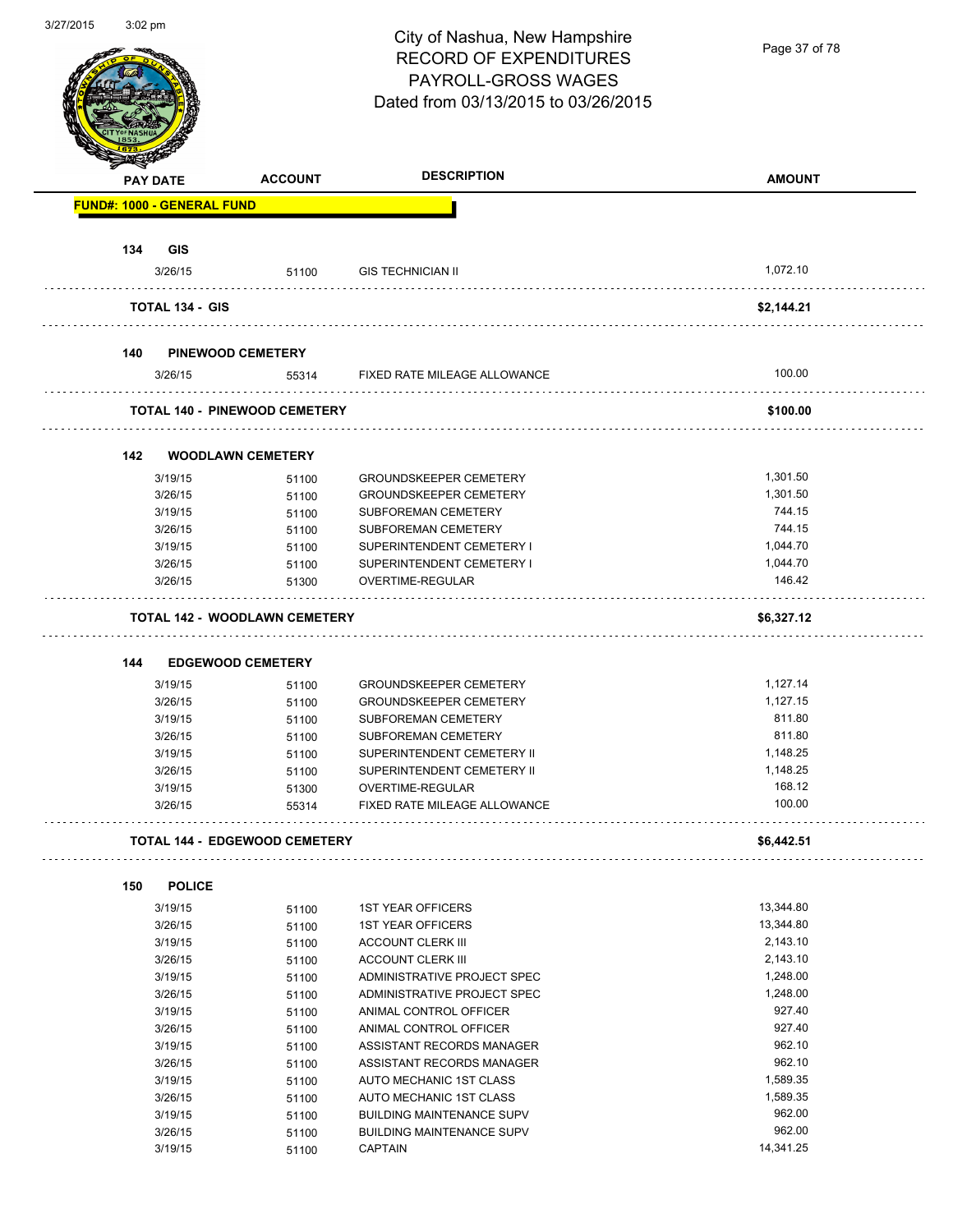Page 37 of 78

|                                   | <b>ACCOUNT</b>                       | <b>DESCRIPTION</b>                                             | <b>AMOUNT</b> |
|-----------------------------------|--------------------------------------|----------------------------------------------------------------|---------------|
| <b>FUND#: 1000 - GENERAL FUND</b> |                                      |                                                                |               |
|                                   |                                      |                                                                |               |
| 134<br><b>GIS</b>                 |                                      |                                                                |               |
| 3/26/15                           | 51100                                | <b>GIS TECHNICIAN II</b>                                       | 1,072.10      |
| <b>TOTAL 134 - GIS</b>            |                                      |                                                                | \$2,144.21    |
| 140                               | <b>PINEWOOD CEMETERY</b>             |                                                                |               |
| 3/26/15                           | 55314                                | FIXED RATE MILEAGE ALLOWANCE                                   | 100.00        |
|                                   | <b>TOTAL 140 - PINEWOOD CEMETERY</b> |                                                                | \$100.00      |
|                                   |                                      |                                                                |               |
| 142                               | <b>WOODLAWN CEMETERY</b>             |                                                                | 1,301.50      |
| 3/19/15<br>3/26/15                | 51100                                | <b>GROUNDSKEEPER CEMETERY</b><br><b>GROUNDSKEEPER CEMETERY</b> | 1.301.50      |
| 3/19/15                           | 51100                                | <b>SUBFOREMAN CEMETERY</b>                                     | 744.15        |
| 3/26/15                           | 51100<br>51100                       | SUBFOREMAN CEMETERY                                            | 744.15        |
| 3/19/15                           | 51100                                | SUPERINTENDENT CEMETERY I                                      | 1,044.70      |
| 3/26/15                           | 51100                                | SUPERINTENDENT CEMETERY I                                      | 1,044.70      |
| 3/26/15                           | 51300                                | OVERTIME-REGULAR                                               | 146.42        |
|                                   | <b>TOTAL 142 - WOODLAWN CEMETERY</b> |                                                                | \$6,327.12    |
|                                   |                                      |                                                                |               |
| 144                               | <b>EDGEWOOD CEMETERY</b>             |                                                                |               |
| 3/19/15                           | 51100                                | <b>GROUNDSKEEPER CEMETERY</b>                                  | 1,127.14      |
| 3/26/15                           | 51100                                | <b>GROUNDSKEEPER CEMETERY</b>                                  | 1,127.15      |
| 3/19/15                           | 51100                                | SUBFOREMAN CEMETERY                                            | 811.80        |
| 3/26/15                           | 51100                                | <b>SUBFOREMAN CEMETERY</b>                                     | 811.80        |
| 3/19/15                           | 51100                                | SUPERINTENDENT CEMETERY II                                     | 1,148.25      |
| 3/26/15                           | 51100                                | SUPERINTENDENT CEMETERY II                                     | 1,148.25      |
| 3/19/15                           | 51300                                | OVERTIME-REGULAR                                               | 168.12        |
| 3/26/15                           | 55314                                | FIXED RATE MILEAGE ALLOWANCE                                   | 100.00        |
|                                   | <b>TOTAL 144 - EDGEWOOD CEMETERY</b> |                                                                | \$6,442.51    |
| <b>POLICE</b><br>150              |                                      |                                                                |               |
| 3/19/15                           | 51100                                | <b>1ST YEAR OFFICERS</b>                                       | 13,344.80     |
| 3/26/15                           | 51100                                | <b>1ST YEAR OFFICERS</b>                                       | 13,344.80     |
| 3/19/15                           | 51100                                | <b>ACCOUNT CLERK III</b>                                       | 2,143.10      |
| 3/26/15                           | 51100                                | <b>ACCOUNT CLERK III</b>                                       | 2,143.10      |
| 3/19/15                           | 51100                                | ADMINISTRATIVE PROJECT SPEC                                    | 1,248.00      |
| 3/26/15                           | 51100                                | ADMINISTRATIVE PROJECT SPEC                                    | 1,248.00      |
| 3/19/15                           | 51100                                | ANIMAL CONTROL OFFICER                                         | 927.40        |
| 3/26/15                           | 51100                                | ANIMAL CONTROL OFFICER                                         | 927.40        |
| 3/19/15                           |                                      | ASSISTANT RECORDS MANAGER                                      | 962.10        |
| 3/26/15                           | 51100                                | ASSISTANT RECORDS MANAGER                                      | 962.10        |
|                                   | 51100                                |                                                                |               |
| 3/19/15                           | 51100                                | AUTO MECHANIC 1ST CLASS                                        | 1,589.35      |
| 3/26/15                           | 51100                                | AUTO MECHANIC 1ST CLASS                                        | 1,589.35      |
| 3/19/15                           | 51100                                | <b>BUILDING MAINTENANCE SUPV</b>                               | 962.00        |
| 3/26/15                           | 51100                                | <b>BUILDING MAINTENANCE SUPV</b>                               | 962.00        |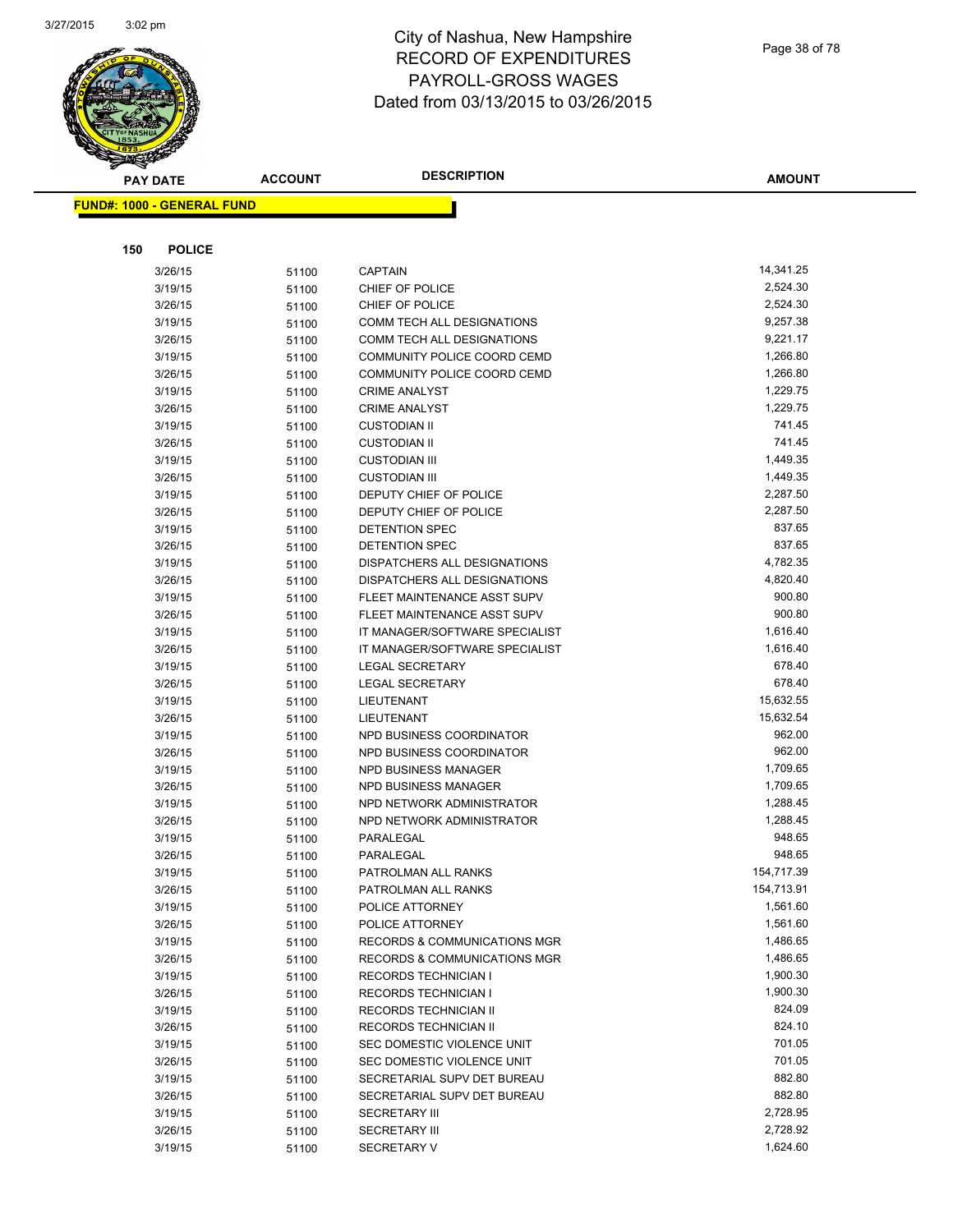

| <b>PAY DATE</b>                   | <b>ACCOUNT</b> | <b>DESCRIPTION</b>             | <b>AMOUNT</b> |
|-----------------------------------|----------------|--------------------------------|---------------|
| <b>FUND#: 1000 - GENERAL FUND</b> |                |                                |               |
|                                   |                |                                |               |
|                                   |                |                                |               |
| 150<br><b>POLICE</b>              |                |                                |               |
| 3/26/15                           | 51100          | <b>CAPTAIN</b>                 | 14,341.25     |
| 3/19/15                           | 51100          | CHIEF OF POLICE                | 2,524.30      |
| 3/26/15                           | 51100          | CHIEF OF POLICE                | 2,524.30      |
| 3/19/15                           | 51100          | COMM TECH ALL DESIGNATIONS     | 9,257.38      |
| 3/26/15                           | 51100          | COMM TECH ALL DESIGNATIONS     | 9,221.17      |
| 3/19/15                           | 51100          | COMMUNITY POLICE COORD CEMD    | 1,266.80      |
| 3/26/15                           | 51100          | COMMUNITY POLICE COORD CEMD    | 1,266.80      |
| 3/19/15                           | 51100          | <b>CRIME ANALYST</b>           | 1,229.75      |
| 3/26/15                           | 51100          | <b>CRIME ANALYST</b>           | 1,229.75      |
| 3/19/15                           | 51100          | <b>CUSTODIAN II</b>            | 741.45        |
| 3/26/15                           | 51100          | <b>CUSTODIAN II</b>            | 741.45        |
| 3/19/15                           | 51100          | <b>CUSTODIAN III</b>           | 1,449.35      |
| 3/26/15                           | 51100          | <b>CUSTODIAN III</b>           | 1,449.35      |
| 3/19/15                           | 51100          | DEPUTY CHIEF OF POLICE         | 2,287.50      |
| 3/26/15                           | 51100          | DEPUTY CHIEF OF POLICE         | 2,287.50      |
| 3/19/15                           | 51100          | DETENTION SPEC                 | 837.65        |
| 3/26/15                           | 51100          | DETENTION SPEC                 | 837.65        |
| 3/19/15                           | 51100          | DISPATCHERS ALL DESIGNATIONS   | 4,782.35      |
| 3/26/15                           | 51100          | DISPATCHERS ALL DESIGNATIONS   | 4,820.40      |
| 3/19/15                           | 51100          | FLEET MAINTENANCE ASST SUPV    | 900.80        |
| 3/26/15                           | 51100          | FLEET MAINTENANCE ASST SUPV    | 900.80        |
| 3/19/15                           | 51100          | IT MANAGER/SOFTWARE SPECIALIST | 1,616.40      |
| 3/26/15                           | 51100          | IT MANAGER/SOFTWARE SPECIALIST | 1,616.40      |
| 3/19/15                           | 51100          | <b>LEGAL SECRETARY</b>         | 678.40        |
| 3/26/15                           | 51100          | <b>LEGAL SECRETARY</b>         | 678.40        |
| 3/19/15                           | 51100          | LIEUTENANT                     | 15,632.55     |
| 3/26/15                           | 51100          | LIEUTENANT                     | 15,632.54     |
| 3/19/15                           | 51100          | NPD BUSINESS COORDINATOR       | 962.00        |
| 3/26/15                           | 51100          | NPD BUSINESS COORDINATOR       | 962.00        |
| 3/19/15                           | 51100          | NPD BUSINESS MANAGER           | 1,709.65      |
| 3/26/15                           | 51100          | <b>NPD BUSINESS MANAGER</b>    | 1,709.65      |
| 3/19/15                           | 51100          | NPD NETWORK ADMINISTRATOR      | 1,288.45      |
| 3/26/15                           | 51100          | NPD NETWORK ADMINISTRATOR      | 1,288.45      |
| 3/19/15                           | 51100          | PARALEGAL                      | 948.65        |
| 3/26/15                           | 51100          | PARALEGAL                      | 948.65        |
| 3/19/15                           | 51100          | PATROLMAN ALL RANKS            | 154,717.39    |
| 3/26/15                           | 51100          | PATROLMAN ALL RANKS            | 154,713.91    |
| 3/19/15                           | 51100          | POLICE ATTORNEY                | 1,561.60      |
| 3/26/15                           | 51100          | POLICE ATTORNEY                | 1,561.60      |
| 3/19/15                           | 51100          | RECORDS & COMMUNICATIONS MGR   | 1,486.65      |
| 3/26/15                           | 51100          | RECORDS & COMMUNICATIONS MGR   | 1,486.65      |
| 3/19/15                           | 51100          | <b>RECORDS TECHNICIAN I</b>    | 1,900.30      |
| 3/26/15                           | 51100          | <b>RECORDS TECHNICIAN I</b>    | 1,900.30      |
| 3/19/15                           | 51100          | RECORDS TECHNICIAN II          | 824.09        |
| 3/26/15                           | 51100          | RECORDS TECHNICIAN II          | 824.10        |
| 3/19/15                           | 51100          | SEC DOMESTIC VIOLENCE UNIT     | 701.05        |
| 3/26/15                           | 51100          | SEC DOMESTIC VIOLENCE UNIT     | 701.05        |
| 3/19/15                           | 51100          | SECRETARIAL SUPV DET BUREAU    | 882.80        |
| 3/26/15                           | 51100          | SECRETARIAL SUPV DET BUREAU    | 882.80        |
| 3/19/15                           | 51100          | <b>SECRETARY III</b>           | 2,728.95      |
| 3/26/15                           | 51100          | <b>SECRETARY III</b>           | 2,728.92      |
| 3/19/15                           | 51100          | <b>SECRETARY V</b>             | 1,624.60      |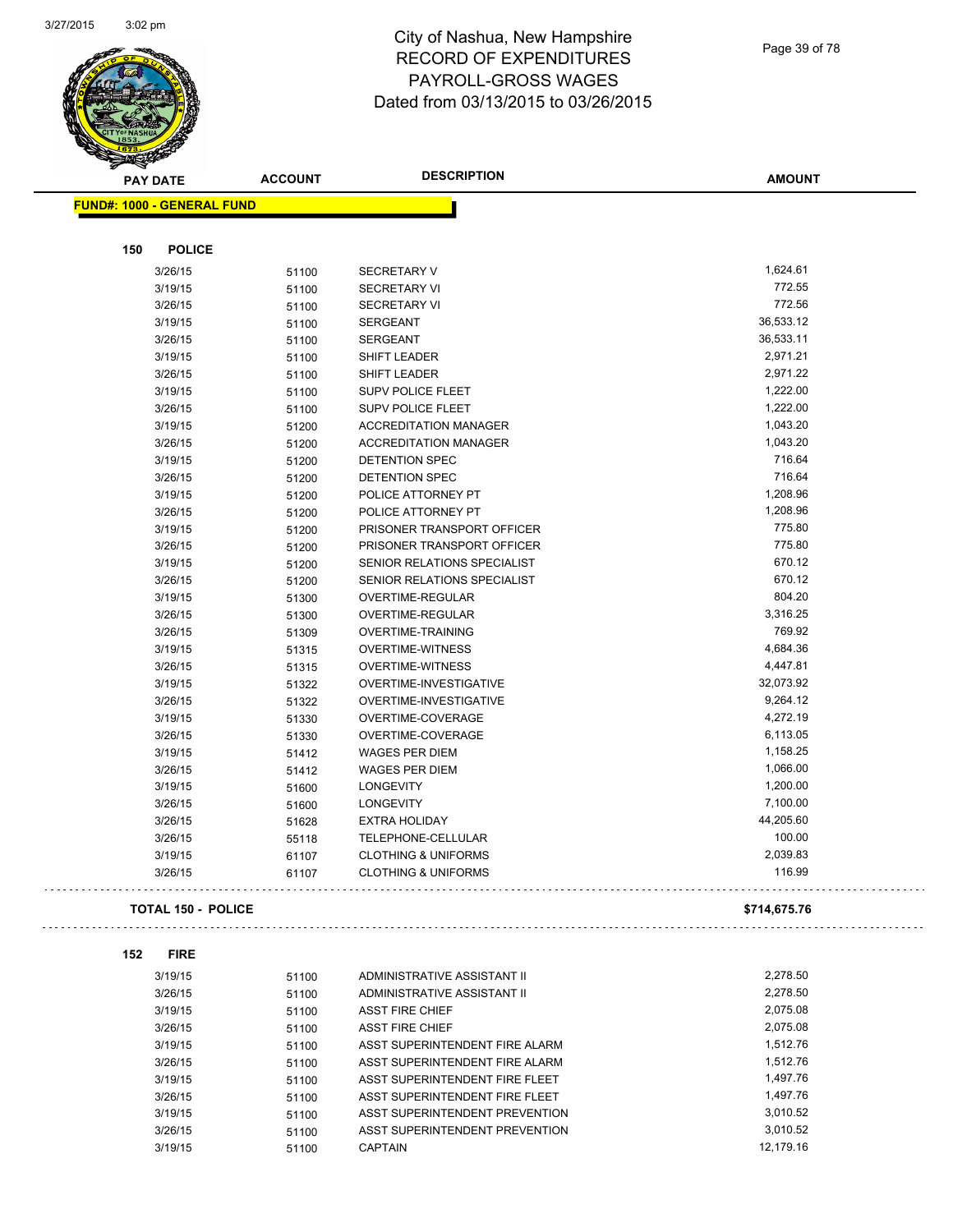

Page 39 of 78

| <u>saan kan ka</u><br><b>PAY DATE</b> | <b>ACCOUNT</b>            | <b>DESCRIPTION</b>             | <b>AMOUNT</b> |
|---------------------------------------|---------------------------|--------------------------------|---------------|
| <b>FUND#: 1000 - GENERAL FUND</b>     |                           |                                |               |
|                                       |                           |                                |               |
| 150                                   | <b>POLICE</b>             |                                |               |
| 3/26/15                               | 51100                     | <b>SECRETARY V</b>             | 1,624.61      |
| 3/19/15                               | 51100                     | <b>SECRETARY VI</b>            | 772.55        |
| 3/26/15                               | 51100                     | <b>SECRETARY VI</b>            | 772.56        |
| 3/19/15                               | 51100                     | <b>SERGEANT</b>                | 36,533.12     |
| 3/26/15                               | 51100                     | <b>SERGEANT</b>                | 36,533.11     |
| 3/19/15                               | 51100                     | <b>SHIFT LEADER</b>            | 2,971.21      |
| 3/26/15                               | 51100                     | SHIFT LEADER                   | 2,971.22      |
| 3/19/15                               | 51100                     | <b>SUPV POLICE FLEET</b>       | 1,222.00      |
| 3/26/15                               | 51100                     | <b>SUPV POLICE FLEET</b>       | 1,222.00      |
| 3/19/15                               | 51200                     | <b>ACCREDITATION MANAGER</b>   | 1,043.20      |
| 3/26/15                               | 51200                     | <b>ACCREDITATION MANAGER</b>   | 1,043.20      |
| 3/19/15                               | 51200                     | DETENTION SPEC                 | 716.64        |
| 3/26/15                               | 51200                     | DETENTION SPEC                 | 716.64        |
| 3/19/15                               | 51200                     | POLICE ATTORNEY PT             | 1,208.96      |
| 3/26/15                               | 51200                     | POLICE ATTORNEY PT             | 1,208.96      |
| 3/19/15                               | 51200                     | PRISONER TRANSPORT OFFICER     | 775.80        |
| 3/26/15                               | 51200                     | PRISONER TRANSPORT OFFICER     | 775.80        |
| 3/19/15                               | 51200                     | SENIOR RELATIONS SPECIALIST    | 670.12        |
| 3/26/15                               | 51200                     | SENIOR RELATIONS SPECIALIST    | 670.12        |
| 3/19/15                               | 51300                     | OVERTIME-REGULAR               | 804.20        |
| 3/26/15                               | 51300                     | OVERTIME-REGULAR               | 3,316.25      |
| 3/26/15                               | 51309                     | OVERTIME-TRAINING              | 769.92        |
| 3/19/15                               | 51315                     | <b>OVERTIME-WITNESS</b>        | 4,684.36      |
| 3/26/15                               | 51315                     | <b>OVERTIME-WITNESS</b>        | 4,447.81      |
| 3/19/15                               | 51322                     | OVERTIME-INVESTIGATIVE         | 32,073.92     |
| 3/26/15                               | 51322                     | OVERTIME-INVESTIGATIVE         | 9,264.12      |
| 3/19/15                               | 51330                     | OVERTIME-COVERAGE              | 4,272.19      |
| 3/26/15                               | 51330                     | OVERTIME-COVERAGE              | 6,113.05      |
| 3/19/15                               | 51412                     | <b>WAGES PER DIEM</b>          | 1,158.25      |
| 3/26/15                               | 51412                     | <b>WAGES PER DIEM</b>          | 1,066.00      |
| 3/19/15                               | 51600                     | <b>LONGEVITY</b>               | 1,200.00      |
| 3/26/15                               | 51600                     | <b>LONGEVITY</b>               | 7,100.00      |
| 3/26/15                               | 51628                     | <b>EXTRA HOLIDAY</b>           | 44,205.60     |
| 3/26/15                               | 55118                     | TELEPHONE-CELLULAR             | 100.00        |
| 3/19/15                               | 61107                     | <b>CLOTHING &amp; UNIFORMS</b> | 2,039.83      |
| 3/26/15                               | 61107                     | <b>CLOTHING &amp; UNIFORMS</b> | 116.99        |
|                                       | <b>TOTAL 150 - POLICE</b> |                                | \$714,675.76  |
|                                       |                           |                                |               |
| 152                                   | <b>FIRE</b>               |                                |               |
| 3/19/15                               | 51100                     | ADMINISTRATIVE ASSISTANT II    | 2,278.50      |
| 3/26/15                               | 51100                     | ADMINISTRATIVE ASSISTANT II    | 2,278.50      |
| 3/19/15                               | 51100                     | <b>ASST FIRE CHIEF</b>         | 2,075.08      |
| 3/26/15                               | 51100                     | <b>ASST FIRE CHIEF</b>         | 2,075.08      |
| 3/19/15                               | 51100                     | ASST SUPERINTENDENT FIRE ALARM | 1,512.76      |
| 3/26/15                               | 51100                     | ASST SUPERINTENDENT FIRE ALARM | 1,512.76      |
| 3/19/15                               | 51100                     | ASST SUPERINTENDENT FIRE FLEET | 1,497.76      |
| 3/26/15                               | 51100                     | ASST SUPERINTENDENT FIRE FLEET | 1,497.76      |
| 3/19/15                               | 51100                     | ASST SUPERINTENDENT PREVENTION | 3,010.52      |
| 3/26/15                               | 51100                     | ASST SUPERINTENDENT PREVENTION | 3,010.52      |
| 3/19/15                               | 51100                     | <b>CAPTAIN</b>                 | 12,179.16     |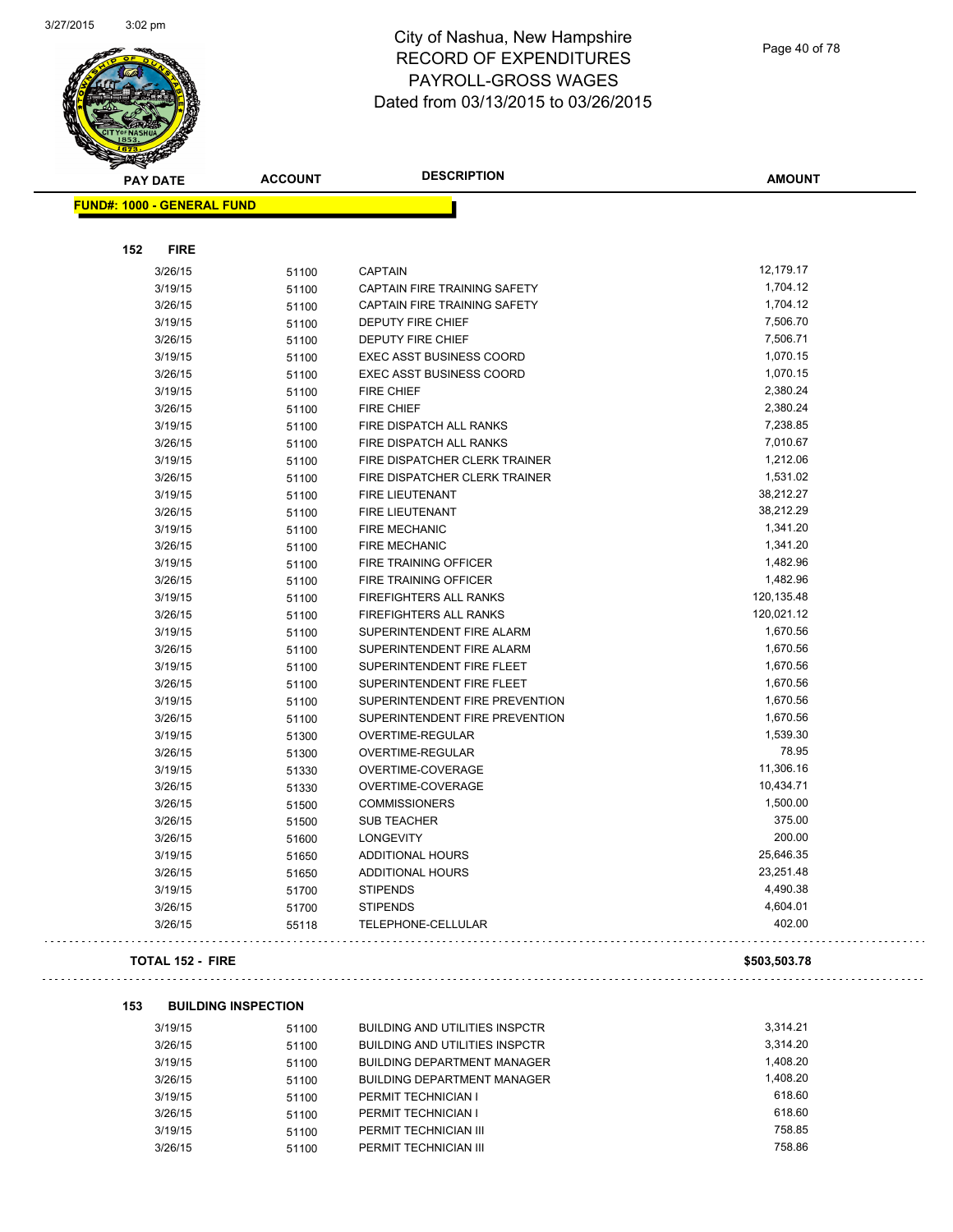

Page 40 of 78

| <b>PAY DATE</b>                   | <b>ACCOUNT</b>             | <b>DESCRIPTION</b>                    | <b>AMOUNT</b>      |
|-----------------------------------|----------------------------|---------------------------------------|--------------------|
| <b>FUND#: 1000 - GENERAL FUND</b> |                            |                                       |                    |
| <b>FIRE</b><br>152                |                            |                                       |                    |
| 3/26/15                           | 51100                      | <b>CAPTAIN</b>                        | 12,179.17          |
| 3/19/15                           | 51100                      | <b>CAPTAIN FIRE TRAINING SAFETY</b>   | 1,704.12           |
| 3/26/15                           | 51100                      | CAPTAIN FIRE TRAINING SAFETY          | 1,704.12           |
| 3/19/15                           | 51100                      | DEPUTY FIRE CHIEF                     | 7,506.70           |
| 3/26/15                           | 51100                      | <b>DEPUTY FIRE CHIEF</b>              | 7,506.71           |
| 3/19/15                           | 51100                      | <b>EXEC ASST BUSINESS COORD</b>       | 1,070.15           |
| 3/26/15                           | 51100                      | <b>EXEC ASST BUSINESS COORD</b>       | 1,070.15           |
| 3/19/15                           | 51100                      | <b>FIRE CHIEF</b>                     | 2,380.24           |
| 3/26/15                           | 51100                      | <b>FIRE CHIEF</b>                     | 2,380.24           |
| 3/19/15                           | 51100                      | FIRE DISPATCH ALL RANKS               | 7,238.85           |
| 3/26/15                           | 51100                      | FIRE DISPATCH ALL RANKS               | 7,010.67           |
| 3/19/15                           | 51100                      | FIRE DISPATCHER CLERK TRAINER         | 1,212.06           |
| 3/26/15                           | 51100                      | FIRE DISPATCHER CLERK TRAINER         | 1,531.02           |
| 3/19/15                           | 51100                      | <b>FIRE LIEUTENANT</b>                | 38,212.27          |
| 3/26/15                           | 51100                      | <b>FIRE LIEUTENANT</b>                | 38,212.29          |
| 3/19/15                           | 51100                      | <b>FIRE MECHANIC</b>                  | 1,341.20           |
| 3/26/15                           | 51100                      | <b>FIRE MECHANIC</b>                  | 1,341.20           |
| 3/19/15                           | 51100                      | <b>FIRE TRAINING OFFICER</b>          | 1,482.96           |
| 3/26/15                           | 51100                      | FIRE TRAINING OFFICER                 | 1,482.96           |
| 3/19/15                           | 51100                      | FIREFIGHTERS ALL RANKS                | 120,135.48         |
| 3/26/15                           | 51100                      | FIREFIGHTERS ALL RANKS                | 120,021.12         |
| 3/19/15                           | 51100                      | SUPERINTENDENT FIRE ALARM             | 1,670.56           |
| 3/26/15                           | 51100                      | SUPERINTENDENT FIRE ALARM             | 1,670.56           |
| 3/19/15                           | 51100                      | SUPERINTENDENT FIRE FLEET             | 1,670.56           |
| 3/26/15                           | 51100                      | SUPERINTENDENT FIRE FLEET             | 1,670.56           |
| 3/19/15                           |                            | SUPERINTENDENT FIRE PREVENTION        | 1,670.56           |
| 3/26/15                           | 51100                      | SUPERINTENDENT FIRE PREVENTION        | 1,670.56           |
| 3/19/15                           | 51100<br>51300             | OVERTIME-REGULAR                      | 1,539.30           |
| 3/26/15                           |                            | OVERTIME-REGULAR                      | 78.95              |
| 3/19/15                           | 51300                      | OVERTIME-COVERAGE                     | 11,306.16          |
|                                   | 51330                      | OVERTIME-COVERAGE                     | 10,434.71          |
| 3/26/15                           | 51330                      | <b>COMMISSIONERS</b>                  | 1,500.00           |
| 3/26/15                           | 51500                      | <b>SUB TEACHER</b>                    | 375.00             |
| 3/26/15<br>3/26/15                | 51500                      | <b>LONGEVITY</b>                      | 200.00             |
|                                   | 51600                      |                                       | 25,646.35          |
| 3/19/15                           | 51650                      | ADDITIONAL HOURS                      |                    |
| 3/26/15                           | 51650                      | ADDITIONAL HOURS                      | 23,251.48          |
| 3/19/15                           | 51700                      | <b>STIPENDS</b>                       | 4,490.38           |
| 3/26/15                           | 51700                      | <b>STIPENDS</b>                       | 4,604.01<br>402.00 |
| 3/26/15                           | 55118                      | TELEPHONE-CELLULAR                    |                    |
| <b>TOTAL 152 - FIRE</b>           |                            |                                       | \$503,503.78       |
|                                   |                            |                                       |                    |
| 153                               | <b>BUILDING INSPECTION</b> |                                       |                    |
| 3/19/15                           | 51100                      | <b>BUILDING AND UTILITIES INSPCTR</b> | 3,314.21           |
| 3/26/15                           | 51100                      | BUILDING AND UTILITIES INSPCTR        | 3,314.20           |
| 3/19/15                           | 51100                      | <b>BUILDING DEPARTMENT MANAGER</b>    | 1,408.20           |
| 3/26/15                           | 51100                      | <b>BUILDING DEPARTMENT MANAGER</b>    | 1,408.20           |
| 3/19/15                           | 51100                      | PERMIT TECHNICIAN I                   | 618.60             |
| 3/26/15                           | 51100                      | PERMIT TECHNICIAN I                   | 618.60             |

3/19/15 51100 PERMIT TECHNICIAN III<br>3/26/15 51100 PERMIT TECHNICIAN III 758.86

3/26/15 51100 PERMIT TECHNICIAN III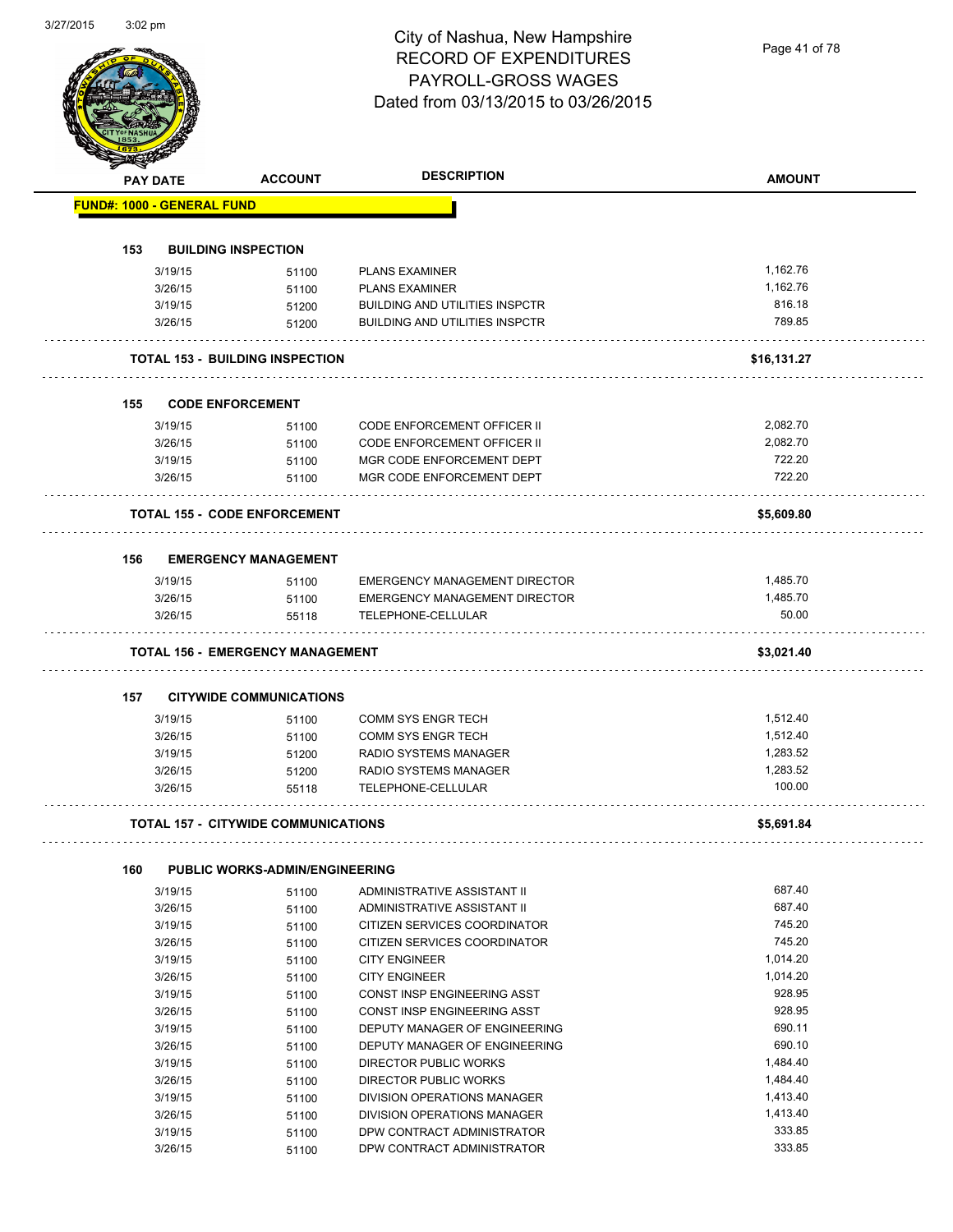|     | <b>PAY DATE</b>                   | <b>ACCOUNT</b>                             | <b>DESCRIPTION</b>                                  | <b>AMOUNT</b>     |
|-----|-----------------------------------|--------------------------------------------|-----------------------------------------------------|-------------------|
|     | <b>FUND#: 1000 - GENERAL FUND</b> |                                            |                                                     |                   |
|     |                                   |                                            |                                                     |                   |
| 153 |                                   | <b>BUILDING INSPECTION</b>                 |                                                     |                   |
|     | 3/19/15                           | 51100                                      | <b>PLANS EXAMINER</b>                               | 1,162.76          |
|     | 3/26/15                           | 51100                                      | <b>PLANS EXAMINER</b>                               | 1.162.76          |
|     | 3/19/15                           | 51200                                      | <b>BUILDING AND UTILITIES INSPCTR</b>               | 816.18            |
|     | 3/26/15                           | 51200                                      | <b>BUILDING AND UTILITIES INSPCTR</b>               | 789.85            |
|     |                                   | <b>TOTAL 153 - BUILDING INSPECTION</b>     |                                                     | \$16,131.27       |
| 155 |                                   | <b>CODE ENFORCEMENT</b>                    |                                                     |                   |
|     | 3/19/15                           | 51100                                      | <b>CODE ENFORCEMENT OFFICER II</b>                  | 2,082.70          |
|     | 3/26/15                           | 51100                                      | <b>CODE ENFORCEMENT OFFICER II</b>                  | 2,082.70          |
|     | 3/19/15                           | 51100                                      | MGR CODE ENFORCEMENT DEPT                           | 722.20            |
|     | 3/26/15                           | 51100                                      | MGR CODE ENFORCEMENT DEPT                           | 722.20            |
|     |                                   | <b>TOTAL 155 - CODE ENFORCEMENT</b>        |                                                     | \$5,609.80        |
|     |                                   |                                            |                                                     |                   |
| 156 |                                   | <b>EMERGENCY MANAGEMENT</b>                |                                                     |                   |
|     | 3/19/15                           | 51100                                      | EMERGENCY MANAGEMENT DIRECTOR                       | 1,485.70          |
|     | 3/26/15<br>3/26/15                | 51100<br>55118                             | EMERGENCY MANAGEMENT DIRECTOR<br>TELEPHONE-CELLULAR | 1,485.70<br>50.00 |
|     |                                   | <b>TOTAL 156 - EMERGENCY MANAGEMENT</b>    |                                                     | \$3,021.40        |
| 157 |                                   | <b>CITYWIDE COMMUNICATIONS</b>             |                                                     |                   |
|     | 3/19/15                           | 51100                                      | <b>COMM SYS ENGR TECH</b>                           | 1,512.40          |
|     | 3/26/15                           | 51100                                      | <b>COMM SYS ENGR TECH</b>                           | 1,512.40          |
|     | 3/19/15                           | 51200                                      | RADIO SYSTEMS MANAGER                               | 1,283.52          |
|     | 3/26/15                           | 51200                                      | RADIO SYSTEMS MANAGER                               | 1,283.52          |
|     | 3/26/15                           | 55118                                      | TELEPHONE-CELLULAR                                  | 100.00            |
|     |                                   | <b>TOTAL 157 - CITYWIDE COMMUNICATIONS</b> |                                                     | \$5,691.84        |
| 160 |                                   | <b>PUBLIC WORKS-ADMIN/ENGINEERING</b>      |                                                     |                   |
|     | 3/19/15                           | 51100                                      | ADMINISTRATIVE ASSISTANT II                         | 687.40            |
|     | 3/26/15                           | 51100                                      | ADMINISTRATIVE ASSISTANT II                         | 687.40            |
|     | 3/19/15                           | 51100                                      | CITIZEN SERVICES COORDINATOR                        | 745.20            |
|     | 3/26/15                           | 51100                                      | CITIZEN SERVICES COORDINATOR                        | 745.20            |
|     | 3/19/15                           | 51100                                      | <b>CITY ENGINEER</b>                                | 1,014.20          |
|     | 3/26/15                           | 51100                                      | <b>CITY ENGINEER</b>                                | 1,014.20          |
|     | 3/19/15                           | 51100                                      | CONST INSP ENGINEERING ASST                         | 928.95            |
|     | 3/26/15                           | 51100                                      | CONST INSP ENGINEERING ASST                         | 928.95            |
|     | 3/19/15                           | 51100                                      | DEPUTY MANAGER OF ENGINEERING                       | 690.11            |
|     | 3/26/15                           | 51100                                      | DEPUTY MANAGER OF ENGINEERING                       | 690.10            |
|     | 3/19/15                           | 51100                                      | DIRECTOR PUBLIC WORKS                               | 1,484.40          |
|     | 3/26/15                           | 51100                                      | DIRECTOR PUBLIC WORKS                               | 1,484.40          |
|     | 3/19/15                           | 51100                                      | DIVISION OPERATIONS MANAGER                         | 1,413.40          |
|     | 3/26/15                           | 51100                                      | DIVISION OPERATIONS MANAGER                         | 1,413.40          |
|     | 3/19/15                           | 51100                                      | DPW CONTRACT ADMINISTRATOR                          | 333.85            |
|     | 3/26/15                           |                                            |                                                     | 333.85            |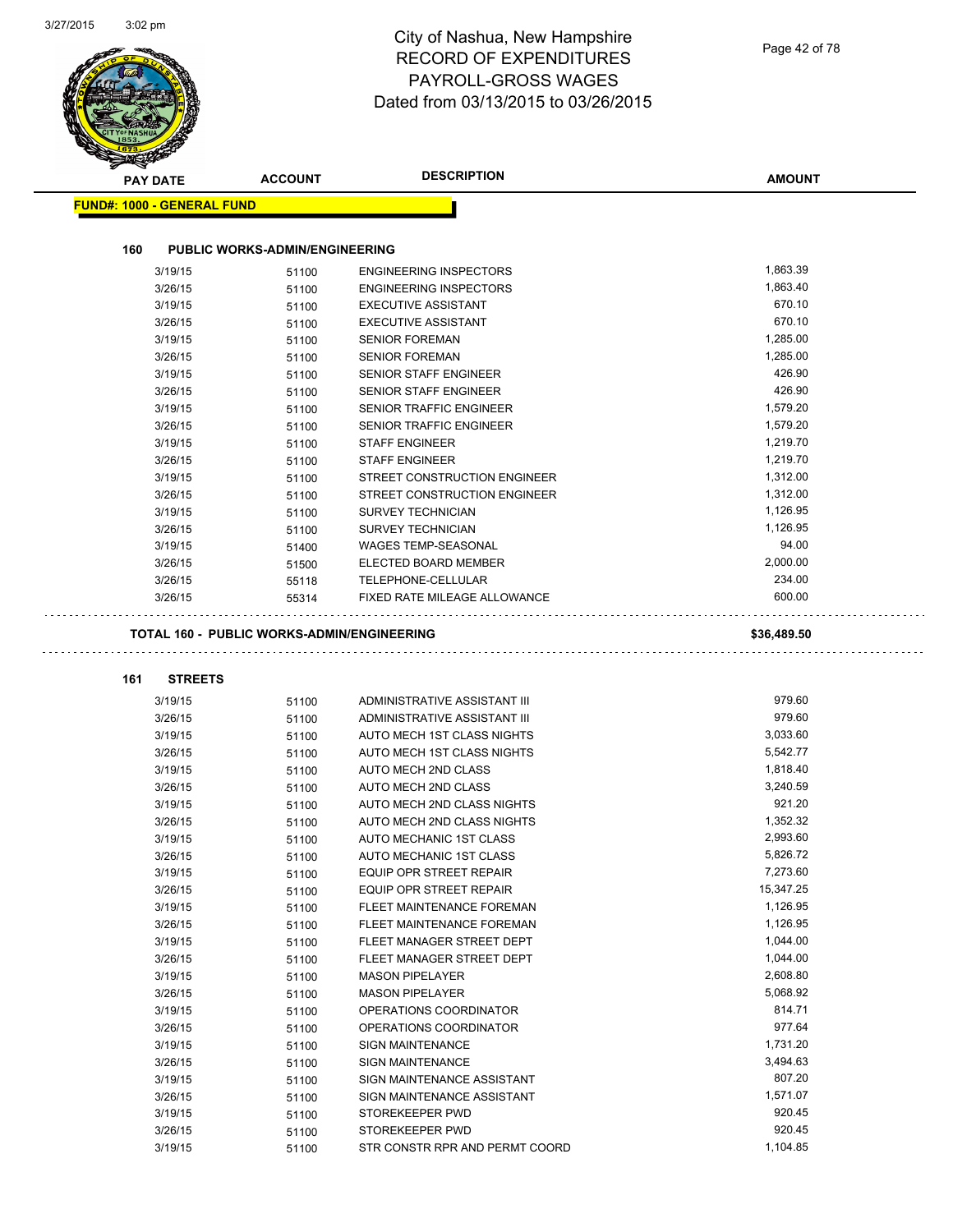| <b>PAY DATE</b>                   | <b>ACCOUNT</b>                        | <b>DESCRIPTION</b>                                         | <b>AMOUNT</b>      |
|-----------------------------------|---------------------------------------|------------------------------------------------------------|--------------------|
| <b>FUND#: 1000 - GENERAL FUND</b> |                                       |                                                            |                    |
| 160                               | <b>PUBLIC WORKS-ADMIN/ENGINEERING</b> |                                                            |                    |
| 3/19/15                           | 51100                                 | <b>ENGINEERING INSPECTORS</b>                              | 1,863.39           |
| 3/26/15                           | 51100                                 | <b>ENGINEERING INSPECTORS</b>                              | 1,863.40           |
| 3/19/15                           | 51100                                 | <b>EXECUTIVE ASSISTANT</b>                                 | 670.10             |
| 3/26/15                           | 51100                                 | <b>EXECUTIVE ASSISTANT</b>                                 | 670.10             |
| 3/19/15                           | 51100                                 | <b>SENIOR FOREMAN</b>                                      | 1,285.00           |
| 3/26/15                           | 51100                                 | <b>SENIOR FOREMAN</b>                                      | 1,285.00           |
| 3/19/15                           | 51100                                 | <b>SENIOR STAFF ENGINEER</b>                               | 426.90             |
| 3/26/15                           | 51100                                 | <b>SENIOR STAFF ENGINEER</b>                               | 426.90             |
| 3/19/15                           | 51100                                 | SENIOR TRAFFIC ENGINEER                                    | 1,579.20           |
| 3/26/15                           | 51100                                 | <b>SENIOR TRAFFIC ENGINEER</b>                             | 1,579.20           |
| 3/19/15                           | 51100                                 | <b>STAFF ENGINEER</b>                                      | 1,219.70           |
| 3/26/15                           | 51100                                 | <b>STAFF ENGINEER</b>                                      | 1,219.70           |
| 3/19/15                           | 51100                                 | STREET CONSTRUCTION ENGINEER                               | 1,312.00           |
| 3/26/15                           | 51100                                 | STREET CONSTRUCTION ENGINEER                               | 1,312.00           |
| 3/19/15                           | 51100                                 | <b>SURVEY TECHNICIAN</b>                                   | 1,126.95           |
| 3/26/15                           | 51100                                 | <b>SURVEY TECHNICIAN</b>                                   | 1,126.95           |
| 3/19/15                           | 51400                                 | <b>WAGES TEMP-SEASONAL</b>                                 | 94.00              |
| 3/26/15                           | 51500                                 | ELECTED BOARD MEMBER                                       | 2,000.00           |
| 3/26/15                           |                                       | TELEPHONE-CELLULAR                                         | 234.00             |
| 3/26/15                           | 55118<br>55314                        | FIXED RATE MILEAGE ALLOWANCE                               | 600.00             |
|                                   |                                       |                                                            |                    |
| <b>STREETS</b><br>161<br>3/19/15  |                                       | ADMINISTRATIVE ASSISTANT III                               | 979.60             |
|                                   | 51100                                 |                                                            | 979.60             |
| 3/26/15                           | 51100                                 | ADMINISTRATIVE ASSISTANT III<br>AUTO MECH 1ST CLASS NIGHTS | 3,033.60           |
| 3/19/15<br>3/26/15                | 51100                                 | AUTO MECH 1ST CLASS NIGHTS                                 | 5,542.77           |
| 3/19/15                           | 51100                                 |                                                            | 1,818.40           |
|                                   | 51100                                 | AUTO MECH 2ND CLASS<br>AUTO MECH 2ND CLASS                 | 3,240.59           |
| 3/26/15                           | 51100                                 |                                                            | 921.20             |
| 3/19/15                           | 51100                                 | AUTO MECH 2ND CLASS NIGHTS                                 | 1,352.32           |
| 3/26/15                           | 51100                                 | AUTO MECH 2ND CLASS NIGHTS                                 | 2,993.60           |
| 3/19/15<br>3/26/15                | 51100                                 | AUTO MECHANIC 1ST CLASS                                    | 5,826.72           |
|                                   | 51100                                 | AUTO MECHANIC 1ST CLASS                                    | 7,273.60           |
| 3/19/15                           | 51100                                 | EQUIP OPR STREET REPAIR<br><b>EQUIP OPR STREET REPAIR</b>  | 15,347.25          |
| 3/26/15                           | 51100                                 |                                                            |                    |
| 3/19/15                           | 51100                                 | FLEET MAINTENANCE FOREMAN                                  | 1,126.95           |
| 3/26/15                           | 51100                                 | FLEET MAINTENANCE FOREMAN                                  | 1,126.95           |
| 3/19/15                           | 51100                                 | FLEET MANAGER STREET DEPT                                  | 1,044.00           |
| 3/26/15                           | 51100                                 | FLEET MANAGER STREET DEPT                                  | 1,044.00           |
| 3/19/15                           | 51100                                 | <b>MASON PIPELAYER</b>                                     | 2,608.80           |
| 3/26/15                           | 51100                                 | <b>MASON PIPELAYER</b>                                     | 5,068.92           |
| 3/19/15                           | 51100                                 | OPERATIONS COORDINATOR                                     | 814.71             |
| 3/26/15                           | 51100                                 | OPERATIONS COORDINATOR                                     | 977.64             |
| 3/19/15                           | 51100                                 | <b>SIGN MAINTENANCE</b>                                    | 1,731.20           |
| 3/26/15                           | 51100                                 | <b>SIGN MAINTENANCE</b>                                    | 3,494.63           |
| 3/19/15                           | 51100                                 | SIGN MAINTENANCE ASSISTANT                                 | 807.20             |
| 3/26/15                           | 51100                                 | SIGN MAINTENANCE ASSISTANT                                 | 1,571.07           |
|                                   |                                       |                                                            |                    |
| 3/19/15                           | 51100                                 | STOREKEEPER PWD                                            | 920.45             |
| 3/26/15<br>3/19/15                | 51100                                 | STOREKEEPER PWD<br>STR CONSTR RPR AND PERMT COORD          | 920.45<br>1,104.85 |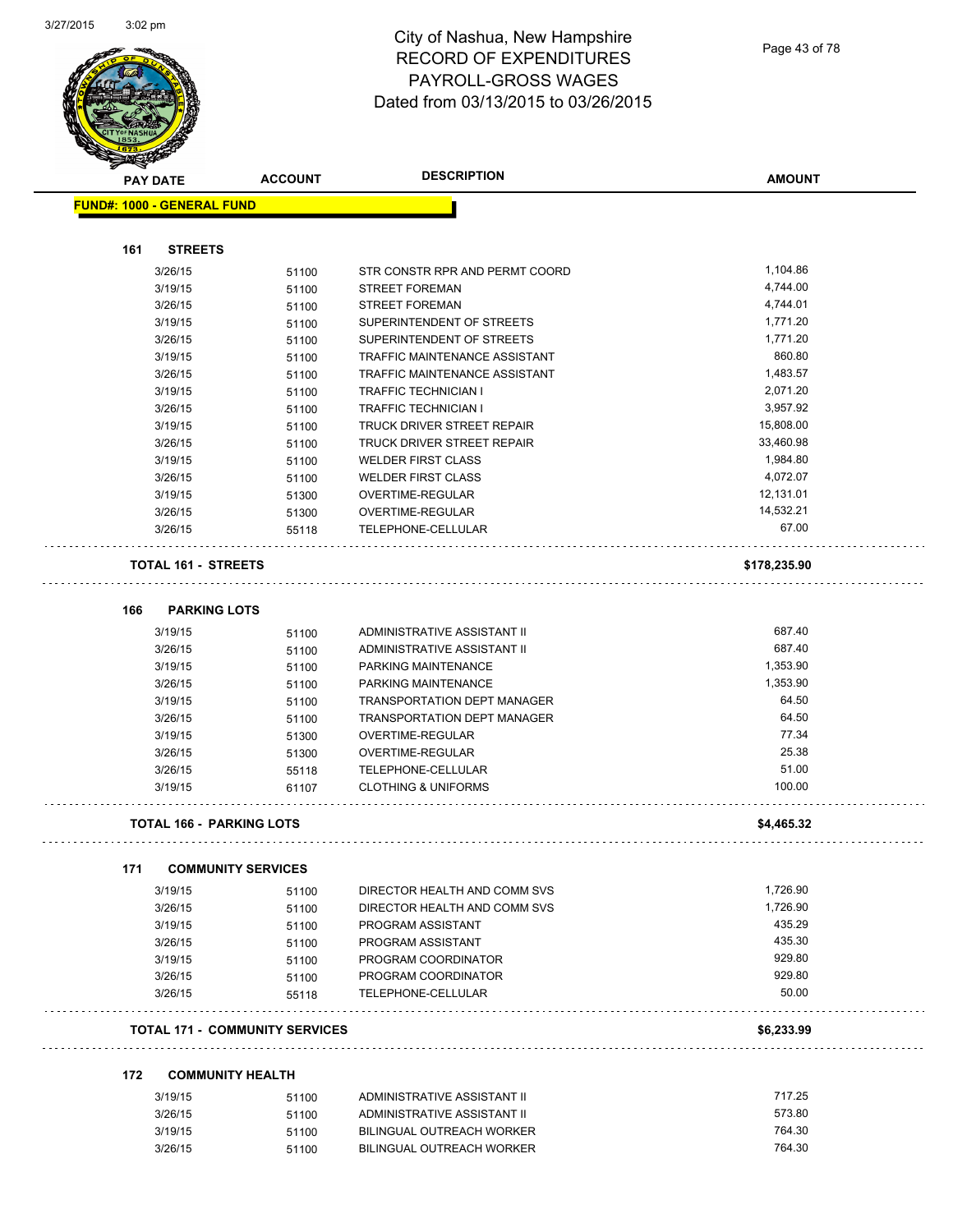$\overline{\phantom{0}}$ 



| $\tilde{\phantom{a}}$<br><b>PAY DATE</b> | <b>ACCOUNT</b>                                                                                                                                                                                                                                                                             | <b>DESCRIPTION</b>                                                                                                                                                                                                                                                                                                                                                             | <b>AMOUNT</b>                                                                                                                                                                                                                                                                                                                                                                                                                                                                                                                                                                                                                                                                                                                                                             |
|------------------------------------------|--------------------------------------------------------------------------------------------------------------------------------------------------------------------------------------------------------------------------------------------------------------------------------------------|--------------------------------------------------------------------------------------------------------------------------------------------------------------------------------------------------------------------------------------------------------------------------------------------------------------------------------------------------------------------------------|---------------------------------------------------------------------------------------------------------------------------------------------------------------------------------------------------------------------------------------------------------------------------------------------------------------------------------------------------------------------------------------------------------------------------------------------------------------------------------------------------------------------------------------------------------------------------------------------------------------------------------------------------------------------------------------------------------------------------------------------------------------------------|
|                                          |                                                                                                                                                                                                                                                                                            |                                                                                                                                                                                                                                                                                                                                                                                |                                                                                                                                                                                                                                                                                                                                                                                                                                                                                                                                                                                                                                                                                                                                                                           |
|                                          |                                                                                                                                                                                                                                                                                            |                                                                                                                                                                                                                                                                                                                                                                                |                                                                                                                                                                                                                                                                                                                                                                                                                                                                                                                                                                                                                                                                                                                                                                           |
| 161<br><b>STREETS</b>                    |                                                                                                                                                                                                                                                                                            |                                                                                                                                                                                                                                                                                                                                                                                |                                                                                                                                                                                                                                                                                                                                                                                                                                                                                                                                                                                                                                                                                                                                                                           |
| 3/26/15                                  | 51100                                                                                                                                                                                                                                                                                      | STR CONSTR RPR AND PERMT COORD                                                                                                                                                                                                                                                                                                                                                 | 1,104.86                                                                                                                                                                                                                                                                                                                                                                                                                                                                                                                                                                                                                                                                                                                                                                  |
|                                          | 51100                                                                                                                                                                                                                                                                                      |                                                                                                                                                                                                                                                                                                                                                                                | 4,744.00                                                                                                                                                                                                                                                                                                                                                                                                                                                                                                                                                                                                                                                                                                                                                                  |
|                                          |                                                                                                                                                                                                                                                                                            |                                                                                                                                                                                                                                                                                                                                                                                | 4,744.01                                                                                                                                                                                                                                                                                                                                                                                                                                                                                                                                                                                                                                                                                                                                                                  |
|                                          | 51100                                                                                                                                                                                                                                                                                      |                                                                                                                                                                                                                                                                                                                                                                                | 1,771.20                                                                                                                                                                                                                                                                                                                                                                                                                                                                                                                                                                                                                                                                                                                                                                  |
|                                          |                                                                                                                                                                                                                                                                                            |                                                                                                                                                                                                                                                                                                                                                                                | 1,771.20                                                                                                                                                                                                                                                                                                                                                                                                                                                                                                                                                                                                                                                                                                                                                                  |
|                                          | 51100                                                                                                                                                                                                                                                                                      |                                                                                                                                                                                                                                                                                                                                                                                | 860.80                                                                                                                                                                                                                                                                                                                                                                                                                                                                                                                                                                                                                                                                                                                                                                    |
|                                          |                                                                                                                                                                                                                                                                                            |                                                                                                                                                                                                                                                                                                                                                                                | 1,483.57                                                                                                                                                                                                                                                                                                                                                                                                                                                                                                                                                                                                                                                                                                                                                                  |
|                                          |                                                                                                                                                                                                                                                                                            |                                                                                                                                                                                                                                                                                                                                                                                | 2,071.20                                                                                                                                                                                                                                                                                                                                                                                                                                                                                                                                                                                                                                                                                                                                                                  |
|                                          |                                                                                                                                                                                                                                                                                            |                                                                                                                                                                                                                                                                                                                                                                                | 3,957.92                                                                                                                                                                                                                                                                                                                                                                                                                                                                                                                                                                                                                                                                                                                                                                  |
|                                          |                                                                                                                                                                                                                                                                                            |                                                                                                                                                                                                                                                                                                                                                                                | 15,808.00                                                                                                                                                                                                                                                                                                                                                                                                                                                                                                                                                                                                                                                                                                                                                                 |
|                                          |                                                                                                                                                                                                                                                                                            |                                                                                                                                                                                                                                                                                                                                                                                | 33,460.98                                                                                                                                                                                                                                                                                                                                                                                                                                                                                                                                                                                                                                                                                                                                                                 |
|                                          |                                                                                                                                                                                                                                                                                            |                                                                                                                                                                                                                                                                                                                                                                                | 1,984.80                                                                                                                                                                                                                                                                                                                                                                                                                                                                                                                                                                                                                                                                                                                                                                  |
| 3/26/15                                  | 51100                                                                                                                                                                                                                                                                                      | <b>WELDER FIRST CLASS</b>                                                                                                                                                                                                                                                                                                                                                      | 4,072.07                                                                                                                                                                                                                                                                                                                                                                                                                                                                                                                                                                                                                                                                                                                                                                  |
| 3/19/15                                  | 51300                                                                                                                                                                                                                                                                                      | OVERTIME-REGULAR                                                                                                                                                                                                                                                                                                                                                               | 12,131.01                                                                                                                                                                                                                                                                                                                                                                                                                                                                                                                                                                                                                                                                                                                                                                 |
|                                          | 51300                                                                                                                                                                                                                                                                                      |                                                                                                                                                                                                                                                                                                                                                                                | 14,532.21                                                                                                                                                                                                                                                                                                                                                                                                                                                                                                                                                                                                                                                                                                                                                                 |
| 3/26/15                                  | 55118                                                                                                                                                                                                                                                                                      | TELEPHONE-CELLULAR                                                                                                                                                                                                                                                                                                                                                             | 67.00                                                                                                                                                                                                                                                                                                                                                                                                                                                                                                                                                                                                                                                                                                                                                                     |
|                                          |                                                                                                                                                                                                                                                                                            |                                                                                                                                                                                                                                                                                                                                                                                | \$178,235.90                                                                                                                                                                                                                                                                                                                                                                                                                                                                                                                                                                                                                                                                                                                                                              |
| 166                                      |                                                                                                                                                                                                                                                                                            |                                                                                                                                                                                                                                                                                                                                                                                |                                                                                                                                                                                                                                                                                                                                                                                                                                                                                                                                                                                                                                                                                                                                                                           |
|                                          |                                                                                                                                                                                                                                                                                            |                                                                                                                                                                                                                                                                                                                                                                                | 687.40                                                                                                                                                                                                                                                                                                                                                                                                                                                                                                                                                                                                                                                                                                                                                                    |
|                                          |                                                                                                                                                                                                                                                                                            |                                                                                                                                                                                                                                                                                                                                                                                | 687.40                                                                                                                                                                                                                                                                                                                                                                                                                                                                                                                                                                                                                                                                                                                                                                    |
|                                          |                                                                                                                                                                                                                                                                                            |                                                                                                                                                                                                                                                                                                                                                                                | 1,353.90                                                                                                                                                                                                                                                                                                                                                                                                                                                                                                                                                                                                                                                                                                                                                                  |
|                                          |                                                                                                                                                                                                                                                                                            |                                                                                                                                                                                                                                                                                                                                                                                | 1,353.90                                                                                                                                                                                                                                                                                                                                                                                                                                                                                                                                                                                                                                                                                                                                                                  |
|                                          |                                                                                                                                                                                                                                                                                            |                                                                                                                                                                                                                                                                                                                                                                                | 64.50                                                                                                                                                                                                                                                                                                                                                                                                                                                                                                                                                                                                                                                                                                                                                                     |
|                                          |                                                                                                                                                                                                                                                                                            |                                                                                                                                                                                                                                                                                                                                                                                | 64.50                                                                                                                                                                                                                                                                                                                                                                                                                                                                                                                                                                                                                                                                                                                                                                     |
|                                          |                                                                                                                                                                                                                                                                                            |                                                                                                                                                                                                                                                                                                                                                                                | 77.34                                                                                                                                                                                                                                                                                                                                                                                                                                                                                                                                                                                                                                                                                                                                                                     |
|                                          |                                                                                                                                                                                                                                                                                            |                                                                                                                                                                                                                                                                                                                                                                                | 25.38                                                                                                                                                                                                                                                                                                                                                                                                                                                                                                                                                                                                                                                                                                                                                                     |
|                                          |                                                                                                                                                                                                                                                                                            |                                                                                                                                                                                                                                                                                                                                                                                | 51.00                                                                                                                                                                                                                                                                                                                                                                                                                                                                                                                                                                                                                                                                                                                                                                     |
| 3/19/15                                  | 61107                                                                                                                                                                                                                                                                                      | <b>CLOTHING &amp; UNIFORMS</b>                                                                                                                                                                                                                                                                                                                                                 | 100.00                                                                                                                                                                                                                                                                                                                                                                                                                                                                                                                                                                                                                                                                                                                                                                    |
|                                          |                                                                                                                                                                                                                                                                                            |                                                                                                                                                                                                                                                                                                                                                                                | \$4,465.32                                                                                                                                                                                                                                                                                                                                                                                                                                                                                                                                                                                                                                                                                                                                                                |
|                                          |                                                                                                                                                                                                                                                                                            |                                                                                                                                                                                                                                                                                                                                                                                |                                                                                                                                                                                                                                                                                                                                                                                                                                                                                                                                                                                                                                                                                                                                                                           |
| 171                                      |                                                                                                                                                                                                                                                                                            |                                                                                                                                                                                                                                                                                                                                                                                |                                                                                                                                                                                                                                                                                                                                                                                                                                                                                                                                                                                                                                                                                                                                                                           |
|                                          | 51100                                                                                                                                                                                                                                                                                      |                                                                                                                                                                                                                                                                                                                                                                                | 1,726.90                                                                                                                                                                                                                                                                                                                                                                                                                                                                                                                                                                                                                                                                                                                                                                  |
|                                          | 51100                                                                                                                                                                                                                                                                                      |                                                                                                                                                                                                                                                                                                                                                                                | 1,726.90                                                                                                                                                                                                                                                                                                                                                                                                                                                                                                                                                                                                                                                                                                                                                                  |
| 3/19/15                                  | 51100                                                                                                                                                                                                                                                                                      | PROGRAM ASSISTANT                                                                                                                                                                                                                                                                                                                                                              | 435.29                                                                                                                                                                                                                                                                                                                                                                                                                                                                                                                                                                                                                                                                                                                                                                    |
| 3/26/15                                  | 51100                                                                                                                                                                                                                                                                                      | PROGRAM ASSISTANT                                                                                                                                                                                                                                                                                                                                                              | 435.30                                                                                                                                                                                                                                                                                                                                                                                                                                                                                                                                                                                                                                                                                                                                                                    |
| 3/19/15                                  | 51100                                                                                                                                                                                                                                                                                      | PROGRAM COORDINATOR                                                                                                                                                                                                                                                                                                                                                            | 929.80                                                                                                                                                                                                                                                                                                                                                                                                                                                                                                                                                                                                                                                                                                                                                                    |
|                                          | 51100                                                                                                                                                                                                                                                                                      |                                                                                                                                                                                                                                                                                                                                                                                | 929.80                                                                                                                                                                                                                                                                                                                                                                                                                                                                                                                                                                                                                                                                                                                                                                    |
| 3/26/15                                  | 55118                                                                                                                                                                                                                                                                                      | TELEPHONE-CELLULAR                                                                                                                                                                                                                                                                                                                                                             | 50.00                                                                                                                                                                                                                                                                                                                                                                                                                                                                                                                                                                                                                                                                                                                                                                     |
|                                          |                                                                                                                                                                                                                                                                                            |                                                                                                                                                                                                                                                                                                                                                                                | \$6,233.99                                                                                                                                                                                                                                                                                                                                                                                                                                                                                                                                                                                                                                                                                                                                                                |
| 172                                      |                                                                                                                                                                                                                                                                                            |                                                                                                                                                                                                                                                                                                                                                                                |                                                                                                                                                                                                                                                                                                                                                                                                                                                                                                                                                                                                                                                                                                                                                                           |
|                                          |                                                                                                                                                                                                                                                                                            | ADMINISTRATIVE ASSISTANT II                                                                                                                                                                                                                                                                                                                                                    | 717.25                                                                                                                                                                                                                                                                                                                                                                                                                                                                                                                                                                                                                                                                                                                                                                    |
| 3/26/15                                  |                                                                                                                                                                                                                                                                                            | ADMINISTRATIVE ASSISTANT II                                                                                                                                                                                                                                                                                                                                                    | 573.80                                                                                                                                                                                                                                                                                                                                                                                                                                                                                                                                                                                                                                                                                                                                                                    |
| 3/19/15                                  |                                                                                                                                                                                                                                                                                            | BILINGUAL OUTREACH WORKER                                                                                                                                                                                                                                                                                                                                                      | 764.30                                                                                                                                                                                                                                                                                                                                                                                                                                                                                                                                                                                                                                                                                                                                                                    |
|                                          |                                                                                                                                                                                                                                                                                            |                                                                                                                                                                                                                                                                                                                                                                                | 764.30                                                                                                                                                                                                                                                                                                                                                                                                                                                                                                                                                                                                                                                                                                                                                                    |
|                                          | 3/19/15<br>3/26/15<br>3/19/15<br>3/26/15<br>3/19/15<br>3/26/15<br>3/19/15<br>3/26/15<br>3/19/15<br>3/26/15<br>3/19/15<br>3/26/15<br>3/19/15<br>3/26/15<br>3/19/15<br>3/26/15<br>3/19/15<br>3/26/15<br>3/19/15<br>3/26/15<br>3/26/15<br>3/19/15<br>3/26/15<br>3/26/15<br>3/19/15<br>3/26/15 | <b>FUND#: 1000 - GENERAL FUND</b><br>51100<br>51100<br>51100<br>51100<br>51100<br>51100<br>51100<br>51100<br><b>TOTAL 161 - STREETS</b><br><b>PARKING LOTS</b><br>51100<br>51100<br>51100<br>51100<br>51100<br>51100<br>51300<br>51300<br>55118<br><b>TOTAL 166 - PARKING LOTS</b><br><b>COMMUNITY SERVICES</b><br><b>COMMUNITY HEALTH</b><br>51100<br>51100<br>51100<br>51100 | <b>STREET FOREMAN</b><br><b>STREET FOREMAN</b><br>SUPERINTENDENT OF STREETS<br>SUPERINTENDENT OF STREETS<br><b>TRAFFIC MAINTENANCE ASSISTANT</b><br>TRAFFIC MAINTENANCE ASSISTANT<br><b>TRAFFIC TECHNICIAN I</b><br><b>TRAFFIC TECHNICIAN I</b><br>TRUCK DRIVER STREET REPAIR<br>TRUCK DRIVER STREET REPAIR<br><b>WELDER FIRST CLASS</b><br>OVERTIME-REGULAR<br>ADMINISTRATIVE ASSISTANT II<br>ADMINISTRATIVE ASSISTANT II<br>PARKING MAINTENANCE<br>PARKING MAINTENANCE<br><b>TRANSPORTATION DEPT MANAGER</b><br><b>TRANSPORTATION DEPT MANAGER</b><br>OVERTIME-REGULAR<br>OVERTIME-REGULAR<br>TELEPHONE-CELLULAR<br>DIRECTOR HEALTH AND COMM SVS<br>DIRECTOR HEALTH AND COMM SVS<br>PROGRAM COORDINATOR<br>TOTAL 171 -  COMMUNITY SERVICES<br>BILINGUAL OUTREACH WORKER |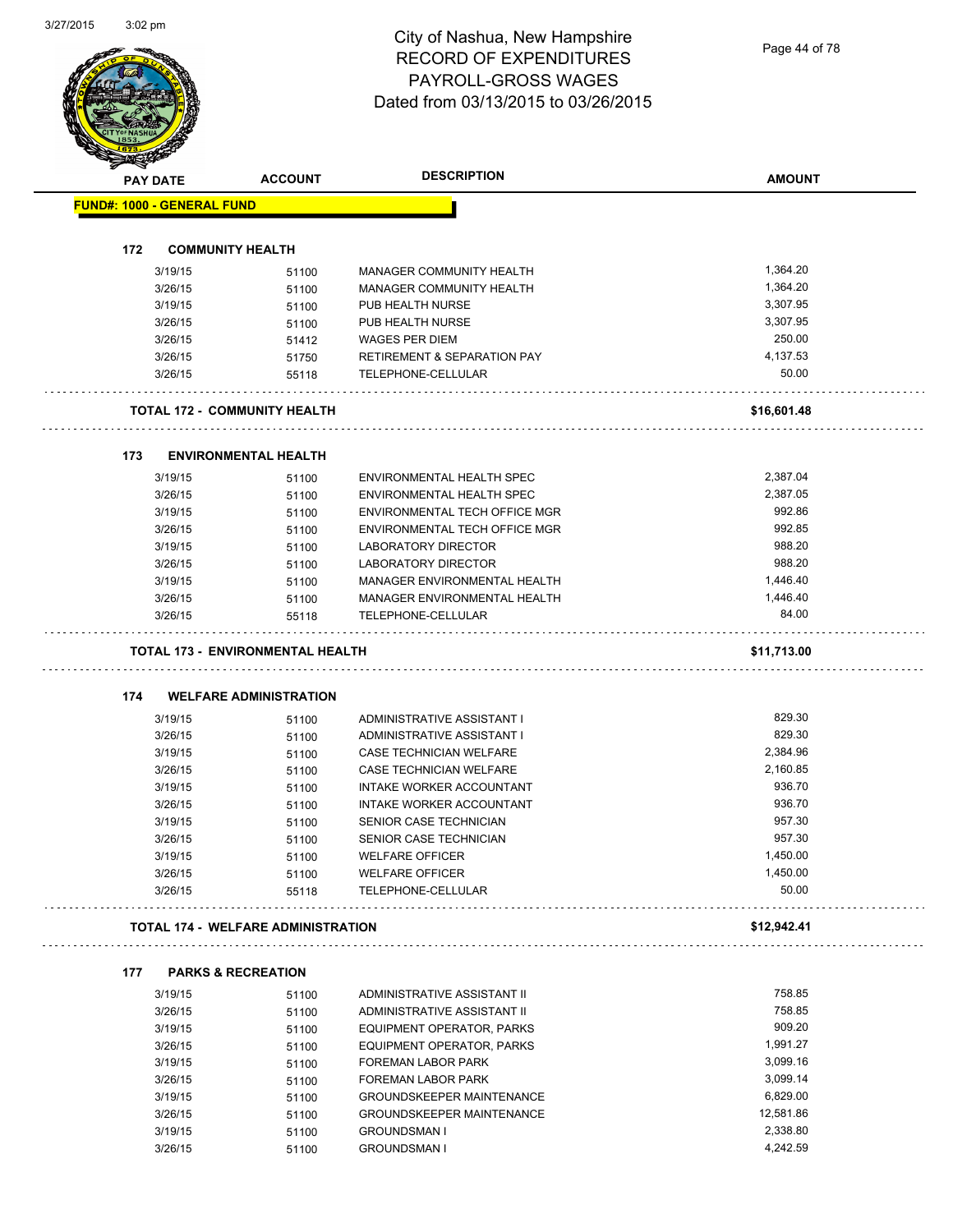Page 44 of 78

|     | <b>PAY DATE</b>                   | <b>ACCOUNT</b>                            | <b>DESCRIPTION</b>                     | <b>AMOUNT</b> |
|-----|-----------------------------------|-------------------------------------------|----------------------------------------|---------------|
|     | <b>FUND#: 1000 - GENERAL FUND</b> |                                           |                                        |               |
| 172 |                                   | <b>COMMUNITY HEALTH</b>                   |                                        |               |
|     | 3/19/15                           | 51100                                     | MANAGER COMMUNITY HEALTH               | 1,364.20      |
|     | 3/26/15                           | 51100                                     | MANAGER COMMUNITY HEALTH               | 1,364.20      |
|     | 3/19/15                           | 51100                                     | PUB HEALTH NURSE                       | 3,307.95      |
|     | 3/26/15                           | 51100                                     | PUB HEALTH NURSE                       | 3,307.95      |
|     | 3/26/15                           | 51412                                     | <b>WAGES PER DIEM</b>                  | 250.00        |
|     | 3/26/15                           | 51750                                     | <b>RETIREMENT &amp; SEPARATION PAY</b> | 4,137.53      |
|     | 3/26/15                           | 55118                                     | TELEPHONE-CELLULAR                     | 50.00         |
|     |                                   |                                           |                                        |               |
|     |                                   | <b>TOTAL 172 - COMMUNITY HEALTH</b>       |                                        | \$16,601.48   |
| 173 |                                   | <b>ENVIRONMENTAL HEALTH</b>               |                                        |               |
|     | 3/19/15                           | 51100                                     | ENVIRONMENTAL HEALTH SPEC              | 2,387.04      |
|     | 3/26/15                           | 51100                                     | ENVIRONMENTAL HEALTH SPEC              | 2,387.05      |
|     | 3/19/15                           | 51100                                     | ENVIRONMENTAL TECH OFFICE MGR          | 992.86        |
|     | 3/26/15                           | 51100                                     | ENVIRONMENTAL TECH OFFICE MGR          | 992.85        |
|     | 3/19/15                           | 51100                                     | <b>LABORATORY DIRECTOR</b>             | 988.20        |
|     | 3/26/15                           | 51100                                     | <b>LABORATORY DIRECTOR</b>             | 988.20        |
|     | 3/19/15                           | 51100                                     | MANAGER ENVIRONMENTAL HEALTH           | 1,446.40      |
|     | 3/26/15                           | 51100                                     | MANAGER ENVIRONMENTAL HEALTH           | 1,446.40      |
|     | 3/26/15                           | 55118                                     | TELEPHONE-CELLULAR                     | 84.00         |
|     |                                   | TOTAL 173 - ENVIRONMENTAL HEALTH          |                                        | \$11,713.00   |
|     |                                   |                                           |                                        |               |
|     |                                   |                                           |                                        |               |
| 174 |                                   | <b>WELFARE ADMINISTRATION</b>             |                                        |               |
|     | 3/19/15                           | 51100                                     | ADMINISTRATIVE ASSISTANT I             | 829.30        |
|     | 3/26/15                           | 51100                                     | ADMINISTRATIVE ASSISTANT I             | 829.30        |
|     | 3/19/15                           | 51100                                     | <b>CASE TECHNICIAN WELFARE</b>         | 2,384.96      |
|     | 3/26/15                           | 51100                                     | CASE TECHNICIAN WELFARE                | 2,160.85      |
|     | 3/19/15                           | 51100                                     | INTAKE WORKER ACCOUNTANT               | 936.70        |
|     | 3/26/15                           | 51100                                     | INTAKE WORKER ACCOUNTANT               | 936.70        |
|     | 3/19/15                           | 51100                                     | SENIOR CASE TECHNICIAN                 | 957.30        |
|     | 3/26/15                           | 51100                                     | SENIOR CASE TECHNICIAN                 | 957.30        |
|     | 3/19/15                           | 51100                                     | <b>WELFARE OFFICER</b>                 | 1,450.00      |
|     | 3/26/15                           | 51100                                     | <b>WELFARE OFFICER</b>                 | 1,450.00      |
|     | 3/26/15                           | 55118                                     | TELEPHONE-CELLULAR                     | 50.00         |
|     |                                   | <b>TOTAL 174 - WELFARE ADMINISTRATION</b> |                                        | \$12,942.41   |
| 177 |                                   | <b>PARKS &amp; RECREATION</b>             |                                        |               |
|     | 3/19/15                           | 51100                                     | ADMINISTRATIVE ASSISTANT II            | 758.85        |
|     | 3/26/15                           | 51100                                     | ADMINISTRATIVE ASSISTANT II            | 758.85        |
|     | 3/19/15                           | 51100                                     | EQUIPMENT OPERATOR, PARKS              | 909.20        |
|     | 3/26/15                           | 51100                                     | EQUIPMENT OPERATOR, PARKS              | 1,991.27      |
|     | 3/19/15                           | 51100                                     | <b>FOREMAN LABOR PARK</b>              | 3,099.16      |
|     | 3/26/15                           | 51100                                     | FOREMAN LABOR PARK                     | 3,099.14      |
|     | 3/19/15                           | 51100                                     | <b>GROUNDSKEEPER MAINTENANCE</b>       | 6,829.00      |
|     | 3/26/15                           | 51100                                     | <b>GROUNDSKEEPER MAINTENANCE</b>       | 12,581.86     |
|     | 3/19/15                           | 51100                                     | <b>GROUNDSMAN I</b>                    | 2,338.80      |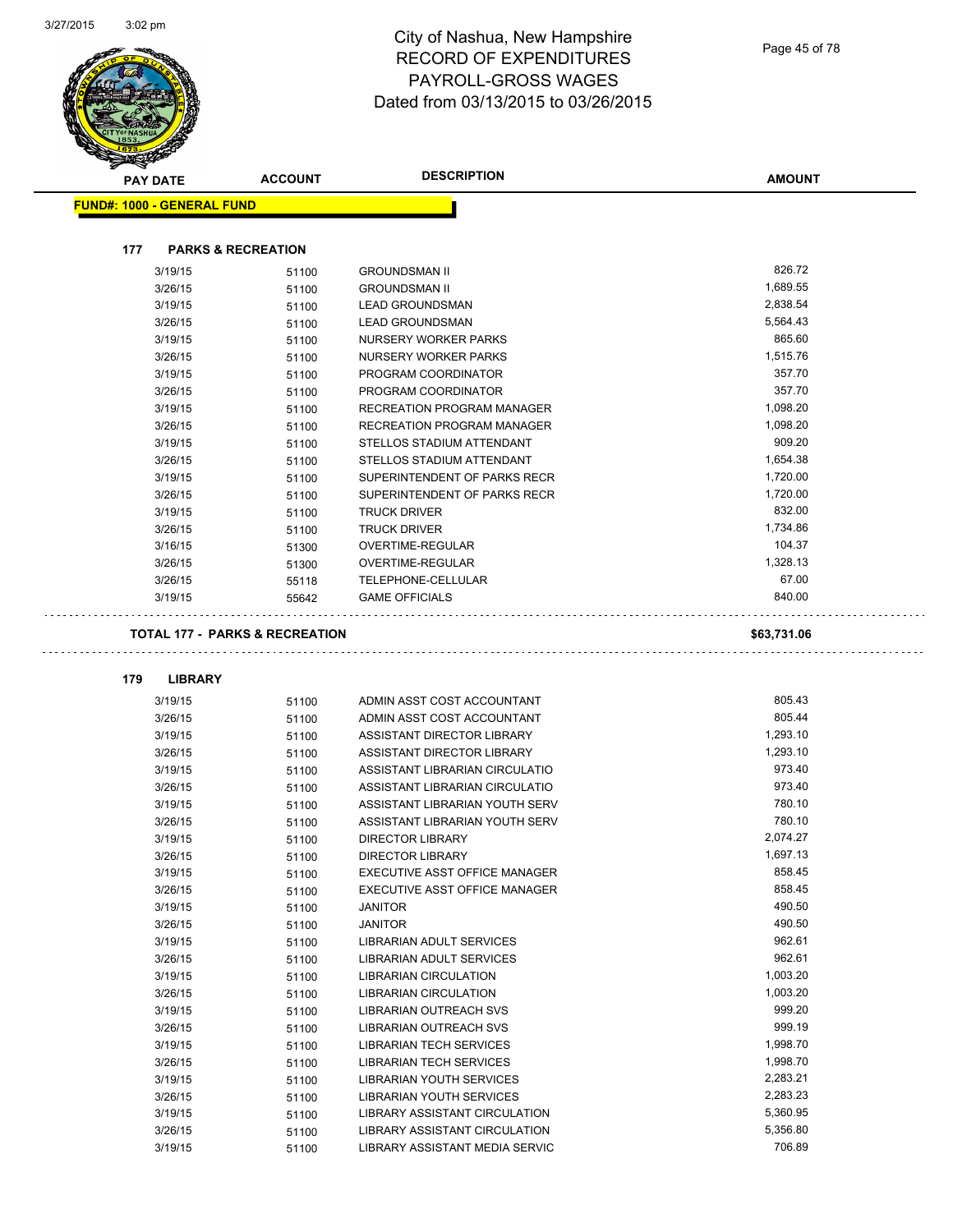| <b>PAY DATE</b>                   | <b>ACCOUNT</b>                            | <b>DESCRIPTION</b>                                             | <b>AMOUNT</b>        |
|-----------------------------------|-------------------------------------------|----------------------------------------------------------------|----------------------|
| <b>FUND#: 1000 - GENERAL FUND</b> |                                           |                                                                |                      |
|                                   |                                           |                                                                |                      |
| 177                               | <b>PARKS &amp; RECREATION</b>             |                                                                |                      |
| 3/19/15                           | 51100                                     | <b>GROUNDSMAN II</b>                                           | 826.72               |
| 3/26/15                           | 51100                                     | <b>GROUNDSMAN II</b>                                           | 1,689.55             |
| 3/19/15                           | 51100                                     | <b>LEAD GROUNDSMAN</b>                                         | 2,838.54             |
| 3/26/15                           | 51100                                     | <b>LEAD GROUNDSMAN</b>                                         | 5,564.43<br>865.60   |
| 3/19/15                           | 51100                                     | NURSERY WORKER PARKS                                           | 1,515.76             |
| 3/26/15<br>3/19/15                | 51100                                     | NURSERY WORKER PARKS<br>PROGRAM COORDINATOR                    | 357.70               |
| 3/26/15                           | 51100                                     | PROGRAM COORDINATOR                                            | 357.70               |
| 3/19/15                           | 51100<br>51100                            | RECREATION PROGRAM MANAGER                                     | 1,098.20             |
| 3/26/15                           | 51100                                     | RECREATION PROGRAM MANAGER                                     | 1,098.20             |
| 3/19/15                           | 51100                                     | STELLOS STADIUM ATTENDANT                                      | 909.20               |
| 3/26/15                           | 51100                                     | STELLOS STADIUM ATTENDANT                                      | 1,654.38             |
| 3/19/15                           | 51100                                     | SUPERINTENDENT OF PARKS RECR                                   | 1,720.00             |
| 3/26/15                           | 51100                                     | SUPERINTENDENT OF PARKS RECR                                   | 1,720.00             |
| 3/19/15                           | 51100                                     | <b>TRUCK DRIVER</b>                                            | 832.00               |
| 3/26/15                           | 51100                                     | <b>TRUCK DRIVER</b>                                            | 1,734.86             |
| 3/16/15                           | 51300                                     | OVERTIME-REGULAR                                               | 104.37               |
| 3/26/15                           | 51300                                     | OVERTIME-REGULAR                                               | 1,328.13             |
| 3/26/15                           | 55118                                     | TELEPHONE-CELLULAR                                             | 67.00                |
| 3/19/15                           | 55642                                     | <b>GAME OFFICIALS</b>                                          | 840.00               |
|                                   | <b>TOTAL 177 - PARKS &amp; RECREATION</b> |                                                                | \$63,731.06          |
| 179<br><b>LIBRARY</b>             |                                           |                                                                |                      |
| 3/19/15                           | 51100                                     | ADMIN ASST COST ACCOUNTANT                                     | 805.43               |
| 3/26/15                           | 51100                                     | ADMIN ASST COST ACCOUNTANT                                     | 805.44               |
| 3/19/15                           | 51100                                     | ASSISTANT DIRECTOR LIBRARY                                     | 1,293.10             |
| 3/26/15                           | 51100                                     | ASSISTANT DIRECTOR LIBRARY                                     | 1.293.10             |
| 3/19/15                           | 51100                                     | ASSISTANT LIBRARIAN CIRCULATIO                                 | 973.40               |
| 3/26/15                           | 51100                                     | ASSISTANT LIBRARIAN CIRCULATIO                                 | 973.40<br>780.10     |
| 3/19/15                           | 51100                                     | ASSISTANT LIBRARIAN YOUTH SERV                                 |                      |
| 3/26/15<br>3/19/15                | 51100<br>51100                            | ASSISTANT LIBRARIAN YOUTH SERV<br><b>DIRECTOR LIBRARY</b>      | 780.10<br>2,074.27   |
| 3/26/15                           | 51100                                     | DIRECTOR LIBRARY                                               | 1,697.13             |
| 3/19/15                           | 51100                                     | EXECUTIVE ASST OFFICE MANAGER                                  | 858.45               |
| 3/26/15                           | 51100                                     | EXECUTIVE ASST OFFICE MANAGER                                  | 858.45               |
| 3/19/15                           | 51100                                     | <b>JANITOR</b>                                                 | 490.50               |
| 3/26/15                           | 51100                                     | <b>JANITOR</b>                                                 | 490.50               |
| 3/19/15                           | 51100                                     | LIBRARIAN ADULT SERVICES                                       | 962.61               |
| 3/26/15                           | 51100                                     | <b>LIBRARIAN ADULT SERVICES</b>                                | 962.61               |
| 3/19/15                           | 51100                                     | LIBRARIAN CIRCULATION                                          | 1,003.20             |
| 3/26/15                           | 51100                                     | <b>LIBRARIAN CIRCULATION</b>                                   | 1,003.20             |
| 3/19/15                           | 51100                                     | LIBRARIAN OUTREACH SVS                                         | 999.20               |
| 3/26/15                           | 51100                                     | LIBRARIAN OUTREACH SVS                                         | 999.19               |
| 3/19/15                           | 51100                                     | LIBRARIAN TECH SERVICES                                        | 1,998.70             |
| 3/26/15                           | 51100                                     | LIBRARIAN TECH SERVICES                                        | 1,998.70             |
| 3/19/15                           | 51100                                     | LIBRARIAN YOUTH SERVICES                                       | 2,283.21             |
| 3/26/15                           | 51100                                     | LIBRARIAN YOUTH SERVICES                                       | 2,283.23             |
| 3/19/15<br>3/26/15                | 51100<br>51100                            | LIBRARY ASSISTANT CIRCULATION<br>LIBRARY ASSISTANT CIRCULATION | 5,360.95<br>5,356.80 |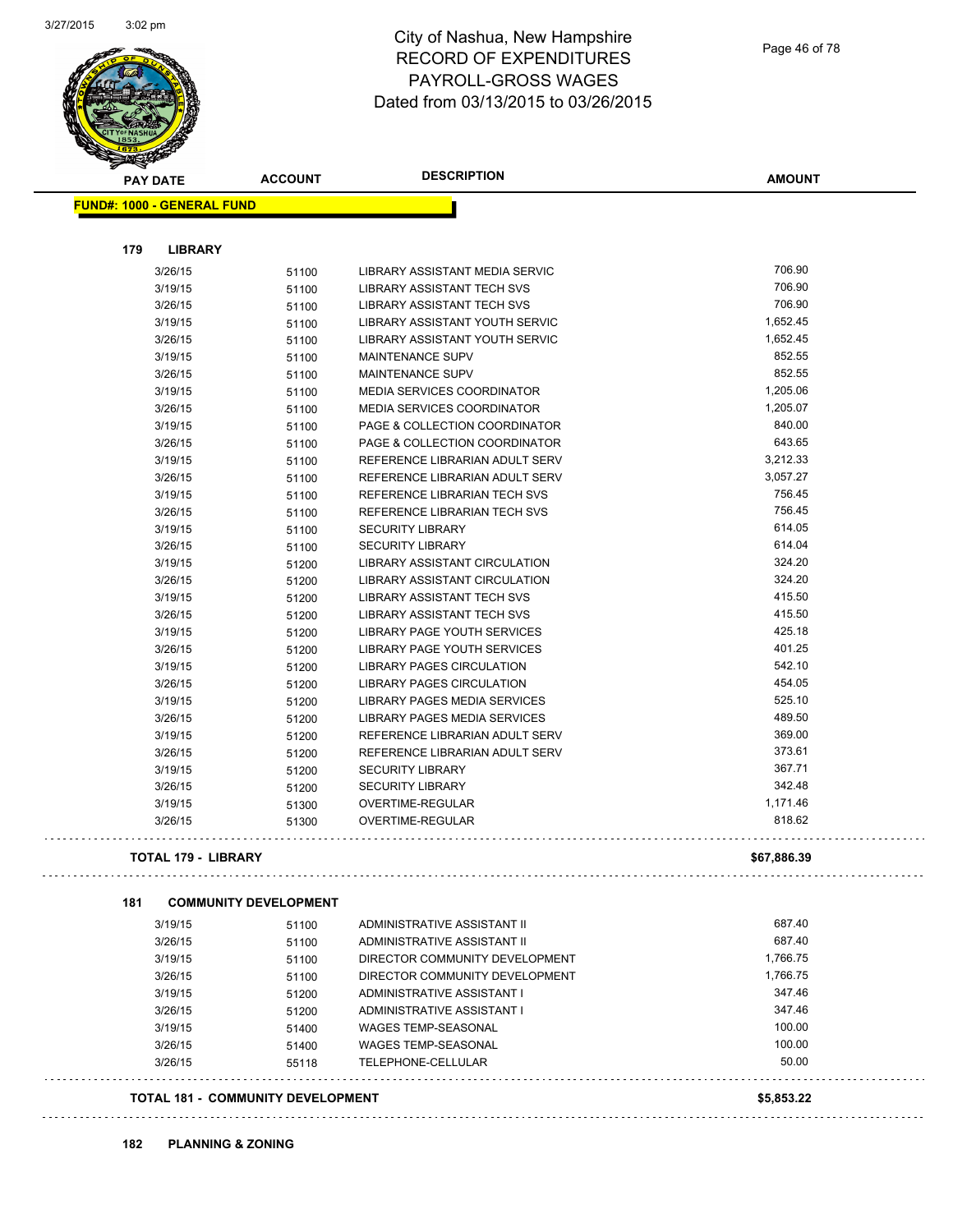

| <b>PAY DATE</b>                   | <b>ACCOUNT</b>               | <b>DESCRIPTION</b>                | <b>AMOUNT</b>   |
|-----------------------------------|------------------------------|-----------------------------------|-----------------|
| <b>FUND#: 1000 - GENERAL FUND</b> |                              |                                   |                 |
|                                   |                              |                                   |                 |
| 179<br><b>LIBRARY</b>             |                              |                                   |                 |
| 3/26/15                           | 51100                        | LIBRARY ASSISTANT MEDIA SERVIC    | 706.90          |
| 3/19/15                           | 51100                        | LIBRARY ASSISTANT TECH SVS        | 706.90          |
| 3/26/15                           | 51100                        | LIBRARY ASSISTANT TECH SVS        | 706.90          |
| 3/19/15                           | 51100                        | LIBRARY ASSISTANT YOUTH SERVIC    | 1,652.45        |
| 3/26/15                           | 51100                        | LIBRARY ASSISTANT YOUTH SERVIC    | 1,652.45        |
| 3/19/15                           | 51100                        | <b>MAINTENANCE SUPV</b>           | 852.55          |
| 3/26/15                           | 51100                        | <b>MAINTENANCE SUPV</b>           | 852.55          |
| 3/19/15                           | 51100                        | <b>MEDIA SERVICES COORDINATOR</b> | 1,205.06        |
| 3/26/15                           | 51100                        | <b>MEDIA SERVICES COORDINATOR</b> | 1,205.07        |
| 3/19/15                           | 51100                        | PAGE & COLLECTION COORDINATOR     | 840.00          |
| 3/26/15                           | 51100                        | PAGE & COLLECTION COORDINATOR     | 643.65          |
| 3/19/15                           | 51100                        | REFERENCE LIBRARIAN ADULT SERV    | 3,212.33        |
| 3/26/15                           | 51100                        | REFERENCE LIBRARIAN ADULT SERV    | 3,057.27        |
| 3/19/15                           | 51100                        | REFERENCE LIBRARIAN TECH SVS      | 756.45          |
| 3/26/15                           | 51100                        | REFERENCE LIBRARIAN TECH SVS      | 756.45          |
| 3/19/15                           | 51100                        | <b>SECURITY LIBRARY</b>           | 614.05          |
| 3/26/15                           | 51100                        | <b>SECURITY LIBRARY</b>           | 614.04          |
| 3/19/15                           | 51200                        | LIBRARY ASSISTANT CIRCULATION     | 324.20          |
| 3/26/15                           | 51200                        | LIBRARY ASSISTANT CIRCULATION     | 324.20          |
| 3/19/15                           | 51200                        | LIBRARY ASSISTANT TECH SVS        | 415.50          |
| 3/26/15                           | 51200                        | LIBRARY ASSISTANT TECH SVS        | 415.50          |
| 3/19/15                           | 51200                        | LIBRARY PAGE YOUTH SERVICES       | 425.18          |
| 3/26/15                           | 51200                        | LIBRARY PAGE YOUTH SERVICES       | 401.25          |
| 3/19/15                           | 51200                        | LIBRARY PAGES CIRCULATION         | 542.10          |
| 3/26/15                           | 51200                        | LIBRARY PAGES CIRCULATION         | 454.05          |
| 3/19/15                           | 51200                        | LIBRARY PAGES MEDIA SERVICES      | 525.10          |
| 3/26/15                           | 51200                        | LIBRARY PAGES MEDIA SERVICES      | 489.50          |
| 3/19/15                           | 51200                        | REFERENCE LIBRARIAN ADULT SERV    | 369.00          |
| 3/26/15                           | 51200                        | REFERENCE LIBRARIAN ADULT SERV    | 373.61          |
| 3/19/15                           | 51200                        | <b>SECURITY LIBRARY</b>           | 367.71          |
| 3/26/15                           | 51200                        | <b>SECURITY LIBRARY</b>           | 342.48          |
| 3/19/15                           | 51300                        | OVERTIME-REGULAR                  | 1,171.46        |
| 3/26/15                           | 51300                        | OVERTIME-REGULAR                  | 818.62          |
| <b>TOTAL 179 - LIBRARY</b>        |                              |                                   | \$67,886.39     |
| 181                               | <b>COMMUNITY DEVELOPMENT</b> |                                   |                 |
| 3/19/15                           | 51100                        | ADMINISTRATIVE ASSISTANT II       | 687.40          |
| 3/26/15                           | 51100                        | ADMINISTRATIVE ASSISTANT II       | 687.40          |
| 3/19/15                           |                              | DIRECTOR COMMUNITY DEVELOPMENT    | 1,766.75        |
| 3/26/15                           | 51100                        | DIRECTOR COMMUNITY DEVELOPMENT    | 1,766.75        |
| 3/19/15                           | 51100                        | ADMINISTRATIVE ASSISTANT I        | 347.46          |
|                                   | 51200                        | ADMINISTRATIVE ASSISTANT I        | 347.46          |
| 3/26/15                           | 51200                        |                                   | 100.00          |
| 3/19/15                           | 51400                        | <b>WAGES TEMP-SEASONAL</b>        |                 |
| 3/26/15                           | 51400                        | <b>WAGES TEMP-SEASONAL</b>        | 100.00<br>50.00 |
| 3/26/15                           | 55118                        | TELEPHONE-CELLULAR                |                 |
| TOTAL 181 - COMMUNITY DEVELOPMENT |                              |                                   | \$5,853.22      |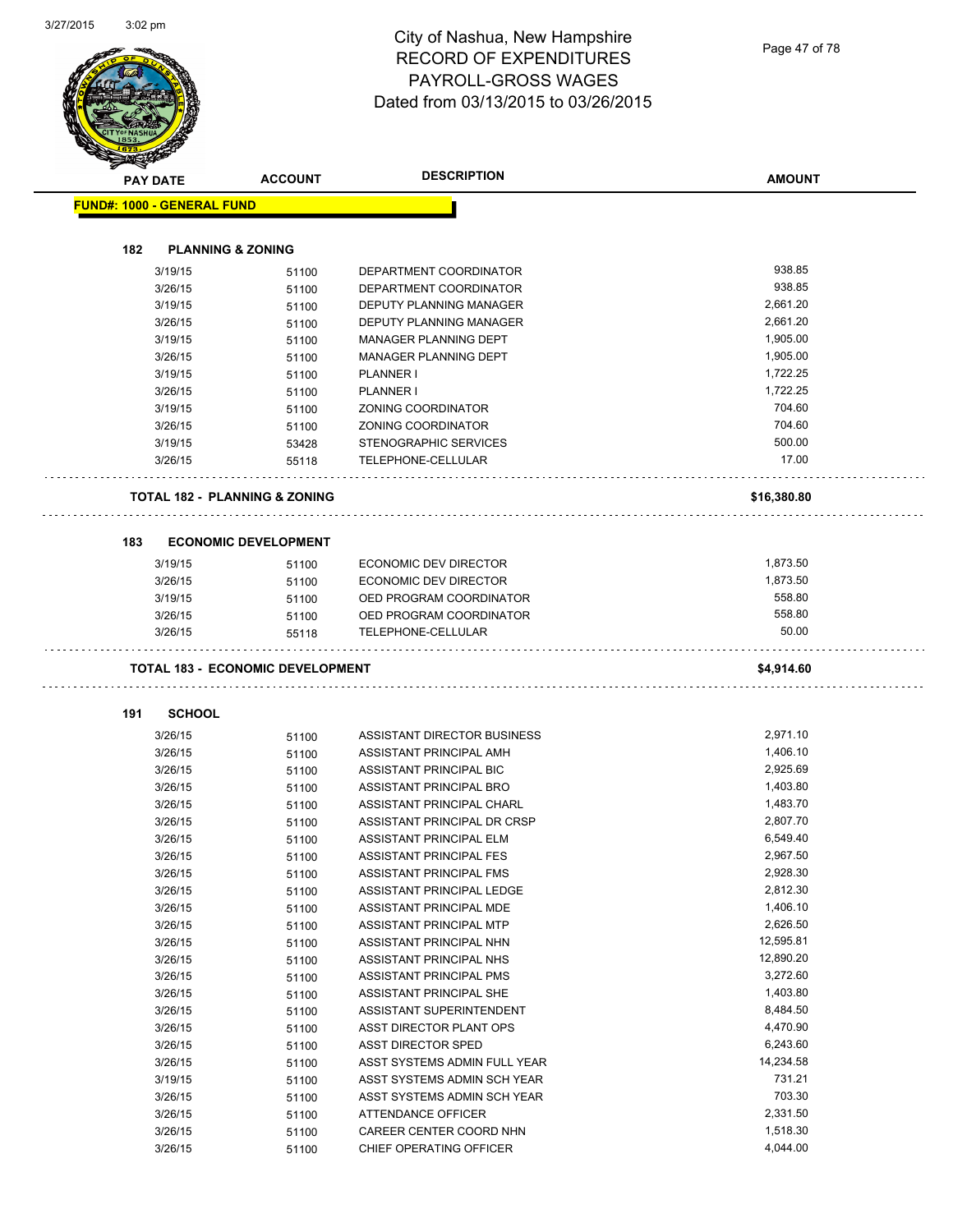Page 47 of 78

|     | <b>PAY DATE</b>                   | <b>ACCOUNT</b>                           | <b>DESCRIPTION</b>                            | <b>AMOUNT</b>         |
|-----|-----------------------------------|------------------------------------------|-----------------------------------------------|-----------------------|
|     | <b>FUND#: 1000 - GENERAL FUND</b> |                                          |                                               |                       |
|     |                                   |                                          |                                               |                       |
| 182 |                                   | <b>PLANNING &amp; ZONING</b>             |                                               |                       |
|     | 3/19/15                           | 51100                                    | DEPARTMENT COORDINATOR                        | 938.85<br>938.85      |
|     | 3/26/15                           | 51100                                    | DEPARTMENT COORDINATOR                        |                       |
|     | 3/19/15                           | 51100                                    | <b>DEPUTY PLANNING MANAGER</b>                | 2,661.20              |
|     | 3/26/15                           | 51100                                    | DEPUTY PLANNING MANAGER                       | 2,661.20              |
|     | 3/19/15                           | 51100                                    | <b>MANAGER PLANNING DEPT</b>                  | 1,905.00              |
|     | 3/26/15                           | 51100                                    | <b>MANAGER PLANNING DEPT</b>                  | 1,905.00              |
|     | 3/19/15                           | 51100                                    | <b>PLANNER I</b>                              | 1,722.25              |
|     | 3/26/15                           | 51100                                    | PLANNER I                                     | 1,722.25              |
|     | 3/19/15                           | 51100                                    | ZONING COORDINATOR                            | 704.60                |
|     | 3/26/15                           | 51100                                    | ZONING COORDINATOR                            | 704.60                |
|     | 3/19/15                           | 53428                                    | STENOGRAPHIC SERVICES                         | 500.00                |
|     | 3/26/15                           | 55118                                    | TELEPHONE-CELLULAR                            | 17.00                 |
|     |                                   | <b>TOTAL 182 - PLANNING &amp; ZONING</b> |                                               | \$16,380.80           |
| 183 |                                   | <b>ECONOMIC DEVELOPMENT</b>              |                                               |                       |
|     | 3/19/15                           |                                          | ECONOMIC DEV DIRECTOR                         | 1,873.50              |
|     | 3/26/15                           | 51100                                    | <b>ECONOMIC DEV DIRECTOR</b>                  | 1,873.50              |
|     |                                   | 51100                                    | OED PROGRAM COORDINATOR                       | 558.80                |
|     | 3/19/15                           | 51100                                    |                                               |                       |
|     |                                   |                                          |                                               |                       |
|     | 3/26/15<br>3/26/15                | 51100<br>55118                           | OED PROGRAM COORDINATOR<br>TELEPHONE-CELLULAR | 558.80<br>50.00       |
|     |                                   | <b>TOTAL 183 - ECONOMIC DEVELOPMENT</b>  |                                               | \$4,914.60            |
|     |                                   |                                          |                                               |                       |
| 191 | <b>SCHOOL</b>                     |                                          |                                               |                       |
|     | 3/26/15                           | 51100                                    | ASSISTANT DIRECTOR BUSINESS                   | 2,971.10              |
|     | 3/26/15                           | 51100                                    | ASSISTANT PRINCIPAL AMH                       | 1,406.10              |
|     | 3/26/15                           | 51100                                    | ASSISTANT PRINCIPAL BIC                       | 2,925.69              |
|     | 3/26/15                           | 51100                                    | ASSISTANT PRINCIPAL BRO                       | 1,403.80              |
|     | 3/26/15                           | 51100                                    | ASSISTANT PRINCIPAL CHARL                     | 1,483.70              |
|     | 3/26/15                           | 51100                                    | ASSISTANT PRINCIPAL DR CRSP                   | 2,807.70              |
|     | 3/26/15                           | 51100                                    | ASSISTANT PRINCIPAL ELM                       | 6,549.40              |
|     | 3/26/15                           | 51100                                    | <b>ASSISTANT PRINCIPAL FES</b>                | 2,967.50              |
|     | 3/26/15                           | 51100                                    | ASSISTANT PRINCIPAL FMS                       | 2,928.30              |
|     | 3/26/15                           | 51100                                    | ASSISTANT PRINCIPAL LEDGE                     | 2,812.30              |
|     | 3/26/15                           | 51100                                    | ASSISTANT PRINCIPAL MDE                       | 1,406.10              |
|     | 3/26/15                           | 51100                                    | ASSISTANT PRINCIPAL MTP                       | 2,626.50<br>12,595.81 |
|     | 3/26/15                           | 51100                                    | ASSISTANT PRINCIPAL NHN                       | 12,890.20             |
|     | 3/26/15                           | 51100                                    | ASSISTANT PRINCIPAL NHS                       |                       |
|     | 3/26/15                           | 51100                                    | ASSISTANT PRINCIPAL PMS                       | 3,272.60              |
|     | 3/26/15                           | 51100                                    | ASSISTANT PRINCIPAL SHE                       | 1,403.80              |
|     | 3/26/15                           | 51100                                    | ASSISTANT SUPERINTENDENT                      | 8,484.50              |
|     | 3/26/15                           | 51100                                    | ASST DIRECTOR PLANT OPS                       | 4,470.90              |
|     | 3/26/15                           | 51100                                    | ASST DIRECTOR SPED                            | 6,243.60              |
|     | 3/26/15                           | 51100                                    | ASST SYSTEMS ADMIN FULL YEAR                  | 14,234.58             |
|     | 3/19/15                           | 51100                                    | ASST SYSTEMS ADMIN SCH YEAR                   | 731.21                |
|     | 3/26/15                           | 51100                                    | ASST SYSTEMS ADMIN SCH YEAR                   | 703.30                |
|     | 3/26/15<br>3/26/15                | 51100<br>51100                           | ATTENDANCE OFFICER<br>CAREER CENTER COORD NHN | 2,331.50<br>1,518.30  |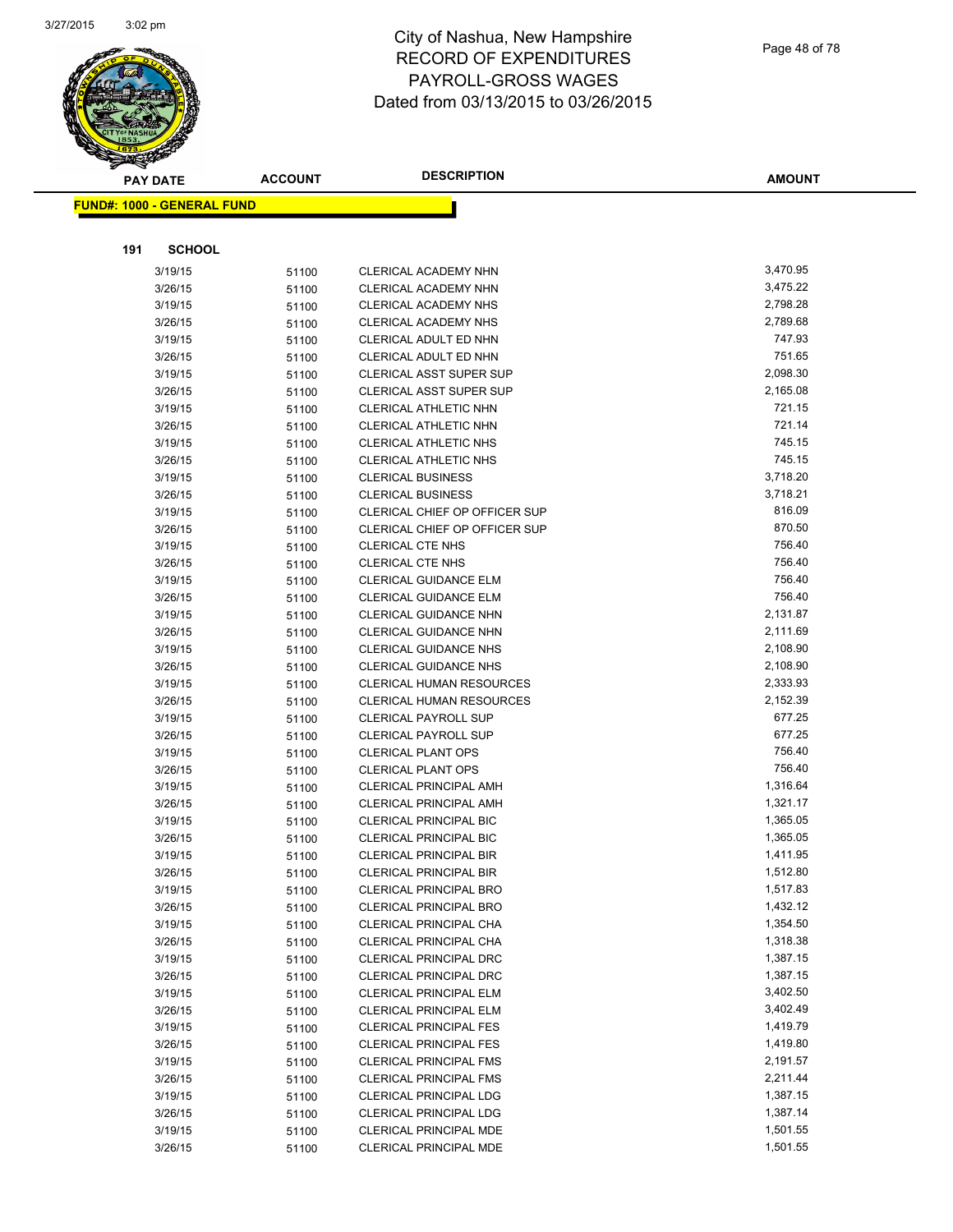

| <b>PAY DATE</b>                   | <b>ACCOUNT</b> | <b>DESCRIPTION</b>                                             | <b>AMOUNT</b>        |
|-----------------------------------|----------------|----------------------------------------------------------------|----------------------|
| <b>FUND#: 1000 - GENERAL FUND</b> |                |                                                                |                      |
|                                   |                |                                                                |                      |
|                                   |                |                                                                |                      |
| 191<br><b>SCHOOL</b>              |                |                                                                |                      |
| 3/19/15                           | 51100          | CLERICAL ACADEMY NHN                                           | 3,470.95             |
| 3/26/15                           | 51100          | CLERICAL ACADEMY NHN                                           | 3,475.22             |
| 3/19/15                           | 51100          | CLERICAL ACADEMY NHS                                           | 2,798.28             |
| 3/26/15                           | 51100          | CLERICAL ACADEMY NHS                                           | 2,789.68             |
| 3/19/15                           | 51100          | CLERICAL ADULT ED NHN                                          | 747.93               |
| 3/26/15                           | 51100          | CLERICAL ADULT ED NHN                                          | 751.65               |
| 3/19/15                           | 51100          | <b>CLERICAL ASST SUPER SUP</b>                                 | 2,098.30             |
| 3/26/15                           | 51100          | <b>CLERICAL ASST SUPER SUP</b>                                 | 2,165.08             |
| 3/19/15                           | 51100          | CLERICAL ATHLETIC NHN                                          | 721.15               |
| 3/26/15                           | 51100          | CLERICAL ATHLETIC NHN                                          | 721.14               |
| 3/19/15                           | 51100          | CLERICAL ATHLETIC NHS                                          | 745.15               |
| 3/26/15                           | 51100          | CLERICAL ATHLETIC NHS                                          | 745.15               |
| 3/19/15                           | 51100          | <b>CLERICAL BUSINESS</b>                                       | 3,718.20             |
| 3/26/15                           | 51100          | <b>CLERICAL BUSINESS</b>                                       | 3,718.21             |
| 3/19/15                           | 51100          | CLERICAL CHIEF OP OFFICER SUP                                  | 816.09               |
| 3/26/15                           | 51100          | CLERICAL CHIEF OP OFFICER SUP                                  | 870.50               |
| 3/19/15                           | 51100          | <b>CLERICAL CTE NHS</b>                                        | 756.40               |
| 3/26/15                           | 51100          | <b>CLERICAL CTE NHS</b>                                        | 756.40               |
| 3/19/15                           | 51100          | CLERICAL GUIDANCE ELM                                          | 756.40               |
| 3/26/15                           | 51100          | CLERICAL GUIDANCE ELM                                          | 756.40               |
| 3/19/15                           | 51100          | CLERICAL GUIDANCE NHN                                          | 2,131.87             |
| 3/26/15                           | 51100          | CLERICAL GUIDANCE NHN                                          | 2,111.69             |
| 3/19/15                           | 51100          | <b>CLERICAL GUIDANCE NHS</b>                                   | 2,108.90             |
| 3/26/15                           | 51100          | <b>CLERICAL GUIDANCE NHS</b>                                   | 2,108.90             |
| 3/19/15                           | 51100          | <b>CLERICAL HUMAN RESOURCES</b>                                | 2,333.93             |
| 3/26/15                           | 51100          | <b>CLERICAL HUMAN RESOURCES</b>                                | 2,152.39             |
| 3/19/15                           | 51100          | <b>CLERICAL PAYROLL SUP</b>                                    | 677.25               |
| 3/26/15                           | 51100          | <b>CLERICAL PAYROLL SUP</b>                                    | 677.25<br>756.40     |
| 3/19/15                           | 51100          | <b>CLERICAL PLANT OPS</b>                                      |                      |
| 3/26/15                           | 51100          | <b>CLERICAL PLANT OPS</b>                                      | 756.40               |
| 3/19/15                           | 51100          | <b>CLERICAL PRINCIPAL AMH</b><br><b>CLERICAL PRINCIPAL AMH</b> | 1,316.64<br>1,321.17 |
| 3/26/15                           | 51100          |                                                                | 1,365.05             |
| 3/19/15<br>3/26/15                | 51100          | <b>CLERICAL PRINCIPAL BIC</b><br><b>CLERICAL PRINCIPAL BIC</b> | 1,365.05             |
| 3/19/15                           | 51100          | <b>CLERICAL PRINCIPAL BIR</b>                                  | 1,411.95             |
| 3/26/15                           | 51100          | CLERICAL PRINCIPAL BIR                                         | 1,512.80             |
| 3/19/15                           | 51100          | <b>CLERICAL PRINCIPAL BRO</b>                                  | 1,517.83             |
| 3/26/15                           | 51100<br>51100 | <b>CLERICAL PRINCIPAL BRO</b>                                  | 1,432.12             |
| 3/19/15                           | 51100          | CLERICAL PRINCIPAL CHA                                         | 1,354.50             |
| 3/26/15                           | 51100          | CLERICAL PRINCIPAL CHA                                         | 1,318.38             |
| 3/19/15                           | 51100          | <b>CLERICAL PRINCIPAL DRC</b>                                  | 1,387.15             |
| 3/26/15                           | 51100          | CLERICAL PRINCIPAL DRC                                         | 1,387.15             |
| 3/19/15                           | 51100          | CLERICAL PRINCIPAL ELM                                         | 3,402.50             |
| 3/26/15                           | 51100          | <b>CLERICAL PRINCIPAL ELM</b>                                  | 3,402.49             |
| 3/19/15                           | 51100          | <b>CLERICAL PRINCIPAL FES</b>                                  | 1,419.79             |
| 3/26/15                           | 51100          | <b>CLERICAL PRINCIPAL FES</b>                                  | 1,419.80             |
| 3/19/15                           | 51100          | <b>CLERICAL PRINCIPAL FMS</b>                                  | 2,191.57             |
| 3/26/15                           | 51100          | CLERICAL PRINCIPAL FMS                                         | 2,211.44             |
| 3/19/15                           | 51100          | <b>CLERICAL PRINCIPAL LDG</b>                                  | 1,387.15             |
| 3/26/15                           | 51100          | <b>CLERICAL PRINCIPAL LDG</b>                                  | 1,387.14             |
| 3/19/15                           | 51100          | CLERICAL PRINCIPAL MDE                                         | 1,501.55             |
| 3/26/15                           | 51100          | CLERICAL PRINCIPAL MDE                                         | 1,501.55             |
|                                   |                |                                                                |                      |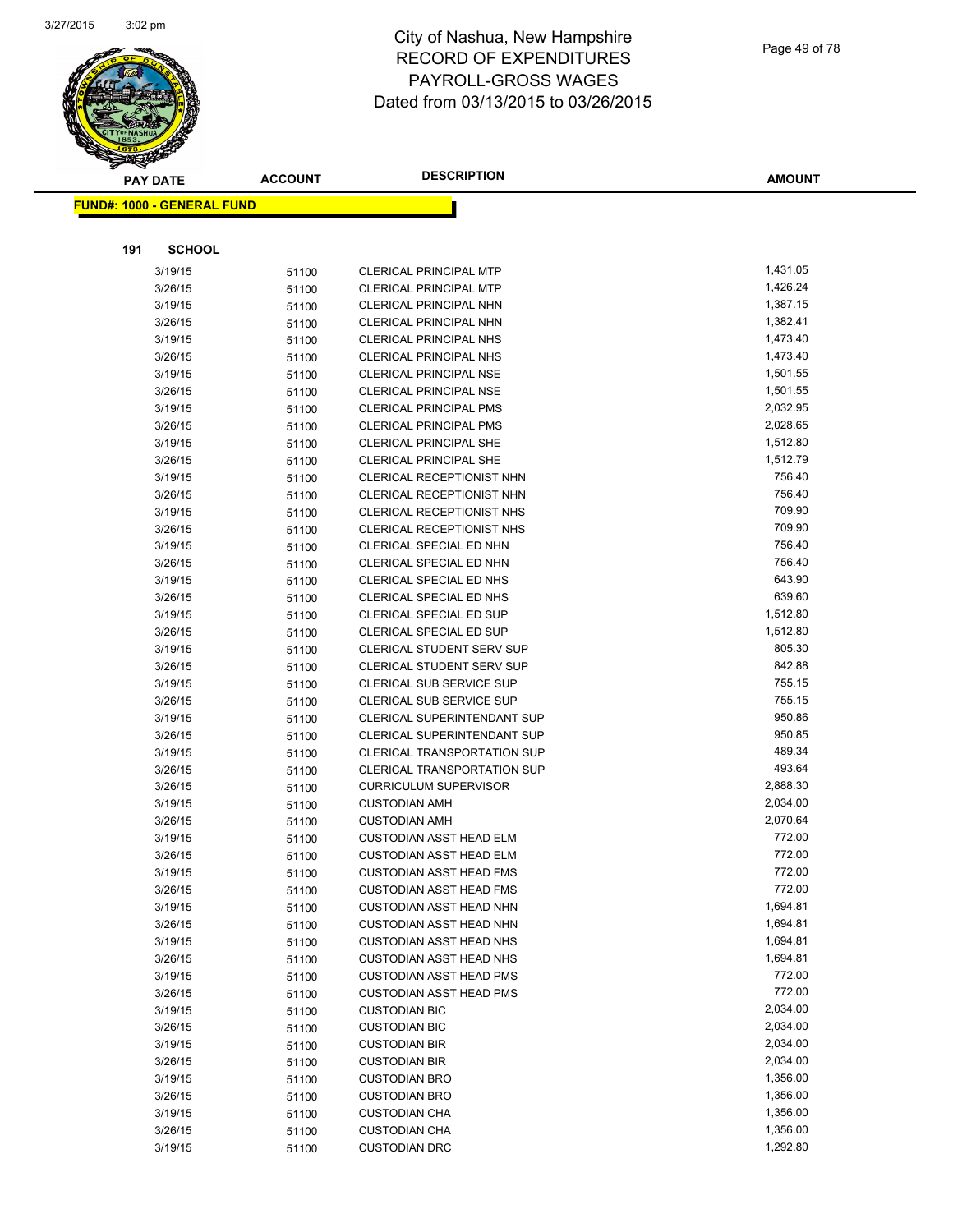

|     | <b>PAY DATE</b>                   | <b>ACCOUNT</b> | <b>DESCRIPTION</b>                                                 | <b>AMOUNT</b>    |
|-----|-----------------------------------|----------------|--------------------------------------------------------------------|------------------|
|     | <b>FUND#: 1000 - GENERAL FUND</b> |                |                                                                    |                  |
|     |                                   |                |                                                                    |                  |
|     |                                   |                |                                                                    |                  |
| 191 | <b>SCHOOL</b>                     |                |                                                                    |                  |
|     | 3/19/15                           | 51100          | <b>CLERICAL PRINCIPAL MTP</b>                                      | 1,431.05         |
|     | 3/26/15                           | 51100          | <b>CLERICAL PRINCIPAL MTP</b>                                      | 1,426.24         |
|     | 3/19/15                           | 51100          | CLERICAL PRINCIPAL NHN                                             | 1,387.15         |
|     | 3/26/15                           | 51100          | CLERICAL PRINCIPAL NHN                                             | 1,382.41         |
|     | 3/19/15                           | 51100          | <b>CLERICAL PRINCIPAL NHS</b>                                      | 1,473.40         |
|     | 3/26/15                           | 51100          | <b>CLERICAL PRINCIPAL NHS</b>                                      | 1,473.40         |
|     | 3/19/15                           | 51100          | <b>CLERICAL PRINCIPAL NSE</b>                                      | 1,501.55         |
|     | 3/26/15                           | 51100          | <b>CLERICAL PRINCIPAL NSE</b>                                      | 1,501.55         |
|     | 3/19/15                           | 51100          | <b>CLERICAL PRINCIPAL PMS</b>                                      | 2,032.95         |
|     | 3/26/15                           | 51100          | <b>CLERICAL PRINCIPAL PMS</b>                                      | 2,028.65         |
|     | 3/19/15                           | 51100          | <b>CLERICAL PRINCIPAL SHE</b>                                      | 1,512.80         |
|     | 3/26/15                           | 51100          | <b>CLERICAL PRINCIPAL SHE</b>                                      | 1,512.79         |
|     | 3/19/15                           | 51100          | CLERICAL RECEPTIONIST NHN                                          | 756.40           |
|     | 3/26/15                           | 51100          | CLERICAL RECEPTIONIST NHN                                          | 756.40           |
|     | 3/19/15                           | 51100          | <b>CLERICAL RECEPTIONIST NHS</b>                                   | 709.90           |
|     | 3/26/15                           | 51100          | <b>CLERICAL RECEPTIONIST NHS</b>                                   | 709.90           |
|     | 3/19/15                           | 51100          | CLERICAL SPECIAL ED NHN                                            | 756.40           |
|     | 3/26/15                           | 51100          | CLERICAL SPECIAL ED NHN                                            | 756.40           |
|     | 3/19/15                           | 51100          | CLERICAL SPECIAL ED NHS                                            | 643.90           |
|     | 3/26/15                           | 51100          | <b>CLERICAL SPECIAL ED NHS</b>                                     | 639.60           |
|     | 3/19/15                           | 51100          | CLERICAL SPECIAL ED SUP                                            | 1,512.80         |
|     | 3/26/15                           | 51100          | <b>CLERICAL SPECIAL ED SUP</b>                                     | 1,512.80         |
|     | 3/19/15                           | 51100          | CLERICAL STUDENT SERV SUP                                          | 805.30           |
|     | 3/26/15                           | 51100          | <b>CLERICAL STUDENT SERV SUP</b>                                   | 842.88           |
|     | 3/19/15                           | 51100          | CLERICAL SUB SERVICE SUP                                           | 755.15           |
|     | 3/26/15                           | 51100          | <b>CLERICAL SUB SERVICE SUP</b>                                    | 755.15<br>950.86 |
|     | 3/19/15                           | 51100          | CLERICAL SUPERINTENDANT SUP                                        |                  |
|     | 3/26/15                           | 51100          | <b>CLERICAL SUPERINTENDANT SUP</b>                                 | 950.85<br>489.34 |
|     | 3/19/15                           | 51100          | <b>CLERICAL TRANSPORTATION SUP</b>                                 | 493.64           |
|     | 3/26/15<br>3/26/15                | 51100          | <b>CLERICAL TRANSPORTATION SUP</b><br><b>CURRICULUM SUPERVISOR</b> | 2,888.30         |
|     | 3/19/15                           | 51100          | <b>CUSTODIAN AMH</b>                                               | 2,034.00         |
|     | 3/26/15                           | 51100          | <b>CUSTODIAN AMH</b>                                               | 2,070.64         |
|     | 3/19/15                           | 51100          | <b>CUSTODIAN ASST HEAD ELM</b>                                     | 772.00           |
|     | 3/26/15                           | 51100<br>51100 | <b>CUSTODIAN ASST HEAD ELM</b>                                     | 772.00           |
|     | 3/19/15                           |                | <b>CUSTODIAN ASST HEAD FMS</b>                                     | 772.00           |
|     | 3/26/15                           | 51100<br>51100 | <b>CUSTODIAN ASST HEAD FMS</b>                                     | 772.00           |
|     | 3/19/15                           | 51100          | <b>CUSTODIAN ASST HEAD NHN</b>                                     | 1,694.81         |
|     | 3/26/15                           | 51100          | <b>CUSTODIAN ASST HEAD NHN</b>                                     | 1,694.81         |
|     | 3/19/15                           | 51100          | <b>CUSTODIAN ASST HEAD NHS</b>                                     | 1,694.81         |
|     | 3/26/15                           | 51100          | <b>CUSTODIAN ASST HEAD NHS</b>                                     | 1,694.81         |
|     | 3/19/15                           | 51100          | <b>CUSTODIAN ASST HEAD PMS</b>                                     | 772.00           |
|     | 3/26/15                           | 51100          | <b>CUSTODIAN ASST HEAD PMS</b>                                     | 772.00           |
|     | 3/19/15                           | 51100          | <b>CUSTODIAN BIC</b>                                               | 2,034.00         |
|     | 3/26/15                           | 51100          | <b>CUSTODIAN BIC</b>                                               | 2,034.00         |
|     | 3/19/15                           | 51100          | <b>CUSTODIAN BIR</b>                                               | 2,034.00         |
|     | 3/26/15                           | 51100          | <b>CUSTODIAN BIR</b>                                               | 2,034.00         |
|     | 3/19/15                           | 51100          | <b>CUSTODIAN BRO</b>                                               | 1,356.00         |
|     | 3/26/15                           | 51100          | <b>CUSTODIAN BRO</b>                                               | 1,356.00         |
|     | 3/19/15                           | 51100          | <b>CUSTODIAN CHA</b>                                               | 1,356.00         |
|     | 3/26/15                           | 51100          | <b>CUSTODIAN CHA</b>                                               | 1,356.00         |
|     | 3/19/15                           | 51100          | <b>CUSTODIAN DRC</b>                                               | 1,292.80         |
|     |                                   |                |                                                                    |                  |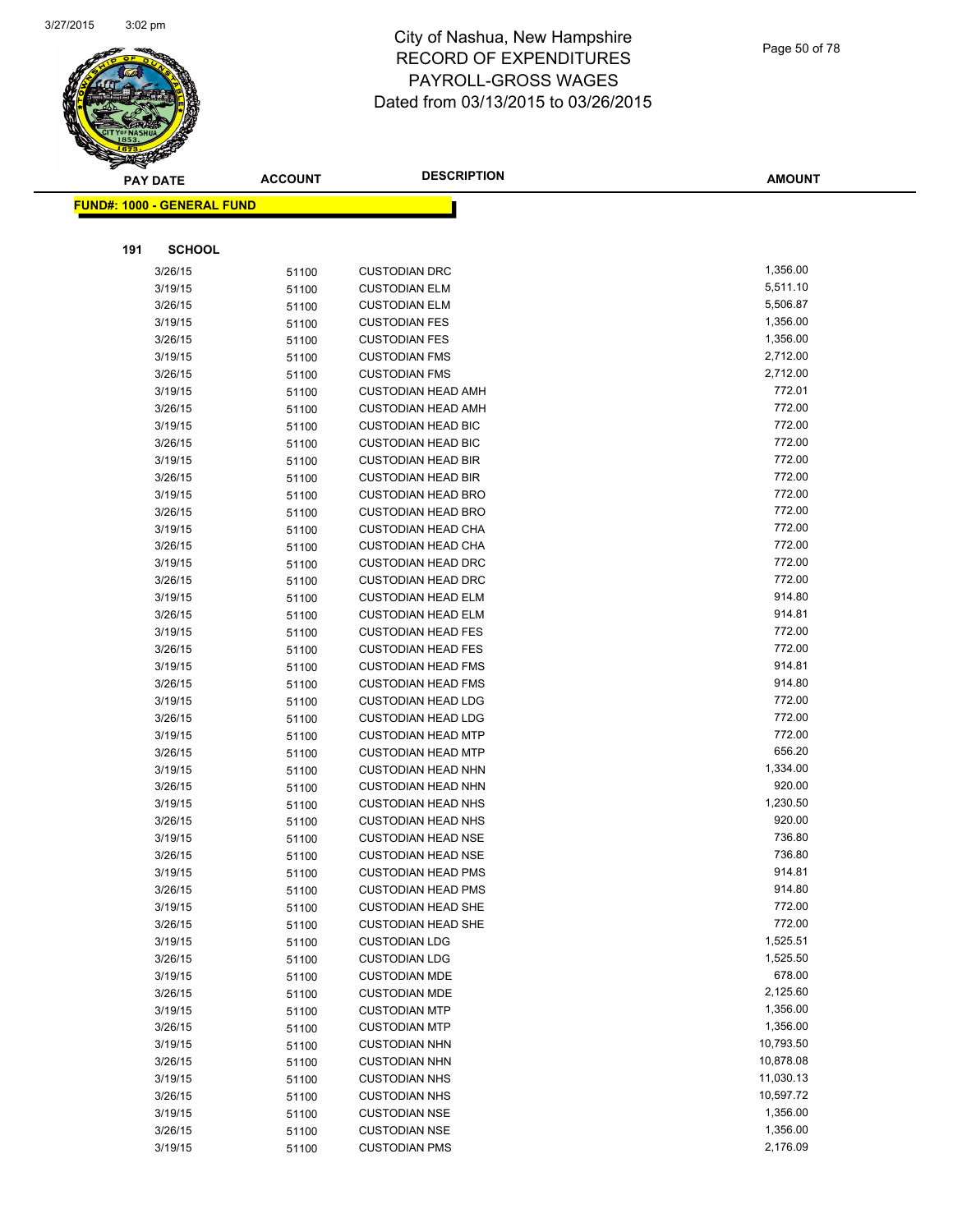

|     | <b>PAY DATE</b>                   | <b>ACCOUNT</b> | <b>DESCRIPTION</b>                                     | <b>AMOUNT</b>    |
|-----|-----------------------------------|----------------|--------------------------------------------------------|------------------|
|     | <b>FUND#: 1000 - GENERAL FUND</b> |                |                                                        |                  |
|     |                                   |                |                                                        |                  |
|     |                                   |                |                                                        |                  |
| 191 | <b>SCHOOL</b>                     |                |                                                        |                  |
|     | 3/26/15                           | 51100          | <b>CUSTODIAN DRC</b>                                   | 1,356.00         |
|     | 3/19/15                           | 51100          | <b>CUSTODIAN ELM</b>                                   | 5,511.10         |
|     | 3/26/15                           | 51100          | <b>CUSTODIAN ELM</b>                                   | 5,506.87         |
|     | 3/19/15                           | 51100          | <b>CUSTODIAN FES</b>                                   | 1,356.00         |
|     | 3/26/15                           | 51100          | <b>CUSTODIAN FES</b>                                   | 1,356.00         |
|     | 3/19/15                           | 51100          | <b>CUSTODIAN FMS</b>                                   | 2,712.00         |
|     | 3/26/15                           | 51100          | <b>CUSTODIAN FMS</b>                                   | 2,712.00         |
|     | 3/19/15                           | 51100          | <b>CUSTODIAN HEAD AMH</b>                              | 772.01           |
|     | 3/26/15                           | 51100          | <b>CUSTODIAN HEAD AMH</b>                              | 772.00           |
|     | 3/19/15                           | 51100          | <b>CUSTODIAN HEAD BIC</b>                              | 772.00           |
|     | 3/26/15                           | 51100          | <b>CUSTODIAN HEAD BIC</b>                              | 772.00           |
|     | 3/19/15                           | 51100          | <b>CUSTODIAN HEAD BIR</b>                              | 772.00           |
|     | 3/26/15                           | 51100          | <b>CUSTODIAN HEAD BIR</b>                              | 772.00           |
|     | 3/19/15                           | 51100          | <b>CUSTODIAN HEAD BRO</b>                              | 772.00           |
|     | 3/26/15                           | 51100          | <b>CUSTODIAN HEAD BRO</b>                              | 772.00<br>772.00 |
|     | 3/19/15                           | 51100          | <b>CUSTODIAN HEAD CHA</b>                              |                  |
|     | 3/26/15                           | 51100          | <b>CUSTODIAN HEAD CHA</b>                              | 772.00<br>772.00 |
|     | 3/19/15                           | 51100          | <b>CUSTODIAN HEAD DRC</b>                              | 772.00           |
|     | 3/26/15                           | 51100          | <b>CUSTODIAN HEAD DRC</b>                              | 914.80           |
|     | 3/19/15                           | 51100          | <b>CUSTODIAN HEAD ELM</b><br><b>CUSTODIAN HEAD ELM</b> | 914.81           |
|     | 3/26/15<br>3/19/15                | 51100          | <b>CUSTODIAN HEAD FES</b>                              | 772.00           |
|     | 3/26/15                           | 51100          | <b>CUSTODIAN HEAD FES</b>                              | 772.00           |
|     | 3/19/15                           | 51100          | <b>CUSTODIAN HEAD FMS</b>                              | 914.81           |
|     | 3/26/15                           | 51100          | <b>CUSTODIAN HEAD FMS</b>                              | 914.80           |
|     | 3/19/15                           | 51100<br>51100 | <b>CUSTODIAN HEAD LDG</b>                              | 772.00           |
|     | 3/26/15                           | 51100          | <b>CUSTODIAN HEAD LDG</b>                              | 772.00           |
|     | 3/19/15                           | 51100          | <b>CUSTODIAN HEAD MTP</b>                              | 772.00           |
|     | 3/26/15                           | 51100          | <b>CUSTODIAN HEAD MTP</b>                              | 656.20           |
|     | 3/19/15                           | 51100          | <b>CUSTODIAN HEAD NHN</b>                              | 1,334.00         |
|     | 3/26/15                           | 51100          | <b>CUSTODIAN HEAD NHN</b>                              | 920.00           |
|     | 3/19/15                           | 51100          | <b>CUSTODIAN HEAD NHS</b>                              | 1,230.50         |
|     | 3/26/15                           | 51100          | <b>CUSTODIAN HEAD NHS</b>                              | 920.00           |
|     | 3/19/15                           | 51100          | <b>CUSTODIAN HEAD NSE</b>                              | 736.80           |
|     | 3/26/15                           | 51100          | <b>CUSTODIAN HEAD NSE</b>                              | 736.80           |
|     | 3/19/15                           | 51100          | <b>CUSTODIAN HEAD PMS</b>                              | 914.81           |
|     | 3/26/15                           | 51100          | <b>CUSTODIAN HEAD PMS</b>                              | 914.80           |
|     | 3/19/15                           | 51100          | <b>CUSTODIAN HEAD SHE</b>                              | 772.00           |
|     | 3/26/15                           | 51100          | <b>CUSTODIAN HEAD SHE</b>                              | 772.00           |
|     | 3/19/15                           | 51100          | <b>CUSTODIAN LDG</b>                                   | 1,525.51         |
|     | 3/26/15                           | 51100          | <b>CUSTODIAN LDG</b>                                   | 1,525.50         |
|     | 3/19/15                           | 51100          | <b>CUSTODIAN MDE</b>                                   | 678.00           |
|     | 3/26/15                           | 51100          | <b>CUSTODIAN MDE</b>                                   | 2,125.60         |
|     | 3/19/15                           | 51100          | <b>CUSTODIAN MTP</b>                                   | 1,356.00         |
|     | 3/26/15                           | 51100          | <b>CUSTODIAN MTP</b>                                   | 1,356.00         |
|     | 3/19/15                           | 51100          | <b>CUSTODIAN NHN</b>                                   | 10,793.50        |
|     | 3/26/15                           | 51100          | <b>CUSTODIAN NHN</b>                                   | 10,878.08        |
|     | 3/19/15                           | 51100          | <b>CUSTODIAN NHS</b>                                   | 11,030.13        |
|     | 3/26/15                           | 51100          | <b>CUSTODIAN NHS</b>                                   | 10,597.72        |
|     | 3/19/15                           | 51100          | <b>CUSTODIAN NSE</b>                                   | 1,356.00         |
|     | 3/26/15                           | 51100          | <b>CUSTODIAN NSE</b>                                   | 1,356.00         |
|     | 3/19/15                           | 51100          | <b>CUSTODIAN PMS</b>                                   | 2,176.09         |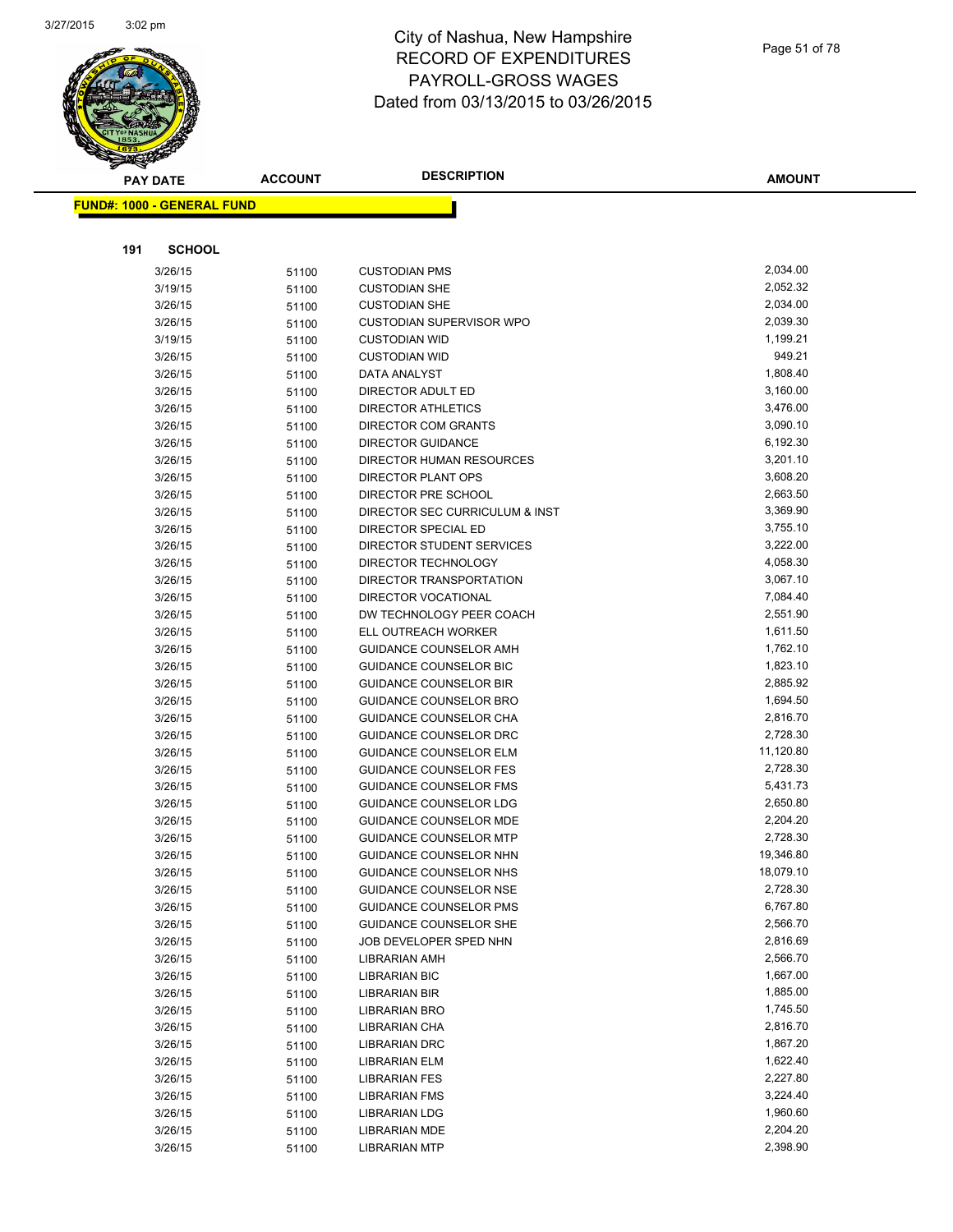

| Page 51 of 78 |  |
|---------------|--|
|               |  |

**AMOUNT**

| <b>FUND#: 1000 - GENERAL FUND</b> |       |                                 |           |
|-----------------------------------|-------|---------------------------------|-----------|
|                                   |       |                                 |           |
| 191<br><b>SCHOOL</b>              |       |                                 |           |
| 3/26/15                           | 51100 | <b>CUSTODIAN PMS</b>            | 2,034.00  |
| 3/19/15                           | 51100 | <b>CUSTODIAN SHE</b>            | 2,052.32  |
| 3/26/15                           | 51100 | <b>CUSTODIAN SHE</b>            | 2,034.00  |
| 3/26/15                           | 51100 | <b>CUSTODIAN SUPERVISOR WPO</b> | 2,039.30  |
| 3/19/15                           | 51100 | <b>CUSTODIAN WID</b>            | 1,199.21  |
| 3/26/15                           | 51100 | <b>CUSTODIAN WID</b>            | 949.21    |
| 3/26/15                           | 51100 | DATA ANALYST                    | 1,808.40  |
| 3/26/15                           | 51100 | DIRECTOR ADULT ED               | 3,160.00  |
| 3/26/15                           | 51100 | <b>DIRECTOR ATHLETICS</b>       | 3,476.00  |
| 3/26/15                           | 51100 | DIRECTOR COM GRANTS             | 3,090.10  |
| 3/26/15                           | 51100 | <b>DIRECTOR GUIDANCE</b>        | 6,192.30  |
| 3/26/15                           | 51100 | DIRECTOR HUMAN RESOURCES        | 3,201.10  |
| 3/26/15                           | 51100 | DIRECTOR PLANT OPS              | 3,608.20  |
| 3/26/15                           | 51100 | DIRECTOR PRE SCHOOL             | 2,663.50  |
| 3/26/15                           | 51100 | DIRECTOR SEC CURRICULUM & INST  | 3,369.90  |
| 3/26/15                           | 51100 | DIRECTOR SPECIAL ED             | 3,755.10  |
| 3/26/15                           | 51100 | DIRECTOR STUDENT SERVICES       | 3,222.00  |
| 3/26/15                           | 51100 | DIRECTOR TECHNOLOGY             | 4,058.30  |
| 3/26/15                           | 51100 | DIRECTOR TRANSPORTATION         | 3,067.10  |
| 3/26/15                           | 51100 | DIRECTOR VOCATIONAL             | 7,084.40  |
| 3/26/15                           | 51100 | DW TECHNOLOGY PEER COACH        | 2,551.90  |
| 3/26/15                           | 51100 | ELL OUTREACH WORKER             | 1,611.50  |
| 3/26/15                           | 51100 | <b>GUIDANCE COUNSELOR AMH</b>   | 1,762.10  |
| 3/26/15                           | 51100 | <b>GUIDANCE COUNSELOR BIC</b>   | 1,823.10  |
| 3/26/15                           | 51100 | <b>GUIDANCE COUNSELOR BIR</b>   | 2,885.92  |
| 3/26/15                           | 51100 | <b>GUIDANCE COUNSELOR BRO</b>   | 1,694.50  |
| 3/26/15                           | 51100 | <b>GUIDANCE COUNSELOR CHA</b>   | 2,816.70  |
| 3/26/15                           | 51100 | <b>GUIDANCE COUNSELOR DRC</b>   | 2,728.30  |
| 3/26/15                           | 51100 | <b>GUIDANCE COUNSELOR ELM</b>   | 11,120.80 |
| 3/26/15                           | 51100 | <b>GUIDANCE COUNSELOR FES</b>   | 2,728.30  |
| 3/26/15                           | 51100 | <b>GUIDANCE COUNSELOR FMS</b>   | 5,431.73  |
| 3/26/15                           | 51100 | GUIDANCE COUNSELOR LDG          | 2,650.80  |
| 3/26/15                           | 51100 | <b>GUIDANCE COUNSELOR MDE</b>   | 2,204.20  |
| 3/26/15                           | 51100 | <b>GUIDANCE COUNSELOR MTP</b>   | 2,728.30  |
| 3/26/15                           | 51100 | <b>GUIDANCE COUNSELOR NHN</b>   | 19,346.80 |
| 3/26/15                           | 51100 | <b>GUIDANCE COUNSELOR NHS</b>   | 18,079.10 |
| 3/26/15                           | 51100 | GUIDANCE COUNSELOR NSE          | 2,728.30  |
| 3/26/15                           | 51100 | <b>GUIDANCE COUNSELOR PMS</b>   | 6,767.80  |
| 3/26/15                           | 51100 | GUIDANCE COUNSELOR SHE          | 2,566.70  |
| 3/26/15                           | 51100 | JOB DEVELOPER SPED NHN          | 2,816.69  |
| 3/26/15                           | 51100 | LIBRARIAN AMH                   | 2,566.70  |
| 3/26/15                           | 51100 | LIBRARIAN BIC                   | 1,667.00  |
| 3/26/15                           | 51100 | <b>LIBRARIAN BIR</b>            | 1,885.00  |
| 3/26/15                           | 51100 | <b>LIBRARIAN BRO</b>            | 1,745.50  |
| 3/26/15                           | 51100 | LIBRARIAN CHA                   | 2,816.70  |
| 3/26/15                           | 51100 | <b>LIBRARIAN DRC</b>            | 1,867.20  |
| 3/26/15                           | 51100 | <b>LIBRARIAN ELM</b>            | 1,622.40  |
| 3/26/15                           | 51100 | <b>LIBRARIAN FES</b>            | 2,227.80  |
| 3/26/15                           | 51100 | <b>LIBRARIAN FMS</b>            | 3,224.40  |
| 3/26/15                           | 51100 | <b>LIBRARIAN LDG</b>            | 1,960.60  |
| 3/26/15                           | 51100 | <b>LIBRARIAN MDE</b>            | 2,204.20  |
| 3/26/15                           | 51100 | <b>LIBRARIAN MTP</b>            | 2,398.90  |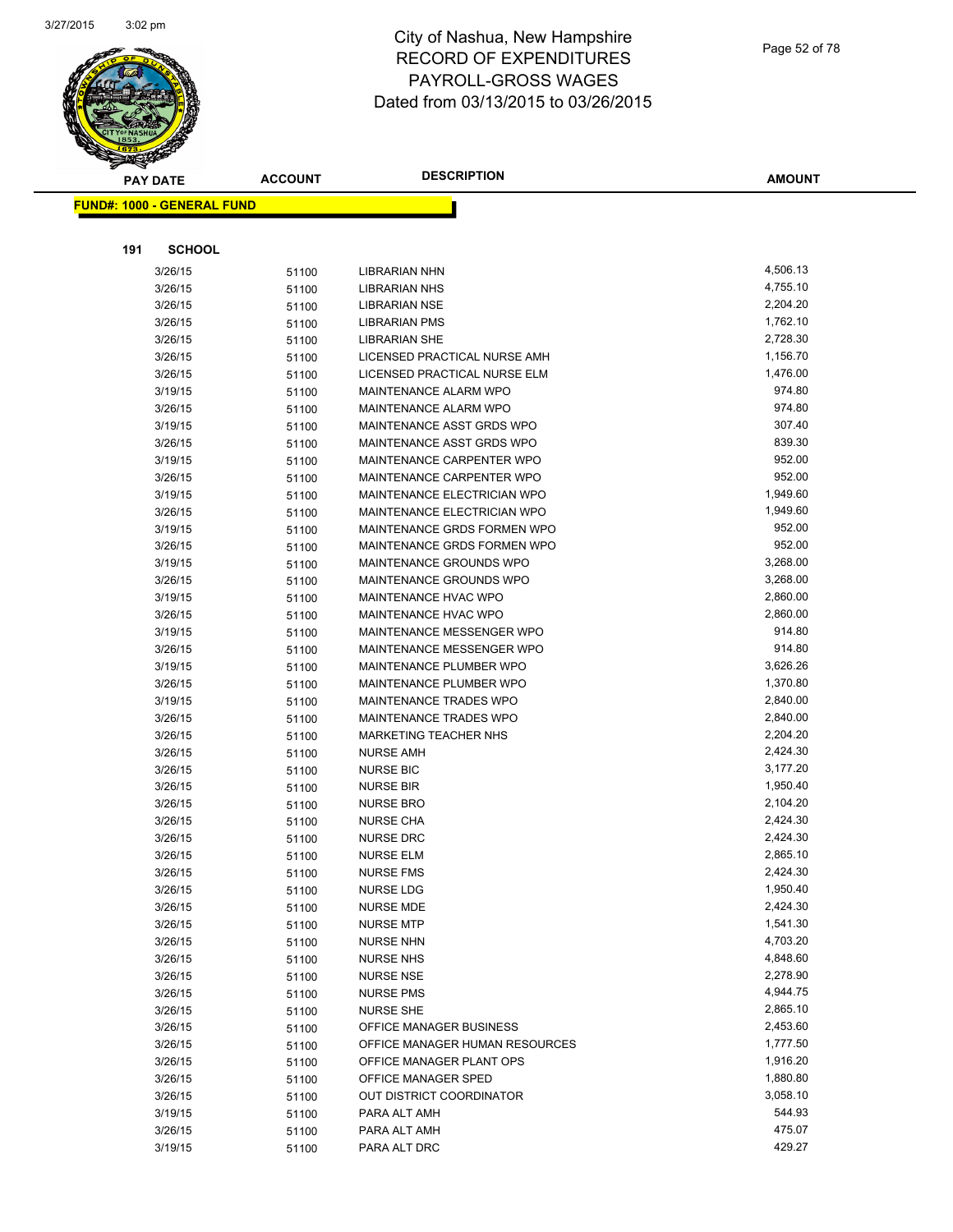

| <b>FUND#: 1000 - GENERAL FUND</b> |                |                                                            |                      |
|-----------------------------------|----------------|------------------------------------------------------------|----------------------|
|                                   |                |                                                            |                      |
| 191<br><b>SCHOOL</b>              |                |                                                            |                      |
| 3/26/15                           | 51100          | LIBRARIAN NHN                                              | 4,506.13             |
| 3/26/15                           | 51100          | LIBRARIAN NHS                                              | 4,755.10             |
| 3/26/15                           | 51100          | <b>LIBRARIAN NSE</b>                                       | 2,204.20             |
| 3/26/15                           | 51100          | <b>LIBRARIAN PMS</b>                                       | 1,762.10             |
| 3/26/15                           | 51100          | <b>LIBRARIAN SHE</b>                                       | 2,728.30             |
| 3/26/15                           | 51100          | LICENSED PRACTICAL NURSE AMH                               | 1,156.70             |
| 3/26/15                           | 51100          | LICENSED PRACTICAL NURSE ELM                               | 1,476.00             |
| 3/19/15                           | 51100          | <b>MAINTENANCE ALARM WPO</b>                               | 974.80               |
| 3/26/15                           | 51100          | MAINTENANCE ALARM WPO                                      | 974.80               |
| 3/19/15                           | 51100          | MAINTENANCE ASST GRDS WPO                                  | 307.40               |
| 3/26/15                           | 51100          | MAINTENANCE ASST GRDS WPO                                  | 839.30               |
| 3/19/15                           | 51100          | MAINTENANCE CARPENTER WPO                                  | 952.00               |
| 3/26/15                           | 51100          | <b>MAINTENANCE CARPENTER WPO</b>                           | 952.00               |
| 3/19/15                           | 51100          | <b>MAINTENANCE ELECTRICIAN WPO</b>                         | 1,949.60             |
| 3/26/15                           | 51100          | <b>MAINTENANCE ELECTRICIAN WPO</b>                         | 1,949.60             |
| 3/19/15                           | 51100          | MAINTENANCE GRDS FORMEN WPO                                | 952.00               |
| 3/26/15                           | 51100          | MAINTENANCE GRDS FORMEN WPO                                | 952.00               |
| 3/19/15                           | 51100          | MAINTENANCE GROUNDS WPO                                    | 3,268.00             |
| 3/26/15                           | 51100          | MAINTENANCE GROUNDS WPO                                    | 3,268.00             |
| 3/19/15                           | 51100          | MAINTENANCE HVAC WPO                                       | 2,860.00             |
| 3/26/15                           | 51100          | <b>MAINTENANCE HVAC WPO</b>                                | 2,860.00             |
| 3/19/15                           | 51100          | <b>MAINTENANCE MESSENGER WPO</b>                           | 914.80               |
| 3/26/15                           | 51100          | <b>MAINTENANCE MESSENGER WPO</b>                           | 914.80               |
| 3/19/15                           | 51100          | MAINTENANCE PLUMBER WPO                                    | 3,626.26             |
| 3/26/15                           | 51100          | MAINTENANCE PLUMBER WPO                                    | 1,370.80             |
| 3/19/15                           | 51100          | <b>MAINTENANCE TRADES WPO</b>                              | 2,840.00             |
| 3/26/15                           | 51100          | <b>MAINTENANCE TRADES WPO</b>                              | 2,840.00             |
| 3/26/15                           | 51100          | <b>MARKETING TEACHER NHS</b>                               | 2,204.20             |
| 3/26/15                           | 51100          | <b>NURSE AMH</b>                                           | 2,424.30             |
| 3/26/15                           | 51100          | <b>NURSE BIC</b>                                           | 3,177.20             |
| 3/26/15                           | 51100          | <b>NURSE BIR</b>                                           | 1,950.40             |
| 3/26/15                           | 51100          | <b>NURSE BRO</b>                                           | 2,104.20             |
| 3/26/15                           | 51100          | <b>NURSE CHA</b>                                           | 2,424.30             |
| 3/26/15                           | 51100          | <b>NURSE DRC</b>                                           | 2,424.30             |
| 3/26/15                           | 51100          | <b>NURSE ELM</b>                                           | 2,865.10             |
| 3/26/15                           | 51100          | <b>NURSE FMS</b>                                           | 2,424.30             |
| 3/26/15                           | 51100          | <b>NURSE LDG</b>                                           | 1,950.40             |
| 3/26/15                           | 51100          | <b>NURSE MDE</b>                                           | 2,424.30             |
| 3/26/15                           | 51100          | <b>NURSE MTP</b>                                           | 1,541.30             |
| 3/26/15                           | 51100          | <b>NURSE NHN</b>                                           | 4,703.20             |
| 3/26/15                           | 51100          | <b>NURSE NHS</b>                                           | 4,848.60             |
| 3/26/15                           | 51100          | <b>NURSE NSE</b>                                           | 2,278.90             |
| 3/26/15                           | 51100          | <b>NURSE PMS</b>                                           | 4,944.75             |
| 3/26/15                           | 51100          | <b>NURSE SHE</b>                                           | 2,865.10             |
| 3/26/15                           | 51100          | OFFICE MANAGER BUSINESS                                    | 2,453.60<br>1,777.50 |
| 3/26/15<br>3/26/15                | 51100          | OFFICE MANAGER HUMAN RESOURCES<br>OFFICE MANAGER PLANT OPS | 1,916.20             |
| 3/26/15                           | 51100          | OFFICE MANAGER SPED                                        | 1,880.80             |
| 3/26/15                           | 51100          | OUT DISTRICT COORDINATOR                                   | 3,058.10             |
| 3/19/15                           | 51100<br>51100 | PARA ALT AMH                                               | 544.93               |
| 3/26/15                           | 51100          | PARA ALT AMH                                               | 475.07               |
| 3/19/15                           | 51100          | PARA ALT DRC                                               | 429.27               |
|                                   |                |                                                            |                      |

**AMOUNT**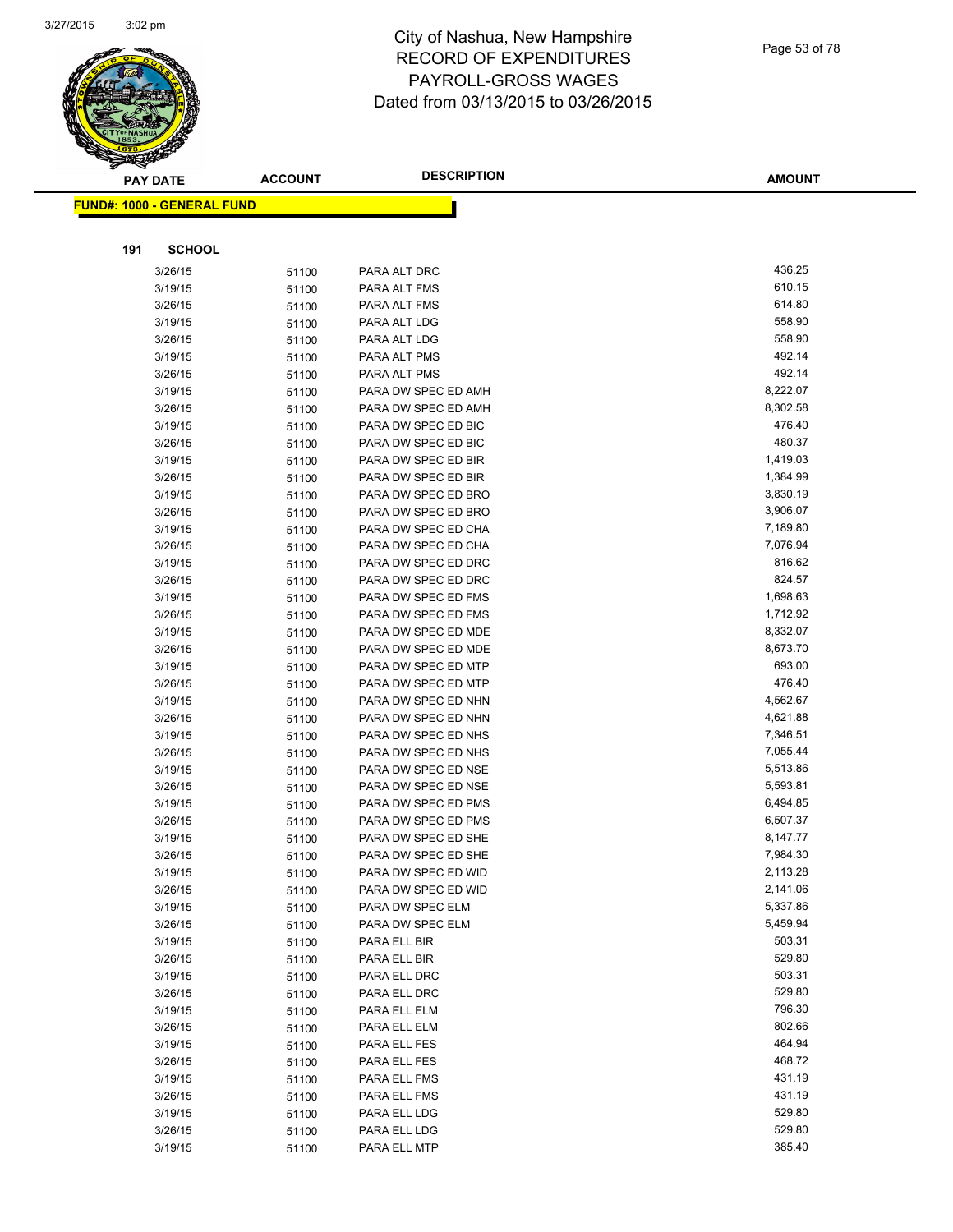

|     | <b>PAY DATE</b>                   | <b>ACCOUNT</b> | <b>DESCRIPTION</b>                         | <b>AMOUNT</b>      |
|-----|-----------------------------------|----------------|--------------------------------------------|--------------------|
|     | <b>FUND#: 1000 - GENERAL FUND</b> |                |                                            |                    |
|     |                                   |                |                                            |                    |
|     |                                   |                |                                            |                    |
| 191 | <b>SCHOOL</b>                     |                |                                            |                    |
|     | 3/26/15                           | 51100          | PARA ALT DRC                               | 436.25             |
|     | 3/19/15                           | 51100          | PARA ALT FMS                               | 610.15             |
|     | 3/26/15                           | 51100          | PARA ALT FMS                               | 614.80             |
|     | 3/19/15                           | 51100          | PARA ALT LDG                               | 558.90             |
|     | 3/26/15                           | 51100          | PARA ALT LDG                               | 558.90             |
|     | 3/19/15                           | 51100          | PARA ALT PMS                               | 492.14             |
|     | 3/26/15                           | 51100          | PARA ALT PMS                               | 492.14             |
|     | 3/19/15                           | 51100          | PARA DW SPEC ED AMH                        | 8,222.07           |
|     | 3/26/15                           | 51100          | PARA DW SPEC ED AMH                        | 8,302.58           |
|     | 3/19/15                           | 51100          | PARA DW SPEC ED BIC                        | 476.40             |
|     | 3/26/15                           | 51100          | PARA DW SPEC ED BIC                        | 480.37             |
|     | 3/19/15                           | 51100          | PARA DW SPEC ED BIR                        | 1,419.03           |
|     | 3/26/15                           | 51100          | PARA DW SPEC ED BIR                        | 1,384.99           |
|     | 3/19/15                           | 51100          | PARA DW SPEC ED BRO                        | 3,830.19           |
|     | 3/26/15                           | 51100          | PARA DW SPEC ED BRO                        | 3,906.07           |
|     | 3/19/15                           | 51100          | PARA DW SPEC ED CHA                        | 7,189.80           |
|     | 3/26/15                           | 51100          | PARA DW SPEC ED CHA                        | 7,076.94           |
|     | 3/19/15                           | 51100          | PARA DW SPEC ED DRC                        | 816.62             |
|     | 3/26/15                           | 51100          | PARA DW SPEC ED DRC                        | 824.57             |
|     | 3/19/15                           | 51100          | PARA DW SPEC ED FMS                        | 1,698.63           |
|     | 3/26/15                           | 51100          | PARA DW SPEC ED FMS                        | 1,712.92           |
|     | 3/19/15                           | 51100          | PARA DW SPEC ED MDE                        | 8,332.07           |
|     | 3/26/15                           | 51100          | PARA DW SPEC ED MDE                        | 8,673.70<br>693.00 |
|     | 3/19/15                           | 51100          | PARA DW SPEC ED MTP                        | 476.40             |
|     | 3/26/15                           | 51100          | PARA DW SPEC ED MTP                        | 4,562.67           |
|     | 3/19/15<br>3/26/15                | 51100          | PARA DW SPEC ED NHN<br>PARA DW SPEC ED NHN | 4,621.88           |
|     | 3/19/15                           | 51100          | PARA DW SPEC ED NHS                        | 7,346.51           |
|     | 3/26/15                           | 51100          | PARA DW SPEC ED NHS                        | 7,055.44           |
|     | 3/19/15                           | 51100<br>51100 | PARA DW SPEC ED NSE                        | 5,513.86           |
|     | 3/26/15                           | 51100          | PARA DW SPEC ED NSE                        | 5,593.81           |
|     | 3/19/15                           | 51100          | PARA DW SPEC ED PMS                        | 6,494.85           |
|     | 3/26/15                           | 51100          | PARA DW SPEC ED PMS                        | 6,507.37           |
|     | 3/19/15                           | 51100          | PARA DW SPEC ED SHE                        | 8,147.77           |
|     | 3/26/15                           | 51100          | PARA DW SPEC ED SHE                        | 7,984.30           |
|     | 3/19/15                           | 51100          | PARA DW SPEC ED WID                        | 2,113.28           |
|     | 3/26/15                           | 51100          | PARA DW SPEC ED WID                        | 2,141.06           |
|     | 3/19/15                           | 51100          | PARA DW SPEC ELM                           | 5,337.86           |
|     | 3/26/15                           | 51100          | PARA DW SPEC ELM                           | 5,459.94           |
|     | 3/19/15                           | 51100          | PARA ELL BIR                               | 503.31             |
|     | 3/26/15                           | 51100          | PARA ELL BIR                               | 529.80             |
|     | 3/19/15                           | 51100          | PARA ELL DRC                               | 503.31             |
|     | 3/26/15                           | 51100          | PARA ELL DRC                               | 529.80             |
|     | 3/19/15                           | 51100          | PARA ELL ELM                               | 796.30             |
|     | 3/26/15                           | 51100          | PARA ELL ELM                               | 802.66             |
|     | 3/19/15                           | 51100          | PARA ELL FES                               | 464.94             |
|     | 3/26/15                           | 51100          | PARA ELL FES                               | 468.72             |
|     | 3/19/15                           | 51100          | PARA ELL FMS                               | 431.19             |
|     | 3/26/15                           | 51100          | PARA ELL FMS                               | 431.19             |
|     | 3/19/15                           | 51100          | PARA ELL LDG                               | 529.80             |
|     | 3/26/15                           | 51100          | PARA ELL LDG                               | 529.80             |
|     | 3/19/15                           | 51100          | PARA ELL MTP                               | 385.40             |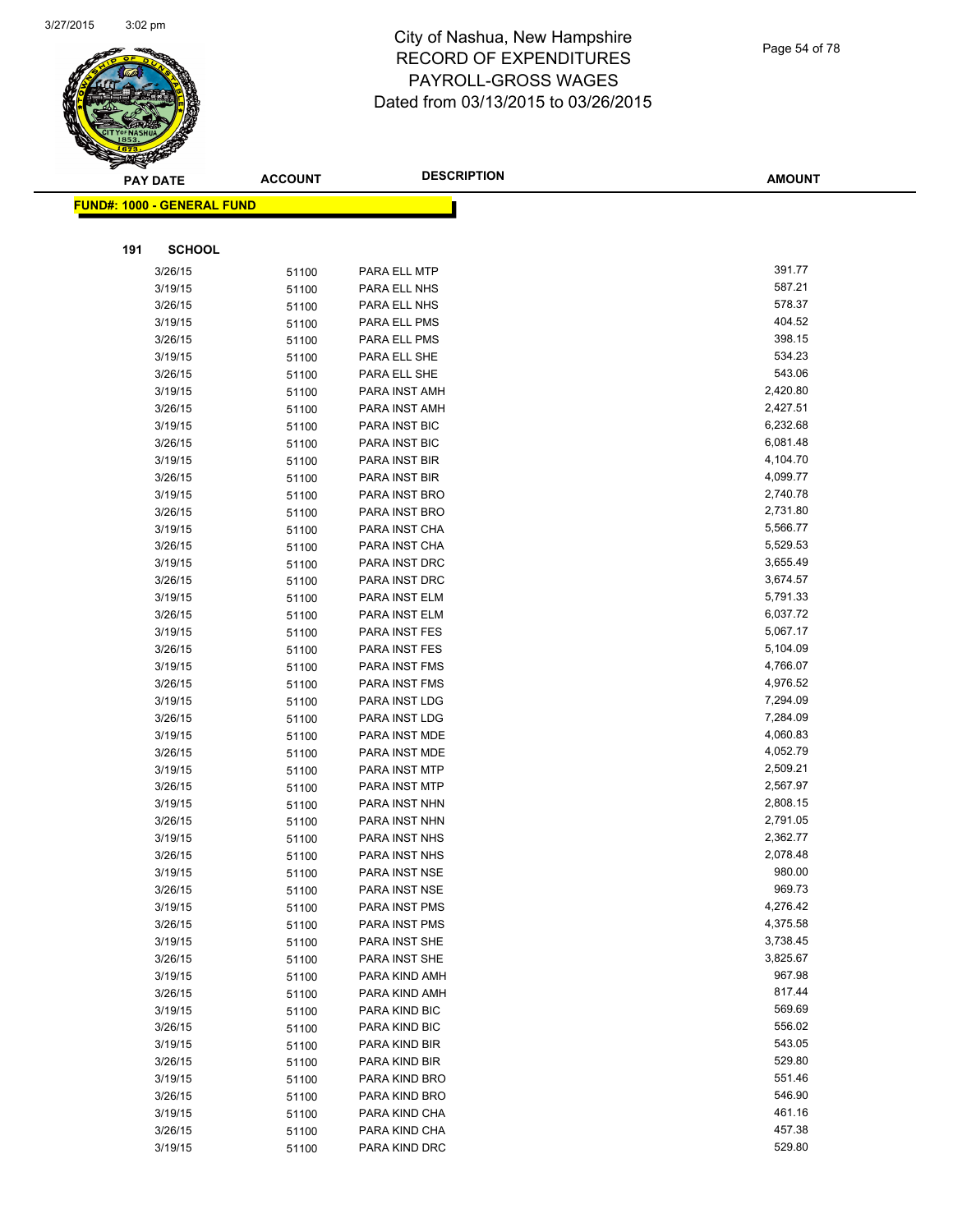

| <b>PAY DATE</b>                   | <b>ACCOUNT</b> | <b>DESCRIPTION</b>             | <b>AMOUNT</b>        |
|-----------------------------------|----------------|--------------------------------|----------------------|
| <b>FUND#: 1000 - GENERAL FUND</b> |                |                                |                      |
|                                   |                |                                |                      |
|                                   |                |                                |                      |
| 191<br><b>SCHOOL</b>              |                |                                |                      |
| 3/26/15                           | 51100          | PARA ELL MTP                   | 391.77               |
| 3/19/15                           | 51100          | PARA ELL NHS                   | 587.21               |
| 3/26/15                           | 51100          | PARA ELL NHS                   | 578.37               |
| 3/19/15                           | 51100          | PARA ELL PMS                   | 404.52               |
| 3/26/15                           | 51100          | PARA ELL PMS                   | 398.15               |
| 3/19/15                           | 51100          | PARA ELL SHE                   | 534.23               |
| 3/26/15                           | 51100          | PARA ELL SHE                   | 543.06               |
| 3/19/15                           | 51100          | PARA INST AMH                  | 2,420.80             |
| 3/26/15                           | 51100          | PARA INST AMH                  | 2,427.51             |
| 3/19/15                           | 51100          | PARA INST BIC                  | 6,232.68             |
| 3/26/15                           | 51100          | PARA INST BIC                  | 6,081.48             |
| 3/19/15                           | 51100          | PARA INST BIR                  | 4,104.70             |
| 3/26/15                           | 51100          | PARA INST BIR                  | 4,099.77             |
| 3/19/15                           | 51100          | PARA INST BRO                  | 2,740.78             |
| 3/26/15                           | 51100          | PARA INST BRO                  | 2,731.80             |
| 3/19/15                           | 51100          | PARA INST CHA                  | 5,566.77             |
| 3/26/15                           | 51100          | PARA INST CHA                  | 5,529.53             |
| 3/19/15                           | 51100          | PARA INST DRC                  | 3,655.49             |
| 3/26/15                           | 51100          | PARA INST DRC                  | 3,674.57             |
| 3/19/15                           | 51100          | PARA INST ELM                  | 5,791.33             |
| 3/26/15                           | 51100          | PARA INST ELM                  | 6,037.72             |
| 3/19/15                           | 51100          | PARA INST FES                  | 5,067.17             |
| 3/26/15                           | 51100          | PARA INST FES                  | 5,104.09             |
| 3/19/15                           | 51100          | PARA INST FMS                  | 4,766.07<br>4,976.52 |
| 3/26/15                           | 51100          | PARA INST FMS                  | 7,294.09             |
| 3/19/15<br>3/26/15                | 51100          | PARA INST LDG                  | 7,284.09             |
| 3/19/15                           | 51100          | PARA INST LDG<br>PARA INST MDE | 4,060.83             |
| 3/26/15                           | 51100          | PARA INST MDE                  | 4,052.79             |
| 3/19/15                           | 51100<br>51100 | PARA INST MTP                  | 2,509.21             |
| 3/26/15                           | 51100          | PARA INST MTP                  | 2,567.97             |
| 3/19/15                           | 51100          | PARA INST NHN                  | 2,808.15             |
| 3/26/15                           | 51100          | PARA INST NHN                  | 2,791.05             |
| 3/19/15                           | 51100          | PARA INST NHS                  | 2,362.77             |
| 3/26/15                           | 51100          | PARA INST NHS                  | 2,078.48             |
| 3/19/15                           | 51100          | PARA INST NSE                  | 980.00               |
| 3/26/15                           | 51100          | PARA INST NSE                  | 969.73               |
| 3/19/15                           | 51100          | PARA INST PMS                  | 4,276.42             |
| 3/26/15                           | 51100          | PARA INST PMS                  | 4,375.58             |
| 3/19/15                           | 51100          | PARA INST SHE                  | 3,738.45             |
| 3/26/15                           | 51100          | PARA INST SHE                  | 3,825.67             |
| 3/19/15                           | 51100          | PARA KIND AMH                  | 967.98               |
| 3/26/15                           | 51100          | PARA KIND AMH                  | 817.44               |
| 3/19/15                           | 51100          | PARA KIND BIC                  | 569.69               |
| 3/26/15                           | 51100          | PARA KIND BIC                  | 556.02               |
| 3/19/15                           | 51100          | PARA KIND BIR                  | 543.05               |
| 3/26/15                           | 51100          | PARA KIND BIR                  | 529.80               |
| 3/19/15                           | 51100          | PARA KIND BRO                  | 551.46               |
| 3/26/15                           | 51100          | PARA KIND BRO                  | 546.90               |
| 3/19/15                           | 51100          | PARA KIND CHA                  | 461.16               |
| 3/26/15                           | 51100          | PARA KIND CHA                  | 457.38               |

3/19/15 51100 PARA KIND DRC 529.80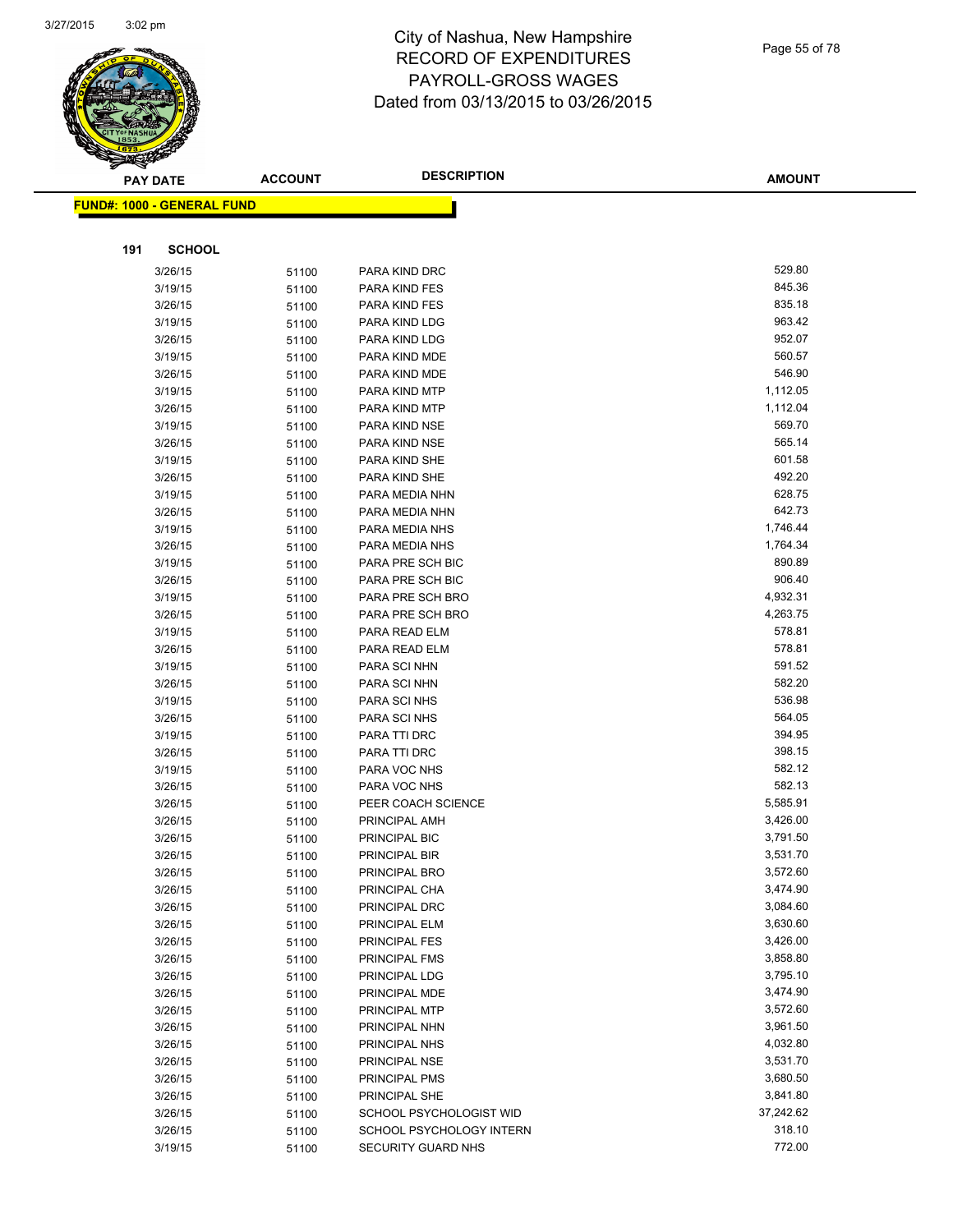

|     | <b>PAY DATE</b>            | <b>ACCOUNT</b> | <b>DESCRIPTION</b>             | <b>AMOUNT</b>      |
|-----|----------------------------|----------------|--------------------------------|--------------------|
|     | FUND#: 1000 - GENERAL FUND |                |                                |                    |
|     |                            |                |                                |                    |
|     |                            |                |                                |                    |
| 191 | <b>SCHOOL</b>              |                |                                |                    |
|     | 3/26/15                    | 51100          | PARA KIND DRC                  | 529.80             |
|     | 3/19/15                    | 51100          | PARA KIND FES                  | 845.36             |
|     | 3/26/15                    | 51100          | PARA KIND FES                  | 835.18             |
|     | 3/19/15                    | 51100          | PARA KIND LDG                  | 963.42             |
|     | 3/26/15                    | 51100          | PARA KIND LDG                  | 952.07             |
|     | 3/19/15                    | 51100          | PARA KIND MDE                  | 560.57             |
|     | 3/26/15                    | 51100          | PARA KIND MDE                  | 546.90             |
|     | 3/19/15                    | 51100          | PARA KIND MTP                  | 1,112.05           |
|     | 3/26/15                    | 51100          | PARA KIND MTP                  | 1,112.04<br>569.70 |
|     | 3/19/15                    | 51100          | PARA KIND NSE                  | 565.14             |
|     | 3/26/15                    | 51100          | PARA KIND NSE                  | 601.58             |
|     | 3/19/15<br>3/26/15         | 51100          | PARA KIND SHE<br>PARA KIND SHE | 492.20             |
|     | 3/19/15                    | 51100          | PARA MEDIA NHN                 | 628.75             |
|     | 3/26/15                    | 51100<br>51100 | PARA MEDIA NHN                 | 642.73             |
|     | 3/19/15                    | 51100          | PARA MEDIA NHS                 | 1,746.44           |
|     | 3/26/15                    | 51100          | PARA MEDIA NHS                 | 1,764.34           |
|     | 3/19/15                    | 51100          | PARA PRE SCH BIC               | 890.89             |
|     | 3/26/15                    | 51100          | PARA PRE SCH BIC               | 906.40             |
|     | 3/19/15                    | 51100          | PARA PRE SCH BRO               | 4,932.31           |
|     | 3/26/15                    | 51100          | PARA PRE SCH BRO               | 4,263.75           |
|     | 3/19/15                    | 51100          | PARA READ ELM                  | 578.81             |
|     | 3/26/15                    | 51100          | PARA READ ELM                  | 578.81             |
|     | 3/19/15                    | 51100          | PARA SCI NHN                   | 591.52             |
|     | 3/26/15                    | 51100          | PARA SCI NHN                   | 582.20             |
|     | 3/19/15                    | 51100          | PARA SCI NHS                   | 536.98             |
|     | 3/26/15                    | 51100          | PARA SCI NHS                   | 564.05             |
|     | 3/19/15                    | 51100          | PARA TTI DRC                   | 394.95             |
|     | 3/26/15                    | 51100          | PARA TTI DRC                   | 398.15             |
|     | 3/19/15                    | 51100          | PARA VOC NHS                   | 582.12             |
|     | 3/26/15                    | 51100          | PARA VOC NHS                   | 582.13             |
|     | 3/26/15                    | 51100          | PEER COACH SCIENCE             | 5,585.91           |
|     | 3/26/15                    | 51100          | PRINCIPAL AMH                  | 3,426.00           |
|     | 3/26/15                    | 51100          | PRINCIPAL BIC                  | 3,791.50           |
|     | 3/26/15                    | 51100          | PRINCIPAL BIR                  | 3,531.70           |
|     | 3/26/15                    | 51100          | PRINCIPAL BRO                  | 3,572.60           |
|     | 3/26/15                    | 51100          | PRINCIPAL CHA                  | 3,474.90           |
|     | 3/26/15                    | 51100          | PRINCIPAL DRC                  | 3,084.60           |
|     | 3/26/15                    | 51100          | PRINCIPAL ELM                  | 3,630.60           |
|     | 3/26/15                    | 51100          | PRINCIPAL FES                  | 3,426.00           |
|     | 3/26/15                    | 51100          | PRINCIPAL FMS                  | 3,858.80           |
|     | 3/26/15                    | 51100          | PRINCIPAL LDG                  | 3,795.10           |
|     | 3/26/15                    | 51100          | PRINCIPAL MDE                  | 3,474.90           |
|     | 3/26/15                    | 51100          | PRINCIPAL MTP                  | 3,572.60           |
|     | 3/26/15                    | 51100          | PRINCIPAL NHN                  | 3,961.50           |
|     | 3/26/15                    | 51100          | PRINCIPAL NHS                  | 4,032.80           |
|     | 3/26/15                    | 51100          | PRINCIPAL NSE                  | 3,531.70           |
|     | 3/26/15                    | 51100          | PRINCIPAL PMS                  | 3,680.50           |
|     | 3/26/15                    | 51100          | PRINCIPAL SHE                  | 3,841.80           |
|     | 3/26/15                    | 51100          | SCHOOL PSYCHOLOGIST WID        | 37,242.62          |
|     | 3/26/15                    | 51100          | SCHOOL PSYCHOLOGY INTERN       | 318.10             |
|     | 3/19/15                    | 51100          | SECURITY GUARD NHS             | 772.00             |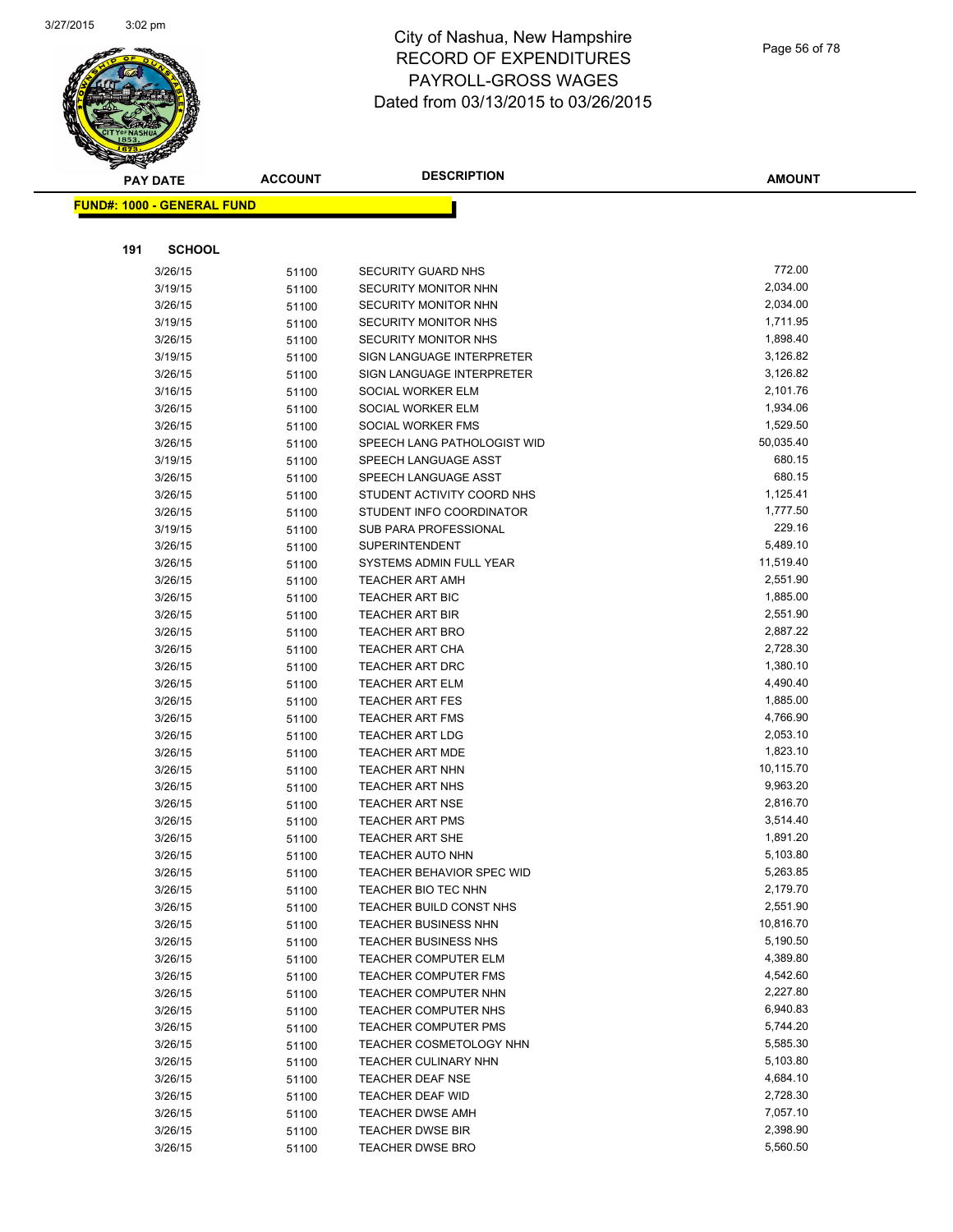

#### Page 56 of 78

| <b>PAY DATE</b>                   | <b>ACCOUNT</b> | <b>DESCRIPTION</b>                             | <b>AMOUNT</b>        |
|-----------------------------------|----------------|------------------------------------------------|----------------------|
| <b>FUND#: 1000 - GENERAL FUND</b> |                |                                                |                      |
|                                   |                |                                                |                      |
|                                   |                |                                                |                      |
| 191<br><b>SCHOOL</b>              |                |                                                |                      |
| 3/26/15                           | 51100          | <b>SECURITY GUARD NHS</b>                      | 772.00               |
| 3/19/15                           | 51100          | SECURITY MONITOR NHN                           | 2,034.00             |
| 3/26/15                           | 51100          | SECURITY MONITOR NHN                           | 2,034.00             |
| 3/19/15                           | 51100          | SECURITY MONITOR NHS                           | 1,711.95             |
| 3/26/15                           | 51100          | SECURITY MONITOR NHS                           | 1,898.40             |
| 3/19/15                           | 51100          | SIGN LANGUAGE INTERPRETER                      | 3,126.82             |
| 3/26/15                           | 51100          | SIGN LANGUAGE INTERPRETER                      | 3,126.82             |
| 3/16/15                           | 51100          | SOCIAL WORKER ELM                              | 2,101.76             |
| 3/26/15                           | 51100          | SOCIAL WORKER ELM                              | 1,934.06             |
| 3/26/15                           | 51100          | SOCIAL WORKER FMS                              | 1,529.50             |
| 3/26/15                           | 51100          | SPEECH LANG PATHOLOGIST WID                    | 50,035.40            |
| 3/19/15                           | 51100          | SPEECH LANGUAGE ASST                           | 680.15               |
| 3/26/15                           | 51100          | SPEECH LANGUAGE ASST                           | 680.15               |
| 3/26/15                           | 51100          | STUDENT ACTIVITY COORD NHS                     | 1,125.41             |
| 3/26/15                           | 51100          | STUDENT INFO COORDINATOR                       | 1,777.50             |
| 3/19/15                           | 51100          | SUB PARA PROFESSIONAL                          | 229.16               |
| 3/26/15                           | 51100          | <b>SUPERINTENDENT</b>                          | 5,489.10             |
| 3/26/15                           | 51100          | SYSTEMS ADMIN FULL YEAR                        | 11,519.40            |
| 3/26/15                           | 51100          | <b>TEACHER ART AMH</b>                         | 2,551.90             |
| 3/26/15                           | 51100          | <b>TEACHER ART BIC</b>                         | 1,885.00             |
| 3/26/15                           | 51100          | <b>TEACHER ART BIR</b>                         | 2,551.90             |
| 3/26/15                           | 51100          | <b>TEACHER ART BRO</b>                         | 2,887.22             |
| 3/26/15                           | 51100          | <b>TEACHER ART CHA</b>                         | 2,728.30             |
| 3/26/15                           | 51100          | <b>TEACHER ART DRC</b>                         | 1,380.10             |
| 3/26/15                           | 51100          | <b>TEACHER ART ELM</b>                         | 4,490.40             |
| 3/26/15                           | 51100          | <b>TEACHER ART FES</b>                         | 1,885.00             |
| 3/26/15                           | 51100          | <b>TEACHER ART FMS</b>                         | 4,766.90             |
| 3/26/15                           | 51100          | <b>TEACHER ART LDG</b>                         | 2,053.10             |
| 3/26/15                           | 51100          | <b>TEACHER ART MDE</b>                         | 1,823.10             |
| 3/26/15                           | 51100          | <b>TEACHER ART NHN</b>                         | 10,115.70            |
| 3/26/15                           | 51100          | TEACHER ART NHS                                | 9,963.20             |
| 3/26/15                           | 51100          | <b>TEACHER ART NSE</b>                         | 2,816.70             |
| 3/26/15                           | 51100          | <b>TEACHER ART PMS</b>                         | 3,514.40             |
| 3/26/15                           | 51100          | <b>TEACHER ART SHE</b>                         | 1,891.20<br>5,103.80 |
| 3/26/15                           | 51100          | <b>TEACHER AUTO NHN</b>                        |                      |
| 3/26/15                           | 51100          | <b>TEACHER BEHAVIOR SPEC WID</b>               | 5,263.85<br>2,179.70 |
| 3/26/15<br>3/26/15                | 51100          | TEACHER BIO TEC NHN<br>TEACHER BUILD CONST NHS | 2,551.90             |
| 3/26/15                           | 51100<br>51100 | <b>TEACHER BUSINESS NHN</b>                    | 10,816.70            |
| 3/26/15                           | 51100          | <b>TEACHER BUSINESS NHS</b>                    | 5,190.50             |
| 3/26/15                           | 51100          | <b>TEACHER COMPUTER ELM</b>                    | 4,389.80             |
| 3/26/15                           | 51100          | <b>TEACHER COMPUTER FMS</b>                    | 4,542.60             |
| 3/26/15                           | 51100          | TEACHER COMPUTER NHN                           | 2,227.80             |
| 3/26/15                           | 51100          | TEACHER COMPUTER NHS                           | 6,940.83             |
| 3/26/15                           | 51100          | <b>TEACHER COMPUTER PMS</b>                    | 5,744.20             |
| 3/26/15                           | 51100          | TEACHER COSMETOLOGY NHN                        | 5,585.30             |
| 3/26/15                           | 51100          | TEACHER CULINARY NHN                           | 5,103.80             |
| 3/26/15                           | 51100          | TEACHER DEAF NSE                               | 4,684.10             |
| 3/26/15                           | 51100          | TEACHER DEAF WID                               | 2,728.30             |
| 3/26/15                           | 51100          | <b>TEACHER DWSE AMH</b>                        | 7,057.10             |
| 3/26/15                           | 51100          | <b>TEACHER DWSE BIR</b>                        | 2,398.90             |
| 3/26/15                           | 51100          | <b>TEACHER DWSE BRO</b>                        | 5,560.50             |
|                                   |                |                                                |                      |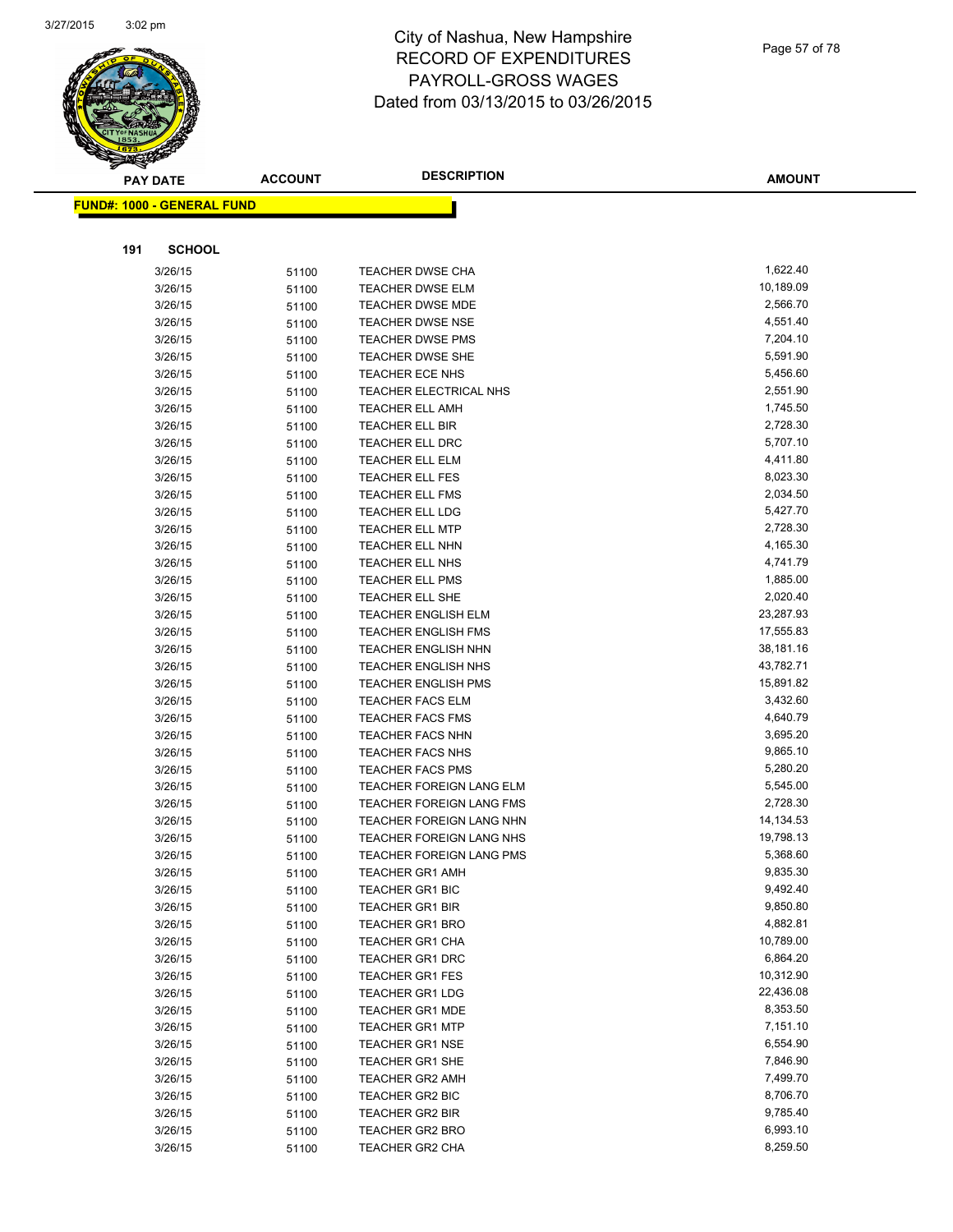

| Page 57 of 78 |  |
|---------------|--|
|---------------|--|

| <b>PAY DATE</b>                   | <b>ACCOUNT</b> | <b>DESCRIPTION</b>                                       | <b>AMOUNT</b>        |
|-----------------------------------|----------------|----------------------------------------------------------|----------------------|
| <b>FUND#: 1000 - GENERAL FUND</b> |                |                                                          |                      |
|                                   |                |                                                          |                      |
|                                   |                |                                                          |                      |
| 191<br><b>SCHOOL</b>              |                |                                                          |                      |
| 3/26/15                           | 51100          | <b>TEACHER DWSE CHA</b>                                  | 1,622.40             |
| 3/26/15                           | 51100          | <b>TEACHER DWSE ELM</b>                                  | 10,189.09            |
| 3/26/15                           | 51100          | <b>TEACHER DWSE MDE</b>                                  | 2,566.70             |
| 3/26/15                           | 51100          | <b>TEACHER DWSE NSE</b>                                  | 4,551.40             |
| 3/26/15                           | 51100          | <b>TEACHER DWSE PMS</b>                                  | 7,204.10             |
| 3/26/15                           | 51100          | TEACHER DWSE SHE                                         | 5,591.90             |
| 3/26/15                           | 51100          | <b>TEACHER ECE NHS</b>                                   | 5,456.60             |
| 3/26/15                           | 51100          | TEACHER ELECTRICAL NHS                                   | 2,551.90             |
| 3/26/15                           | 51100          | <b>TEACHER ELL AMH</b>                                   | 1,745.50             |
| 3/26/15                           | 51100          | <b>TEACHER ELL BIR</b>                                   | 2,728.30             |
| 3/26/15                           | 51100          | TEACHER ELL DRC                                          | 5,707.10             |
| 3/26/15                           | 51100          | TEACHER ELL ELM                                          | 4,411.80             |
| 3/26/15                           | 51100          | <b>TEACHER ELL FES</b>                                   | 8,023.30             |
| 3/26/15                           | 51100          | TEACHER ELL FMS                                          | 2,034.50             |
| 3/26/15                           | 51100          | <b>TEACHER ELL LDG</b>                                   | 5,427.70             |
| 3/26/15                           | 51100          | <b>TEACHER ELL MTP</b>                                   | 2,728.30             |
| 3/26/15                           | 51100          | TEACHER ELL NHN                                          | 4,165.30             |
| 3/26/15                           | 51100          | TEACHER ELL NHS                                          | 4,741.79             |
| 3/26/15                           | 51100          | <b>TEACHER ELL PMS</b>                                   | 1,885.00<br>2,020.40 |
| 3/26/15                           | 51100          | TEACHER ELL SHE                                          | 23,287.93            |
| 3/26/15                           | 51100          | <b>TEACHER ENGLISH ELM</b><br><b>TEACHER ENGLISH FMS</b> | 17,555.83            |
| 3/26/15                           | 51100          | <b>TEACHER ENGLISH NHN</b>                               | 38,181.16            |
| 3/26/15<br>3/26/15                | 51100          | <b>TEACHER ENGLISH NHS</b>                               | 43,782.71            |
| 3/26/15                           | 51100          | <b>TEACHER ENGLISH PMS</b>                               | 15,891.82            |
| 3/26/15                           | 51100<br>51100 | <b>TEACHER FACS ELM</b>                                  | 3,432.60             |
| 3/26/15                           | 51100          | <b>TEACHER FACS FMS</b>                                  | 4,640.79             |
| 3/26/15                           | 51100          | <b>TEACHER FACS NHN</b>                                  | 3,695.20             |
| 3/26/15                           | 51100          | <b>TEACHER FACS NHS</b>                                  | 9,865.10             |
| 3/26/15                           | 51100          | <b>TEACHER FACS PMS</b>                                  | 5,280.20             |
| 3/26/15                           | 51100          | TEACHER FOREIGN LANG ELM                                 | 5,545.00             |
| 3/26/15                           | 51100          | TEACHER FOREIGN LANG FMS                                 | 2,728.30             |
| 3/26/15                           | 51100          | TEACHER FOREIGN LANG NHN                                 | 14,134.53            |
| 3/26/15                           | 51100          | TEACHER FOREIGN LANG NHS                                 | 19,798.13            |
| 3/26/15                           | 51100          | TEACHER FOREIGN LANG PMS                                 | 5,368.60             |
| 3/26/15                           | 51100          | <b>TEACHER GR1 AMH</b>                                   | 9,835.30             |
| 3/26/15                           | 51100          | <b>TEACHER GR1 BIC</b>                                   | 9,492.40             |
| 3/26/15                           | 51100          | <b>TEACHER GR1 BIR</b>                                   | 9,850.80             |
| 3/26/15                           | 51100          | <b>TEACHER GR1 BRO</b>                                   | 4,882.81             |
| 3/26/15                           | 51100          | TEACHER GR1 CHA                                          | 10,789.00            |
| 3/26/15                           | 51100          | <b>TEACHER GR1 DRC</b>                                   | 6,864.20             |
| 3/26/15                           | 51100          | <b>TEACHER GR1 FES</b>                                   | 10,312.90            |
| 3/26/15                           | 51100          | <b>TEACHER GR1 LDG</b>                                   | 22,436.08            |
| 3/26/15                           | 51100          | <b>TEACHER GR1 MDE</b>                                   | 8,353.50             |
| 3/26/15                           | 51100          | <b>TEACHER GR1 MTP</b>                                   | 7,151.10             |
| 3/26/15                           | 51100          | <b>TEACHER GR1 NSE</b>                                   | 6,554.90             |
| 3/26/15                           | 51100          | <b>TEACHER GR1 SHE</b>                                   | 7,846.90             |
| 3/26/15                           | 51100          | <b>TEACHER GR2 AMH</b>                                   | 7,499.70             |
| 3/26/15                           | 51100          | TEACHER GR2 BIC                                          | 8,706.70             |
| 3/26/15                           | 51100          | TEACHER GR2 BIR                                          | 9,785.40             |
| 3/26/15                           | 51100          | TEACHER GR2 BRO                                          | 6,993.10             |
| 3/26/15                           | 51100          | TEACHER GR2 CHA                                          | 8,259.50             |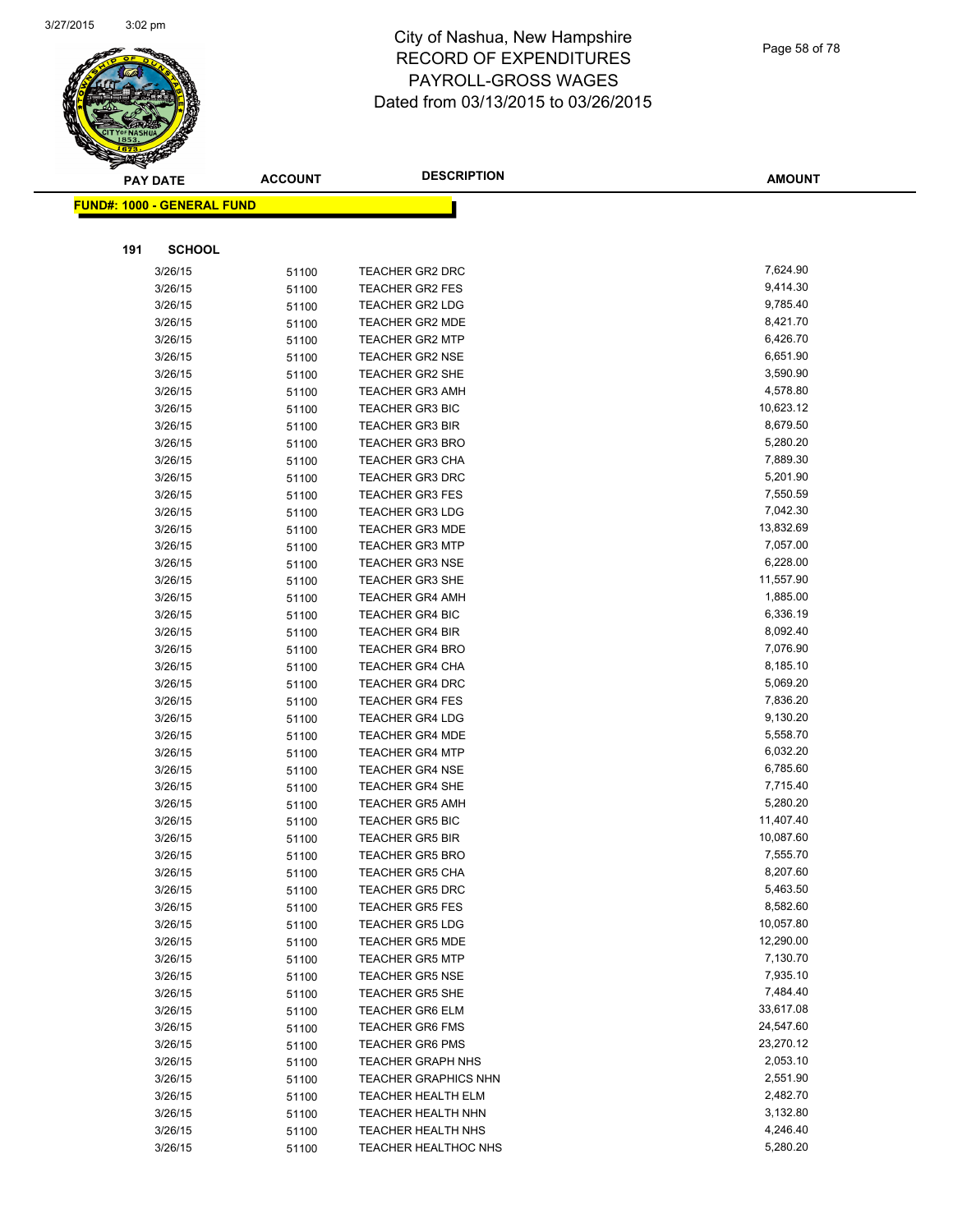

| Page 58 of 78 |  |  |
|---------------|--|--|
|               |  |  |

| <b>PAY DATE</b>                   | <b>ACCOUNT</b> | <b>DESCRIPTION</b>                               | <b>AMOUNT</b>        |
|-----------------------------------|----------------|--------------------------------------------------|----------------------|
| <b>FUND#: 1000 - GENERAL FUND</b> |                |                                                  |                      |
|                                   |                |                                                  |                      |
|                                   |                |                                                  |                      |
| <b>SCHOOL</b><br>191              |                |                                                  |                      |
| 3/26/15                           | 51100          | <b>TEACHER GR2 DRC</b>                           | 7,624.90             |
| 3/26/15                           | 51100          | <b>TEACHER GR2 FES</b>                           | 9,414.30             |
| 3/26/15                           | 51100          | TEACHER GR2 LDG                                  | 9,785.40             |
| 3/26/15                           | 51100          | <b>TEACHER GR2 MDE</b>                           | 8,421.70             |
| 3/26/15                           | 51100          | <b>TEACHER GR2 MTP</b>                           | 6,426.70             |
| 3/26/15                           | 51100          | <b>TEACHER GR2 NSE</b>                           | 6,651.90             |
| 3/26/15                           | 51100          | <b>TEACHER GR2 SHE</b>                           | 3,590.90             |
| 3/26/15                           | 51100          | <b>TEACHER GR3 AMH</b>                           | 4,578.80             |
| 3/26/15                           | 51100          | <b>TEACHER GR3 BIC</b>                           | 10,623.12            |
| 3/26/15                           | 51100          | <b>TEACHER GR3 BIR</b>                           | 8,679.50             |
| 3/26/15                           | 51100          | <b>TEACHER GR3 BRO</b>                           | 5,280.20             |
| 3/26/15                           | 51100          | <b>TEACHER GR3 CHA</b>                           | 7,889.30             |
| 3/26/15                           | 51100          | <b>TEACHER GR3 DRC</b>                           | 5,201.90             |
| 3/26/15                           | 51100          | <b>TEACHER GR3 FES</b>                           | 7,550.59             |
| 3/26/15                           | 51100          | <b>TEACHER GR3 LDG</b>                           | 7,042.30             |
| 3/26/15                           | 51100          | <b>TEACHER GR3 MDE</b>                           | 13,832.69            |
| 3/26/15                           | 51100          | <b>TEACHER GR3 MTP</b>                           | 7,057.00             |
| 3/26/15                           | 51100          | <b>TEACHER GR3 NSE</b>                           | 6,228.00             |
| 3/26/15                           | 51100          | <b>TEACHER GR3 SHE</b>                           | 11,557.90            |
| 3/26/15                           | 51100          | <b>TEACHER GR4 AMH</b>                           | 1,885.00             |
| 3/26/15                           | 51100          | <b>TEACHER GR4 BIC</b>                           | 6,336.19             |
| 3/26/15                           | 51100          | <b>TEACHER GR4 BIR</b>                           | 8,092.40             |
| 3/26/15                           | 51100          | <b>TEACHER GR4 BRO</b>                           | 7,076.90             |
| 3/26/15                           | 51100          | <b>TEACHER GR4 CHA</b>                           | 8,185.10             |
| 3/26/15                           | 51100          | <b>TEACHER GR4 DRC</b>                           | 5,069.20             |
| 3/26/15                           | 51100          | <b>TEACHER GR4 FES</b>                           | 7,836.20<br>9,130.20 |
| 3/26/15<br>3/26/15                | 51100          | <b>TEACHER GR4 LDG</b><br><b>TEACHER GR4 MDE</b> | 5,558.70             |
| 3/26/15                           | 51100          | <b>TEACHER GR4 MTP</b>                           | 6,032.20             |
| 3/26/15                           | 51100          | <b>TEACHER GR4 NSE</b>                           | 6,785.60             |
| 3/26/15                           | 51100          | <b>TEACHER GR4 SHE</b>                           | 7,715.40             |
| 3/26/15                           | 51100          | <b>TEACHER GR5 AMH</b>                           | 5,280.20             |
| 3/26/15                           | 51100<br>51100 | <b>TEACHER GR5 BIC</b>                           | 11,407.40            |
| 3/26/15                           |                | <b>TEACHER GR5 BIR</b>                           | 10,087.60            |
| 3/26/15                           | 51100<br>51100 | <b>TEACHER GR5 BRO</b>                           | 7,555.70             |
| 3/26/15                           | 51100          | TEACHER GR5 CHA                                  | 8,207.60             |
| 3/26/15                           | 51100          | <b>TEACHER GR5 DRC</b>                           | 5,463.50             |
| 3/26/15                           | 51100          | <b>TEACHER GR5 FES</b>                           | 8,582.60             |
| 3/26/15                           | 51100          | <b>TEACHER GR5 LDG</b>                           | 10,057.80            |
| 3/26/15                           | 51100          | <b>TEACHER GR5 MDE</b>                           | 12,290.00            |
| 3/26/15                           | 51100          | <b>TEACHER GR5 MTP</b>                           | 7,130.70             |
| 3/26/15                           | 51100          | <b>TEACHER GR5 NSE</b>                           | 7,935.10             |
| 3/26/15                           | 51100          | <b>TEACHER GR5 SHE</b>                           | 7,484.40             |
| 3/26/15                           | 51100          | <b>TEACHER GR6 ELM</b>                           | 33,617.08            |
| 3/26/15                           | 51100          | <b>TEACHER GR6 FMS</b>                           | 24,547.60            |
| 3/26/15                           | 51100          | <b>TEACHER GR6 PMS</b>                           | 23,270.12            |
| 3/26/15                           | 51100          | <b>TEACHER GRAPH NHS</b>                         | 2,053.10             |
| 3/26/15                           | 51100          | <b>TEACHER GRAPHICS NHN</b>                      | 2,551.90             |
| 3/26/15                           | 51100          | <b>TEACHER HEALTH ELM</b>                        | 2,482.70             |
| 3/26/15                           | 51100          | TEACHER HEALTH NHN                               | 3,132.80             |
| 3/26/15                           | 51100          | TEACHER HEALTH NHS                               | 4,246.40             |
| 3/26/15                           | 51100          | <b>TEACHER HEALTHOC NHS</b>                      | 5,280.20             |
|                                   |                |                                                  |                      |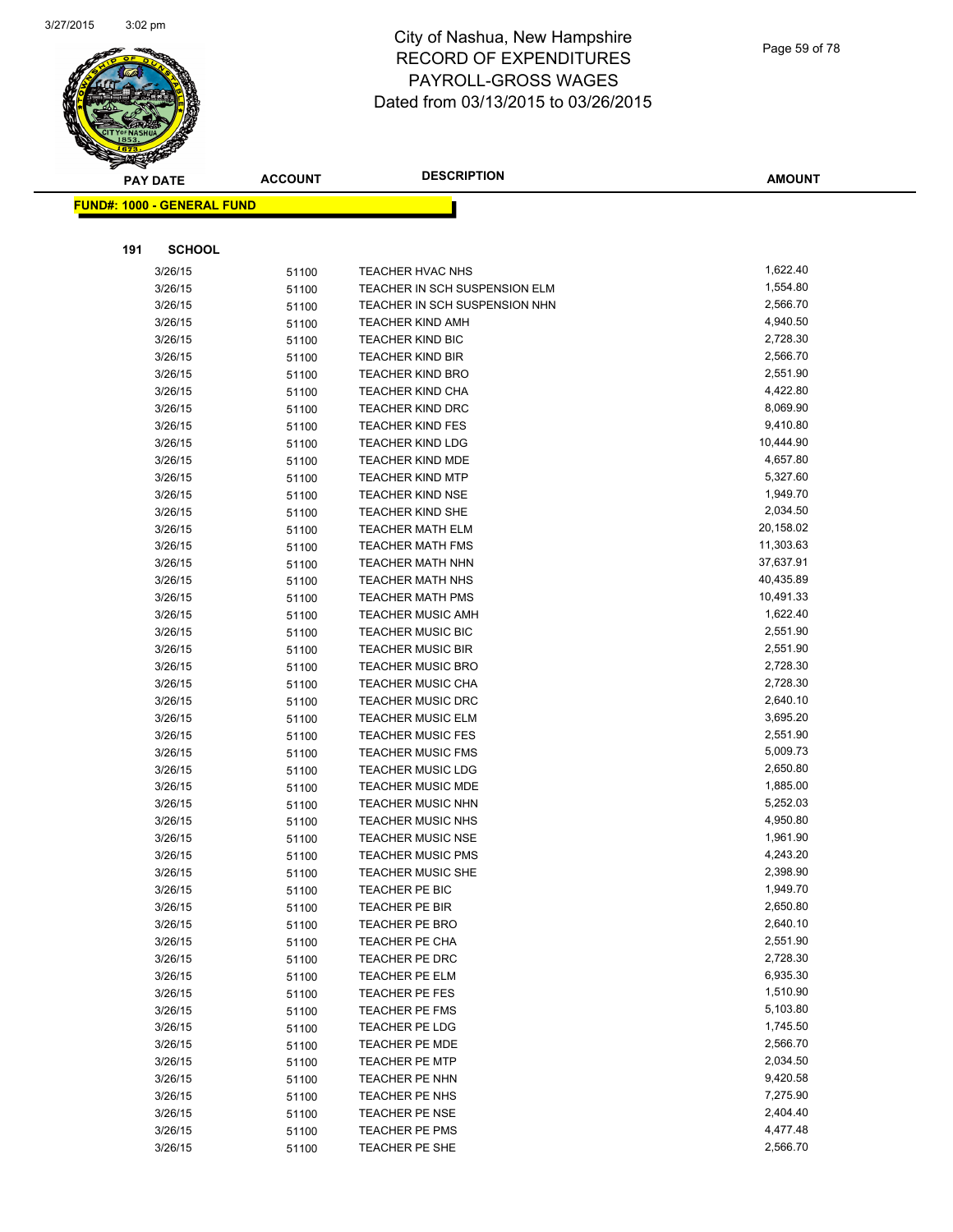

| Page 59 of 78 |  |
|---------------|--|
|---------------|--|

| <b>PAY DATE</b>                   | <b>ACCOUNT</b> | <b>DESCRIPTION</b>                      | <b>AMOUNT</b>        |
|-----------------------------------|----------------|-----------------------------------------|----------------------|
| <b>FUND#: 1000 - GENERAL FUND</b> |                |                                         |                      |
|                                   |                |                                         |                      |
|                                   |                |                                         |                      |
| 191<br><b>SCHOOL</b>              |                |                                         |                      |
| 3/26/15                           | 51100          | <b>TEACHER HVAC NHS</b>                 | 1,622.40             |
| 3/26/15                           | 51100          | TEACHER IN SCH SUSPENSION ELM           | 1,554.80             |
| 3/26/15                           | 51100          | TEACHER IN SCH SUSPENSION NHN           | 2,566.70             |
| 3/26/15                           | 51100          | <b>TEACHER KIND AMH</b>                 | 4,940.50             |
| 3/26/15                           | 51100          | <b>TEACHER KIND BIC</b>                 | 2,728.30             |
| 3/26/15                           | 51100          | <b>TEACHER KIND BIR</b>                 | 2,566.70             |
| 3/26/15                           | 51100          | <b>TEACHER KIND BRO</b>                 | 2,551.90             |
| 3/26/15                           | 51100          | <b>TEACHER KIND CHA</b>                 | 4,422.80             |
| 3/26/15                           | 51100          | <b>TEACHER KIND DRC</b>                 | 8,069.90             |
| 3/26/15                           | 51100          | <b>TEACHER KIND FES</b>                 | 9,410.80             |
| 3/26/15                           | 51100          | <b>TEACHER KIND LDG</b>                 | 10,444.90            |
| 3/26/15                           | 51100          | <b>TEACHER KIND MDE</b>                 | 4,657.80             |
| 3/26/15                           | 51100          | <b>TEACHER KIND MTP</b>                 | 5,327.60             |
| 3/26/15                           | 51100          | <b>TEACHER KIND NSE</b>                 | 1,949.70             |
| 3/26/15                           | 51100          | TEACHER KIND SHE                        | 2,034.50             |
| 3/26/15                           | 51100          | <b>TEACHER MATH ELM</b>                 | 20,158.02            |
| 3/26/15                           | 51100          | <b>TEACHER MATH FMS</b>                 | 11,303.63            |
| 3/26/15                           | 51100          | <b>TEACHER MATH NHN</b>                 | 37,637.91            |
| 3/26/15                           | 51100          | <b>TEACHER MATH NHS</b>                 | 40,435.89            |
| 3/26/15                           | 51100          | <b>TEACHER MATH PMS</b>                 | 10,491.33            |
| 3/26/15                           | 51100          | <b>TEACHER MUSIC AMH</b>                | 1,622.40             |
| 3/26/15                           | 51100          | <b>TEACHER MUSIC BIC</b>                | 2,551.90             |
| 3/26/15                           | 51100          | <b>TEACHER MUSIC BIR</b>                | 2,551.90             |
| 3/26/15                           | 51100          | <b>TEACHER MUSIC BRO</b>                | 2,728.30             |
| 3/26/15                           | 51100          | <b>TEACHER MUSIC CHA</b>                | 2,728.30             |
| 3/26/15                           | 51100          | <b>TEACHER MUSIC DRC</b>                | 2,640.10             |
| 3/26/15                           | 51100          | <b>TEACHER MUSIC ELM</b>                | 3,695.20             |
| 3/26/15                           | 51100          | <b>TEACHER MUSIC FES</b>                | 2,551.90             |
| 3/26/15                           | 51100          | <b>TEACHER MUSIC FMS</b>                | 5,009.73             |
| 3/26/15                           | 51100          | <b>TEACHER MUSIC LDG</b>                | 2,650.80             |
| 3/26/15                           | 51100          | <b>TEACHER MUSIC MDE</b>                | 1,885.00             |
| 3/26/15                           | 51100          | <b>TEACHER MUSIC NHN</b>                | 5,252.03             |
| 3/26/15                           | 51100          | <b>TEACHER MUSIC NHS</b>                | 4,950.80             |
| 3/26/15                           | 51100          | <b>TEACHER MUSIC NSE</b>                | 1,961.90<br>4,243.20 |
| 3/26/15                           | 51100          | <b>TEACHER MUSIC PMS</b>                |                      |
| 3/26/15                           | 51100          | <b>TEACHER MUSIC SHE</b>                | 2,398.90<br>1,949.70 |
| 3/26/15                           | 51100          | TEACHER PE BIC<br>TEACHER PE BIR        | 2,650.80             |
| 3/26/15                           | 51100          |                                         | 2,640.10             |
| 3/26/15<br>3/26/15                | 51100          | <b>TEACHER PE BRO</b><br>TEACHER PE CHA | 2,551.90             |
|                                   | 51100          | TEACHER PE DRC                          | 2,728.30             |
| 3/26/15                           | 51100          | TEACHER PE ELM                          | 6,935.30             |
| 3/26/15<br>3/26/15                | 51100          | TEACHER PE FES                          | 1,510.90             |
| 3/26/15                           | 51100          | <b>TEACHER PE FMS</b>                   | 5,103.80             |
| 3/26/15                           | 51100<br>51100 | TEACHER PE LDG                          | 1,745.50             |
| 3/26/15                           | 51100          | <b>TEACHER PE MDE</b>                   | 2,566.70             |
| 3/26/15                           |                | <b>TEACHER PE MTP</b>                   | 2,034.50             |
|                                   | 51100          | TEACHER PE NHN                          | 9,420.58             |
| 3/26/15<br>3/26/15                | 51100          | TEACHER PE NHS                          | 7,275.90             |
| 3/26/15                           | 51100          | <b>TEACHER PE NSE</b>                   | 2,404.40             |
| 3/26/15                           | 51100          | TEACHER PE PMS                          | 4,477.48             |
| 3/26/15                           | 51100<br>51100 | TEACHER PE SHE                          | 2,566.70             |
|                                   |                |                                         |                      |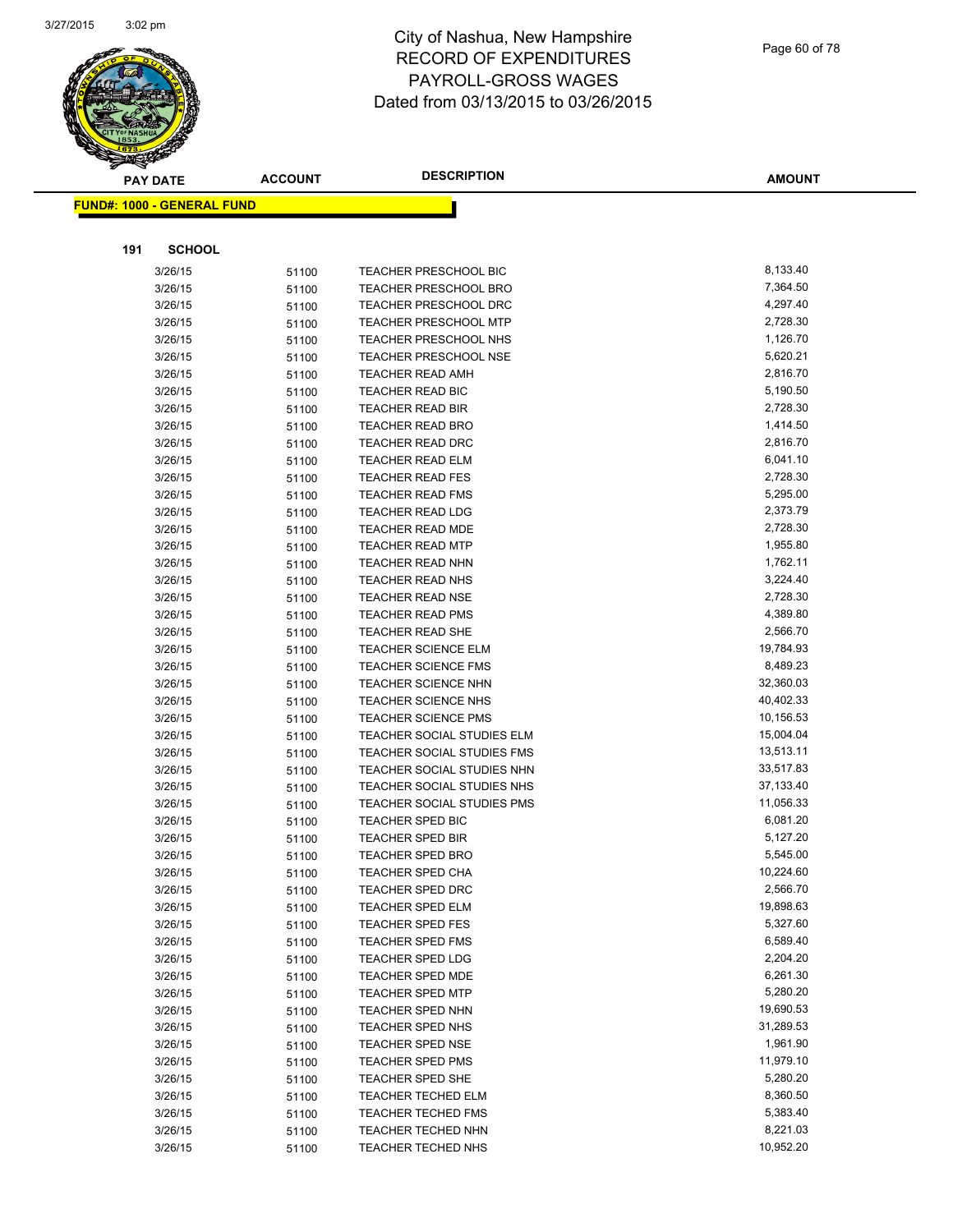

|     | <b>PAY DATE</b>            | <b>ACCOUNT</b> | <b>DESCRIPTION</b>           | <b>AMOUNT</b> |
|-----|----------------------------|----------------|------------------------------|---------------|
|     | FUND#: 1000 - GENERAL FUND |                |                              |               |
|     |                            |                |                              |               |
|     |                            |                |                              |               |
| 191 | <b>SCHOOL</b>              |                |                              |               |
|     | 3/26/15                    | 51100          | TEACHER PRESCHOOL BIC        | 8,133.40      |
|     | 3/26/15                    | 51100          | <b>TEACHER PRESCHOOL BRO</b> | 7,364.50      |
|     | 3/26/15                    | 51100          | <b>TEACHER PRESCHOOL DRC</b> | 4,297.40      |
|     | 3/26/15                    | 51100          | TEACHER PRESCHOOL MTP        | 2,728.30      |
|     | 3/26/15                    | 51100          | <b>TEACHER PRESCHOOL NHS</b> | 1,126.70      |
|     | 3/26/15                    | 51100          | <b>TEACHER PRESCHOOL NSE</b> | 5,620.21      |
|     | 3/26/15                    | 51100          | <b>TEACHER READ AMH</b>      | 2,816.70      |
|     | 3/26/15                    | 51100          | TEACHER READ BIC             | 5,190.50      |
|     | 3/26/15                    | 51100          | TEACHER READ BIR             | 2,728.30      |
|     | 3/26/15                    | 51100          | <b>TEACHER READ BRO</b>      | 1,414.50      |
|     | 3/26/15                    | 51100          | <b>TEACHER READ DRC</b>      | 2,816.70      |
|     | 3/26/15                    | 51100          | <b>TEACHER READ ELM</b>      | 6,041.10      |
|     | 3/26/15                    | 51100          | <b>TEACHER READ FES</b>      | 2,728.30      |
|     | 3/26/15                    | 51100          | <b>TEACHER READ FMS</b>      | 5,295.00      |
|     | 3/26/15                    | 51100          | <b>TEACHER READ LDG</b>      | 2,373.79      |
|     | 3/26/15                    | 51100          | <b>TEACHER READ MDE</b>      | 2,728.30      |
|     | 3/26/15                    | 51100          | <b>TEACHER READ MTP</b>      | 1,955.80      |
|     | 3/26/15                    | 51100          | TEACHER READ NHN             | 1,762.11      |
|     | 3/26/15                    | 51100          | <b>TEACHER READ NHS</b>      | 3,224.40      |
|     | 3/26/15                    | 51100          | <b>TEACHER READ NSE</b>      | 2,728.30      |
|     | 3/26/15                    | 51100          | <b>TEACHER READ PMS</b>      | 4,389.80      |
|     | 3/26/15                    | 51100          | <b>TEACHER READ SHE</b>      | 2,566.70      |
|     | 3/26/15                    | 51100          | <b>TEACHER SCIENCE ELM</b>   | 19,784.93     |
|     | 3/26/15                    | 51100          | <b>TEACHER SCIENCE FMS</b>   | 8,489.23      |
|     | 3/26/15                    | 51100          | <b>TEACHER SCIENCE NHN</b>   | 32,360.03     |
|     | 3/26/15                    | 51100          | <b>TEACHER SCIENCE NHS</b>   | 40,402.33     |
|     | 3/26/15                    | 51100          | <b>TEACHER SCIENCE PMS</b>   | 10,156.53     |
|     | 3/26/15                    | 51100          | TEACHER SOCIAL STUDIES ELM   | 15,004.04     |
|     | 3/26/15                    | 51100          | TEACHER SOCIAL STUDIES FMS   | 13,513.11     |
|     | 3/26/15                    | 51100          | TEACHER SOCIAL STUDIES NHN   | 33,517.83     |
|     | 3/26/15                    | 51100          | TEACHER SOCIAL STUDIES NHS   | 37,133.40     |
|     | 3/26/15                    | 51100          | TEACHER SOCIAL STUDIES PMS   | 11,056.33     |
|     | 3/26/15                    | 51100          | <b>TEACHER SPED BIC</b>      | 6,081.20      |
|     | 3/26/15                    | 51100          | <b>TEACHER SPED BIR</b>      | 5,127.20      |
|     | 3/26/15                    | 51100          | <b>TEACHER SPED BRO</b>      | 5,545.00      |
|     | 3/26/15                    | 51100          | TEACHER SPED CHA             | 10,224.60     |
|     | 3/26/15                    | 51100          | <b>TEACHER SPED DRC</b>      | 2,566.70      |
|     | 3/26/15                    | 51100          | <b>TEACHER SPED ELM</b>      | 19,898.63     |
|     | 3/26/15                    | 51100          | <b>TEACHER SPED FES</b>      | 5,327.60      |
|     | 3/26/15                    | 51100          | <b>TEACHER SPED FMS</b>      | 6,589.40      |
|     | 3/26/15                    | 51100          | <b>TEACHER SPED LDG</b>      | 2,204.20      |
|     | 3/26/15                    | 51100          | TEACHER SPED MDE             | 6,261.30      |
|     | 3/26/15                    | 51100          | <b>TEACHER SPED MTP</b>      | 5,280.20      |
|     | 3/26/15                    | 51100          | TEACHER SPED NHN             | 19,690.53     |
|     | 3/26/15                    | 51100          | TEACHER SPED NHS             | 31,289.53     |
|     | 3/26/15                    |                | <b>TEACHER SPED NSE</b>      | 1,961.90      |
|     | 3/26/15                    | 51100          | <b>TEACHER SPED PMS</b>      | 11,979.10     |
|     | 3/26/15                    | 51100          | <b>TEACHER SPED SHE</b>      | 5,280.20      |
|     | 3/26/15                    | 51100          | <b>TEACHER TECHED ELM</b>    | 8,360.50      |
|     |                            | 51100          | <b>TEACHER TECHED FMS</b>    | 5,383.40      |
|     | 3/26/15                    | 51100          | <b>TEACHER TECHED NHN</b>    | 8,221.03      |
|     | 3/26/15                    | 51100          |                              | 10,952.20     |
|     | 3/26/15                    | 51100          | TEACHER TECHED NHS           |               |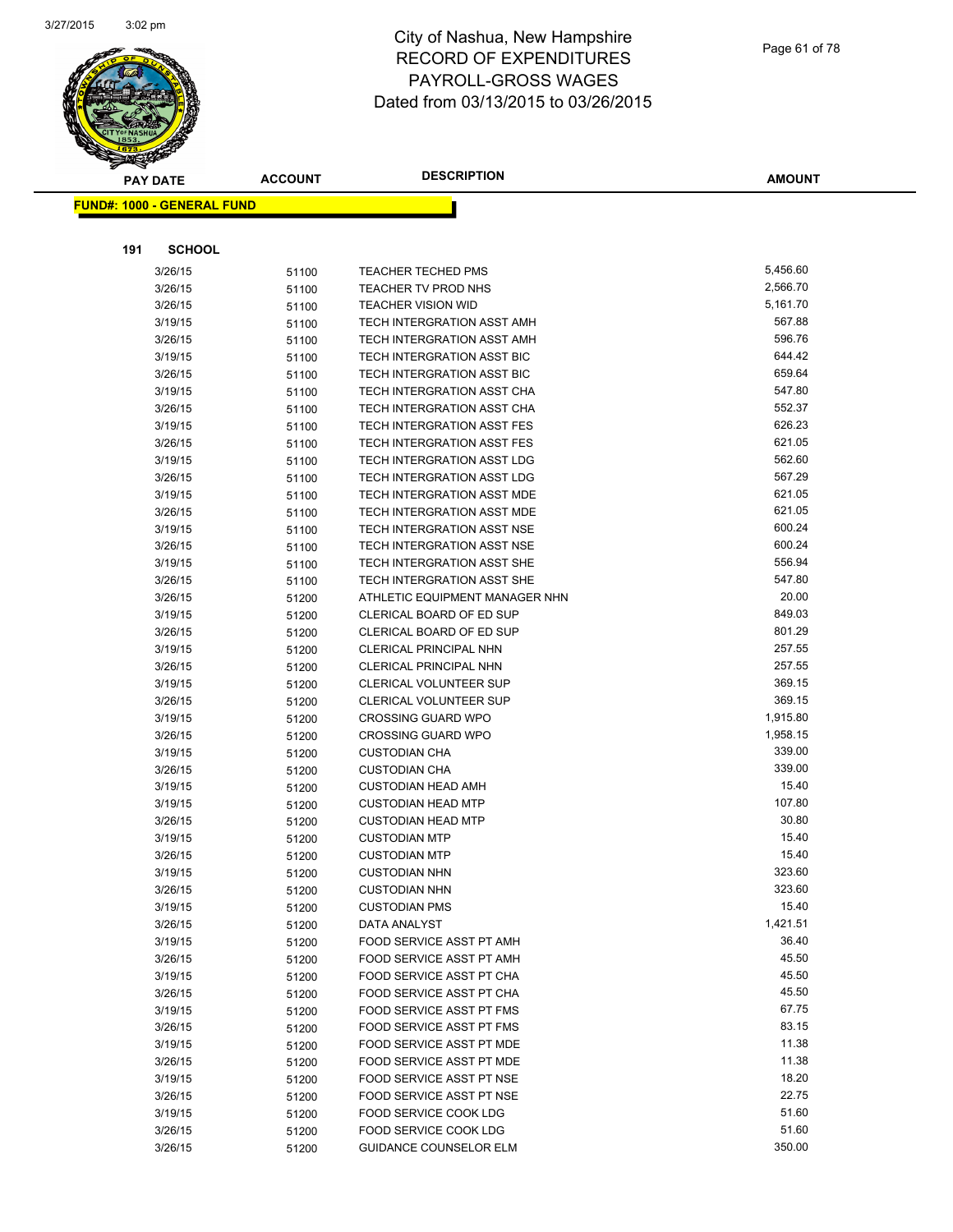

| <b>PAY DATE</b>                   | <b>ACCOUNT</b> | <b>DESCRIPTION</b>                                         | <b>AMOUNT</b>    |
|-----------------------------------|----------------|------------------------------------------------------------|------------------|
| <b>FUND#: 1000 - GENERAL FUND</b> |                |                                                            |                  |
|                                   |                |                                                            |                  |
|                                   |                |                                                            |                  |
| 191<br><b>SCHOOL</b>              |                |                                                            |                  |
| 3/26/15                           | 51100          | <b>TEACHER TECHED PMS</b>                                  | 5,456.60         |
| 3/26/15                           | 51100          | TEACHER TV PROD NHS                                        | 2,566.70         |
| 3/26/15                           | 51100          | <b>TEACHER VISION WID</b>                                  | 5,161.70         |
| 3/19/15                           | 51100          | TECH INTERGRATION ASST AMH                                 | 567.88           |
| 3/26/15                           | 51100          | TECH INTERGRATION ASST AMH                                 | 596.76           |
| 3/19/15                           | 51100          | TECH INTERGRATION ASST BIC                                 | 644.42           |
| 3/26/15                           | 51100          | TECH INTERGRATION ASST BIC                                 | 659.64           |
| 3/19/15                           | 51100          | <b>TECH INTERGRATION ASST CHA</b>                          | 547.80           |
| 3/26/15                           | 51100          | TECH INTERGRATION ASST CHA                                 | 552.37           |
| 3/19/15                           | 51100          | TECH INTERGRATION ASST FES                                 | 626.23           |
| 3/26/15                           | 51100          | TECH INTERGRATION ASST FES                                 | 621.05           |
| 3/19/15                           | 51100          | TECH INTERGRATION ASST LDG                                 | 562.60           |
| 3/26/15                           | 51100          | TECH INTERGRATION ASST LDG                                 | 567.29           |
| 3/19/15                           | 51100          | TECH INTERGRATION ASST MDE                                 | 621.05           |
| 3/26/15                           | 51100          | TECH INTERGRATION ASST MDE                                 | 621.05           |
| 3/19/15                           | 51100          | TECH INTERGRATION ASST NSE                                 | 600.24<br>600.24 |
| 3/26/15                           | 51100          | TECH INTERGRATION ASST NSE                                 | 556.94           |
| 3/19/15                           | 51100          | TECH INTERGRATION ASST SHE                                 |                  |
| 3/26/15                           | 51100          | TECH INTERGRATION ASST SHE                                 | 547.80<br>20.00  |
| 3/26/15<br>3/19/15                | 51200          | ATHLETIC EQUIPMENT MANAGER NHN<br>CLERICAL BOARD OF ED SUP | 849.03           |
| 3/26/15                           | 51200          | CLERICAL BOARD OF ED SUP                                   | 801.29           |
| 3/19/15                           | 51200          | CLERICAL PRINCIPAL NHN                                     | 257.55           |
| 3/26/15                           | 51200<br>51200 | CLERICAL PRINCIPAL NHN                                     | 257.55           |
| 3/19/15                           | 51200          | CLERICAL VOLUNTEER SUP                                     | 369.15           |
| 3/26/15                           | 51200          | CLERICAL VOLUNTEER SUP                                     | 369.15           |
| 3/19/15                           | 51200          | <b>CROSSING GUARD WPO</b>                                  | 1,915.80         |
| 3/26/15                           | 51200          | <b>CROSSING GUARD WPO</b>                                  | 1,958.15         |
| 3/19/15                           | 51200          | <b>CUSTODIAN CHA</b>                                       | 339.00           |
| 3/26/15                           | 51200          | <b>CUSTODIAN CHA</b>                                       | 339.00           |
| 3/19/15                           | 51200          | <b>CUSTODIAN HEAD AMH</b>                                  | 15.40            |
| 3/19/15                           | 51200          | <b>CUSTODIAN HEAD MTP</b>                                  | 107.80           |
| 3/26/15                           | 51200          | <b>CUSTODIAN HEAD MTP</b>                                  | 30.80            |
| 3/19/15                           | 51200          | <b>CUSTODIAN MTP</b>                                       | 15.40            |
| 3/26/15                           | 51200          | <b>CUSTODIAN MTP</b>                                       | 15.40            |
| 3/19/15                           | 51200          | <b>CUSTODIAN NHN</b>                                       | 323.60           |
| 3/26/15                           | 51200          | <b>CUSTODIAN NHN</b>                                       | 323.60           |
| 3/19/15                           | 51200          | <b>CUSTODIAN PMS</b>                                       | 15.40            |
| 3/26/15                           | 51200          | DATA ANALYST                                               | 1,421.51         |
| 3/19/15                           | 51200          | FOOD SERVICE ASST PT AMH                                   | 36.40            |
| 3/26/15                           | 51200          | FOOD SERVICE ASST PT AMH                                   | 45.50            |
| 3/19/15                           | 51200          | FOOD SERVICE ASST PT CHA                                   | 45.50            |
| 3/26/15                           | 51200          | FOOD SERVICE ASST PT CHA                                   | 45.50            |
| 3/19/15                           | 51200          | FOOD SERVICE ASST PT FMS                                   | 67.75            |
| 3/26/15                           | 51200          | FOOD SERVICE ASST PT FMS                                   | 83.15            |
| 3/19/15                           | 51200          | FOOD SERVICE ASST PT MDE                                   | 11.38            |
| 3/26/15                           | 51200          | FOOD SERVICE ASST PT MDE                                   | 11.38            |
| 3/19/15                           | 51200          | FOOD SERVICE ASST PT NSE                                   | 18.20            |
| 3/26/15                           | 51200          | FOOD SERVICE ASST PT NSE                                   | 22.75            |
| 3/19/15                           | 51200          | FOOD SERVICE COOK LDG                                      | 51.60            |
| 3/26/15                           | 51200          | FOOD SERVICE COOK LDG                                      | 51.60            |
| 3/26/15                           | 51200          | GUIDANCE COUNSELOR ELM                                     | 350.00           |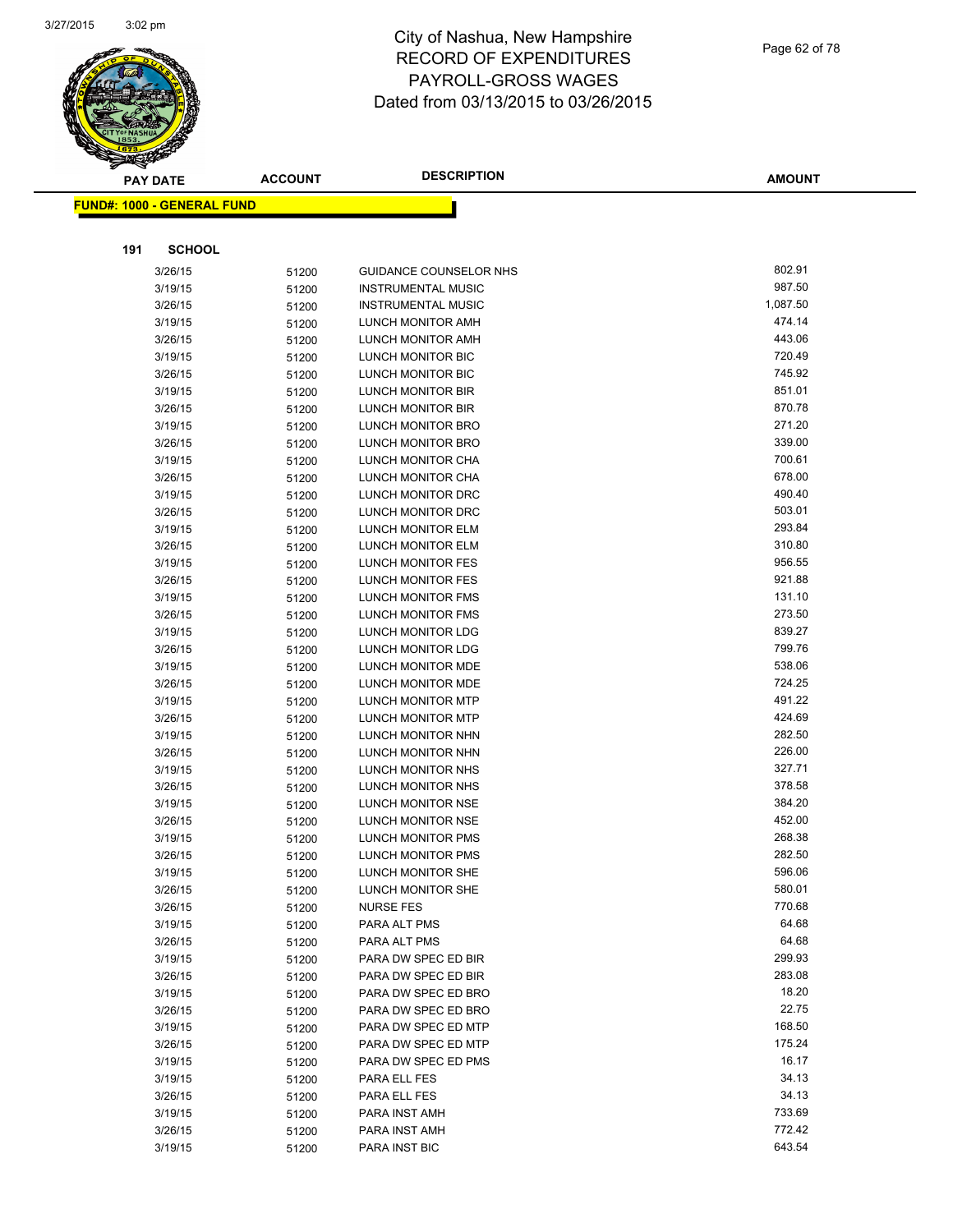

| ΞS     |  |  |
|--------|--|--|
|        |  |  |
| 6/2015 |  |  |
|        |  |  |
|        |  |  |

| <b>PAY DATE</b>                   | <b>ACCOUNT</b> | <b>DESCRIPTION</b>                                   | <b>AMOUNT</b>    |
|-----------------------------------|----------------|------------------------------------------------------|------------------|
| <b>FUND#: 1000 - GENERAL FUND</b> |                |                                                      |                  |
|                                   |                |                                                      |                  |
|                                   |                |                                                      |                  |
| 191<br><b>SCHOOL</b>              |                |                                                      |                  |
| 3/26/15                           | 51200          | GUIDANCE COUNSELOR NHS                               | 802.91           |
| 3/19/15                           | 51200          | <b>INSTRUMENTAL MUSIC</b>                            | 987.50           |
| 3/26/15                           | 51200          | <b>INSTRUMENTAL MUSIC</b>                            | 1,087.50         |
| 3/19/15                           | 51200          | LUNCH MONITOR AMH                                    | 474.14           |
| 3/26/15                           | 51200          | <b>LUNCH MONITOR AMH</b>                             | 443.06           |
| 3/19/15                           | 51200          | LUNCH MONITOR BIC                                    | 720.49           |
| 3/26/15                           | 51200          | LUNCH MONITOR BIC                                    | 745.92           |
| 3/19/15                           | 51200          | LUNCH MONITOR BIR                                    | 851.01           |
| 3/26/15                           | 51200          | LUNCH MONITOR BIR                                    | 870.78           |
| 3/19/15                           | 51200          | LUNCH MONITOR BRO                                    | 271.20           |
| 3/26/15                           | 51200          | LUNCH MONITOR BRO                                    | 339.00           |
| 3/19/15                           | 51200          | LUNCH MONITOR CHA                                    | 700.61           |
| 3/26/15                           | 51200          | LUNCH MONITOR CHA                                    | 678.00           |
| 3/19/15                           | 51200          | LUNCH MONITOR DRC                                    | 490.40           |
| 3/26/15                           | 51200          | LUNCH MONITOR DRC                                    | 503.01           |
| 3/19/15                           | 51200          | <b>LUNCH MONITOR ELM</b>                             | 293.84           |
| 3/26/15                           | 51200          | LUNCH MONITOR ELM                                    | 310.80           |
| 3/19/15                           | 51200          | <b>LUNCH MONITOR FES</b>                             | 956.55           |
| 3/26/15                           | 51200          | LUNCH MONITOR FES                                    | 921.88           |
| 3/19/15                           | 51200          | LUNCH MONITOR FMS                                    | 131.10           |
| 3/26/15                           | 51200          | LUNCH MONITOR FMS                                    | 273.50           |
| 3/19/15                           | 51200          | LUNCH MONITOR LDG                                    | 839.27           |
| 3/26/15                           | 51200          | LUNCH MONITOR LDG                                    | 799.76<br>538.06 |
| 3/19/15                           | 51200          | LUNCH MONITOR MDE                                    | 724.25           |
| 3/26/15                           | 51200          | LUNCH MONITOR MDE                                    | 491.22           |
| 3/19/15                           | 51200          | <b>LUNCH MONITOR MTP</b><br><b>LUNCH MONITOR MTP</b> | 424.69           |
| 3/26/15<br>3/19/15                | 51200          | LUNCH MONITOR NHN                                    | 282.50           |
| 3/26/15                           | 51200          | LUNCH MONITOR NHN                                    | 226.00           |
| 3/19/15                           | 51200<br>51200 | LUNCH MONITOR NHS                                    | 327.71           |
| 3/26/15                           | 51200          | LUNCH MONITOR NHS                                    | 378.58           |
| 3/19/15                           | 51200          | LUNCH MONITOR NSE                                    | 384.20           |
| 3/26/15                           | 51200          | LUNCH MONITOR NSE                                    | 452.00           |
| 3/19/15                           | 51200          | LUNCH MONITOR PMS                                    | 268.38           |
| 3/26/15                           | 51200          | LUNCH MONITOR PMS                                    | 282.50           |
| 3/19/15                           | 51200          | LUNCH MONITOR SHE                                    | 596.06           |
| 3/26/15                           | 51200          | LUNCH MONITOR SHE                                    | 580.01           |
| 3/26/15                           | 51200          | <b>NURSE FES</b>                                     | 770.68           |
| 3/19/15                           | 51200          | PARA ALT PMS                                         | 64.68            |
| 3/26/15                           | 51200          | PARA ALT PMS                                         | 64.68            |
| 3/19/15                           | 51200          | PARA DW SPEC ED BIR                                  | 299.93           |
| 3/26/15                           | 51200          | PARA DW SPEC ED BIR                                  | 283.08           |
| 3/19/15                           | 51200          | PARA DW SPEC ED BRO                                  | 18.20            |
| 3/26/15                           | 51200          | PARA DW SPEC ED BRO                                  | 22.75            |
| 3/19/15                           | 51200          | PARA DW SPEC ED MTP                                  | 168.50           |
| 3/26/15                           | 51200          | PARA DW SPEC ED MTP                                  | 175.24           |
| 3/19/15                           | 51200          | PARA DW SPEC ED PMS                                  | 16.17            |
| 3/19/15                           | 51200          | PARA ELL FES                                         | 34.13            |
| 3/26/15                           | 51200          | PARA ELL FES                                         | 34.13            |
| 3/19/15                           | 51200          | PARA INST AMH                                        | 733.69           |
| 3/26/15                           | 51200          | PARA INST AMH                                        | 772.42           |
| 3/19/15                           | 51200          | PARA INST BIC                                        | 643.54           |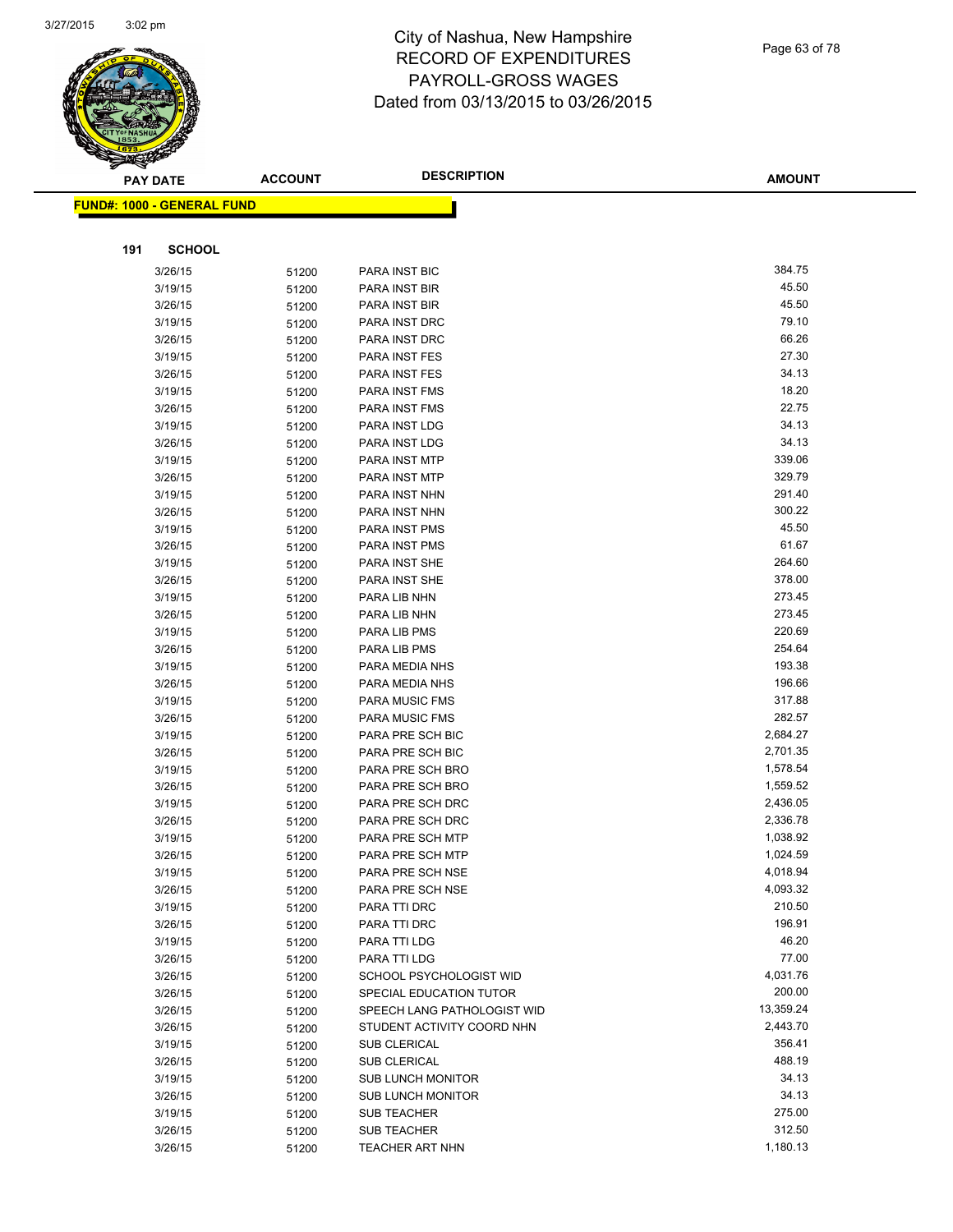

| ॼ   | <b>PAY DATE</b>                   | <b>ACCOUNT</b> | <b>DESCRIPTION</b>               | <b>AMOUNT</b>   |
|-----|-----------------------------------|----------------|----------------------------------|-----------------|
|     | <b>FUND#: 1000 - GENERAL FUND</b> |                |                                  |                 |
|     |                                   |                |                                  |                 |
|     |                                   |                |                                  |                 |
| 191 | <b>SCHOOL</b>                     |                |                                  |                 |
|     | 3/26/15                           | 51200          | PARA INST BIC                    | 384.75          |
|     | 3/19/15                           | 51200          | PARA INST BIR                    | 45.50           |
|     | 3/26/15                           | 51200          | PARA INST BIR                    | 45.50           |
|     | 3/19/15                           | 51200          | PARA INST DRC                    | 79.10           |
|     | 3/26/15                           | 51200          | PARA INST DRC                    | 66.26           |
|     | 3/19/15                           | 51200          | PARA INST FES                    | 27.30           |
|     | 3/26/15                           | 51200          | PARA INST FES                    | 34.13           |
|     | 3/19/15                           | 51200          | PARA INST FMS                    | 18.20           |
|     | 3/26/15                           | 51200          | PARA INST FMS                    | 22.75           |
|     | 3/19/15                           | 51200          | PARA INST LDG                    | 34.13           |
|     | 3/26/15                           | 51200          | PARA INST LDG                    | 34.13           |
|     | 3/19/15                           | 51200          | PARA INST MTP                    | 339.06          |
|     | 3/26/15                           | 51200          | PARA INST MTP                    | 329.79          |
|     | 3/19/15                           | 51200          | PARA INST NHN                    | 291.40          |
|     | 3/26/15                           | 51200          | PARA INST NHN                    | 300.22          |
|     | 3/19/15                           | 51200          | PARA INST PMS                    | 45.50           |
|     | 3/26/15                           | 51200          | PARA INST PMS                    | 61.67<br>264.60 |
|     | 3/19/15                           | 51200          | PARA INST SHE                    | 378.00          |
|     | 3/26/15                           | 51200          | PARA INST SHE                    | 273.45          |
|     | 3/19/15                           | 51200          | PARA LIB NHN                     | 273.45          |
|     | 3/26/15                           | 51200          | PARA LIB NHN                     | 220.69          |
|     | 3/19/15                           | 51200          | PARA LIB PMS                     | 254.64          |
|     | 3/26/15                           | 51200          | PARA LIB PMS                     | 193.38          |
|     | 3/19/15<br>3/26/15                | 51200          | PARA MEDIA NHS<br>PARA MEDIA NHS | 196.66          |
|     | 3/19/15                           | 51200          | PARA MUSIC FMS                   | 317.88          |
|     | 3/26/15                           | 51200          | PARA MUSIC FMS                   | 282.57          |
|     | 3/19/15                           | 51200<br>51200 | PARA PRE SCH BIC                 | 2,684.27        |
|     | 3/26/15                           | 51200          | PARA PRE SCH BIC                 | 2,701.35        |
|     | 3/19/15                           | 51200          | PARA PRE SCH BRO                 | 1,578.54        |
|     | 3/26/15                           | 51200          | PARA PRE SCH BRO                 | 1,559.52        |
|     | 3/19/15                           | 51200          | PARA PRE SCH DRC                 | 2,436.05        |
|     | 3/26/15                           | 51200          | PARA PRE SCH DRC                 | 2,336.78        |
|     | 3/19/15                           | 51200          | PARA PRE SCH MTP                 | 1,038.92        |
|     | 3/26/15                           | 51200          | PARA PRE SCH MTP                 | 1,024.59        |
|     | 3/19/15                           | 51200          | PARA PRE SCH NSE                 | 4,018.94        |
|     | 3/26/15                           | 51200          | PARA PRE SCH NSE                 | 4,093.32        |
|     | 3/19/15                           | 51200          | PARA TTI DRC                     | 210.50          |
|     | 3/26/15                           | 51200          | PARA TTI DRC                     | 196.91          |
|     | 3/19/15                           | 51200          | PARA TTI LDG                     | 46.20           |
|     | 3/26/15                           | 51200          | PARA TTI LDG                     | 77.00           |
|     | 3/26/15                           | 51200          | SCHOOL PSYCHOLOGIST WID          | 4,031.76        |
|     | 3/26/15                           | 51200          | SPECIAL EDUCATION TUTOR          | 200.00          |
|     | 3/26/15                           | 51200          | SPEECH LANG PATHOLOGIST WID      | 13,359.24       |
|     | 3/26/15                           | 51200          | STUDENT ACTIVITY COORD NHN       | 2,443.70        |
|     | 3/19/15                           | 51200          | SUB CLERICAL                     | 356.41          |
|     | 3/26/15                           | 51200          | <b>SUB CLERICAL</b>              | 488.19          |
|     | 3/19/15                           | 51200          | <b>SUB LUNCH MONITOR</b>         | 34.13           |
|     | 3/26/15                           | 51200          | <b>SUB LUNCH MONITOR</b>         | 34.13           |
|     | 3/19/15                           | 51200          | <b>SUB TEACHER</b>               | 275.00          |
|     | 3/26/15                           | 51200          | SUB TEACHER                      | 312.50          |
|     | 3/26/15                           | 51200          | TEACHER ART NHN                  | 1,180.13        |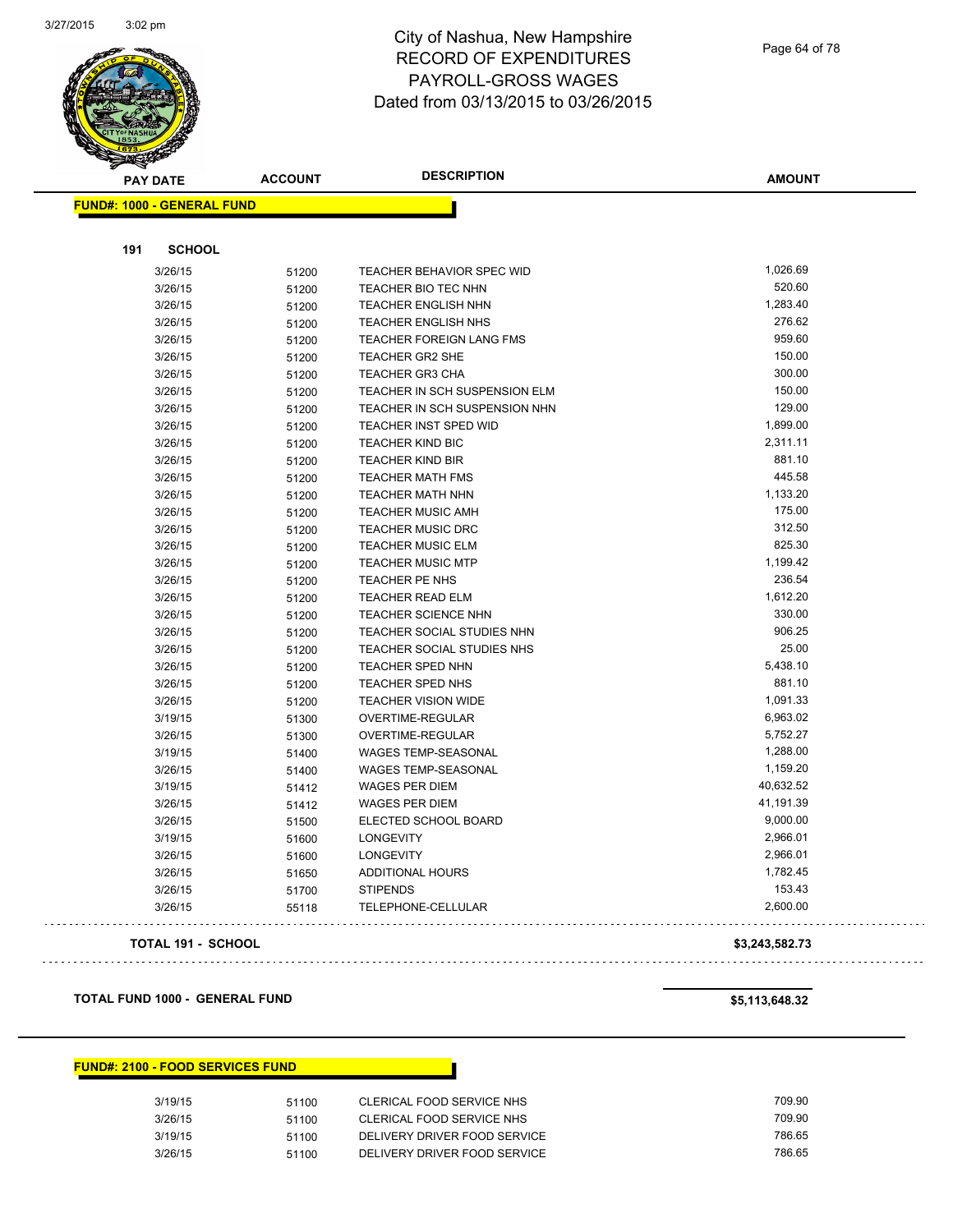

Page 64 of 78

| <b>PAY DATE</b> |                                   | <b>ACCOUNT</b> | <b>DESCRIPTION</b>                | <b>AMOUNT</b> |
|-----------------|-----------------------------------|----------------|-----------------------------------|---------------|
|                 | <b>FUND#: 1000 - GENERAL FUND</b> |                |                                   |               |
|                 |                                   |                |                                   |               |
| 191             | <b>SCHOOL</b>                     |                |                                   |               |
|                 | 3/26/15                           | 51200          | TEACHER BEHAVIOR SPEC WID         | 1,026.69      |
|                 | 3/26/15                           | 51200          | TEACHER BIO TEC NHN               | 520.60        |
|                 | 3/26/15                           | 51200          | <b>TEACHER ENGLISH NHN</b>        | 1,283.40      |
|                 | 3/26/15                           | 51200          | <b>TEACHER ENGLISH NHS</b>        | 276.62        |
|                 | 3/26/15                           | 51200          | <b>TEACHER FOREIGN LANG FMS</b>   | 959.60        |
|                 | 3/26/15                           | 51200          | <b>TEACHER GR2 SHE</b>            | 150.00        |
|                 | 3/26/15                           | 51200          | <b>TEACHER GR3 CHA</b>            | 300.00        |
|                 | 3/26/15                           | 51200          | TEACHER IN SCH SUSPENSION ELM     | 150.00        |
|                 | 3/26/15                           | 51200          | TEACHER IN SCH SUSPENSION NHN     | 129.00        |
|                 | 3/26/15                           | 51200          | TEACHER INST SPED WID             | 1,899.00      |
|                 | 3/26/15                           | 51200          | <b>TEACHER KIND BIC</b>           | 2,311.11      |
|                 | 3/26/15                           | 51200          | <b>TEACHER KIND BIR</b>           | 881.10        |
|                 | 3/26/15                           | 51200          | <b>TEACHER MATH FMS</b>           | 445.58        |
|                 | 3/26/15                           | 51200          | <b>TEACHER MATH NHN</b>           | 1,133.20      |
|                 | 3/26/15                           | 51200          | <b>TEACHER MUSIC AMH</b>          | 175.00        |
|                 | 3/26/15                           | 51200          | <b>TEACHER MUSIC DRC</b>          | 312.50        |
|                 | 3/26/15                           | 51200          | <b>TEACHER MUSIC ELM</b>          | 825.30        |
|                 | 3/26/15                           | 51200          | <b>TEACHER MUSIC MTP</b>          | 1,199.42      |
|                 | 3/26/15                           | 51200          | TEACHER PE NHS                    | 236.54        |
|                 | 3/26/15                           | 51200          | <b>TEACHER READ ELM</b>           | 1,612.20      |
|                 | 3/26/15                           | 51200          | <b>TEACHER SCIENCE NHN</b>        | 330.00        |
|                 | 3/26/15                           | 51200          | TEACHER SOCIAL STUDIES NHN        | 906.25        |
|                 | 3/26/15                           | 51200          | <b>TEACHER SOCIAL STUDIES NHS</b> | 25.00         |
|                 | 3/26/15                           | 51200          | TEACHER SPED NHN                  | 5,438.10      |
|                 | 3/26/15                           | 51200          | TEACHER SPED NHS                  | 881.10        |
|                 | 3/26/15                           | 51200          | <b>TEACHER VISION WIDE</b>        | 1,091.33      |
|                 | 3/19/15                           | 51300          | OVERTIME-REGULAR                  | 6,963.02      |
|                 | 3/26/15                           | 51300          | OVERTIME-REGULAR                  | 5,752.27      |
|                 | 3/19/15                           | 51400          | <b>WAGES TEMP-SEASONAL</b>        | 1,288.00      |
|                 | 3/26/15                           | 51400          | WAGES TEMP-SEASONAL               | 1,159.20      |
|                 | 3/19/15                           | 51412          | <b>WAGES PER DIEM</b>             | 40,632.52     |
|                 | 3/26/15                           | 51412          | <b>WAGES PER DIEM</b>             | 41,191.39     |
|                 | 3/26/15                           | 51500          | ELECTED SCHOOL BOARD              | 9,000.00      |
|                 | 3/19/15                           | 51600          | <b>LONGEVITY</b>                  | 2,966.01      |
|                 | 3/26/15                           | 51600          | <b>LONGEVITY</b>                  | 2,966.01      |
|                 | 3/26/15                           | 51650          | ADDITIONAL HOURS                  | 1,782.45      |
|                 | 3/26/15                           | 51700          | <b>STIPENDS</b>                   | 153.43        |
|                 | 3/26/15                           | 55118          | TELEPHONE-CELLULAR                | 2,600.00      |
|                 |                                   |                |                                   |               |

#### **TOTAL 191 - SCHOOL \$3,243,582.73**

**TOTAL FUND 1000 - GENERAL FUND \$5,113,648.32** 

#### **FUND#: 2100 - FOOD SERVICES FUND**

| 3/19/15 | 51100 | CLERICAL FOOD SERVICE NHS    | 709.90 |
|---------|-------|------------------------------|--------|
| 3/26/15 | 51100 | CLERICAL FOOD SERVICE NHS    | 709.90 |
| 3/19/15 | 51100 | DELIVERY DRIVER FOOD SERVICE | 786.65 |
| 3/26/15 | 51100 | DELIVERY DRIVER FOOD SERVICE | 786.65 |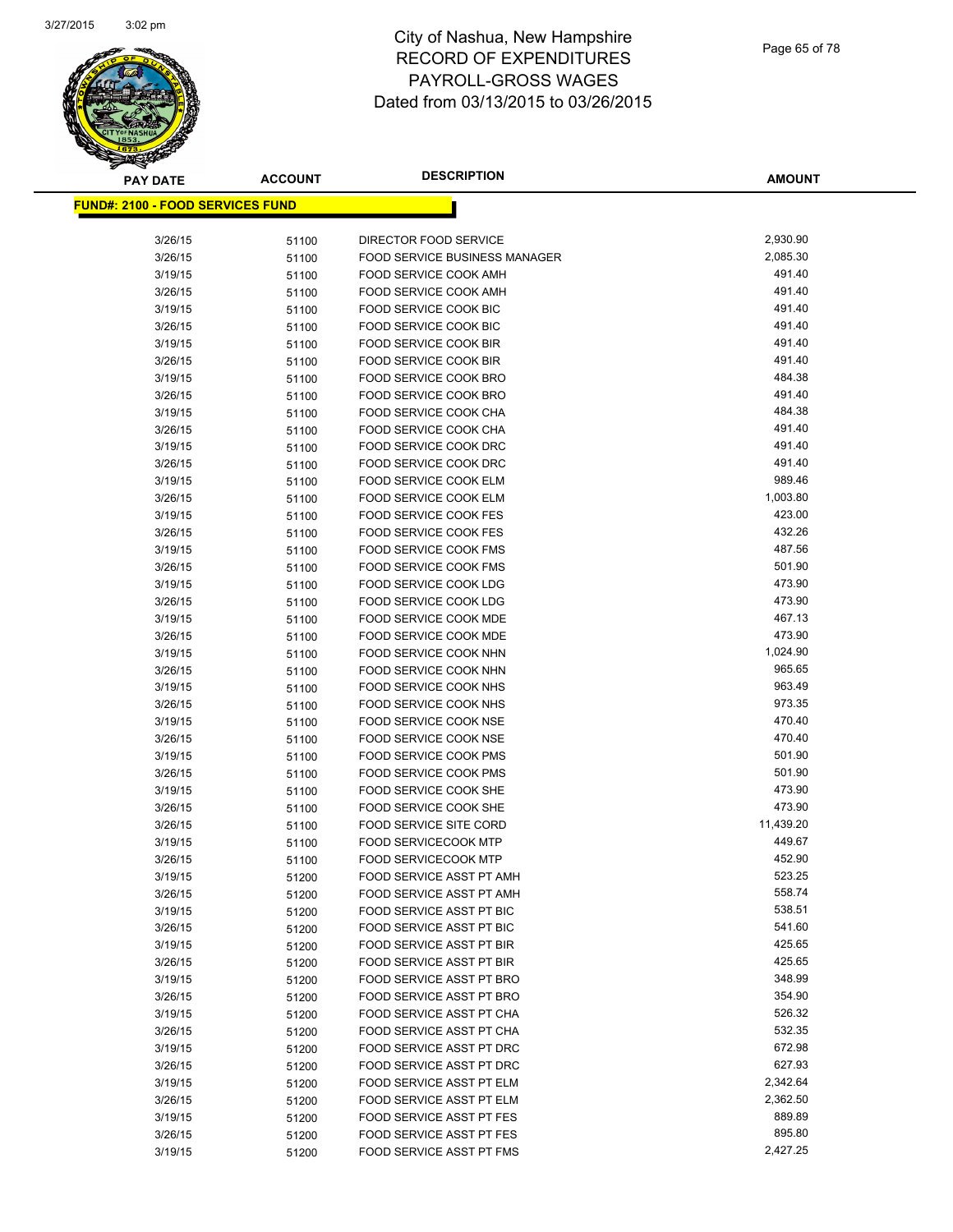

**AMOUNT**

| <b>FUND#: 2100 - FOOD SERVICES FUND</b> |       |                                      |           |
|-----------------------------------------|-------|--------------------------------------|-----------|
|                                         |       |                                      |           |
| 3/26/15                                 | 51100 | DIRECTOR FOOD SERVICE                | 2,930.90  |
| 3/26/15                                 | 51100 | <b>FOOD SERVICE BUSINESS MANAGER</b> | 2,085.30  |
| 3/19/15                                 | 51100 | FOOD SERVICE COOK AMH                | 491.40    |
| 3/26/15                                 | 51100 | FOOD SERVICE COOK AMH                | 491.40    |
| 3/19/15                                 | 51100 | FOOD SERVICE COOK BIC                | 491.40    |
| 3/26/15                                 | 51100 | FOOD SERVICE COOK BIC                | 491.40    |
| 3/19/15                                 | 51100 | <b>FOOD SERVICE COOK BIR</b>         | 491.40    |
| 3/26/15                                 | 51100 | FOOD SERVICE COOK BIR                | 491.40    |
| 3/19/15                                 | 51100 | FOOD SERVICE COOK BRO                | 484.38    |
| 3/26/15                                 | 51100 | FOOD SERVICE COOK BRO                | 491.40    |
| 3/19/15                                 | 51100 | FOOD SERVICE COOK CHA                | 484.38    |
| 3/26/15                                 | 51100 | FOOD SERVICE COOK CHA                | 491.40    |
| 3/19/15                                 | 51100 | FOOD SERVICE COOK DRC                | 491.40    |
| 3/26/15                                 | 51100 | FOOD SERVICE COOK DRC                | 491.40    |
| 3/19/15                                 | 51100 | FOOD SERVICE COOK ELM                | 989.46    |
| 3/26/15                                 | 51100 | FOOD SERVICE COOK ELM                | 1,003.80  |
| 3/19/15                                 | 51100 | FOOD SERVICE COOK FES                | 423.00    |
| 3/26/15                                 | 51100 | FOOD SERVICE COOK FES                | 432.26    |
| 3/19/15                                 | 51100 | <b>FOOD SERVICE COOK FMS</b>         | 487.56    |
| 3/26/15                                 | 51100 | <b>FOOD SERVICE COOK FMS</b>         | 501.90    |
| 3/19/15                                 | 51100 | FOOD SERVICE COOK LDG                | 473.90    |
| 3/26/15                                 | 51100 | FOOD SERVICE COOK LDG                | 473.90    |
| 3/19/15                                 | 51100 | <b>FOOD SERVICE COOK MDE</b>         | 467.13    |
| 3/26/15                                 | 51100 | FOOD SERVICE COOK MDE                | 473.90    |
| 3/19/15                                 | 51100 | FOOD SERVICE COOK NHN                | 1,024.90  |
| 3/26/15                                 | 51100 | FOOD SERVICE COOK NHN                | 965.65    |
| 3/19/15                                 | 51100 | FOOD SERVICE COOK NHS                | 963.49    |
| 3/26/15                                 | 51100 | FOOD SERVICE COOK NHS                | 973.35    |
| 3/19/15                                 | 51100 | FOOD SERVICE COOK NSE                | 470.40    |
| 3/26/15                                 | 51100 | <b>FOOD SERVICE COOK NSE</b>         | 470.40    |
| 3/19/15                                 | 51100 | <b>FOOD SERVICE COOK PMS</b>         | 501.90    |
| 3/26/15                                 | 51100 | <b>FOOD SERVICE COOK PMS</b>         | 501.90    |
| 3/19/15                                 | 51100 | FOOD SERVICE COOK SHE                | 473.90    |
| 3/26/15                                 | 51100 | FOOD SERVICE COOK SHE                | 473.90    |
| 3/26/15                                 | 51100 | FOOD SERVICE SITE CORD               | 11,439.20 |
| 3/19/15                                 | 51100 | <b>FOOD SERVICECOOK MTP</b>          | 449.67    |
| 3/26/15                                 | 51100 | <b>FOOD SERVICECOOK MTP</b>          | 452.90    |
| 3/19/15                                 | 51200 | <b>FOOD SERVICE ASST PT AMH</b>      | 523.25    |
| 3/26/15                                 | 51200 | FOOD SERVICE ASST PT AMH             | 558.74    |
| 3/19/15                                 | 51200 | FOOD SERVICE ASST PT BIC             | 538.51    |
| 3/26/15                                 | 51200 | FOOD SERVICE ASST PT BIC             | 541.60    |
| 3/19/15                                 | 51200 | FOOD SERVICE ASST PT BIR             | 425.65    |
| 3/26/15                                 | 51200 | FOOD SERVICE ASST PT BIR             | 425.65    |
| 3/19/15                                 | 51200 | FOOD SERVICE ASST PT BRO             | 348.99    |
| 3/26/15                                 | 51200 | FOOD SERVICE ASST PT BRO             | 354.90    |
| 3/19/15                                 | 51200 | FOOD SERVICE ASST PT CHA             | 526.32    |
| 3/26/15                                 | 51200 | FOOD SERVICE ASST PT CHA             | 532.35    |
| 3/19/15                                 | 51200 | FOOD SERVICE ASST PT DRC             | 672.98    |
| 3/26/15                                 | 51200 | FOOD SERVICE ASST PT DRC             | 627.93    |
| 3/19/15                                 | 51200 | FOOD SERVICE ASST PT ELM             | 2,342.64  |
| 3/26/15                                 | 51200 | FOOD SERVICE ASST PT ELM             | 2,362.50  |
| 3/19/15                                 | 51200 | FOOD SERVICE ASST PT FES             | 889.89    |
| 3/26/15                                 | 51200 | FOOD SERVICE ASST PT FES             | 895.80    |
| 3/19/15                                 | 51200 | FOOD SERVICE ASST PT FMS             | 2,427.25  |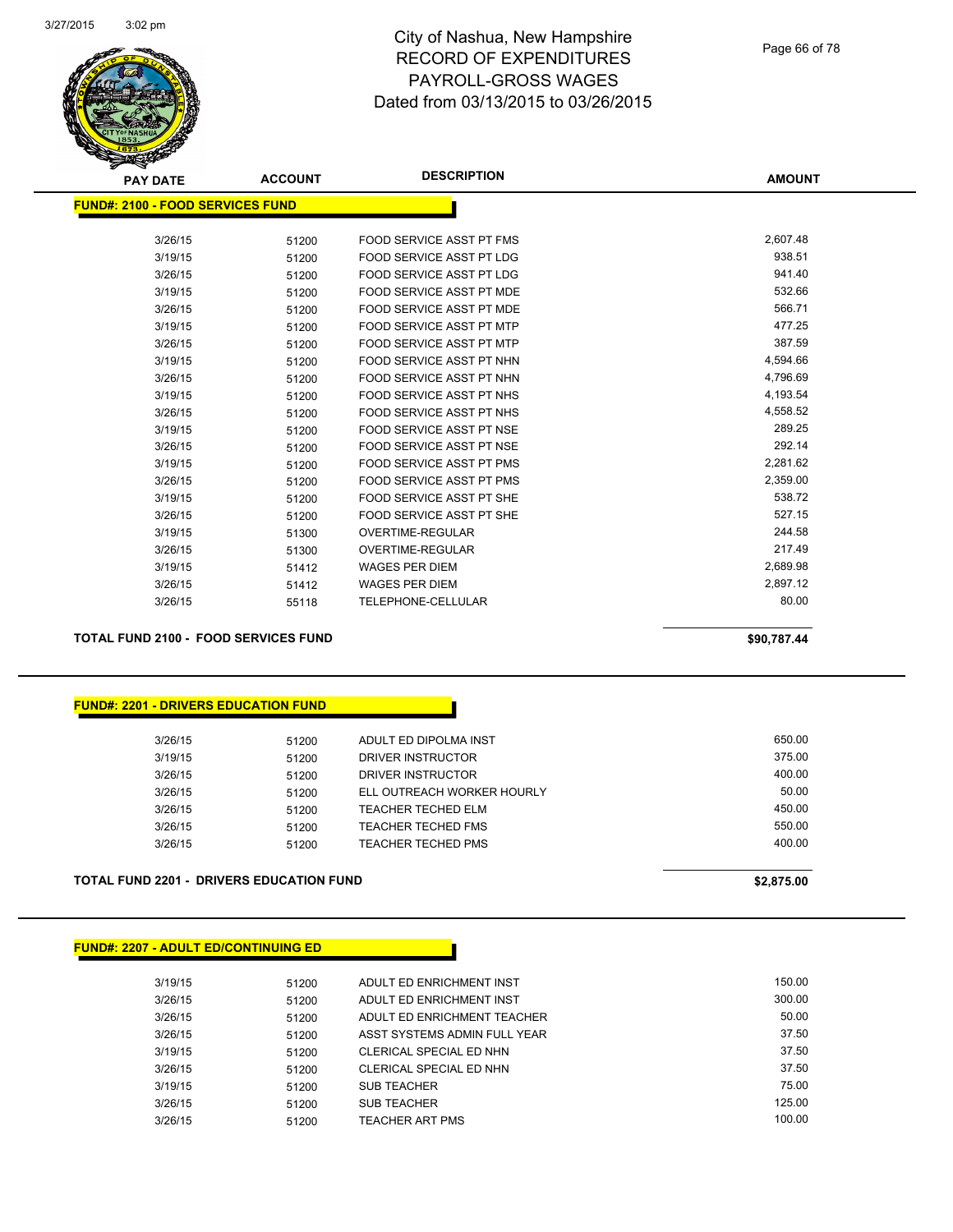

Page 66 of 78

| <b>PAY DATE</b>                         | <b>ACCOUNT</b> | <b>DESCRIPTION</b>              | <b>AMOUNT</b> |
|-----------------------------------------|----------------|---------------------------------|---------------|
| <b>FUND#: 2100 - FOOD SERVICES FUND</b> |                |                                 |               |
|                                         |                |                                 |               |
| 3/26/15                                 | 51200          | FOOD SERVICE ASST PT FMS        | 2,607.48      |
| 3/19/15                                 | 51200          | <b>FOOD SERVICE ASST PT LDG</b> | 938.51        |
| 3/26/15                                 | 51200          | FOOD SERVICE ASST PT LDG        | 941.40        |
| 3/19/15                                 | 51200          | FOOD SERVICE ASST PT MDE        | 532.66        |
| 3/26/15                                 | 51200          | FOOD SERVICE ASST PT MDE        | 566.71        |
| 3/19/15                                 | 51200          | FOOD SERVICE ASST PT MTP        | 477.25        |
| 3/26/15                                 | 51200          | <b>FOOD SERVICE ASST PT MTP</b> | 387.59        |
| 3/19/15                                 | 51200          | <b>FOOD SERVICE ASST PT NHN</b> | 4,594.66      |
| 3/26/15                                 | 51200          | FOOD SERVICE ASST PT NHN        | 4,796.69      |
| 3/19/15                                 | 51200          | FOOD SERVICE ASST PT NHS        | 4,193.54      |
| 3/26/15                                 | 51200          | FOOD SERVICE ASST PT NHS        | 4,558.52      |
| 3/19/15                                 | 51200          | FOOD SERVICE ASST PT NSE        | 289.25        |
| 3/26/15                                 | 51200          | FOOD SERVICE ASST PT NSE        | 292.14        |
| 3/19/15                                 | 51200          | <b>FOOD SERVICE ASST PT PMS</b> | 2,281.62      |
| 3/26/15                                 | 51200          | <b>FOOD SERVICE ASST PT PMS</b> | 2,359.00      |
| 3/19/15                                 | 51200          | FOOD SERVICE ASST PT SHE        | 538.72        |
| 3/26/15                                 | 51200          | FOOD SERVICE ASST PT SHE        | 527.15        |
| 3/19/15                                 | 51300          | <b>OVERTIME-REGULAR</b>         | 244.58        |
| 3/26/15                                 | 51300          | <b>OVERTIME-REGULAR</b>         | 217.49        |
| 3/19/15                                 | 51412          | <b>WAGES PER DIEM</b>           | 2,689.98      |
| 3/26/15                                 | 51412          | <b>WAGES PER DIEM</b>           | 2,897.12      |
| 3/26/15                                 | 55118          | <b>TELEPHONE-CELLULAR</b>       | 80.00         |
|                                         |                |                                 |               |

**TOTAL FUND 2100 - FOOD SERVICES FUND \$90,787.44** 

**FUND#: 2201 - DRIVERS EDUCATION FUND**

| 3/26/15 | 51200 | ADULT ED DIPOLMA INST      | 650.00 |
|---------|-------|----------------------------|--------|
| 3/19/15 | 51200 | DRIVER INSTRUCTOR          | 375.00 |
| 3/26/15 | 51200 | DRIVER INSTRUCTOR          | 400.00 |
| 3/26/15 | 51200 | ELL OUTREACH WORKER HOURLY | 50.00  |
| 3/26/15 | 51200 | <b>TEACHER TECHED ELM</b>  | 450.00 |
| 3/26/15 | 51200 | TEACHER TECHED FMS         | 550.00 |
| 3/26/15 | 51200 | TEACHER TECHED PMS         | 400.00 |
|         |       |                            |        |

**TOTAL FUND 2201 - DRIVERS EDUCATION FUND \$2,875.00** 

**FUND#: 2207 - ADULT ED/CONTINUING ED**

| 3/19/15 | 51200 | ADULT ED ENRICHMENT INST     | 150.00 |
|---------|-------|------------------------------|--------|
| 3/26/15 | 51200 | ADULT ED ENRICHMENT INST     | 300.00 |
| 3/26/15 | 51200 | ADULT ED ENRICHMENT TEACHER  | 50.00  |
| 3/26/15 | 51200 | ASST SYSTEMS ADMIN FULL YEAR | 37.50  |
| 3/19/15 | 51200 | CLERICAL SPECIAL ED NHN      | 37.50  |
| 3/26/15 | 51200 | CLERICAL SPECIAL ED NHN      | 37.50  |
| 3/19/15 | 51200 | <b>SUB TEACHER</b>           | 75.00  |
| 3/26/15 | 51200 | <b>SUB TEACHER</b>           | 125.00 |
| 3/26/15 | 51200 | TEACHER ART PMS              | 100.00 |
|         |       |                              |        |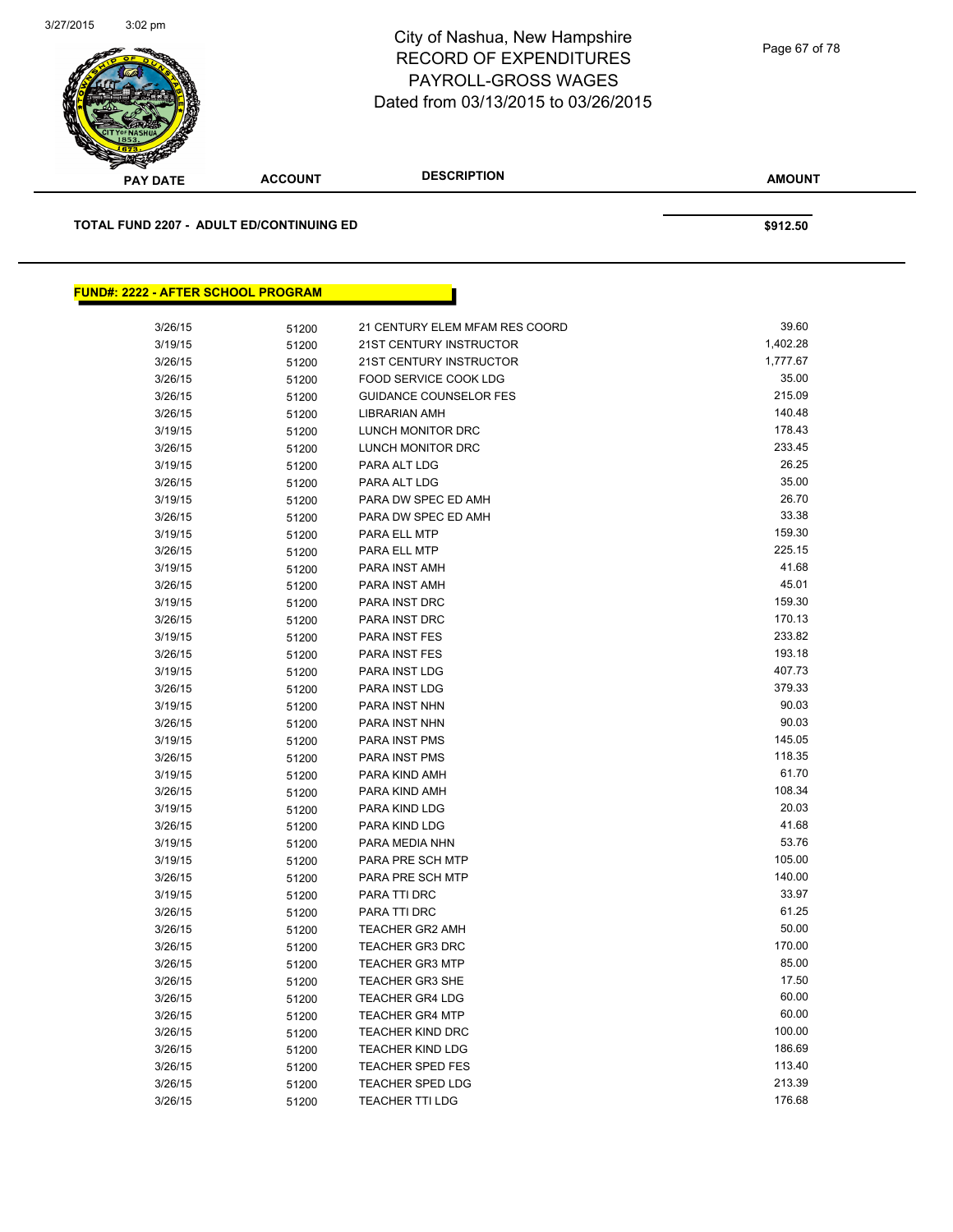

| <b>PAY DATE</b>                           | <b>ACCOUNT</b> | <b>DESCRIPTION</b>             | <b>AMOUNT</b> |
|-------------------------------------------|----------------|--------------------------------|---------------|
| TOTAL FUND 2207 - ADULT ED/CONTINUING ED  |                |                                | \$912.50      |
|                                           |                |                                |               |
| <b>FUND#: 2222 - AFTER SCHOOL PROGRAM</b> |                |                                |               |
| 3/26/15                                   | 51200          | 21 CENTURY ELEM MFAM RES COORD | 39.60         |
| 3/19/15                                   | 51200          | 21ST CENTURY INSTRUCTOR        | 1,402.28      |
| 3/26/15                                   | 51200          | 21ST CENTURY INSTRUCTOR        | 1,777.67      |
| 3/26/15                                   | 51200          | FOOD SERVICE COOK LDG          | 35.00         |
| 3/26/15                                   | 51200          | <b>GUIDANCE COUNSELOR FES</b>  | 215.09        |
| 3/26/15                                   | 51200          | <b>LIBRARIAN AMH</b>           | 140.48        |
| 3/19/15                                   | 51200          | LUNCH MONITOR DRC              | 178.43        |
| 3/26/15                                   | 51200          | LUNCH MONITOR DRC              | 233.45        |
| 3/19/15                                   | 51200          | PARA ALT LDG                   | 26.25         |
| 3/26/15                                   | 51200          | PARA ALT LDG                   | 35.00         |
| 3/19/15                                   | 51200          | PARA DW SPEC ED AMH            | 26.70         |
| 3/26/15                                   | 51200          | PARA DW SPEC ED AMH            | 33.38         |
| 3/19/15                                   | 51200          | PARA ELL MTP                   | 159.30        |
| 3/26/15                                   | 51200          | PARA ELL MTP                   | 225.15        |
| 3/19/15                                   | 51200          | PARA INST AMH                  | 41.68         |
| 3/26/15                                   | 51200          | PARA INST AMH                  | 45.01         |
| 3/19/15                                   | 51200          | PARA INST DRC                  | 159.30        |
| 3/26/15                                   | 51200          | PARA INST DRC                  | 170.13        |
| 3/19/15                                   | 51200          | <b>PARA INST FES</b>           | 233.82        |
| 3/26/15                                   | 51200          | <b>PARA INST FES</b>           | 193.18        |
| 3/19/15                                   | 51200          | PARA INST LDG                  | 407.73        |
| 3/26/15                                   | 51200          | PARA INST LDG                  | 379.33        |
| 3/19/15                                   | 51200          | PARA INST NHN                  | 90.03         |
| 3/26/15                                   | 51200          | PARA INST NHN                  | 90.03         |
| 3/19/15                                   | 51200          | <b>PARA INST PMS</b>           | 145.05        |
| 3/26/15                                   | 51200          | PARA INST PMS                  | 118.35        |
| 3/19/15                                   | 51200          | PARA KIND AMH                  | 61.70         |
| 3/26/15                                   | 51200          | PARA KIND AMH                  | 108.34        |
| 3/19/15                                   | 51200          | PARA KIND LDG                  | 20.03         |
| 3/26/15                                   | 51200          | PARA KIND LDG                  | 41.68         |
| 3/19/15                                   | 51200          | PARA MEDIA NHN                 | 53.76         |
| 3/19/15                                   | 51200          | PARA PRE SCH MTP               | 105.00        |
| 3/26/15                                   | 51200          | PARA PRE SCH MTP               | 140.00        |
| 3/19/15                                   | 51200          | PARA TTI DRC                   | 33.97         |
| 3/26/15                                   | 51200          | PARA TTI DRC                   | 61.25         |
| 3/26/15                                   | 51200          | <b>TEACHER GR2 AMH</b>         | 50.00         |
| 3/26/15                                   | 51200          | <b>TEACHER GR3 DRC</b>         | 170.00        |
| 3/26/15                                   | 51200          | <b>TEACHER GR3 MTP</b>         | 85.00         |
| 3/26/15                                   | 51200          | <b>TEACHER GR3 SHE</b>         | 17.50         |
| 3/26/15                                   | 51200          | <b>TEACHER GR4 LDG</b>         | 60.00         |
| 3/26/15                                   | 51200          | <b>TEACHER GR4 MTP</b>         | 60.00         |
| 3/26/15                                   | 51200          | <b>TEACHER KIND DRC</b>        | 100.00        |
| 3/26/15                                   | 51200          | <b>TEACHER KIND LDG</b>        | 186.69        |
| 3/26/15                                   | 51200          | TEACHER SPED FES               | 113.40        |

3/26/15 51200 TEACHER SPED LDG 213.39 3/26/15 51200 TEACHER TTI LDG 176.68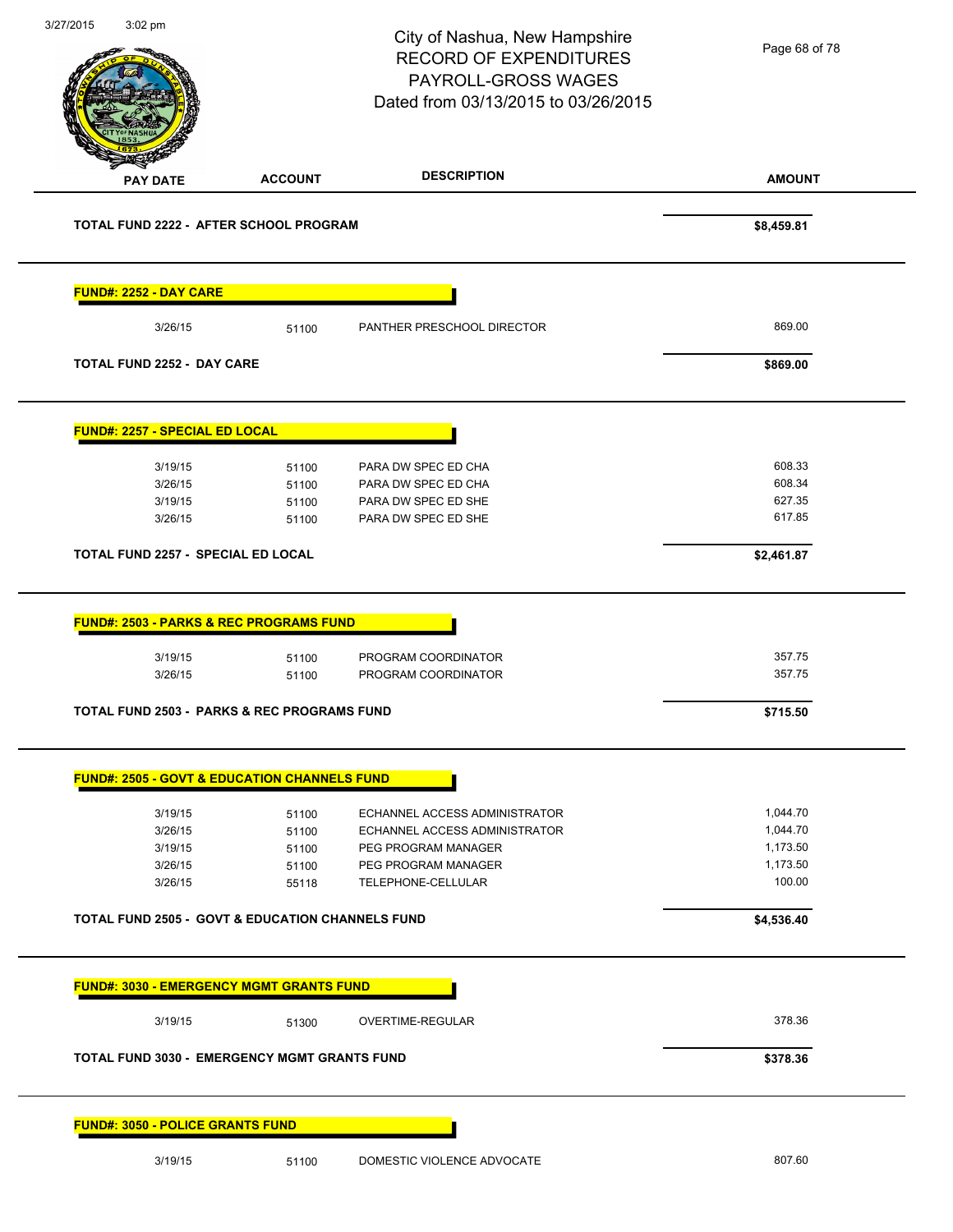|                                                                                                                   |                | City of Nashua, New Hampshire<br><b>RECORD OF EXPENDITURES</b><br>PAYROLL-GROSS WAGES<br>Dated from 03/13/2015 to 03/26/2015 | Page 68 of 78        |
|-------------------------------------------------------------------------------------------------------------------|----------------|------------------------------------------------------------------------------------------------------------------------------|----------------------|
| <b>PAY DATE</b>                                                                                                   | <b>ACCOUNT</b> | <b>DESCRIPTION</b>                                                                                                           | <b>AMOUNT</b>        |
| TOTAL FUND 2222 - AFTER SCHOOL PROGRAM                                                                            |                |                                                                                                                              | \$8,459.81           |
| FUND#: 2252 - DAY CARE                                                                                            |                |                                                                                                                              |                      |
| 3/26/15                                                                                                           | 51100          | PANTHER PRESCHOOL DIRECTOR                                                                                                   | 869.00               |
| <b>TOTAL FUND 2252 - DAY CARE</b>                                                                                 |                |                                                                                                                              | \$869.00             |
| FUND#: 2257 - SPECIAL ED LOCAL                                                                                    |                |                                                                                                                              |                      |
| 3/19/15                                                                                                           | 51100          | PARA DW SPEC ED CHA                                                                                                          | 608.33               |
| 3/26/15                                                                                                           | 51100          | PARA DW SPEC ED CHA                                                                                                          | 608.34               |
| 3/19/15                                                                                                           | 51100          | PARA DW SPEC ED SHE                                                                                                          | 627.35               |
| 3/26/15                                                                                                           | 51100          | PARA DW SPEC ED SHE                                                                                                          | 617.85               |
| TOTAL FUND 2257 - SPECIAL ED LOCAL                                                                                |                |                                                                                                                              | \$2,461.87           |
|                                                                                                                   |                |                                                                                                                              |                      |
|                                                                                                                   |                |                                                                                                                              |                      |
| <b>FUND#: 2503 - PARKS &amp; REC PROGRAMS FUND</b><br>3/19/15                                                     | 51100          | PROGRAM COORDINATOR                                                                                                          | 357.75               |
| 3/26/15                                                                                                           | 51100          | PROGRAM COORDINATOR                                                                                                          | 357.75               |
|                                                                                                                   |                |                                                                                                                              | \$715.50             |
| <b>TOTAL FUND 2503 - PARKS &amp; REC PROGRAMS FUND</b><br><b>FUND#: 2505 - GOVT &amp; EDUCATION CHANNELS FUND</b> |                |                                                                                                                              |                      |
|                                                                                                                   |                |                                                                                                                              |                      |
| 3/19/15<br>3/26/15                                                                                                | 51100<br>51100 | ECHANNEL ACCESS ADMINISTRATOR<br>ECHANNEL ACCESS ADMINISTRATOR                                                               | 1,044.70<br>1,044.70 |
| 3/19/15                                                                                                           | 51100          | PEG PROGRAM MANAGER                                                                                                          | 1,173.50             |
| 3/26/15                                                                                                           | 51100          | PEG PROGRAM MANAGER                                                                                                          | 1,173.50             |
| 3/26/15                                                                                                           | 55118          | TELEPHONE-CELLULAR                                                                                                           | 100.00               |
|                                                                                                                   |                |                                                                                                                              | \$4,536.40           |
| <b>TOTAL FUND 2505 - GOVT &amp; EDUCATION CHANNELS FUND</b><br><b>FUND#: 3030 - EMERGENCY MGMT GRANTS FUND</b>    |                |                                                                                                                              |                      |
| 3/19/15                                                                                                           | 51300          | OVERTIME-REGULAR                                                                                                             | 378.36               |
| <b>TOTAL FUND 3030 - EMERGENCY MGMT GRANTS FUND</b>                                                               |                |                                                                                                                              | \$378.36             |

 $\overline{a}$ 

 $\overline{\phantom{0}}$ 

 $\overline{\phantom{0}}$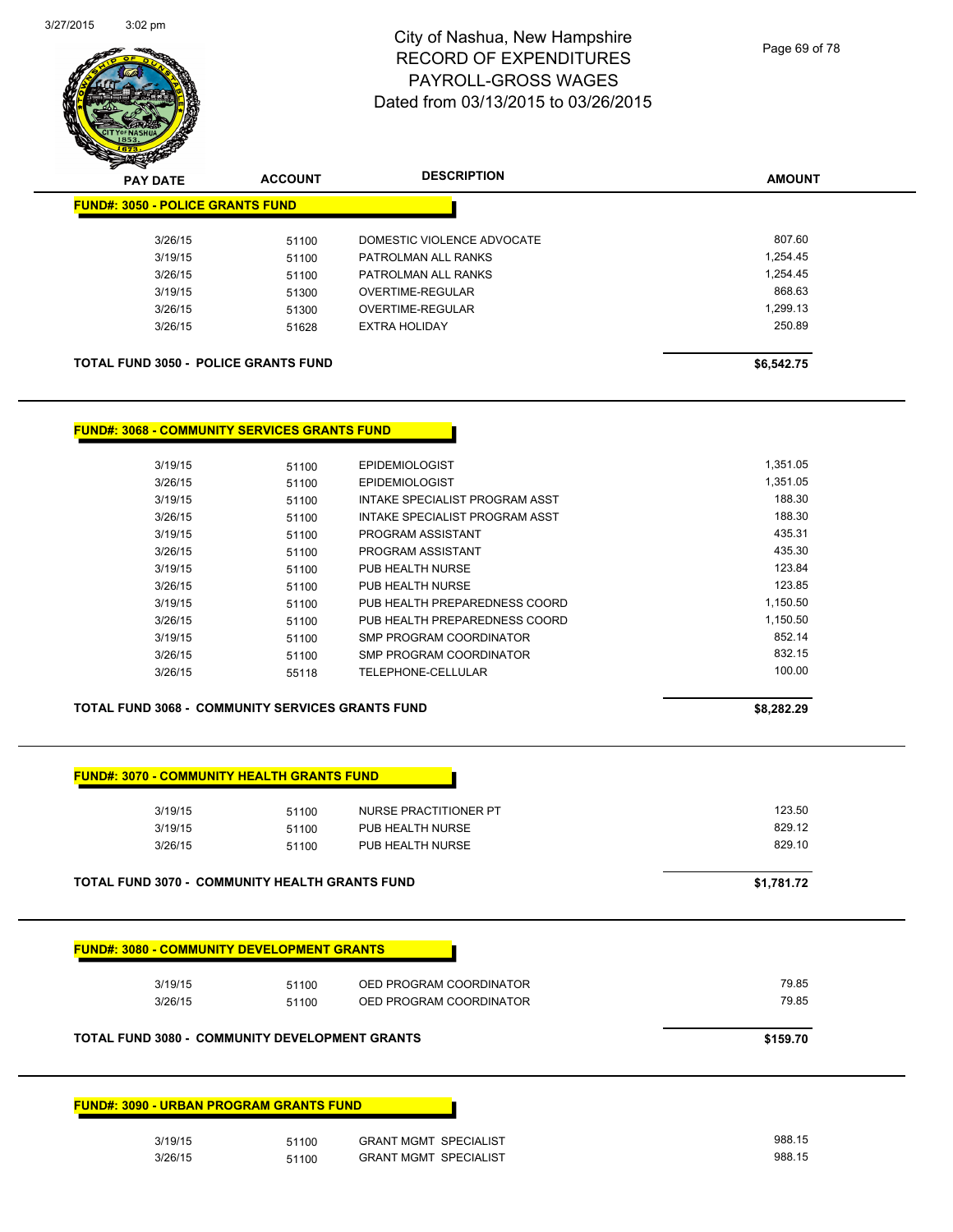

| $\mathscr{D} \rightarrow \mathscr{D}$<br><b>PAY DATE</b> | <b>ACCOUNT</b> | <b>DESCRIPTION</b>         | <b>AMOUNT</b> |
|----------------------------------------------------------|----------------|----------------------------|---------------|
| <b>FUND#: 3050 - POLICE GRANTS FUND</b>                  |                |                            |               |
| 3/26/15                                                  | 51100          | DOMESTIC VIOLENCE ADVOCATE | 807.60        |
| 3/19/15                                                  | 51100          | PATROLMAN ALL RANKS        | 1.254.45      |
| 3/26/15                                                  | 51100          | PATROLMAN ALL RANKS        | 1.254.45      |
| 3/19/15                                                  | 51300          | OVERTIME-REGULAR           | 868.63        |
| 3/26/15                                                  | 51300          | OVERTIME-REGULAR           | 1.299.13      |
| 3/26/15                                                  | 51628          | <b>EXTRA HOLIDAY</b>       | 250.89        |
| <b>TOTAL FUND 3050 - POLICE GRANTS FUND</b>              |                |                            | \$6,542.75    |

#### **FUND#: 3068 - COMMUNITY SERVICES GRANTS FUND**

| 3/19/15 | 51100 | <b>EPIDEMIOLOGIST</b>          | 1.351.05 |
|---------|-------|--------------------------------|----------|
| 3/26/15 | 51100 | <b>EPIDEMIOLOGIST</b>          | 1.351.05 |
| 3/19/15 | 51100 | INTAKE SPECIALIST PROGRAM ASST | 188.30   |
| 3/26/15 | 51100 | INTAKE SPECIALIST PROGRAM ASST | 188.30   |
| 3/19/15 | 51100 | PROGRAM ASSISTANT              | 435.31   |
| 3/26/15 | 51100 | PROGRAM ASSISTANT              | 435.30   |
| 3/19/15 | 51100 | PUB HEALTH NURSE               | 123.84   |
| 3/26/15 | 51100 | PUB HEALTH NURSE               | 123.85   |
| 3/19/15 | 51100 | PUB HEALTH PREPAREDNESS COORD  | 1.150.50 |
| 3/26/15 | 51100 | PUB HEALTH PREPAREDNESS COORD  | 1.150.50 |
| 3/19/15 | 51100 | SMP PROGRAM COORDINATOR        | 852.14   |
| 3/26/15 | 51100 | SMP PROGRAM COORDINATOR        | 832.15   |
| 3/26/15 | 55118 | TELEPHONE-CELLULAR             | 100.00   |
|         |       |                                |          |

#### **TOTAL FUND 3068 - COMMUNITY SERVICES GRANTS FUND \$8,282.29**

|                                                                         |                | NURSE PRACTITIONER PT                              | 123.50         |
|-------------------------------------------------------------------------|----------------|----------------------------------------------------|----------------|
| 3/19/15                                                                 | 51100          | PUB HEALTH NURSE                                   | 829.12         |
| 3/26/15                                                                 | 51100          | PUB HEALTH NURSE                                   | 829.10         |
| <b>TOTAL FUND 3070 - COMMUNITY HEALTH GRANTS FUND</b>                   |                |                                                    | \$1,781.72     |
|                                                                         |                |                                                    |                |
| <b>FUND#: 3080 - COMMUNITY DEVELOPMENT GRANTS</b><br>3/19/15<br>3/26/15 | 51100<br>51100 | OED PROGRAM COORDINATOR<br>OED PROGRAM COORDINATOR | 79.85<br>79.85 |

| 3/19/15 | 51100 | <b>GRANT MGMT SPECIALIST</b> | 988.15 |
|---------|-------|------------------------------|--------|
| 3/26/15 | 51100 | <b>GRANT MGMT SPECIALIST</b> | 988.15 |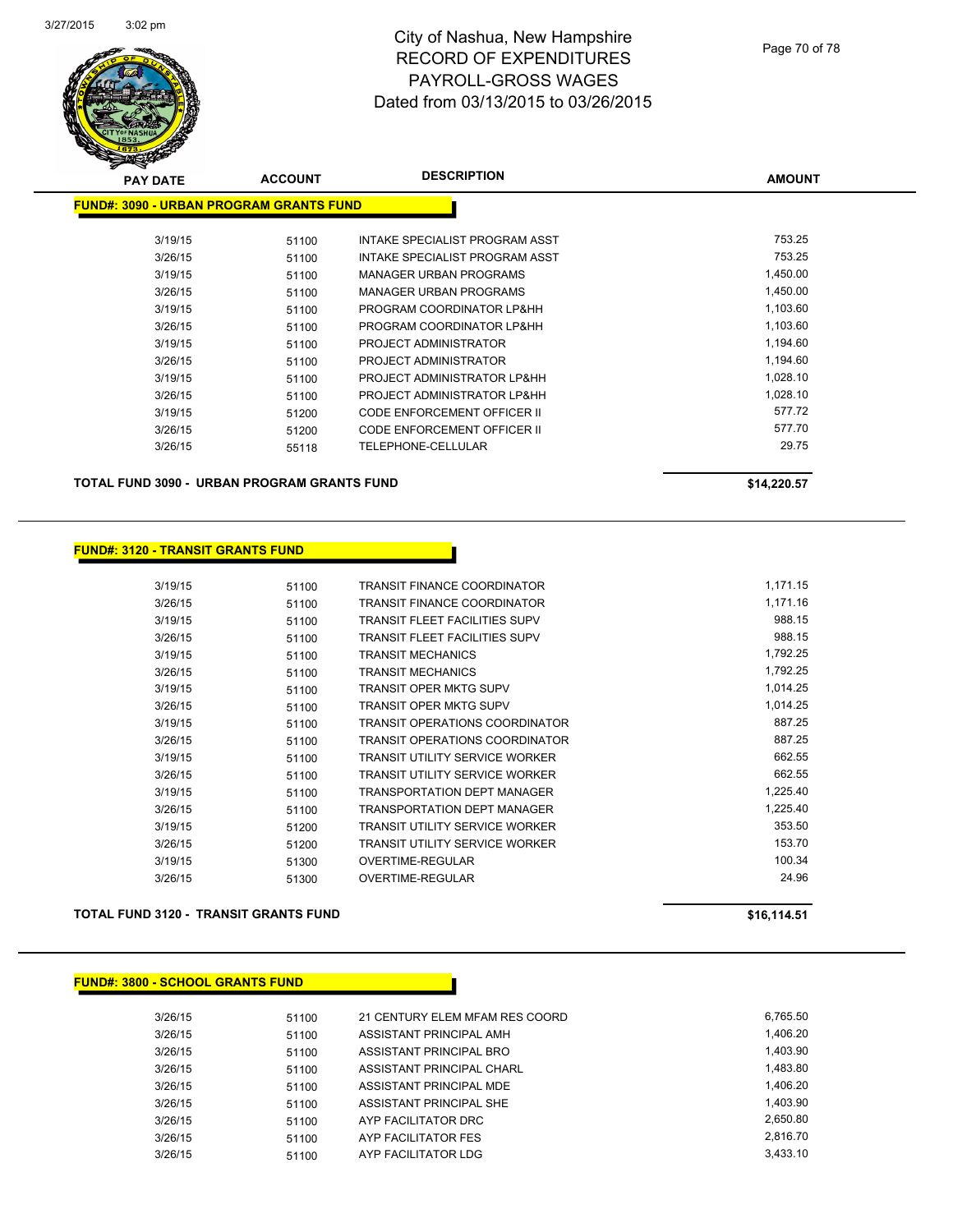

| <b>PAY DATE</b>                                | <b>ACCOUNT</b> | <b>DESCRIPTION</b>                 | <b>AMOUNT</b> |
|------------------------------------------------|----------------|------------------------------------|---------------|
| <b>FUND#: 3090 - URBAN PROGRAM GRANTS FUND</b> |                |                                    |               |
| 3/19/15                                        | 51100          | INTAKE SPECIALIST PROGRAM ASST     | 753.25        |
| 3/26/15                                        | 51100          | INTAKE SPECIALIST PROGRAM ASST     | 753.25        |
| 3/19/15                                        | 51100          | <b>MANAGER URBAN PROGRAMS</b>      | 1,450.00      |
| 3/26/15                                        | 51100          | MANAGER URBAN PROGRAMS             | 1,450.00      |
| 3/19/15                                        | 51100          | PROGRAM COORDINATOR LP&HH          | 1,103.60      |
| 3/26/15                                        | 51100          | PROGRAM COORDINATOR LP&HH          | 1,103.60      |
| 3/19/15                                        | 51100          | PROJECT ADMINISTRATOR              | 1,194.60      |
| 3/26/15                                        | 51100          | PROJECT ADMINISTRATOR              | 1,194.60      |
| 3/19/15                                        | 51100          | PROJECT ADMINISTRATOR LP&HH        | 1,028.10      |
| 3/26/15                                        | 51100          | PROJECT ADMINISTRATOR LP&HH        | 1,028.10      |
| 3/19/15                                        | 51200          | <b>CODE ENFORCEMENT OFFICER II</b> | 577.72        |
| 3/26/15                                        | 51200          | <b>CODE ENFORCEMENT OFFICER II</b> | 577.70        |
| 3/26/15                                        | 55118          | <b>TELEPHONE-CELLULAR</b>          | 29.75         |
|                                                |                |                                    |               |

**TOTAL FUND 3090 - URBAN PROGRAM GRANTS FUND \$14,220.57** 

#### **FUND#: 3120 - TRANSIT GRANTS FUND**

| 3/19/15 | 51100 | TRANSIT FINANCE COORDINATOR           | 1,171.15 |
|---------|-------|---------------------------------------|----------|
| 3/26/15 | 51100 | TRANSIT FINANCE COORDINATOR           | 1,171.16 |
| 3/19/15 | 51100 | TRANSIT FLEET FACILITIES SUPV         | 988.15   |
| 3/26/15 | 51100 | <b>TRANSIT FLEET FACILITIES SUPV</b>  | 988.15   |
| 3/19/15 | 51100 | <b>TRANSIT MECHANICS</b>              | 1,792.25 |
| 3/26/15 | 51100 | <b>TRANSIT MECHANICS</b>              | 1,792.25 |
| 3/19/15 | 51100 | <b>TRANSIT OPER MKTG SUPV</b>         | 1,014.25 |
| 3/26/15 | 51100 | <b>TRANSIT OPER MKTG SUPV</b>         | 1,014.25 |
| 3/19/15 | 51100 | TRANSIT OPERATIONS COORDINATOR        | 887.25   |
| 3/26/15 | 51100 | <b>TRANSIT OPERATIONS COORDINATOR</b> | 887.25   |
| 3/19/15 | 51100 | TRANSIT UTILITY SERVICE WORKER        | 662.55   |
| 3/26/15 | 51100 | <b>TRANSIT UTILITY SERVICE WORKER</b> | 662.55   |
| 3/19/15 | 51100 | <b>TRANSPORTATION DEPT MANAGER</b>    | 1,225.40 |
| 3/26/15 | 51100 | <b>TRANSPORTATION DEPT MANAGER</b>    | 1,225.40 |
| 3/19/15 | 51200 | <b>TRANSIT UTILITY SERVICE WORKER</b> | 353.50   |
| 3/26/15 | 51200 | TRANSIT UTILITY SERVICE WORKER        | 153.70   |
| 3/19/15 | 51300 | OVERTIME-REGULAR                      | 100.34   |
| 3/26/15 | 51300 | OVERTIME-REGULAR                      | 24.96    |
|         |       |                                       |          |

#### **TOTAL FUND 3120 - TRANSIT GRANTS FUND \$16,114.51**

#### **FUND#: 3800 - SCHOOL GRANTS FUND**

| 3/26/15 | 51100 | 21 CENTURY ELEM MFAM RES COORD | 6.765.50 |
|---------|-------|--------------------------------|----------|
| 3/26/15 | 51100 | ASSISTANT PRINCIPAL AMH        | 1.406.20 |
| 3/26/15 | 51100 | ASSISTANT PRINCIPAL BRO        | 1.403.90 |
| 3/26/15 | 51100 | ASSISTANT PRINCIPAL CHARL      | 1.483.80 |
| 3/26/15 | 51100 | ASSISTANT PRINCIPAL MDE        | 1.406.20 |
| 3/26/15 | 51100 | ASSISTANT PRINCIPAL SHE        | 1.403.90 |
| 3/26/15 | 51100 | AYP FACILITATOR DRC            | 2.650.80 |
| 3/26/15 | 51100 | AYP FACILITATOR FES            | 2.816.70 |
| 3/26/15 | 51100 | AYP FACILITATOR LDG            | 3.433.10 |
|         |       |                                |          |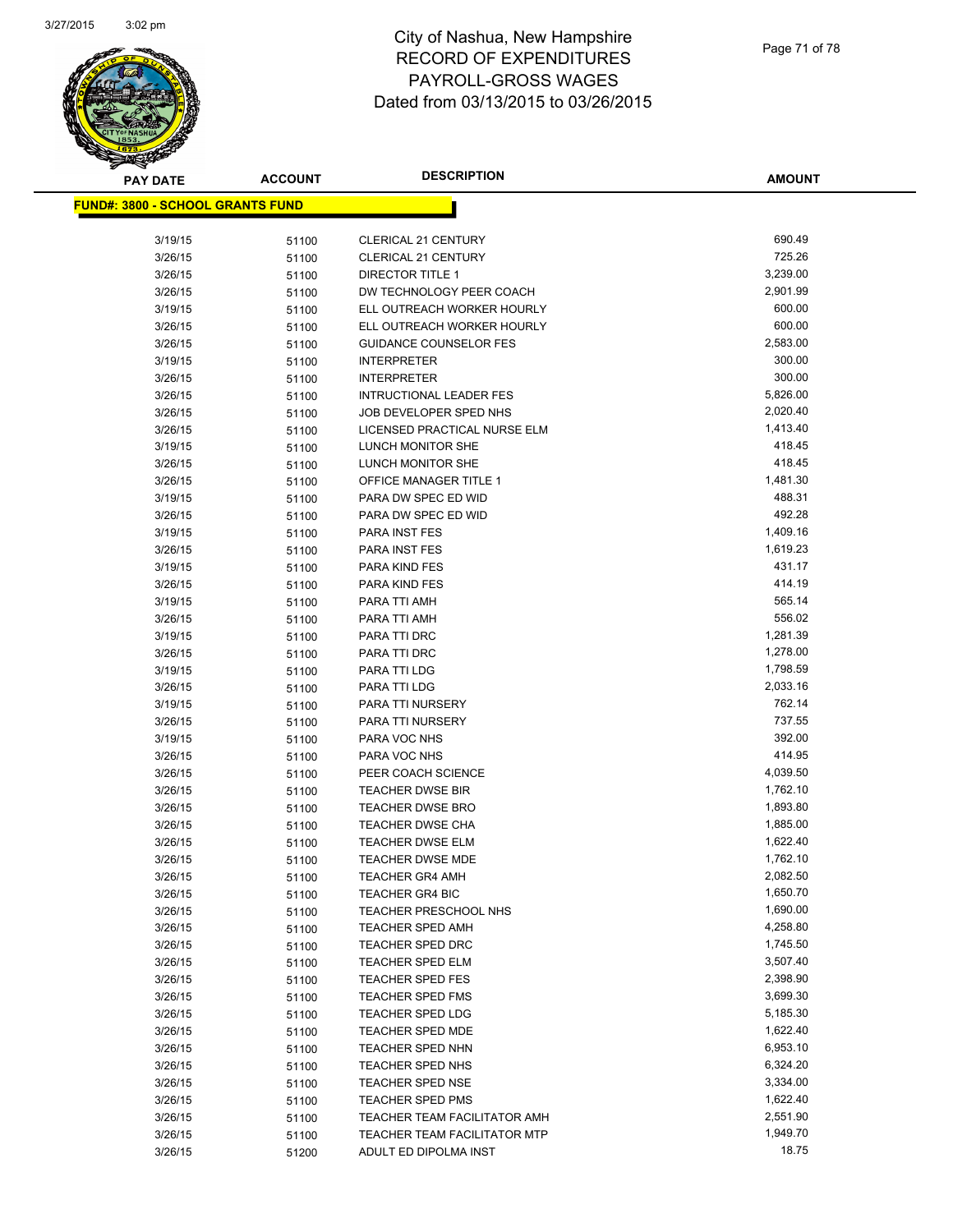

**AMOUNT**

| <u> FUND#: 3800 - SCHOOL GRANTS FUND</u> |       |                               |          |
|------------------------------------------|-------|-------------------------------|----------|
|                                          |       |                               |          |
| 3/19/15                                  | 51100 | <b>CLERICAL 21 CENTURY</b>    | 690.49   |
| 3/26/15                                  | 51100 | <b>CLERICAL 21 CENTURY</b>    | 725.26   |
| 3/26/15                                  | 51100 | DIRECTOR TITLE 1              | 3,239.00 |
| 3/26/15                                  | 51100 | DW TECHNOLOGY PEER COACH      | 2,901.99 |
| 3/19/15                                  | 51100 | ELL OUTREACH WORKER HOURLY    | 600.00   |
| 3/26/15                                  | 51100 | ELL OUTREACH WORKER HOURLY    | 600.00   |
| 3/26/15                                  | 51100 | <b>GUIDANCE COUNSELOR FES</b> | 2,583.00 |
| 3/19/15                                  | 51100 | <b>INTERPRETER</b>            | 300.00   |
| 3/26/15                                  | 51100 | <b>INTERPRETER</b>            | 300.00   |
| 3/26/15                                  | 51100 | INTRUCTIONAL LEADER FES       | 5,826.00 |
| 3/26/15                                  | 51100 | JOB DEVELOPER SPED NHS        | 2,020.40 |
| 3/26/15                                  | 51100 | LICENSED PRACTICAL NURSE ELM  | 1,413.40 |
| 3/19/15                                  | 51100 | LUNCH MONITOR SHE             | 418.45   |
| 3/26/15                                  | 51100 | LUNCH MONITOR SHE             | 418.45   |
| 3/26/15                                  | 51100 | <b>OFFICE MANAGER TITLE 1</b> | 1,481.30 |
| 3/19/15                                  | 51100 | PARA DW SPEC ED WID           | 488.31   |
| 3/26/15                                  | 51100 | PARA DW SPEC ED WID           | 492.28   |
| 3/19/15                                  | 51100 | <b>PARA INST FES</b>          | 1,409.16 |
| 3/26/15                                  | 51100 | PARA INST FES                 | 1,619.23 |
| 3/19/15                                  | 51100 | PARA KIND FES                 | 431.17   |
| 3/26/15                                  | 51100 | PARA KIND FES                 | 414.19   |
| 3/19/15                                  | 51100 | PARA TTI AMH                  | 565.14   |
| 3/26/15                                  | 51100 | PARA TTI AMH                  | 556.02   |
| 3/19/15                                  | 51100 | PARA TTI DRC                  | 1,281.39 |
| 3/26/15                                  | 51100 | PARA TTI DRC                  | 1,278.00 |
| 3/19/15                                  | 51100 | PARA TTI LDG                  | 1,798.59 |
| 3/26/15                                  | 51100 | PARA TTI LDG                  | 2,033.16 |
| 3/19/15                                  | 51100 | PARA TTI NURSERY              | 762.14   |
| 3/26/15                                  | 51100 | PARA TTI NURSERY              | 737.55   |
| 3/19/15                                  | 51100 | PARA VOC NHS                  | 392.00   |
| 3/26/15                                  | 51100 | PARA VOC NHS                  | 414.95   |
| 3/26/15                                  | 51100 | PEER COACH SCIENCE            | 4,039.50 |
| 3/26/15                                  | 51100 | <b>TEACHER DWSE BIR</b>       | 1,762.10 |
| 3/26/15                                  | 51100 | <b>TEACHER DWSE BRO</b>       | 1,893.80 |
| 3/26/15                                  | 51100 | <b>TEACHER DWSE CHA</b>       | 1,885.00 |
| 3/26/15                                  | 51100 | <b>TEACHER DWSE ELM</b>       | 1,622.40 |
| 3/26/15                                  | 51100 | <b>TEACHER DWSE MDE</b>       | 1,762.10 |
| 3/26/15                                  | 51100 | <b>TEACHER GR4 AMH</b>        | 2,082.50 |
| 3/26/15                                  | 51100 | <b>TEACHER GR4 BIC</b>        | 1,650.70 |
| 3/26/15                                  | 51100 | TEACHER PRESCHOOL NHS         | 1,690.00 |
| 3/26/15                                  | 51100 | <b>TEACHER SPED AMH</b>       | 4,258.80 |
| 3/26/15                                  | 51100 | <b>TEACHER SPED DRC</b>       | 1,745.50 |
| 3/26/15                                  | 51100 | <b>TEACHER SPED ELM</b>       | 3,507.40 |
| 3/26/15                                  | 51100 | <b>TEACHER SPED FES</b>       | 2,398.90 |
| 3/26/15                                  | 51100 | <b>TEACHER SPED FMS</b>       | 3,699.30 |
| 3/26/15                                  | 51100 | <b>TEACHER SPED LDG</b>       | 5,185.30 |
| 3/26/15                                  | 51100 | TEACHER SPED MDE              | 1,622.40 |
| 3/26/15                                  | 51100 | <b>TEACHER SPED NHN</b>       | 6,953.10 |
| 3/26/15                                  | 51100 | TEACHER SPED NHS              | 6,324.20 |
| 3/26/15                                  | 51100 | <b>TEACHER SPED NSE</b>       | 3,334.00 |
| 3/26/15                                  | 51100 | <b>TEACHER SPED PMS</b>       | 1,622.40 |
| 3/26/15                                  | 51100 | TEACHER TEAM FACILITATOR AMH  | 2,551.90 |
| 3/26/15                                  | 51100 | TEACHER TEAM FACILITATOR MTP  | 1,949.70 |
| 3/26/15                                  | 51200 | ADULT ED DIPOLMA INST         | 18.75    |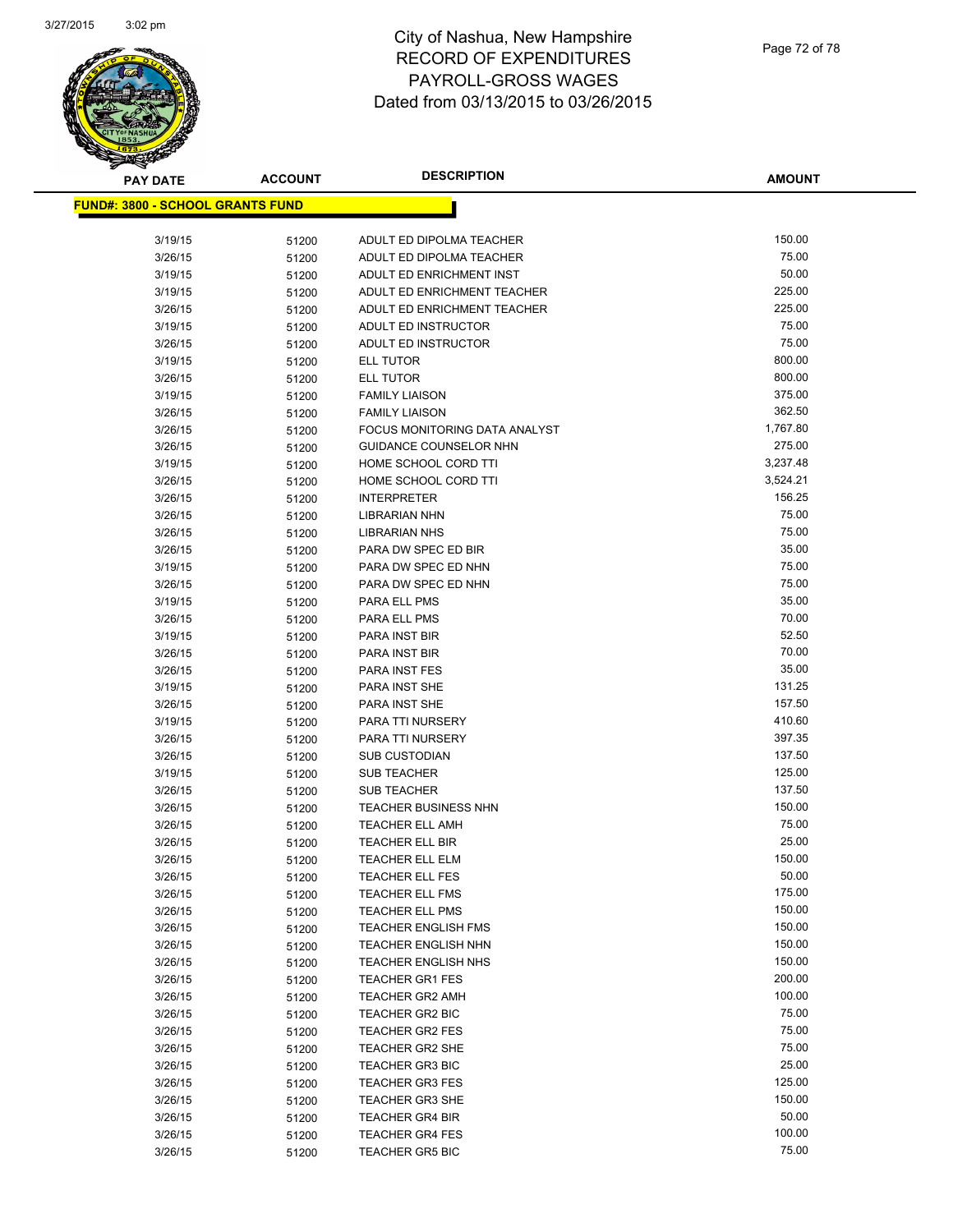

**AMOUNT**

| <u> FUND#: 3800 - SCHOOL GRANTS FUND</u> |                |                                                      |                 |
|------------------------------------------|----------------|------------------------------------------------------|-----------------|
| 3/19/15                                  | 51200          | ADULT ED DIPOLMA TEACHER                             | 150.00          |
| 3/26/15                                  | 51200          | ADULT ED DIPOLMA TEACHER                             | 75.00           |
| 3/19/15                                  | 51200          | ADULT ED ENRICHMENT INST                             | 50.00           |
| 3/19/15                                  | 51200          | ADULT ED ENRICHMENT TEACHER                          | 225.00          |
| 3/26/15                                  | 51200          | ADULT ED ENRICHMENT TEACHER                          | 225.00          |
| 3/19/15                                  | 51200          | ADULT ED INSTRUCTOR                                  | 75.00           |
| 3/26/15                                  | 51200          | ADULT ED INSTRUCTOR                                  | 75.00           |
| 3/19/15                                  | 51200          | ELL TUTOR                                            | 800.00          |
| 3/26/15                                  | 51200          | ELL TUTOR                                            | 800.00          |
| 3/19/15                                  | 51200          | <b>FAMILY LIAISON</b>                                | 375.00          |
| 3/26/15                                  | 51200          | <b>FAMILY LIAISON</b>                                | 362.50          |
| 3/26/15                                  | 51200          | FOCUS MONITORING DATA ANALYST                        | 1,767.80        |
| 3/26/15                                  | 51200          | GUIDANCE COUNSELOR NHN                               | 275.00          |
| 3/19/15                                  | 51200          | HOME SCHOOL CORD TTI                                 | 3,237.48        |
| 3/26/15                                  | 51200          | HOME SCHOOL CORD TTI                                 | 3,524.21        |
| 3/26/15                                  | 51200          | <b>INTERPRETER</b>                                   | 156.25          |
| 3/26/15                                  | 51200          | <b>LIBRARIAN NHN</b>                                 | 75.00           |
| 3/26/15                                  | 51200          | <b>LIBRARIAN NHS</b>                                 | 75.00           |
| 3/26/15                                  | 51200          | PARA DW SPEC ED BIR                                  | 35.00           |
| 3/19/15                                  | 51200          | PARA DW SPEC ED NHN                                  | 75.00           |
| 3/26/15                                  | 51200          | PARA DW SPEC ED NHN                                  | 75.00           |
| 3/19/15                                  | 51200          | PARA ELL PMS                                         | 35.00           |
| 3/26/15                                  | 51200          | PARA ELL PMS                                         | 70.00           |
| 3/19/15                                  | 51200          | PARA INST BIR                                        | 52.50           |
| 3/26/15                                  | 51200          | PARA INST BIR                                        | 70.00           |
| 3/26/15                                  | 51200          | PARA INST FES                                        | 35.00           |
| 3/19/15                                  | 51200          | PARA INST SHE                                        | 131.25          |
| 3/26/15                                  | 51200          | PARA INST SHE                                        | 157.50          |
| 3/19/15                                  | 51200          | PARA TTI NURSERY                                     | 410.60          |
| 3/26/15                                  | 51200          | PARA TTI NURSERY                                     | 397.35          |
| 3/26/15                                  | 51200          | <b>SUB CUSTODIAN</b>                                 | 137.50          |
| 3/19/15                                  | 51200          | <b>SUB TEACHER</b>                                   | 125.00          |
| 3/26/15                                  | 51200          | <b>SUB TEACHER</b>                                   | 137.50          |
| 3/26/15                                  | 51200          | <b>TEACHER BUSINESS NHN</b>                          | 150.00          |
| 3/26/15                                  | 51200          | <b>TEACHER ELL AMH</b>                               | 75.00           |
| 3/26/15                                  | 51200          | <b>TEACHER ELL BIR</b>                               | 25.00           |
| 3/26/15                                  | 51200          | <b>TEACHER ELL ELM</b>                               | 150.00<br>50.00 |
| 3/26/15                                  | 51200          | <b>TEACHER ELL FES</b><br><b>TEACHER ELL FMS</b>     | 175.00          |
| 3/26/15                                  | 51200          |                                                      | 150.00          |
| 3/26/15<br>3/26/15                       | 51200          | <b>TEACHER ELL PMS</b><br><b>TEACHER ENGLISH FMS</b> | 150.00          |
| 3/26/15                                  | 51200<br>51200 | <b>TEACHER ENGLISH NHN</b>                           | 150.00          |
| 3/26/15                                  | 51200          | <b>TEACHER ENGLISH NHS</b>                           | 150.00          |
| 3/26/15                                  | 51200          | <b>TEACHER GR1 FES</b>                               | 200.00          |
| 3/26/15                                  | 51200          | <b>TEACHER GR2 AMH</b>                               | 100.00          |
| 3/26/15                                  | 51200          | <b>TEACHER GR2 BIC</b>                               | 75.00           |
| 3/26/15                                  | 51200          | <b>TEACHER GR2 FES</b>                               | 75.00           |
| 3/26/15                                  | 51200          | <b>TEACHER GR2 SHE</b>                               | 75.00           |
| 3/26/15                                  | 51200          | <b>TEACHER GR3 BIC</b>                               | 25.00           |
| 3/26/15                                  | 51200          | <b>TEACHER GR3 FES</b>                               | 125.00          |
| 3/26/15                                  | 51200          | <b>TEACHER GR3 SHE</b>                               | 150.00          |
| 3/26/15                                  | 51200          | <b>TEACHER GR4 BIR</b>                               | 50.00           |
| 3/26/15                                  | 51200          | <b>TEACHER GR4 FES</b>                               | 100.00          |
| 3/26/15                                  | 51200          | <b>TEACHER GR5 BIC</b>                               | 75.00           |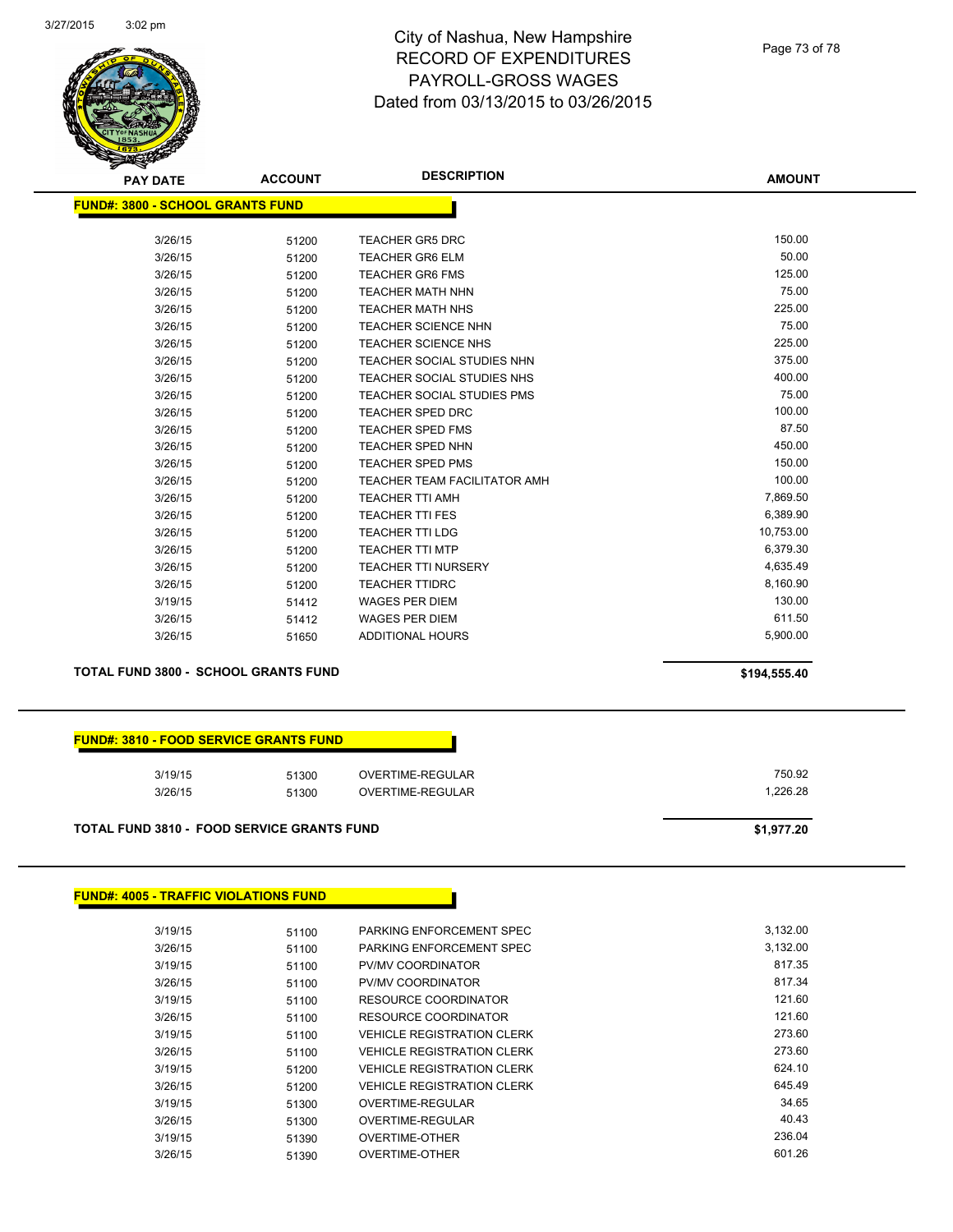

#### Page 73 of 78

**AMOUNT**

| <b>FUND#: 3800 - SCHOOL GRANTS FUND</b> |       |                                     |           |
|-----------------------------------------|-------|-------------------------------------|-----------|
| 3/26/15                                 | 51200 | <b>TEACHER GR5 DRC</b>              | 150.00    |
| 3/26/15                                 | 51200 | <b>TEACHER GR6 ELM</b>              | 50.00     |
| 3/26/15                                 | 51200 | <b>TEACHER GR6 FMS</b>              | 125.00    |
| 3/26/15                                 | 51200 | <b>TEACHER MATH NHN</b>             | 75.00     |
| 3/26/15                                 | 51200 | <b>TEACHER MATH NHS</b>             | 225.00    |
| 3/26/15                                 | 51200 | <b>TEACHER SCIENCE NHN</b>          | 75.00     |
| 3/26/15                                 | 51200 | <b>TEACHER SCIENCE NHS</b>          | 225.00    |
| 3/26/15                                 | 51200 | <b>TEACHER SOCIAL STUDIES NHN</b>   | 375.00    |
| 3/26/15                                 | 51200 | <b>TEACHER SOCIAL STUDIES NHS</b>   | 400.00    |
| 3/26/15                                 | 51200 | <b>TEACHER SOCIAL STUDIES PMS</b>   | 75.00     |
| 3/26/15                                 | 51200 | <b>TEACHER SPED DRC</b>             | 100.00    |
| 3/26/15                                 | 51200 | <b>TEACHER SPED FMS</b>             | 87.50     |
| 3/26/15                                 | 51200 | <b>TEACHER SPED NHN</b>             | 450.00    |
| 3/26/15                                 | 51200 | <b>TEACHER SPED PMS</b>             | 150.00    |
| 3/26/15                                 | 51200 | <b>TEACHER TEAM FACILITATOR AMH</b> | 100.00    |
| 3/26/15                                 | 51200 | <b>TEACHER TTI AMH</b>              | 7,869.50  |
| 3/26/15                                 | 51200 | <b>TEACHER TTI FES</b>              | 6,389.90  |
| 3/26/15                                 | 51200 | <b>TEACHER TTI LDG</b>              | 10,753.00 |
| 3/26/15                                 | 51200 | <b>TEACHER TTI MTP</b>              | 6,379.30  |
| 3/26/15                                 | 51200 | <b>TEACHER TTI NURSERY</b>          | 4,635.49  |
| 3/26/15                                 | 51200 | <b>TEACHER TTIDRC</b>               | 8,160.90  |
| 3/19/15                                 | 51412 | <b>WAGES PER DIEM</b>               | 130.00    |
| 3/26/15                                 | 51412 | <b>WAGES PER DIEM</b>               | 611.50    |
| 3/26/15                                 | 51650 | <b>ADDITIONAL HOURS</b>             | 5,900.00  |

#### **TOTAL FUND 3800 - SCHOOL GRANTS FUND \$194,555.40**

| <b>FUND#: 3810 - FOOD SERVICE GRANTS FUND</b> |  |
|-----------------------------------------------|--|
|                                               |  |

| 3/19/15 | 51300 | OVERTIME-REGULAR | 750.92   |
|---------|-------|------------------|----------|
| 3/26/15 | 51300 | OVERTIME-REGULAR | 1.226.28 |

### **TOTAL FUND 3810 - FOOD SERVICE GRANTS FUND \$1,977.20**

## **FUND#: 4005 - TRAFFIC VIOLATIONS FUND**

| 3/19/15 | 51100 | PARKING ENFORCEMENT SPEC          | 3.132.00 |
|---------|-------|-----------------------------------|----------|
| 3/26/15 | 51100 | PARKING ENFORCEMENT SPEC          | 3.132.00 |
| 3/19/15 | 51100 | PV/MV COORDINATOR                 | 817.35   |
| 3/26/15 | 51100 | PV/MV COORDINATOR                 | 817.34   |
| 3/19/15 | 51100 | <b>RESOURCE COORDINATOR</b>       | 121.60   |
| 3/26/15 | 51100 | RESOURCE COORDINATOR              | 121.60   |
| 3/19/15 | 51100 | <b>VEHICLE REGISTRATION CLERK</b> | 273.60   |
| 3/26/15 | 51100 | <b>VEHICLE REGISTRATION CLERK</b> | 273.60   |
| 3/19/15 | 51200 | <b>VEHICLE REGISTRATION CLERK</b> | 624.10   |
| 3/26/15 | 51200 | <b>VEHICLE REGISTRATION CLERK</b> | 645.49   |
| 3/19/15 | 51300 | OVERTIME-REGULAR                  | 34.65    |
| 3/26/15 | 51300 | OVERTIME-REGULAR                  | 40.43    |
| 3/19/15 | 51390 | OVERTIME-OTHER                    | 236.04   |
| 3/26/15 | 51390 | OVERTIME-OTHER                    | 601.26   |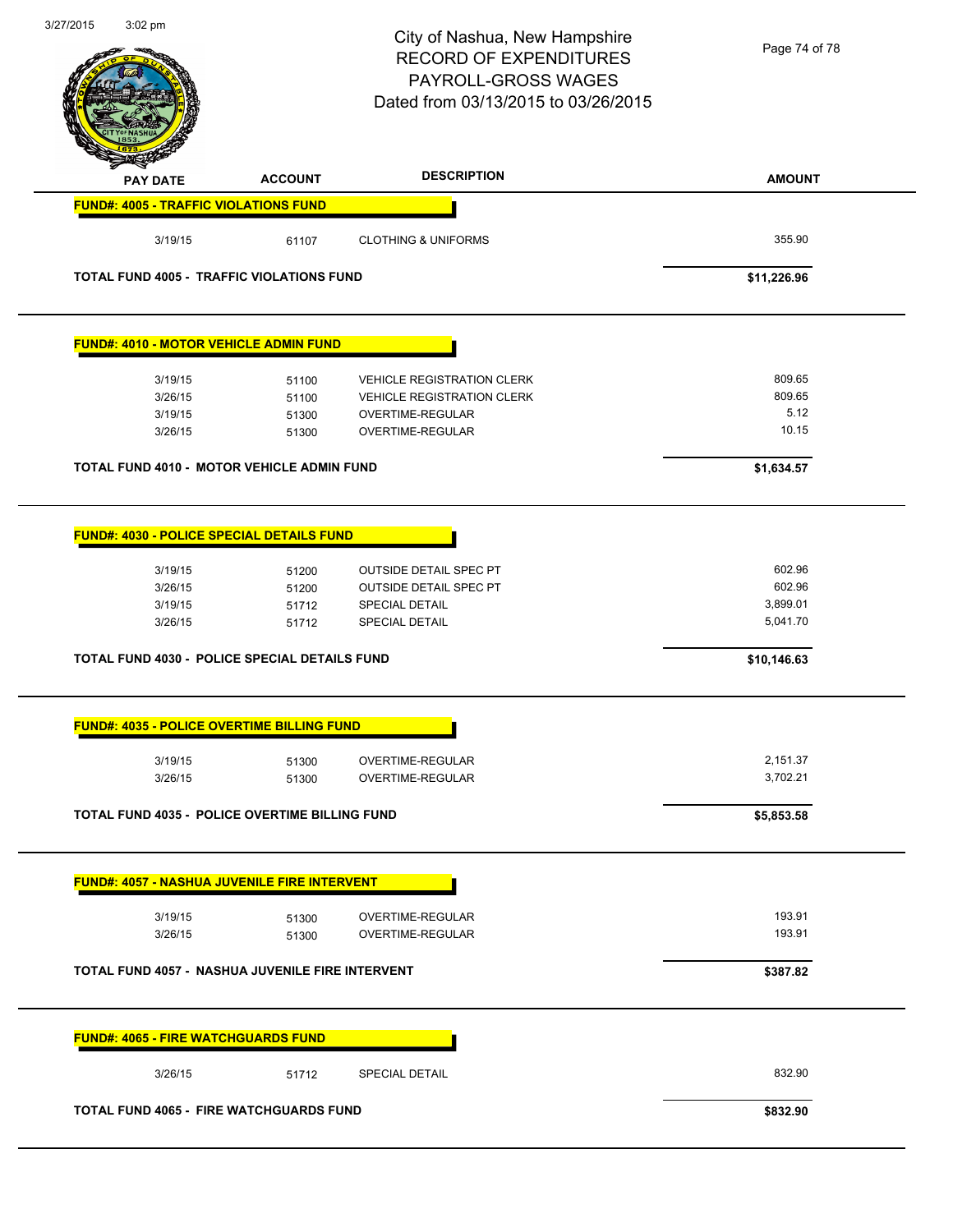| 3/27/2015 | $3:02$ pm                                    |                                                                                      | City of Nashua, New Hampshire<br><b>RECORD OF EXPENDITURES</b><br>PAYROLL-GROSS WAGES<br>Dated from 03/13/2015 to 03/26/2015 | Page 74 of 78                            |
|-----------|----------------------------------------------|--------------------------------------------------------------------------------------|------------------------------------------------------------------------------------------------------------------------------|------------------------------------------|
|           | <b>PAY DATE</b>                              | <b>ACCOUNT</b>                                                                       | <b>DESCRIPTION</b>                                                                                                           | <b>AMOUNT</b>                            |
|           | <b>FUND#: 4005 - TRAFFIC VIOLATIONS FUND</b> |                                                                                      |                                                                                                                              |                                          |
|           | 3/19/15                                      | 61107                                                                                | <b>CLOTHING &amp; UNIFORMS</b>                                                                                               | 355.90                                   |
|           |                                              | TOTAL FUND 4005 - TRAFFIC VIOLATIONS FUND                                            |                                                                                                                              | \$11,226.96                              |
|           |                                              | <b>FUND#: 4010 - MOTOR VEHICLE ADMIN FUND</b>                                        |                                                                                                                              |                                          |
|           | 3/19/15                                      | 51100                                                                                | <b>VEHICLE REGISTRATION CLERK</b>                                                                                            | 809.65                                   |
|           | 3/26/15                                      | 51100                                                                                | <b>VEHICLE REGISTRATION CLERK</b>                                                                                            | 809.65                                   |
|           | 3/19/15                                      | 51300                                                                                | OVERTIME-REGULAR                                                                                                             | 5.12                                     |
|           | 3/26/15                                      | 51300                                                                                | OVERTIME-REGULAR                                                                                                             | 10.15                                    |
|           |                                              | <b>TOTAL FUND 4010 - MOTOR VEHICLE ADMIN FUND</b>                                    |                                                                                                                              | \$1,634.57                               |
|           | 3/19/15<br>3/26/15<br>3/19/15<br>3/26/15     | <b>FUND#: 4030 - POLICE SPECIAL DETAILS FUND</b><br>51200<br>51200<br>51712<br>51712 | <b>OUTSIDE DETAIL SPEC PT</b><br><b>OUTSIDE DETAIL SPEC PT</b><br><b>SPECIAL DETAIL</b><br><b>SPECIAL DETAIL</b>             | 602.96<br>602.96<br>3,899.01<br>5,041.70 |
|           |                                              | TOTAL FUND 4030 - POLICE SPECIAL DETAILS FUND                                        |                                                                                                                              | \$10,146.63                              |
|           |                                              | <b>FUND#: 4035 - POLICE OVERTIME BILLING FUND</b>                                    |                                                                                                                              |                                          |
|           | 3/19/15                                      | 51300                                                                                | OVERTIME-REGULAR                                                                                                             | 2,151.37                                 |
|           | 3/26/15                                      | 51300                                                                                | OVERTIME-REGULAR                                                                                                             | 3,702.21                                 |
|           |                                              | <b>TOTAL FUND 4035 - POLICE OVERTIME BILLING FUND</b>                                |                                                                                                                              | \$5,853.58                               |
|           |                                              | <b>FUND#: 4057 - NASHUA JUVENILE FIRE INTERVENT</b>                                  |                                                                                                                              |                                          |
|           | 3/19/15                                      | 51300                                                                                | OVERTIME-REGULAR                                                                                                             | 193.91<br>193.91                         |
|           | 3/26/15                                      | 51300                                                                                | OVERTIME-REGULAR                                                                                                             |                                          |
|           |                                              | <b>TOTAL FUND 4057 - NASHUA JUVENILE FIRE INTERVENT</b>                              |                                                                                                                              | \$387.82                                 |
|           | <b>FUND#: 4065 - FIRE WATCHGUARDS FUND</b>   |                                                                                      |                                                                                                                              |                                          |
|           | 3/26/15                                      | 51712                                                                                | <b>SPECIAL DETAIL</b>                                                                                                        | 832.90                                   |
|           |                                              | <b>TOTAL FUND 4065 - FIRE WATCHGUARDS FUND</b>                                       |                                                                                                                              | \$832.90                                 |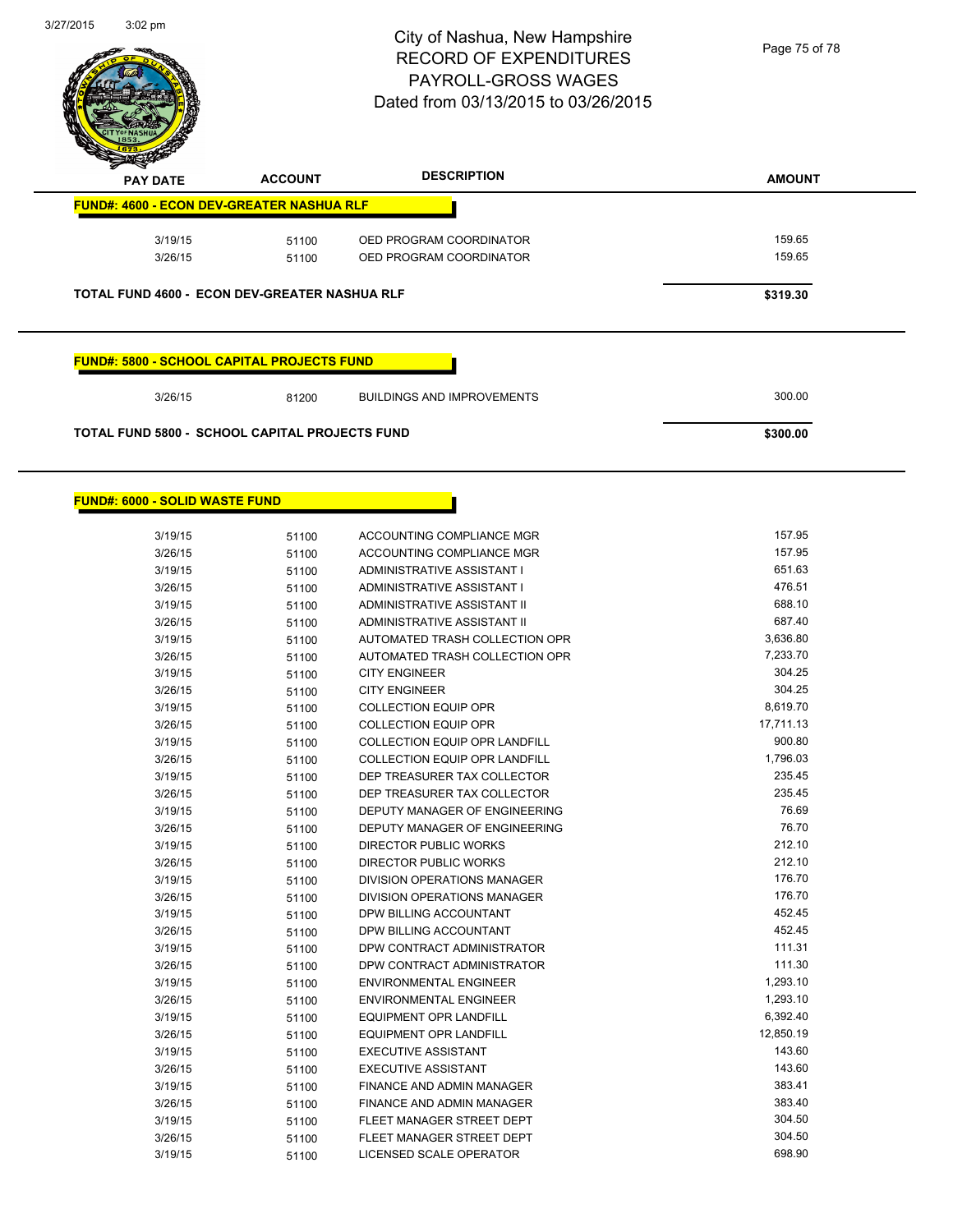

| <b>FUND#: 4600 - ECON DEV-GREATER NASHUA RLF</b>          |        | <b>DESCRIPTION</b> | <b>ACCOUNT</b> | <b>PAY DATE</b> |
|-----------------------------------------------------------|--------|--------------------|----------------|-----------------|
|                                                           |        |                    |                |                 |
| 3/19/15<br>OED PROGRAM COORDINATOR<br>51100               | 159.65 |                    |                |                 |
| 3/26/15<br>OED PROGRAM COORDINATOR<br>51100               | 159.65 |                    |                |                 |
| TOTAL FUND 4600 - ECON DEV-GREATER NASHUA RLF<br>\$319.30 |        |                    |                |                 |
|                                                           |        |                    |                |                 |

# **FUND#: 6000 - SOLID WASTE FUND**

| 3/19/15 | 51100 | ACCOUNTING COMPLIANCE MGR            | 157.95    |
|---------|-------|--------------------------------------|-----------|
| 3/26/15 | 51100 | ACCOUNTING COMPLIANCE MGR            | 157.95    |
| 3/19/15 | 51100 | ADMINISTRATIVE ASSISTANT I           | 651.63    |
| 3/26/15 | 51100 | ADMINISTRATIVE ASSISTANT I           | 476.51    |
| 3/19/15 | 51100 | <b>ADMINISTRATIVE ASSISTANT II</b>   | 688.10    |
| 3/26/15 | 51100 | ADMINISTRATIVE ASSISTANT II          | 687.40    |
| 3/19/15 | 51100 | AUTOMATED TRASH COLLECTION OPR       | 3,636.80  |
| 3/26/15 | 51100 | AUTOMATED TRASH COLLECTION OPR       | 7,233.70  |
| 3/19/15 | 51100 | <b>CITY ENGINEER</b>                 | 304.25    |
| 3/26/15 | 51100 | <b>CITY ENGINEER</b>                 | 304.25    |
| 3/19/15 | 51100 | <b>COLLECTION EQUIP OPR</b>          | 8,619.70  |
| 3/26/15 | 51100 | <b>COLLECTION EQUIP OPR</b>          | 17,711.13 |
| 3/19/15 | 51100 | <b>COLLECTION EQUIP OPR LANDFILL</b> | 900.80    |
| 3/26/15 | 51100 | COLLECTION EQUIP OPR LANDFILL        | 1,796.03  |
| 3/19/15 | 51100 | DEP TREASURER TAX COLLECTOR          | 235.45    |
| 3/26/15 | 51100 | DEP TREASURER TAX COLLECTOR          | 235.45    |
| 3/19/15 | 51100 | DEPUTY MANAGER OF ENGINEERING        | 76.69     |
| 3/26/15 | 51100 | DEPUTY MANAGER OF ENGINEERING        | 76.70     |
| 3/19/15 | 51100 | <b>DIRECTOR PUBLIC WORKS</b>         | 212.10    |
| 3/26/15 | 51100 | <b>DIRECTOR PUBLIC WORKS</b>         | 212.10    |
| 3/19/15 | 51100 | DIVISION OPERATIONS MANAGER          | 176.70    |
| 3/26/15 | 51100 | DIVISION OPERATIONS MANAGER          | 176.70    |
| 3/19/15 | 51100 | DPW BILLING ACCOUNTANT               | 452.45    |
| 3/26/15 | 51100 | DPW BILLING ACCOUNTANT               | 452.45    |
| 3/19/15 | 51100 | DPW CONTRACT ADMINISTRATOR           | 111.31    |
| 3/26/15 | 51100 | DPW CONTRACT ADMINISTRATOR           | 111.30    |
| 3/19/15 | 51100 | <b>ENVIRONMENTAL ENGINEER</b>        | 1,293.10  |
| 3/26/15 | 51100 | <b>ENVIRONMENTAL ENGINEER</b>        | 1,293.10  |
| 3/19/15 | 51100 | <b>EQUIPMENT OPR LANDFILL</b>        | 6,392.40  |
| 3/26/15 | 51100 | <b>EQUIPMENT OPR LANDFILL</b>        | 12,850.19 |
| 3/19/15 | 51100 | <b>EXECUTIVE ASSISTANT</b>           | 143.60    |
| 3/26/15 | 51100 | <b>EXECUTIVE ASSISTANT</b>           | 143.60    |
| 3/19/15 | 51100 | FINANCE AND ADMIN MANAGER            | 383.41    |
| 3/26/15 | 51100 | FINANCE AND ADMIN MANAGER            | 383.40    |
| 3/19/15 | 51100 | FLEET MANAGER STREET DEPT            | 304.50    |
| 3/26/15 | 51100 | FLEET MANAGER STREET DEPT            | 304.50    |
| 3/19/15 | 51100 | LICENSED SCALE OPERATOR              | 698.90    |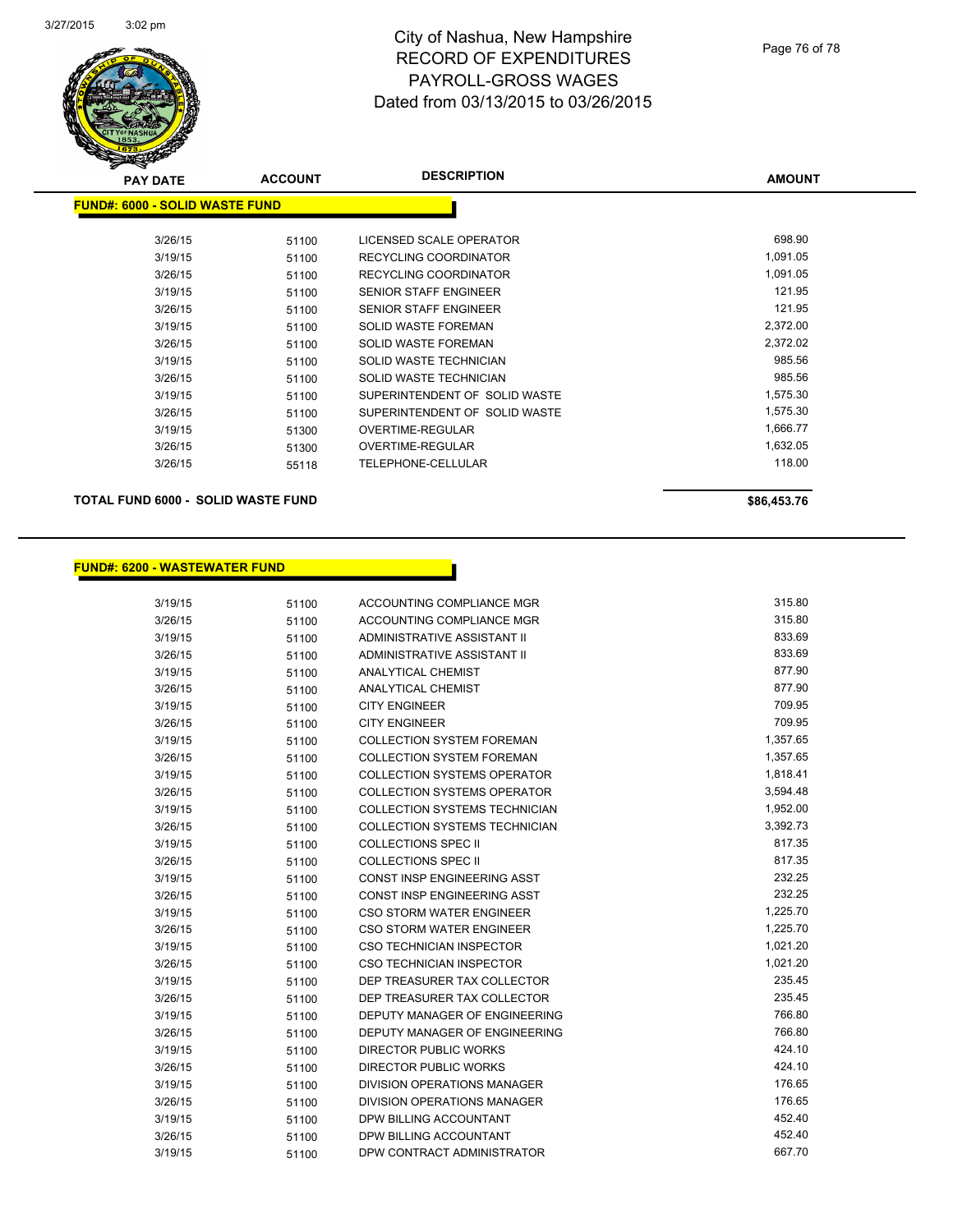

| s<br>$\tilde{\phantom{a}}$<br><b>PAY DATE</b> | <b>ACCOUNT</b> | <b>DESCRIPTION</b>            | <b>AMOUNT</b> |
|-----------------------------------------------|----------------|-------------------------------|---------------|
| <b>FUND#: 6000 - SOLID WASTE FUND</b>         |                |                               |               |
|                                               |                |                               |               |
| 3/26/15                                       | 51100          | LICENSED SCALE OPERATOR       | 698.90        |
| 3/19/15                                       | 51100          | RECYCLING COORDINATOR         | 1,091.05      |
| 3/26/15                                       | 51100          | <b>RECYCLING COORDINATOR</b>  | 1,091.05      |
| 3/19/15                                       | 51100          | <b>SENIOR STAFF ENGINEER</b>  | 121.95        |
| 3/26/15                                       | 51100          | SENIOR STAFF ENGINEER         | 121.95        |
| 3/19/15                                       | 51100          | <b>SOLID WASTE FOREMAN</b>    | 2,372.00      |
| 3/26/15                                       | 51100          | <b>SOLID WASTE FOREMAN</b>    | 2,372.02      |
| 3/19/15                                       | 51100          | SOLID WASTE TECHNICIAN        | 985.56        |
| 3/26/15                                       | 51100          | SOLID WASTE TECHNICIAN        | 985.56        |
| 3/19/15                                       | 51100          | SUPERINTENDENT OF SOLID WASTE | 1,575.30      |
| 3/26/15                                       | 51100          | SUPERINTENDENT OF SOLID WASTE | 1,575.30      |
| 3/19/15                                       | 51300          | <b>OVERTIME-REGULAR</b>       | 1,666.77      |
| 3/26/15                                       | 51300          | <b>OVERTIME-REGULAR</b>       | 1,632.05      |
| 3/26/15                                       | 55118          | TELEPHONE-CELLULAR            | 118.00        |
|                                               |                |                               |               |

## **TOTAL FUND 6000 - SOLID WASTE FUND \$86,453.76**

## **FUND#: 6200 - WASTEWATER FUND**

| 3/19/15 | 51100 | ACCOUNTING COMPLIANCE MGR            | 315.80   |
|---------|-------|--------------------------------------|----------|
| 3/26/15 | 51100 | ACCOUNTING COMPLIANCE MGR            | 315.80   |
| 3/19/15 | 51100 | ADMINISTRATIVE ASSISTANT II          | 833.69   |
| 3/26/15 | 51100 | ADMINISTRATIVE ASSISTANT II          | 833.69   |
| 3/19/15 | 51100 | <b>ANALYTICAL CHEMIST</b>            | 877.90   |
| 3/26/15 | 51100 | ANALYTICAL CHEMIST                   | 877.90   |
| 3/19/15 | 51100 | <b>CITY ENGINEER</b>                 | 709.95   |
| 3/26/15 | 51100 | <b>CITY ENGINEER</b>                 | 709.95   |
| 3/19/15 | 51100 | <b>COLLECTION SYSTEM FOREMAN</b>     | 1,357.65 |
| 3/26/15 | 51100 | <b>COLLECTION SYSTEM FOREMAN</b>     | 1,357.65 |
| 3/19/15 | 51100 | <b>COLLECTION SYSTEMS OPERATOR</b>   | 1,818.41 |
| 3/26/15 | 51100 | <b>COLLECTION SYSTEMS OPERATOR</b>   | 3,594.48 |
| 3/19/15 | 51100 | <b>COLLECTION SYSTEMS TECHNICIAN</b> | 1,952.00 |
| 3/26/15 | 51100 | <b>COLLECTION SYSTEMS TECHNICIAN</b> | 3,392.73 |
| 3/19/15 | 51100 | <b>COLLECTIONS SPEC II</b>           | 817.35   |
| 3/26/15 | 51100 | <b>COLLECTIONS SPEC II</b>           | 817.35   |
| 3/19/15 | 51100 | CONST INSP ENGINEERING ASST          | 232.25   |
| 3/26/15 | 51100 | <b>CONST INSP ENGINEERING ASST</b>   | 232.25   |
| 3/19/15 | 51100 | <b>CSO STORM WATER ENGINEER</b>      | 1,225.70 |
| 3/26/15 | 51100 | <b>CSO STORM WATER ENGINEER</b>      | 1,225.70 |
| 3/19/15 | 51100 | <b>CSO TECHNICIAN INSPECTOR</b>      | 1,021.20 |
| 3/26/15 | 51100 | <b>CSO TECHNICIAN INSPECTOR</b>      | 1,021.20 |
| 3/19/15 | 51100 | DEP TREASURER TAX COLLECTOR          | 235.45   |
| 3/26/15 | 51100 | DEP TREASURER TAX COLLECTOR          | 235.45   |
| 3/19/15 | 51100 | DEPUTY MANAGER OF ENGINEERING        | 766.80   |
| 3/26/15 | 51100 | <b>DEPUTY MANAGER OF ENGINEERING</b> | 766.80   |
| 3/19/15 | 51100 | DIRECTOR PUBLIC WORKS                | 424.10   |
| 3/26/15 | 51100 | <b>DIRECTOR PUBLIC WORKS</b>         | 424.10   |
| 3/19/15 | 51100 | DIVISION OPERATIONS MANAGER          | 176.65   |
| 3/26/15 | 51100 | DIVISION OPERATIONS MANAGER          | 176.65   |
| 3/19/15 | 51100 | DPW BILLING ACCOUNTANT               | 452.40   |
| 3/26/15 | 51100 | DPW BILLING ACCOUNTANT               | 452.40   |
| 3/19/15 | 51100 | DPW CONTRACT ADMINISTRATOR           | 667.70   |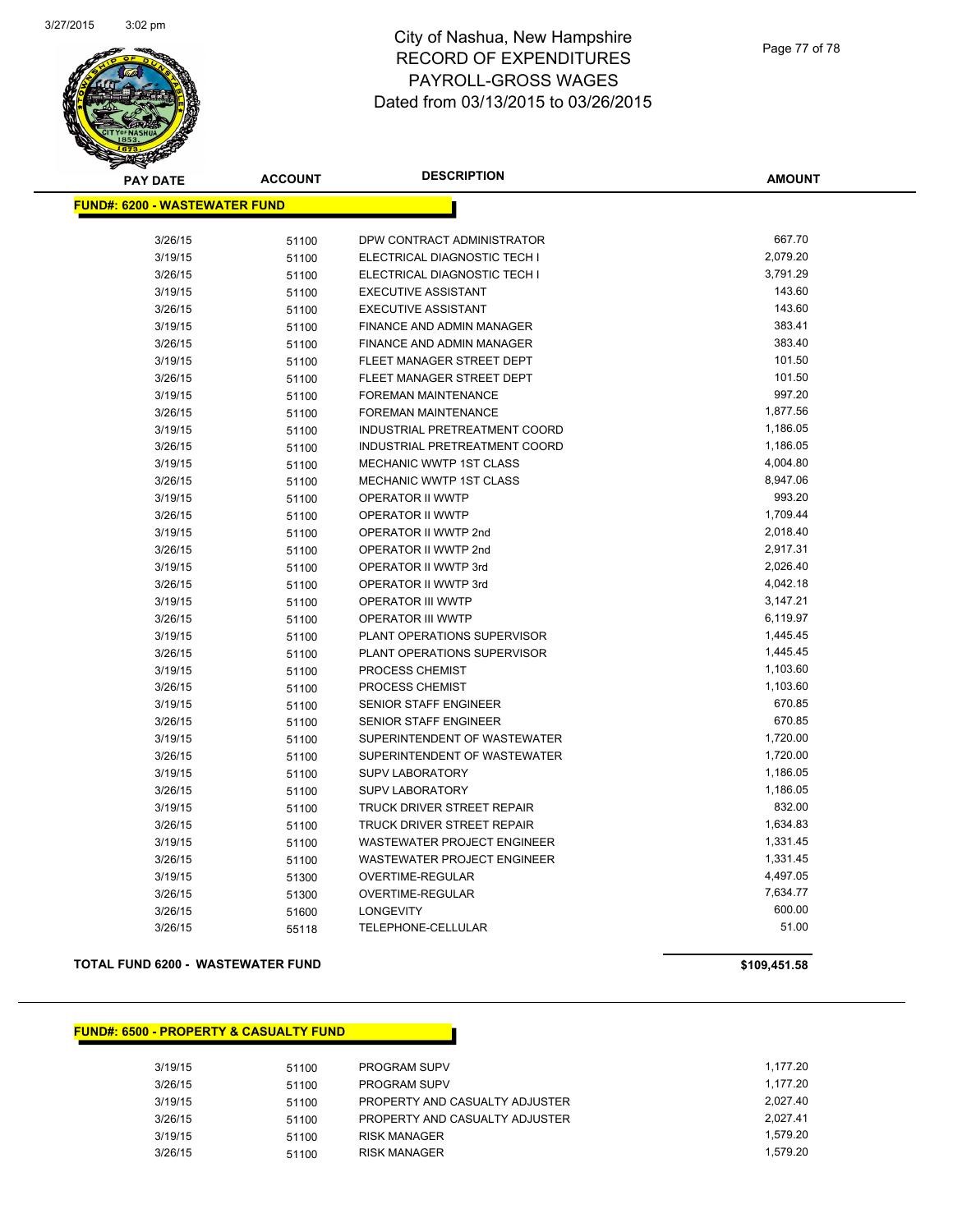

| <b>PAY DATE</b>                       | <b>ACCOUNT</b> | <b>DESCRIPTION</b>                 | <b>AMOUNT</b> |
|---------------------------------------|----------------|------------------------------------|---------------|
| <u> FUND#: 6200 - WASTEWATER FUND</u> |                |                                    |               |
|                                       |                | DPW CONTRACT ADMINISTRATOR         | 667.70        |
| 3/26/15                               | 51100          |                                    | 2,079.20      |
| 3/19/15                               | 51100          | ELECTRICAL DIAGNOSTIC TECH I       | 3,791.29      |
| 3/26/15                               | 51100          | ELECTRICAL DIAGNOSTIC TECH I       | 143.60        |
| 3/19/15                               | 51100          | <b>EXECUTIVE ASSISTANT</b>         |               |
| 3/26/15                               | 51100          | <b>EXECUTIVE ASSISTANT</b>         | 143.60        |
| 3/19/15                               | 51100          | FINANCE AND ADMIN MANAGER          | 383.41        |
| 3/26/15                               | 51100          | <b>FINANCE AND ADMIN MANAGER</b>   | 383.40        |
| 3/19/15                               | 51100          | FLEET MANAGER STREET DEPT          | 101.50        |
| 3/26/15                               | 51100          | FLEET MANAGER STREET DEPT          | 101.50        |
| 3/19/15                               | 51100          | <b>FOREMAN MAINTENANCE</b>         | 997.20        |
| 3/26/15                               | 51100          | <b>FOREMAN MAINTENANCE</b>         | 1,877.56      |
| 3/19/15                               | 51100          | INDUSTRIAL PRETREATMENT COORD      | 1,186.05      |
| 3/26/15                               | 51100          | INDUSTRIAL PRETREATMENT COORD      | 1,186.05      |
| 3/19/15                               | 51100          | <b>MECHANIC WWTP 1ST CLASS</b>     | 4,004.80      |
| 3/26/15                               | 51100          | MECHANIC WWTP 1ST CLASS            | 8,947.06      |
| 3/19/15                               | 51100          | OPERATOR II WWTP                   | 993.20        |
| 3/26/15                               | 51100          | OPERATOR II WWTP                   | 1,709.44      |
| 3/19/15                               | 51100          | OPERATOR II WWTP 2nd               | 2,018.40      |
| 3/26/15                               | 51100          | OPERATOR II WWTP 2nd               | 2,917.31      |
| 3/19/15                               | 51100          | OPERATOR II WWTP 3rd               | 2,026.40      |
| 3/26/15                               | 51100          | OPERATOR II WWTP 3rd               | 4,042.18      |
| 3/19/15                               | 51100          | OPERATOR III WWTP                  | 3,147.21      |
| 3/26/15                               | 51100          | <b>OPERATOR III WWTP</b>           | 6,119.97      |
| 3/19/15                               | 51100          | <b>PLANT OPERATIONS SUPERVISOR</b> | 1,445.45      |
| 3/26/15                               | 51100          | PLANT OPERATIONS SUPERVISOR        | 1,445.45      |
| 3/19/15                               | 51100          | PROCESS CHEMIST                    | 1,103.60      |
| 3/26/15                               | 51100          | PROCESS CHEMIST                    | 1,103.60      |
| 3/19/15                               | 51100          | SENIOR STAFF ENGINEER              | 670.85        |
| 3/26/15                               | 51100          | SENIOR STAFF ENGINEER              | 670.85        |
| 3/19/15                               | 51100          | SUPERINTENDENT OF WASTEWATER       | 1,720.00      |
| 3/26/15                               | 51100          | SUPERINTENDENT OF WASTEWATER       | 1,720.00      |
| 3/19/15                               | 51100          | SUPV LABORATORY                    | 1,186.05      |
| 3/26/15                               | 51100          | <b>SUPV LABORATORY</b>             | 1,186.05      |
| 3/19/15                               | 51100          | TRUCK DRIVER STREET REPAIR         | 832.00        |
| 3/26/15                               | 51100          | TRUCK DRIVER STREET REPAIR         | 1,634.83      |
| 3/19/15                               | 51100          | <b>WASTEWATER PROJECT ENGINEER</b> | 1,331.45      |
| 3/26/15                               | 51100          | WASTEWATER PROJECT ENGINEER        | 1,331.45      |
| 3/19/15                               | 51300          | OVERTIME-REGULAR                   | 4,497.05      |
| 3/26/15                               | 51300          | OVERTIME-REGULAR                   | 7,634.77      |
| 3/26/15                               | 51600          | <b>LONGEVITY</b>                   | 600.00        |
| 3/26/15                               | 55118          | TELEPHONE-CELLULAR                 | 51.00         |
|                                       |                |                                    |               |

#### **TOTAL FUND 6200 - WASTEWATER FUND \$109,451.58**

#### **FUND#: 6500 - PROPERTY & CASUALTY FUND**

| 3/19/15 | 51100 | <b>PROGRAM SUPV</b>            | 1,177.20 |
|---------|-------|--------------------------------|----------|
| 3/26/15 | 51100 | <b>PROGRAM SUPV</b>            | 1.177.20 |
| 3/19/15 | 51100 | PROPERTY AND CASUALTY ADJUSTER | 2.027.40 |
| 3/26/15 | 51100 | PROPERTY AND CASUALTY ADJUSTER | 2.027.41 |
| 3/19/15 | 51100 | <b>RISK MANAGER</b>            | 1.579.20 |
| 3/26/15 | 51100 | <b>RISK MANAGER</b>            | 1.579.20 |
|         |       |                                |          |